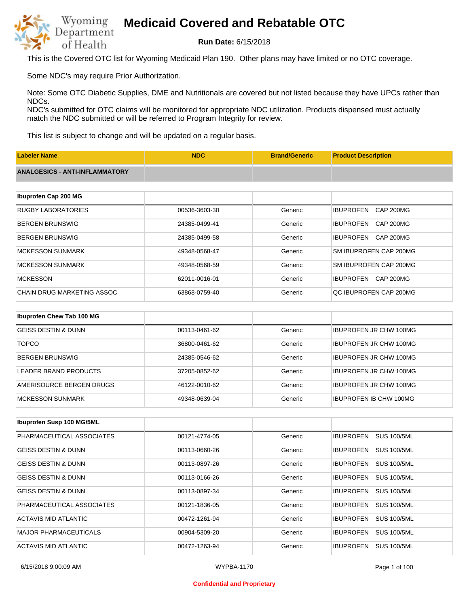

**Run Date:** 6/15/2018

This is the Covered OTC list for Wyoming Medicaid Plan 190. Other plans may have limited or no OTC coverage.

Some NDC's may require Prior Authorization.

Note: Some OTC Diabetic Supplies, DME and Nutritionals are covered but not listed because they have UPCs rather than NDCs.

NDC's submitted for OTC claims will be monitored for appropriate NDC utilization. Products dispensed must actually match the NDC submitted or will be referred to Program Integrity for review.

This list is subject to change and will be updated on a regular basis.

| <b>Labeler Name</b>                   | <b>NDC</b>    | <b>Brand/Generic</b> | <b>Product Description</b>           |
|---------------------------------------|---------------|----------------------|--------------------------------------|
| <b>ANALGESICS - ANTI-INFLAMMATORY</b> |               |                      |                                      |
|                                       |               |                      |                                      |
| Ibuprofen Cap 200 MG                  |               |                      |                                      |
| <b>RUGBY LABORATORIES</b>             | 00536-3603-30 | Generic              | <b>IBUPROFEN</b><br><b>CAP 200MG</b> |
| <b>BERGEN BRUNSWIG</b>                | 24385-0499-41 | Generic              | CAP 200MG<br><b>IBUPROFEN</b>        |
| <b>BERGEN BRUNSWIG</b>                | 24385-0499-58 | Generic              | <b>IBUPROFEN</b><br>CAP 200MG        |
| <b>MCKESSON SUNMARK</b>               | 49348-0568-47 | Generic              | SM IBUPROFEN CAP 200MG               |
| <b>MCKESSON SUNMARK</b>               | 49348-0568-59 | Generic              | SM IBUPROFEN CAP 200MG               |
| <b>MCKESSON</b>                       | 62011-0016-01 | Generic              | IBUPROFEN CAP 200MG                  |
| <b>CHAIN DRUG MARKETING ASSOC</b>     | 63868-0759-40 | Generic              | QC IBUPROFEN CAP 200MG               |
|                                       |               |                      |                                      |
| Ibuprofen Chew Tab 100 MG             |               |                      |                                      |
| <b>GEISS DESTIN &amp; DUNN</b>        | 00113-0461-62 | Generic              | <b>IBUPROFEN JR CHW 100MG</b>        |
| <b>TOPCO</b>                          | 36800-0461-62 | Generic              | <b>IBUPROFEN JR CHW 100MG</b>        |

| BERGEN BRUNSWIG          | 24385-0546-62 | Generic | <b>IBUPROFEN JR CHW 100MG</b> |
|--------------------------|---------------|---------|-------------------------------|
| LEADER BRAND PRODUCTS    | 37205-0852-62 | Generic | <b>IBUPROFEN JR CHW 100MG</b> |
| AMERISOURCE BERGEN DRUGS | 46122-0010-62 | Generic | <b>IBUPROFEN JR CHW 100MG</b> |
| <b>IMCKESSON SUNMARK</b> | 49348-0639-04 | Generic | <b>IBUPROFEN IB CHW 100MG</b> |

| <b>Ibuprofen Susp 100 MG/5ML</b> |               |         |                                        |
|----------------------------------|---------------|---------|----------------------------------------|
| PHARMACEUTICAL ASSOCIATES        | 00121-4774-05 | Generic | <b>SUS 100/5ML</b><br><b>IBUPROFEN</b> |
| <b>GEISS DESTIN &amp; DUNN</b>   | 00113-0660-26 | Generic | <b>SUS 100/5ML</b><br><b>IBUPROFEN</b> |
| <b>GEISS DESTIN &amp; DUNN</b>   | 00113-0897-26 | Generic | <b>SUS 100/5ML</b><br><b>IBUPROFEN</b> |
| <b>GEISS DESTIN &amp; DUNN</b>   | 00113-0166-26 | Generic | <b>SUS 100/5ML</b><br><b>IBUPROFEN</b> |
| <b>GEISS DESTIN &amp; DUNN</b>   | 00113-0897-34 | Generic | <b>SUS 100/5ML</b><br><b>IBUPROFEN</b> |
| PHARMACEUTICAL ASSOCIATES        | 00121-1836-05 | Generic | <b>SUS 100/5ML</b><br><b>IBUPROFEN</b> |
| ACTAVIS MID ATLANTIC             | 00472-1261-94 | Generic | <b>IBUPROFEN</b><br><b>SUS 100/5ML</b> |
| <b>MAJOR PHARMACEUTICALS</b>     | 00904-5309-20 | Generic | <b>SUS 100/5ML</b><br><b>IBUPROFEN</b> |
| ACTAVIS MID ATLANTIC             | 00472-1263-94 | Generic | <b>IBUPROFEN</b><br><b>SUS 100/5ML</b> |

6/15/2018 9:00:09 AM WYPBA-1170 Page 1 of 100

#### **Confidential and Proprietary**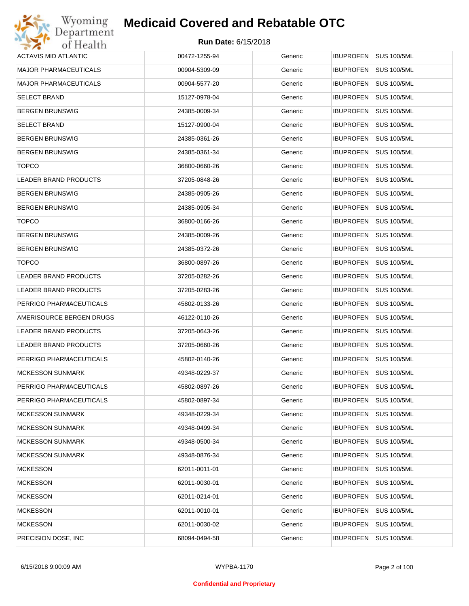| Wyoming                      | <b>Medicaid Covered and Rebatable OTC</b> |         |                                        |
|------------------------------|-------------------------------------------|---------|----------------------------------------|
| Department<br>of Health      | <b>Run Date: 6/15/2018</b>                |         |                                        |
| <b>ACTAVIS MID ATLANTIC</b>  | 00472-1255-94                             | Generic | IBUPROFEN SUS 100/5ML                  |
| <b>MAJOR PHARMACEUTICALS</b> | 00904-5309-09                             | Generic | <b>IBUPROFEN</b><br><b>SUS 100/5ML</b> |
| <b>MAJOR PHARMACEUTICALS</b> | 00904-5577-20                             | Generic | <b>SUS 100/5ML</b><br><b>IBUPROFEN</b> |
| <b>SELECT BRAND</b>          | 15127-0978-04                             | Generic | <b>IBUPROFEN</b><br><b>SUS 100/5ML</b> |
| <b>BERGEN BRUNSWIG</b>       | 24385-0009-34                             | Generic | <b>IBUPROFEN</b><br><b>SUS 100/5ML</b> |
| <b>SELECT BRAND</b>          | 15127-0900-04                             | Generic | <b>IBUPROFEN</b><br><b>SUS 100/5ML</b> |
| <b>BERGEN BRUNSWIG</b>       | 24385-0361-26                             | Generic | <b>IBUPROFEN</b><br><b>SUS 100/5ML</b> |
| <b>BERGEN BRUNSWIG</b>       | 24385-0361-34                             | Generic | <b>IBUPROFEN</b><br><b>SUS 100/5ML</b> |
| <b>TOPCO</b>                 | 36800-0660-26                             | Generic | <b>IBUPROFEN</b><br><b>SUS 100/5ML</b> |
| <b>LEADER BRAND PRODUCTS</b> | 37205-0848-26                             | Generic | <b>IBUPROFEN</b><br><b>SUS 100/5ML</b> |
| <b>BERGEN BRUNSWIG</b>       | 24385-0905-26                             | Generic | <b>IBUPROFEN</b><br><b>SUS 100/5ML</b> |
| <b>BERGEN BRUNSWIG</b>       | 24385-0905-34                             | Generic | <b>IBUPROFEN</b><br><b>SUS 100/5ML</b> |
| <b>TOPCO</b>                 | 36800-0166-26                             | Generic | <b>IBUPROFEN</b><br><b>SUS 100/5ML</b> |
| <b>BERGEN BRUNSWIG</b>       | 24385-0009-26                             | Generic | <b>IBUPROFEN</b><br><b>SUS 100/5ML</b> |
| <b>BERGEN BRUNSWIG</b>       | 24385-0372-26                             | Generic | <b>IBUPROFEN</b><br><b>SUS 100/5ML</b> |
| <b>TOPCO</b>                 | 36800-0897-26                             | Generic | <b>IBUPROFEN</b><br><b>SUS 100/5ML</b> |
| LEADER BRAND PRODUCTS        | 37205-0282-26                             | Generic | <b>IBUPROFEN</b><br><b>SUS 100/5ML</b> |
| LEADER BRAND PRODUCTS        | 37205-0283-26                             | Generic | <b>IBUPROFEN</b><br><b>SUS 100/5ML</b> |
| PERRIGO PHARMACEUTICALS      | 45802-0133-26                             | Generic | <b>IBUPROFEN</b><br><b>SUS 100/5ML</b> |
| AMERISOURCE BERGEN DRUGS     | 46122-0110-26                             | Generic | <b>IBUPROFEN</b><br><b>SUS 100/5ML</b> |
| LEADER BRAND PRODUCTS        | 37205-0643-26                             | Generic | <b>SUS 100/5ML</b><br><b>IBUPROFEN</b> |
| LEADER BRAND PRODUCTS        | 37205-0660-26                             | Generic | IBUPROFEN SUS 100/5ML                  |
| PERRIGO PHARMACEUTICALS      | 45802-0140-26                             | Generic | IBUPROFEN SUS 100/5ML                  |
| <b>MCKESSON SUNMARK</b>      | 49348-0229-37                             | Generic | <b>IBUPROFEN</b><br><b>SUS 100/5ML</b> |
| PERRIGO PHARMACEUTICALS      | 45802-0897-26                             | Generic | <b>IBUPROFEN</b><br><b>SUS 100/5ML</b> |
| PERRIGO PHARMACEUTICALS      | 45802-0897-34                             | Generic | <b>IBUPROFEN</b><br><b>SUS 100/5ML</b> |
| <b>MCKESSON SUNMARK</b>      | 49348-0229-34                             | Generic | <b>IBUPROFEN</b><br><b>SUS 100/5ML</b> |
| <b>MCKESSON SUNMARK</b>      | 49348-0499-34                             | Generic | <b>IBUPROFEN</b><br><b>SUS 100/5ML</b> |
| <b>MCKESSON SUNMARK</b>      | 49348-0500-34                             | Generic | <b>IBUPROFEN</b><br><b>SUS 100/5ML</b> |
| <b>MCKESSON SUNMARK</b>      | 49348-0876-34                             | Generic | <b>IBUPROFEN</b><br><b>SUS 100/5ML</b> |
| <b>MCKESSON</b>              | 62011-0011-01                             | Generic | <b>IBUPROFEN</b><br><b>SUS 100/5ML</b> |
| <b>MCKESSON</b>              | 62011-0030-01                             | Generic | <b>IBUPROFEN</b><br><b>SUS 100/5ML</b> |
| <b>MCKESSON</b>              | 62011-0214-01                             | Generic | <b>IBUPROFEN</b><br><b>SUS 100/5ML</b> |
| <b>MCKESSON</b>              | 62011-0010-01                             | Generic | <b>IBUPROFEN</b><br><b>SUS 100/5ML</b> |
| <b>MCKESSON</b>              | 62011-0030-02                             | Generic | <b>IBUPROFEN</b><br><b>SUS 100/5ML</b> |
| PRECISION DOSE, INC.         | 68094-0494-58                             | Generic | <b>SUS 100/5ML</b><br><b>IBUPROFEN</b> |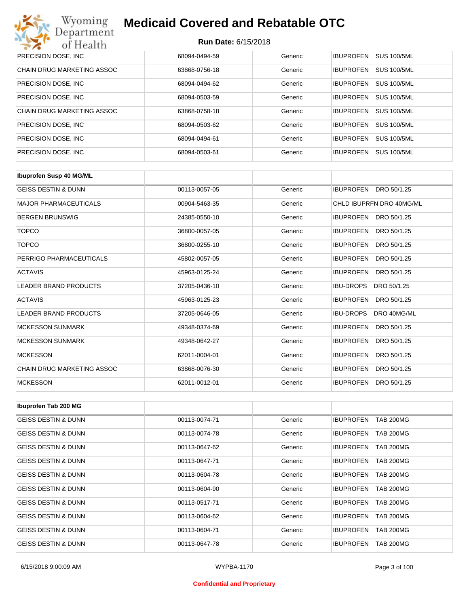| Wyoming<br><b>Medicaid Covered and Rebatable OTC</b><br>Department |                            |         |                                        |  |
|--------------------------------------------------------------------|----------------------------|---------|----------------------------------------|--|
| of Health                                                          | <b>Run Date: 6/15/2018</b> |         |                                        |  |
| PRECISION DOSE, INC                                                | 68094-0494-59              | Generic | <b>IBUPROFEN</b><br><b>SUS 100/5ML</b> |  |
| CHAIN DRUG MARKETING ASSOC                                         | 63868-0756-18              | Generic | <b>SUS 100/5ML</b><br><b>IBUPROFEN</b> |  |
| PRECISION DOSE, INC.                                               | 68094-0494-62              | Generic | <b>SUS 100/5ML</b><br><b>IBUPROFEN</b> |  |
| PRECISION DOSE, INC.                                               | 68094-0503-59              | Generic | <b>IBUPROFEN</b><br><b>SUS 100/5ML</b> |  |
| <b>CHAIN DRUG MARKETING ASSOC</b>                                  | 63868-0758-18              | Generic | <b>IBUPROFEN</b><br><b>SUS 100/5ML</b> |  |
| PRECISION DOSE, INC.                                               | 68094-0503-62              | Generic | <b>IBUPROFEN</b><br><b>SUS 100/5ML</b> |  |
| PRECISION DOSE, INC.                                               | 68094-0494-61              | Generic | <b>SUS 100/5ML</b><br><b>IBUPROFEN</b> |  |
| PRECISION DOSE, INC.                                               | 68094-0503-61              | Generic | <b>SUS 100/5ML</b><br><b>IBUPROFEN</b> |  |

| <b>Ibuprofen Susp 40 MG/ML</b>    |               |         |                                 |
|-----------------------------------|---------------|---------|---------------------------------|
| <b>GEISS DESTIN &amp; DUNN</b>    | 00113-0057-05 | Generic | <b>IBUPROFEN</b><br>DRO 50/1.25 |
| <b>MAJOR PHARMACEUTICALS</b>      | 00904-5463-35 | Generic | CHLD IBUPRFN DRO 40MG/ML        |
| <b>BERGEN BRUNSWIG</b>            | 24385-0550-10 | Generic | DRO 50/1.25<br><b>IBUPROFEN</b> |
| <b>TOPCO</b>                      | 36800-0057-05 | Generic | <b>IBUPROFEN</b><br>DRO 50/1.25 |
| <b>TOPCO</b>                      | 36800-0255-10 | Generic | <b>IBUPROFEN</b><br>DRO 50/1.25 |
| PERRIGO PHARMACEUTICALS           | 45802-0057-05 | Generic | <b>IBUPROFEN</b><br>DRO 50/1.25 |
| <b>ACTAVIS</b>                    | 45963-0125-24 | Generic | <b>IBUPROFEN</b><br>DRO 50/1.25 |
| <b>LEADER BRAND PRODUCTS</b>      | 37205-0436-10 | Generic | <b>IBU-DROPS</b><br>DRO 50/1.25 |
| <b>ACTAVIS</b>                    | 45963-0125-23 | Generic | <b>IBUPROFEN</b><br>DRO 50/1.25 |
| <b>LEADER BRAND PRODUCTS</b>      | 37205-0646-05 | Generic | <b>IBU-DROPS</b><br>DRO 40MG/ML |
| <b>MCKESSON SUNMARK</b>           | 49348-0374-69 | Generic | <b>IBUPROFEN</b><br>DRO 50/1.25 |
| <b>MCKESSON SUNMARK</b>           | 49348-0642-27 | Generic | <b>IBUPROFEN</b><br>DRO 50/1.25 |
| <b>MCKESSON</b>                   | 62011-0004-01 | Generic | <b>IBUPROFEN</b><br>DRO 50/1.25 |
| <b>CHAIN DRUG MARKETING ASSOC</b> | 63868-0076-30 | Generic | <b>IBUPROFEN</b><br>DRO 50/1.25 |
| <b>MCKESSON</b>                   | 62011-0012-01 | Generic | <b>IBUPROFEN</b><br>DRO 50/1.25 |

| Ibuprofen Tab 200 MG           |               |         |                                      |
|--------------------------------|---------------|---------|--------------------------------------|
| <b>GEISS DESTIN &amp; DUNN</b> | 00113-0074-71 | Generic | <b>TAB 200MG</b><br><b>IBUPROFEN</b> |
| <b>GEISS DESTIN &amp; DUNN</b> | 00113-0074-78 | Generic | <b>TAB 200MG</b><br><b>IBUPROFEN</b> |
| <b>GEISS DESTIN &amp; DUNN</b> | 00113-0647-62 | Generic | <b>IBUPROFEN</b><br><b>TAB 200MG</b> |
| <b>GEISS DESTIN &amp; DUNN</b> | 00113-0647-71 | Generic | <b>TAB 200MG</b><br><b>IBUPROFEN</b> |
| <b>GEISS DESTIN &amp; DUNN</b> | 00113-0604-78 | Generic | <b>IBUPROFEN</b><br><b>TAB 200MG</b> |
| <b>GEISS DESTIN &amp; DUNN</b> | 00113-0604-90 | Generic | <b>TAB 200MG</b><br><b>IBUPROFEN</b> |
| <b>GEISS DESTIN &amp; DUNN</b> | 00113-0517-71 | Generic | <b>TAB 200MG</b><br><b>IBUPROFEN</b> |
| <b>GEISS DESTIN &amp; DUNN</b> | 00113-0604-62 | Generic | <b>IBUPROFEN</b><br><b>TAB 200MG</b> |
| <b>GEISS DESTIN &amp; DUNN</b> | 00113-0604-71 | Generic | <b>IBUPROFEN</b><br>TAB 200MG        |
| <b>GEISS DESTIN &amp; DUNN</b> | 00113-0647-78 | Generic | <b>TAB 200MG</b><br><b>IBUPROFEN</b> |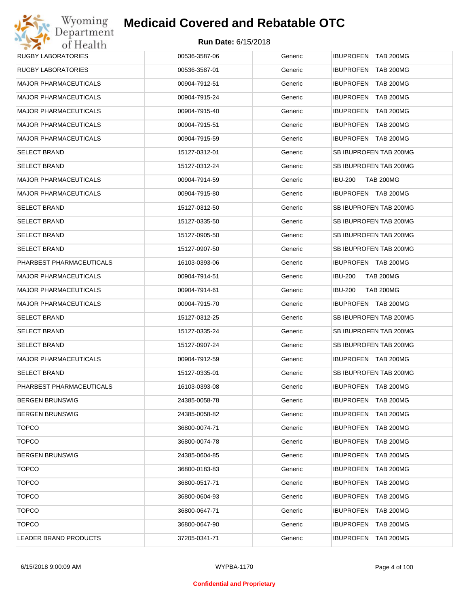## Wyoming<br>Department<br>of Health **Medicaid Covered and Rebatable OTC**

| <b>RUGBY LABORATORIES</b>    | 00536-3587-06 | Generic | IBUPROFEN TAB 200MG                  |
|------------------------------|---------------|---------|--------------------------------------|
| <b>RUGBY LABORATORIES</b>    | 00536-3587-01 | Generic | IBUPROFEN TAB 200MG                  |
| <b>MAJOR PHARMACEUTICALS</b> | 00904-7912-51 | Generic | IBUPROFEN TAB 200MG                  |
| <b>MAJOR PHARMACEUTICALS</b> | 00904-7915-24 | Generic | IBUPROFEN TAB 200MG                  |
| <b>MAJOR PHARMACEUTICALS</b> | 00904-7915-40 | Generic | IBUPROFEN TAB 200MG                  |
| <b>MAJOR PHARMACEUTICALS</b> | 00904-7915-51 | Generic | IBUPROFEN TAB 200MG                  |
| <b>MAJOR PHARMACEUTICALS</b> | 00904-7915-59 | Generic | IBUPROFEN TAB 200MG                  |
| <b>SELECT BRAND</b>          | 15127-0312-01 | Generic | SB IBUPROFEN TAB 200MG               |
| <b>SELECT BRAND</b>          | 15127-0312-24 | Generic | SB IBUPROFEN TAB 200MG               |
| <b>MAJOR PHARMACEUTICALS</b> | 00904-7914-59 | Generic | <b>IBU-200</b><br><b>TAB 200MG</b>   |
| <b>MAJOR PHARMACEUTICALS</b> | 00904-7915-80 | Generic | IBUPROFEN TAB 200MG                  |
| <b>SELECT BRAND</b>          | 15127-0312-50 | Generic | SB IBUPROFEN TAB 200MG               |
| <b>SELECT BRAND</b>          | 15127-0335-50 | Generic | SB IBUPROFEN TAB 200MG               |
| <b>SELECT BRAND</b>          | 15127-0905-50 | Generic | SB IBUPROFEN TAB 200MG               |
| <b>SELECT BRAND</b>          | 15127-0907-50 | Generic | SB IBUPROFEN TAB 200MG               |
| PHARBEST PHARMACEUTICALS     | 16103-0393-06 | Generic | IBUPROFEN TAB 200MG                  |
| <b>MAJOR PHARMACEUTICALS</b> | 00904-7914-51 | Generic | <b>IBU-200</b><br><b>TAB 200MG</b>   |
| <b>MAJOR PHARMACEUTICALS</b> | 00904-7914-61 | Generic | <b>IBU-200</b><br><b>TAB 200MG</b>   |
| <b>MAJOR PHARMACEUTICALS</b> | 00904-7915-70 | Generic | IBUPROFEN TAB 200MG                  |
| <b>SELECT BRAND</b>          | 15127-0312-25 | Generic | SB IBUPROFEN TAB 200MG               |
| <b>SELECT BRAND</b>          | 15127-0335-24 | Generic | SB IBUPROFEN TAB 200MG               |
| <b>SELECT BRAND</b>          | 15127-0907-24 | Generic | SB IBUPROFEN TAB 200MG               |
| <b>MAJOR PHARMACEUTICALS</b> | 00904-7912-59 | Generic | IBUPROFEN TAB 200MG                  |
| <b>SELECT BRAND</b>          | 15127-0335-01 | Generic | SB IBUPROFEN TAB 200MG               |
| PHARBEST PHARMACEUTICALS     | 16103-0393-08 | Generic | IBUPROFEN TAB 200MG                  |
| <b>BERGEN BRUNSWIG</b>       | 24385-0058-78 | Generic | IBUPROFEN TAB 200MG                  |
| <b>BERGEN BRUNSWIG</b>       | 24385-0058-82 | Generic | IBUPROFEN TAB 200MG                  |
| <b>TOPCO</b>                 | 36800-0074-71 | Generic | IBUPROFEN TAB 200MG                  |
| <b>TOPCO</b>                 | 36800-0074-78 | Generic | <b>IBUPROFEN</b><br><b>TAB 200MG</b> |
| <b>BERGEN BRUNSWIG</b>       | 24385-0604-85 | Generic | IBUPROFEN TAB 200MG                  |
| <b>TOPCO</b>                 | 36800-0183-83 | Generic | <b>IBUPROFEN</b><br><b>TAB 200MG</b> |
| <b>TOPCO</b>                 | 36800-0517-71 | Generic | IBUPROFEN TAB 200MG                  |
| <b>TOPCO</b>                 | 36800-0604-93 | Generic | <b>IBUPROFEN</b><br><b>TAB 200MG</b> |
| <b>TOPCO</b>                 | 36800-0647-71 | Generic | IBUPROFEN TAB 200MG                  |
| <b>TOPCO</b>                 | 36800-0647-90 | Generic | <b>IBUPROFEN</b><br><b>TAB 200MG</b> |
| LEADER BRAND PRODUCTS        | 37205-0341-71 | Generic | IBUPROFEN TAB 200MG                  |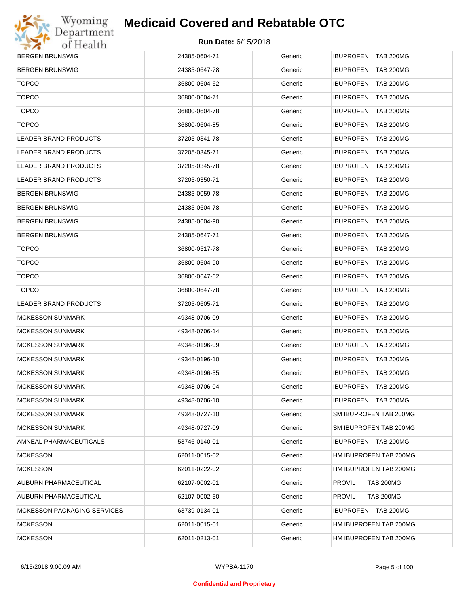

| <b>BERGEN BRUNSWIG</b>             | 24385-0604-71 | Generic | <b>IBUPROFEN TAB 200MG</b>           |
|------------------------------------|---------------|---------|--------------------------------------|
| <b>BERGEN BRUNSWIG</b>             | 24385-0647-78 | Generic | IBUPROFEN TAB 200MG                  |
| <b>TOPCO</b>                       | 36800-0604-62 | Generic | IBUPROFEN TAB 200MG                  |
| <b>TOPCO</b>                       | 36800-0604-71 | Generic | IBUPROFEN TAB 200MG                  |
| <b>TOPCO</b>                       | 36800-0604-78 | Generic | IBUPROFEN TAB 200MG                  |
| <b>TOPCO</b>                       | 36800-0604-85 | Generic | <b>IBUPROFEN</b><br><b>TAB 200MG</b> |
| <b>LEADER BRAND PRODUCTS</b>       | 37205-0341-78 | Generic | IBUPROFEN TAB 200MG                  |
| <b>LEADER BRAND PRODUCTS</b>       | 37205-0345-71 | Generic | IBUPROFEN TAB 200MG                  |
| <b>LEADER BRAND PRODUCTS</b>       | 37205-0345-78 | Generic | IBUPROFEN TAB 200MG                  |
| <b>LEADER BRAND PRODUCTS</b>       | 37205-0350-71 | Generic | <b>IBUPROFEN</b><br><b>TAB 200MG</b> |
| <b>BERGEN BRUNSWIG</b>             | 24385-0059-78 | Generic | IBUPROFEN TAB 200MG                  |
| <b>BERGEN BRUNSWIG</b>             | 24385-0604-78 | Generic | <b>IBUPROFEN</b><br><b>TAB 200MG</b> |
| <b>BERGEN BRUNSWIG</b>             | 24385-0604-90 | Generic | IBUPROFEN TAB 200MG                  |
| <b>BERGEN BRUNSWIG</b>             | 24385-0647-71 | Generic | <b>IBUPROFEN</b><br><b>TAB 200MG</b> |
| <b>TOPCO</b>                       | 36800-0517-78 | Generic | IBUPROFEN TAB 200MG                  |
| <b>TOPCO</b>                       | 36800-0604-90 | Generic | <b>IBUPROFEN</b><br><b>TAB 200MG</b> |
| <b>TOPCO</b>                       | 36800-0647-62 | Generic | IBUPROFEN TAB 200MG                  |
| <b>TOPCO</b>                       | 36800-0647-78 | Generic | <b>IBUPROFEN</b><br><b>TAB 200MG</b> |
| <b>LEADER BRAND PRODUCTS</b>       | 37205-0605-71 | Generic | IBUPROFEN TAB 200MG                  |
| <b>MCKESSON SUNMARK</b>            | 49348-0706-09 | Generic | <b>IBUPROFEN</b><br><b>TAB 200MG</b> |
| <b>MCKESSON SUNMARK</b>            | 49348-0706-14 | Generic | IBUPROFEN TAB 200MG                  |
| <b>MCKESSON SUNMARK</b>            | 49348-0196-09 | Generic | <b>IBUPROFEN</b><br><b>TAB 200MG</b> |
| <b>MCKESSON SUNMARK</b>            | 49348-0196-10 | Generic | IBUPROFEN TAB 200MG                  |
| <b>MCKESSON SUNMARK</b>            | 49348-0196-35 | Generic | <b>IBUPROFEN</b><br><b>TAB 200MG</b> |
| <b>MCKESSON SUNMARK</b>            | 49348-0706-04 | Generic | IBUPROFEN TAB 200MG                  |
| <b>MCKESSON SUNMARK</b>            | 49348-0706-10 | Generic | IBUPROFEN TAB 200MG                  |
| <b>MCKESSON SUNMARK</b>            | 49348-0727-10 | Generic | SM IBUPROFEN TAB 200MG               |
| <b>MCKESSON SUNMARK</b>            | 49348-0727-09 | Generic | SM IBUPROFEN TAB 200MG               |
| AMNEAL PHARMACEUTICALS             | 53746-0140-01 | Generic | IBUPROFEN TAB 200MG                  |
| <b>MCKESSON</b>                    | 62011-0015-02 | Generic | HM IBUPROFEN TAB 200MG               |
| <b>MCKESSON</b>                    | 62011-0222-02 | Generic | HM IBUPROFEN TAB 200MG               |
| AUBURN PHARMACEUTICAL              | 62107-0002-01 | Generic | <b>TAB 200MG</b><br><b>PROVIL</b>    |
| AUBURN PHARMACEUTICAL              | 62107-0002-50 | Generic | <b>PROVIL</b><br><b>TAB 200MG</b>    |
| <b>MCKESSON PACKAGING SERVICES</b> | 63739-0134-01 | Generic | IBUPROFEN TAB 200MG                  |
| MCKESSON                           | 62011-0015-01 | Generic | HM IBUPROFEN TAB 200MG               |
| <b>MCKESSON</b>                    | 62011-0213-01 | Generic | HM IBUPROFEN TAB 200MG               |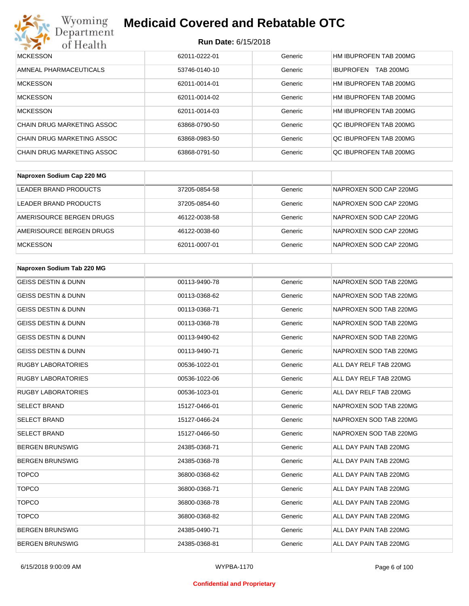

| <b>MCKESSON</b>            | 62011-0222-01 | Generic | HM IBUPROFEN TAB 200MG               |
|----------------------------|---------------|---------|--------------------------------------|
| AMNEAL PHARMACEUTICALS     | 53746-0140-10 | Generic | <b>TAB 200MG</b><br><b>IBUPROFEN</b> |
| <b>MCKESSON</b>            | 62011-0014-01 | Generic | HM IBUPROFEN TAB 200MG               |
| <b>MCKESSON</b>            | 62011-0014-02 | Generic | HM IBUPROFEN TAB 200MG               |
| <b>MCKESSON</b>            | 62011-0014-03 | Generic | HM IBUPROFEN TAB 200MG               |
| CHAIN DRUG MARKETING ASSOC | 63868-0790-50 | Generic | OC IBUPROFEN TAB 200MG               |
| CHAIN DRUG MARKETING ASSOC | 63868-0983-50 | Generic | OC IBUPROFEN TAB 200MG               |
| CHAIN DRUG MARKETING ASSOC | 63868-0791-50 | Generic | OC IBUPROFEN TAB 200MG               |

| Naproxen Sodium Cap 220 MG |               |         |                        |
|----------------------------|---------------|---------|------------------------|
| LEADER BRAND PRODUCTS      | 37205-0854-58 | Generic | NAPROXEN SOD CAP 220MG |
| LEADER BRAND PRODUCTS      | 37205-0854-60 | Generic | NAPROXEN SOD CAP 220MG |
| AMERISOURCE BERGEN DRUGS   | 46122-0038-58 | Generic | NAPROXEN SOD CAP 220MG |
| AMERISOURCE BERGEN DRUGS   | 46122-0038-60 | Generic | NAPROXEN SOD CAP 220MG |
| <b>MCKESSON</b>            | 62011-0007-01 | Generic | NAPROXEN SOD CAP 220MG |

| Naproxen Sodium Tab 220 MG     |               |         |                        |
|--------------------------------|---------------|---------|------------------------|
| <b>GEISS DESTIN &amp; DUNN</b> | 00113-9490-78 | Generic | NAPROXEN SOD TAB 220MG |
| <b>GEISS DESTIN &amp; DUNN</b> | 00113-0368-62 | Generic | NAPROXEN SOD TAB 220MG |
| <b>GEISS DESTIN &amp; DUNN</b> | 00113-0368-71 | Generic | NAPROXEN SOD TAB 220MG |
| <b>GEISS DESTIN &amp; DUNN</b> | 00113-0368-78 | Generic | NAPROXEN SOD TAB 220MG |
| <b>GEISS DESTIN &amp; DUNN</b> | 00113-9490-62 | Generic | NAPROXEN SOD TAB 220MG |
| <b>GEISS DESTIN &amp; DUNN</b> | 00113-9490-71 | Generic | NAPROXEN SOD TAB 220MG |
| <b>RUGBY LABORATORIES</b>      | 00536-1022-01 | Generic | ALL DAY RELF TAB 220MG |
| <b>RUGBY LABORATORIES</b>      | 00536-1022-06 | Generic | ALL DAY RELF TAB 220MG |
| <b>RUGBY LABORATORIES</b>      | 00536-1023-01 | Generic | ALL DAY RELF TAB 220MG |
| <b>SELECT BRAND</b>            | 15127-0466-01 | Generic | NAPROXEN SOD TAB 220MG |
| <b>SELECT BRAND</b>            | 15127-0466-24 | Generic | NAPROXEN SOD TAB 220MG |
| <b>SELECT BRAND</b>            | 15127-0466-50 | Generic | NAPROXEN SOD TAB 220MG |
| <b>BERGEN BRUNSWIG</b>         | 24385-0368-71 | Generic | ALL DAY PAIN TAB 220MG |
| <b>BERGEN BRUNSWIG</b>         | 24385-0368-78 | Generic | ALL DAY PAIN TAB 220MG |
| <b>TOPCO</b>                   | 36800-0368-62 | Generic | ALL DAY PAIN TAB 220MG |
| <b>TOPCO</b>                   | 36800-0368-71 | Generic | ALL DAY PAIN TAB 220MG |
| <b>TOPCO</b>                   | 36800-0368-78 | Generic | ALL DAY PAIN TAB 220MG |
| <b>TOPCO</b>                   | 36800-0368-82 | Generic | ALL DAY PAIN TAB 220MG |
| <b>BERGEN BRUNSWIG</b>         | 24385-0490-71 | Generic | ALL DAY PAIN TAB 220MG |
| <b>BERGEN BRUNSWIG</b>         | 24385-0368-81 | Generic | ALL DAY PAIN TAB 220MG |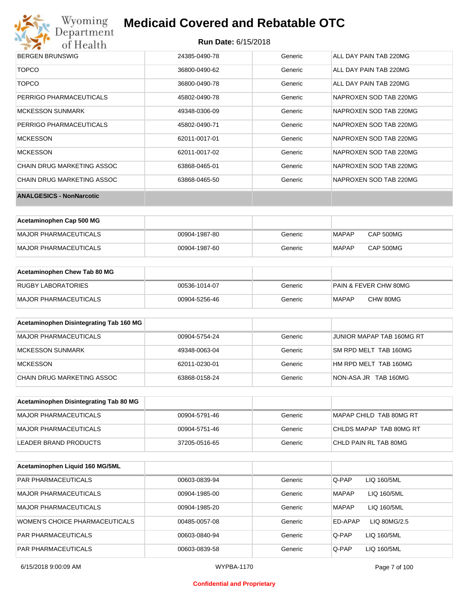

| <b>BERGEN BRUNSWIG</b>          | 24385-0490-78 | Generic | ALL DAY PAIN TAB 220MG |
|---------------------------------|---------------|---------|------------------------|
| <b>TOPCO</b>                    | 36800-0490-62 | Generic | ALL DAY PAIN TAB 220MG |
| <b>TOPCO</b>                    | 36800-0490-78 | Generic | ALL DAY PAIN TAB 220MG |
| PERRIGO PHARMACEUTICALS         | 45802-0490-78 | Generic | NAPROXEN SOD TAB 220MG |
| <b>MCKESSON SUNMARK</b>         | 49348-0306-09 | Generic | NAPROXEN SOD TAB 220MG |
| PERRIGO PHARMACEUTICALS         | 45802-0490-71 | Generic | NAPROXEN SOD TAB 220MG |
| <b>MCKESSON</b>                 | 62011-0017-01 | Generic | NAPROXEN SOD TAB 220MG |
| <b>MCKESSON</b>                 | 62011-0017-02 | Generic | NAPROXEN SOD TAB 220MG |
| CHAIN DRUG MARKETING ASSOC      | 63868-0465-01 | Generic | NAPROXEN SOD TAB 220MG |
| CHAIN DRUG MARKETING ASSOC      | 63868-0465-50 | Generic | NAPROXEN SOD TAB 220MG |
| <b>ANALGESICS - NonNarcotic</b> |               |         |                        |

| Acetaminophen Cap 500 MG |               |         |              |           |
|--------------------------|---------------|---------|--------------|-----------|
| MAJOR PHARMACEUTICALS    | 00904-1987-80 | Generic | <b>MAPAP</b> | CAP 500MG |
| MAJOR PHARMACEUTICALS    | 00904-1987-60 | Generic | <b>MAPAP</b> | CAP 500MG |

| Acetaminophen Chew Tab 80 MG |               |         |                       |
|------------------------------|---------------|---------|-----------------------|
| <b>RUGBY LABORATORIES</b>    | 00536-1014-07 | Generic | PAIN & FEVER CHW 80MG |
| MAJOR PHARMACEUTICALS        | 00904-5256-46 | Generic | CHW 80MG<br>MAPAP     |

| Acetaminophen Disintegrating Tab 160 MG |               |         |                           |
|-----------------------------------------|---------------|---------|---------------------------|
| MAJOR PHARMACEUTICALS                   | 00904-5754-24 | Generic | JUNIOR MAPAP TAB 160MG RT |
| MCKESSON SUNMARK                        | 49348-0063-04 | Generic | SM RPD MELT TAB 160MG     |
| <b>MCKESSON</b>                         | 62011-0230-01 | Generic | HM RPD MELT TAB 160MG     |
| CHAIN DRUG MARKETING ASSOC              | 63868-0158-24 | Generic | NON-ASA JR TAB 160MG      |

| Acetaminophen Disintegrating Tab 80 MG |               |         |                         |
|----------------------------------------|---------------|---------|-------------------------|
| MAJOR PHARMACEUTICALS                  | 00904-5791-46 | Generic | MAPAP CHILD TAB 80MG RT |
| IMAJOR PHARMACEUTICALS                 | 00904-5751-46 | Generic | CHLDS MAPAP TAB 80MG RT |
| LEADER BRAND PRODUCTS                  | 37205-0516-65 | Generic | CHLD PAIN RL TAB 80MG   |

| Acetaminophen Liquid 160 MG/5ML |               |         |              |              |
|---------------------------------|---------------|---------|--------------|--------------|
| <b>PAR PHARMACEUTICALS</b>      | 00603-0839-94 | Generic | Q-PAP        | LIQ 160/5ML  |
| MAJOR PHARMACEUTICALS           | 00904-1985-00 | Generic | <b>MAPAP</b> | LIQ 160/5ML  |
| MAJOR PHARMACEUTICALS           | 00904-1985-20 | Generic | <b>MAPAP</b> | LIQ 160/5ML  |
| WOMEN'S CHOICE PHARMACEUTICALS  | 00485-0057-08 | Generic | ED-APAP      | LIQ 80MG/2.5 |
| <b>PAR PHARMACEUTICALS</b>      | 00603-0840-94 | Generic | Q-PAP        | LIQ 160/5ML  |
| <b>PAR PHARMACEUTICALS</b>      | 00603-0839-58 | Generic | Q-PAP        | LIQ 160/5ML  |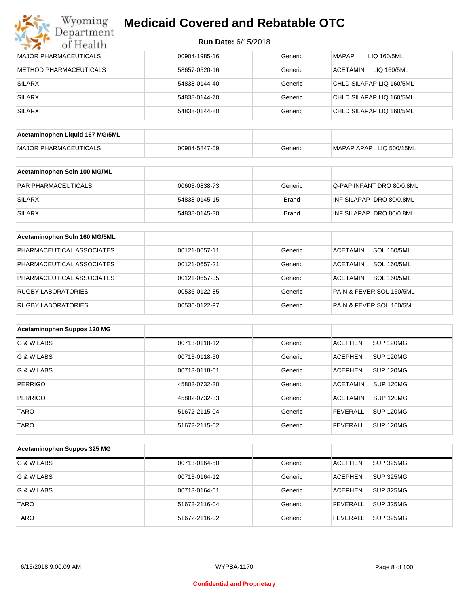| <b>MAJOR PHARMACEUTICALS</b>    | 00904-1985-16 | Generic      | <b>MAPAP</b><br>LIQ 160/5ML           |
|---------------------------------|---------------|--------------|---------------------------------------|
| <b>METHOD PHARMACEUTICALS</b>   | 58657-0520-16 | Generic      | <b>ACETAMIN</b><br>LIQ 160/5ML        |
| <b>SILARX</b>                   | 54838-0144-40 | Generic      | CHLD SILAPAP LIQ 160/5ML              |
| <b>SILARX</b>                   | 54838-0144-70 | Generic      | CHLD SILAPAP LIQ 160/5ML              |
| <b>SILARX</b>                   | 54838-0144-80 | Generic      | CHLD SILAPAP LIQ 160/5ML              |
|                                 |               |              |                                       |
| Acetaminophen Liquid 167 MG/5ML |               |              |                                       |
| MAJOR PHARMACEUTICALS           | 00904-5847-09 | Generic      | MAPAP APAP LIQ 500/15ML               |
| Acetaminophen Soln 100 MG/ML    |               |              |                                       |
| PAR PHARMACEUTICALS             | 00603-0838-73 | Generic      | Q-PAP INFANT DRO 80/0.8ML             |
| <b>SILARX</b>                   | 54838-0145-15 | <b>Brand</b> | INF SILAPAP DRO 80/0.8ML              |
| <b>SILARX</b>                   | 54838-0145-30 | <b>Brand</b> | INF SILAPAP DRO 80/0.8ML              |
| Acetaminophen Soln 160 MG/5ML   |               |              |                                       |
| PHARMACEUTICAL ASSOCIATES       | 00121-0657-11 | Generic      | <b>SOL 160/5ML</b><br><b>ACETAMIN</b> |
| PHARMACEUTICAL ASSOCIATES       | 00121-0657-21 | Generic      | <b>SOL 160/5ML</b><br><b>ACETAMIN</b> |
| PHARMACEUTICAL ASSOCIATES       | 00121-0657-05 | Generic      | <b>ACETAMIN</b><br><b>SOL 160/5ML</b> |
| <b>RUGBY LABORATORIES</b>       | 00536-0122-85 | Generic      | PAIN & FEVER SOL 160/5ML              |
| <b>RUGBY LABORATORIES</b>       | 00536-0122-97 | Generic      | PAIN & FEVER SOL 160/5ML              |
| Acetaminophen Suppos 120 MG     |               |              |                                       |
| G & W LABS                      | 00713-0118-12 | Generic      | SUP 120MG<br><b>ACEPHEN</b>           |
| G & W LABS                      | 00713-0118-50 | Generic      | <b>ACEPHEN</b><br>SUP 120MG           |
| G & W LABS                      | 00713-0118-01 | Generic      | <b>SUP 120MG</b><br>ACEPHEN           |
| <b>PERRIGO</b>                  | 45802-0732-30 | Generic      | <b>ACETAMIN</b><br>SUP 120MG          |
| PERRIGO                         | 45802-0732-33 | Generic      | ACETAMIN SUP 120MG                    |
| <b>TARO</b>                     | 51672-2115-04 | Generic      | <b>FEVERALL</b><br><b>SUP 120MG</b>   |
| <b>TARO</b>                     | 51672-2115-02 | Generic      | <b>FEVERALL</b><br><b>SUP 120MG</b>   |
|                                 |               |              |                                       |
| Acetaminophen Suppos 325 MG     |               |              |                                       |
| G & W LABS                      | 00713-0164-50 | Generic      | <b>ACEPHEN</b><br><b>SUP 325MG</b>    |
| G & W LABS                      | 00713-0164-12 | Generic      | <b>ACEPHEN</b><br><b>SUP 325MG</b>    |
| G & W LABS                      | 00713-0164-01 | Generic      | <b>ACEPHEN</b><br><b>SUP 325MG</b>    |
| <b>TARO</b>                     | 51672-2116-04 | Generic      | <b>FEVERALL</b><br><b>SUP 325MG</b>   |
| <b>TARO</b>                     | 51672-2116-02 | Generic      | <b>FEVERALL</b><br><b>SUP 325MG</b>   |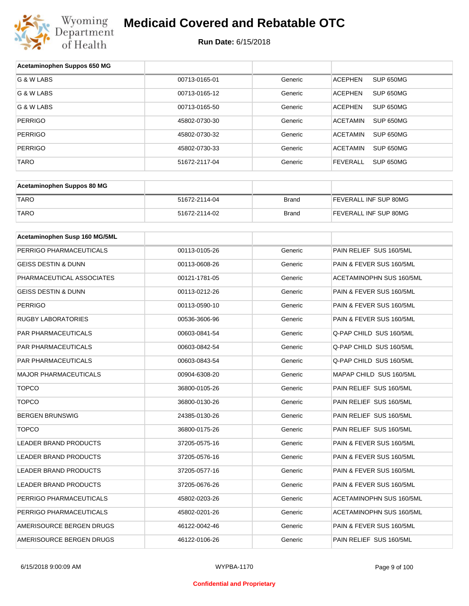

| Acetaminophen Suppos 650 MG    |               |              |                              |
|--------------------------------|---------------|--------------|------------------------------|
| G & W LABS                     | 00713-0165-01 | Generic      | <b>ACEPHEN</b><br>SUP 650MG  |
| G & W LABS                     | 00713-0165-12 | Generic      | <b>ACEPHEN</b><br>SUP 650MG  |
| G & W LABS                     | 00713-0165-50 | Generic      | <b>ACEPHEN</b><br>SUP 650MG  |
| <b>PERRIGO</b>                 | 45802-0730-30 | Generic      | <b>ACETAMIN</b><br>SUP 650MG |
| <b>PERRIGO</b>                 | 45802-0730-32 | Generic      | <b>ACETAMIN</b><br>SUP 650MG |
| <b>PERRIGO</b>                 | 45802-0730-33 | Generic      | <b>ACETAMIN</b><br>SUP 650MG |
| <b>TARO</b>                    | 51672-2117-04 | Generic      | <b>FEVERALL</b><br>SUP 650MG |
|                                |               |              |                              |
| Acetaminophen Suppos 80 MG     |               |              |                              |
| <b>TARO</b>                    | 51672-2114-04 | <b>Brand</b> | FEVERALL INF SUP 80MG        |
| <b>TARO</b>                    | 51672-2114-02 | Brand        | FEVERALL INF SUP 80MG        |
|                                |               |              |                              |
| Acetaminophen Susp 160 MG/5ML  |               |              |                              |
| PERRIGO PHARMACEUTICALS        | 00113-0105-26 | Generic      | PAIN RELIEF SUS 160/5ML      |
| <b>GEISS DESTIN &amp; DUNN</b> | 00113-0608-26 | Generic      | PAIN & FEVER SUS 160/5ML     |
| PHARMACEUTICAL ASSOCIATES      | 00121-1781-05 | Generic      | ACETAMINOPHN SUS 160/5ML     |
| <b>GEISS DESTIN &amp; DUNN</b> | 00113-0212-26 | Generic      | PAIN & FEVER SUS 160/5ML     |
| <b>PERRIGO</b>                 | 00113-0590-10 | Generic      | PAIN & FEVER SUS 160/5ML     |
| <b>RUGBY LABORATORIES</b>      | 00536-3606-96 | Generic      | PAIN & FEVER SUS 160/5ML     |
| PAR PHARMACEUTICALS            | 00603-0841-54 | Generic      | Q-PAP CHILD SUS 160/5ML      |
| PAR PHARMACEUTICALS            | 00603-0842-54 | Generic      | Q-PAP CHILD SUS 160/5ML      |
| PAR PHARMACEUTICALS            | 00603-0843-54 | Generic      | Q-PAP CHILD SUS 160/5ML      |
| <b>MAJOR PHARMACEUTICALS</b>   | 00904-6308-20 | Generic      | MAPAP CHILD SUS 160/5ML      |
| <b>TOPCO</b>                   | 36800-0105-26 | Generic      | PAIN RELIEF SUS 160/5ML      |
| <b>TOPCO</b>                   | 36800-0130-26 | Generic      | PAIN RELIEF SUS 160/5ML      |
| <b>BERGEN BRUNSWIG</b>         | 24385-0130-26 | Generic      | PAIN RELIEF SUS 160/5ML      |
| <b>TOPCO</b>                   | 36800-0175-26 | Generic      | PAIN RELIEF SUS 160/5ML      |
| <b>LEADER BRAND PRODUCTS</b>   | 37205-0575-16 | Generic      | PAIN & FEVER SUS 160/5ML     |
| LEADER BRAND PRODUCTS          | 37205-0576-16 | Generic      | PAIN & FEVER SUS 160/5ML     |
| LEADER BRAND PRODUCTS          | 37205-0577-16 | Generic      | PAIN & FEVER SUS 160/5ML     |
| LEADER BRAND PRODUCTS          | 37205-0676-26 | Generic      | PAIN & FEVER SUS 160/5ML     |
| PERRIGO PHARMACEUTICALS        | 45802-0203-26 | Generic      | ACETAMINOPHN SUS 160/5ML     |
| PERRIGO PHARMACEUTICALS        | 45802-0201-26 | Generic      | ACETAMINOPHN SUS 160/5ML     |
| AMERISOURCE BERGEN DRUGS       | 46122-0042-46 | Generic      | PAIN & FEVER SUS 160/5ML     |
| AMERISOURCE BERGEN DRUGS       | 46122-0106-26 | Generic      | PAIN RELIEF SUS 160/5ML      |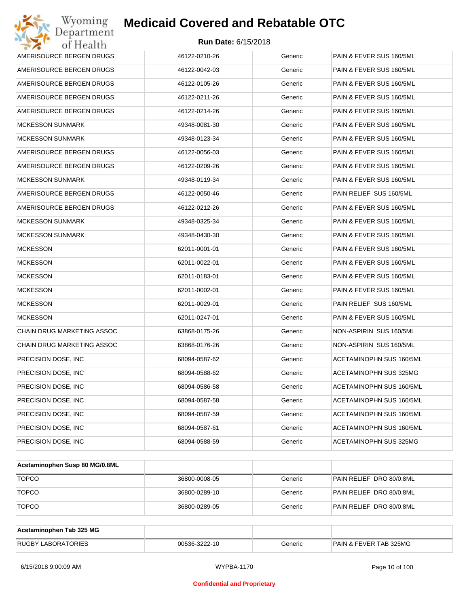| Wyoming<br>Department                   | <b>Medicaid Covered and Rebatable OTC</b> |         |                          |  |  |  |
|-----------------------------------------|-------------------------------------------|---------|--------------------------|--|--|--|
| <b>Run Date: 6/15/2018</b><br>of Health |                                           |         |                          |  |  |  |
| AMERISOURCE BERGEN DRUGS                | 46122-0210-26                             | Generic | PAIN & FEVER SUS 160/5ML |  |  |  |
| AMERISOURCE BERGEN DRUGS                | 46122-0042-03                             | Generic | PAIN & FEVER SUS 160/5ML |  |  |  |
| AMERISOURCE BERGEN DRUGS                | 46122-0105-26                             | Generic | PAIN & FEVER SUS 160/5ML |  |  |  |
| AMERISOURCE BERGEN DRUGS                | 46122-0211-26                             | Generic | PAIN & FEVER SUS 160/5ML |  |  |  |
| AMERISOURCE BERGEN DRUGS                | 46122-0214-26                             | Generic | PAIN & FEVER SUS 160/5ML |  |  |  |
| <b>MCKESSON SUNMARK</b>                 | 49348-0081-30                             | Generic | PAIN & FEVER SUS 160/5ML |  |  |  |
| <b>MCKESSON SUNMARK</b>                 | 49348-0123-34                             | Generic | PAIN & FEVER SUS 160/5ML |  |  |  |
| AMERISOURCE BERGEN DRUGS                | 46122-0056-03                             | Generic | PAIN & FEVER SUS 160/5ML |  |  |  |
| AMERISOURCE BERGEN DRUGS                | 46122-0209-26                             | Generic | PAIN & FEVER SUS 160/5ML |  |  |  |
| <b>MCKESSON SUNMARK</b>                 | 49348-0119-34                             | Generic | PAIN & FEVER SUS 160/5ML |  |  |  |
| AMERISOURCE BERGEN DRUGS                | 46122-0050-46                             | Generic | PAIN RELIEF SUS 160/5ML  |  |  |  |
| AMERISOURCE BERGEN DRUGS                | 46122-0212-26                             | Generic | PAIN & FEVER SUS 160/5ML |  |  |  |
| <b>MCKESSON SUNMARK</b>                 | 49348-0325-34                             | Generic | PAIN & FEVER SUS 160/5ML |  |  |  |
| <b>MCKESSON SUNMARK</b>                 | 49348-0430-30                             | Generic | PAIN & FEVER SUS 160/5ML |  |  |  |
| <b>MCKESSON</b>                         | 62011-0001-01                             | Generic | PAIN & FEVER SUS 160/5ML |  |  |  |
| <b>MCKESSON</b>                         | 62011-0022-01                             | Generic | PAIN & FEVER SUS 160/5ML |  |  |  |
| <b>MCKESSON</b>                         | 62011-0183-01                             | Generic | PAIN & FEVER SUS 160/5ML |  |  |  |
| <b>MCKESSON</b>                         | 62011-0002-01                             | Generic | PAIN & FEVER SUS 160/5ML |  |  |  |
| <b>MCKESSON</b>                         | 62011-0029-01                             | Generic | PAIN RELIEF SUS 160/5ML  |  |  |  |
| <b>MCKESSON</b>                         | 62011-0247-01                             | Generic | PAIN & FEVER SUS 160/5ML |  |  |  |
| CHAIN DRUG MARKETING ASSOC              | 63868-0175-26                             | Generic | NON-ASPIRIN SUS 160/5ML  |  |  |  |
| CHAIN DRUG MARKETING ASSOC              | 63868-0176-26                             | Generic | NON-ASPIRIN SUS 160/5ML  |  |  |  |
| PRECISION DOSE, INC                     | 68094-0587-62                             | Generic | ACETAMINOPHN SUS 160/5ML |  |  |  |
| PRECISION DOSE, INC                     | 68094-0588-62                             | Generic | ACETAMINOPHN SUS 325MG   |  |  |  |
| PRECISION DOSE, INC                     | 68094-0586-58                             | Generic | ACETAMINOPHN SUS 160/5ML |  |  |  |
| PRECISION DOSE, INC                     | 68094-0587-58                             | Generic | ACETAMINOPHN SUS 160/5ML |  |  |  |
| PRECISION DOSE, INC                     | 68094-0587-59                             | Generic | ACETAMINOPHN SUS 160/5ML |  |  |  |
| PRECISION DOSE, INC                     | 68094-0587-61                             | Generic | ACETAMINOPHN SUS 160/5ML |  |  |  |
| PRECISION DOSE, INC                     | 68094-0588-59                             | Generic | ACETAMINOPHN SUS 325MG   |  |  |  |

| Acetaminophen Susp 80 MG/0.8ML |               |         |                          |
|--------------------------------|---------------|---------|--------------------------|
| <b>TOPCO</b>                   | 36800-0008-05 | Generic | PAIN RELIEF DRO 80/0.8ML |
| <b>TOPCO</b>                   | 36800-0289-10 | Generic | PAIN RELIEF DRO 80/0.8ML |
| <b>TOPCO</b>                   | 36800-0289-05 | Generic | PAIN RELIEF DRO 80/0.8ML |

| Acetaminophen Tab 325 MG  |               |         |                                   |
|---------------------------|---------------|---------|-----------------------------------|
| <b>RUGBY LABORATORIES</b> | 00536-3222-10 | Generic | <b>PAIN &amp; FEVER TAB 325MG</b> |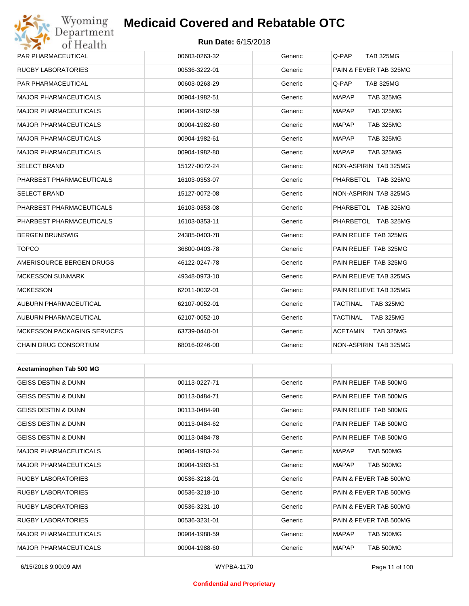## Wyoming<br>Department<br>of Health

## **Medicaid Covered and Rebatable OTC**

### **Run Date:** 6/15/2018

| PAR PHARMACEUTICAL                 | 00603-0263-32 | Generic | Q-PAP<br><b>TAB 325MG</b>           |
|------------------------------------|---------------|---------|-------------------------------------|
| <b>RUGBY LABORATORIES</b>          | 00536-3222-01 | Generic | PAIN & FEVER TAB 325MG              |
| PAR PHARMACEUTICAL                 | 00603-0263-29 | Generic | Q-PAP<br><b>TAB 325MG</b>           |
| <b>MAJOR PHARMACEUTICALS</b>       | 00904-1982-51 | Generic | <b>MAPAP</b><br><b>TAB 325MG</b>    |
| <b>MAJOR PHARMACEUTICALS</b>       | 00904-1982-59 | Generic | <b>MAPAP</b><br><b>TAB 325MG</b>    |
| <b>MAJOR PHARMACEUTICALS</b>       | 00904-1982-60 | Generic | <b>MAPAP</b><br><b>TAB 325MG</b>    |
| <b>MAJOR PHARMACEUTICALS</b>       | 00904-1982-61 | Generic | <b>MAPAP</b><br><b>TAB 325MG</b>    |
| <b>MAJOR PHARMACEUTICALS</b>       | 00904-1982-80 | Generic | <b>MAPAP</b><br><b>TAB 325MG</b>    |
| <b>SELECT BRAND</b>                | 15127-0072-24 | Generic | NON-ASPIRIN TAB 325MG               |
| PHARBEST PHARMACEUTICALS           | 16103-0353-07 | Generic | PHARBETOL TAB 325MG                 |
| <b>SELECT BRAND</b>                | 15127-0072-08 | Generic | NON-ASPIRIN TAB 325MG               |
| PHARBEST PHARMACEUTICALS           | 16103-0353-08 | Generic | PHARBETOL TAB 325MG                 |
| PHARBEST PHARMACEUTICALS           | 16103-0353-11 | Generic | PHARBETOL TAB 325MG                 |
| <b>BERGEN BRUNSWIG</b>             | 24385-0403-78 | Generic | PAIN RELIEF TAB 325MG               |
| <b>TOPCO</b>                       | 36800-0403-78 | Generic | PAIN RELIEF TAB 325MG               |
| AMERISOURCE BERGEN DRUGS           | 46122-0247-78 | Generic | PAIN RELIEF TAB 325MG               |
| <b>MCKESSON SUNMARK</b>            | 49348-0973-10 | Generic | PAIN RELIEVE TAB 325MG              |
| <b>MCKESSON</b>                    | 62011-0032-01 | Generic | PAIN RELIEVE TAB 325MG              |
| AUBURN PHARMACEUTICAL              | 62107-0052-01 | Generic | TACTINAL<br><b>TAB 325MG</b>        |
| AUBURN PHARMACEUTICAL              | 62107-0052-10 | Generic | TACTINAL<br><b>TAB 325MG</b>        |
| <b>MCKESSON PACKAGING SERVICES</b> | 63739-0440-01 | Generic | <b>ACETAMIN</b><br><b>TAB 325MG</b> |
| CHAIN DRUG CONSORTIUM              | 68016-0246-00 | Generic | NON-ASPIRIN TAB 325MG               |
|                                    |               |         |                                     |
| Acetaminophen Tab 500 MG           |               |         |                                     |
| <b>GEISS DESTIN &amp; DUNN</b>     | 00113-0227-71 | Generic | PAIN RELIEF TAB 500MG               |
| GEISS DESTIN & DUNN                | 00113-0484-71 | Generic | PAIN RELIEF TAB 500MG               |
| <b>GEISS DESTIN &amp; DUNN</b>     | 00113-0484-90 | Generic | PAIN RELIEF TAB 500MG               |
| <b>GEISS DESTIN &amp; DUNN</b>     | 00113-0484-62 | Generic | PAIN RELIEF TAB 500MG               |
| GEISS DESTIN & DUNN                | 00113-0484-78 | Generic | PAIN RELIEF TAB 500MG               |
| <b>MAJOR PHARMACEUTICALS</b>       | 00904-1983-24 | Generic | <b>TAB 500MG</b><br>MAPAP           |
| <b>MAJOR PHARMACEUTICALS</b>       | 00904-1983-51 | Generic | <b>TAB 500MG</b><br>MAPAP           |
| <b>RUGBY LABORATORIES</b>          | 00536-3218-01 | Generic | PAIN & FEVER TAB 500MG              |
| RUGBY LABORATORIES                 | 00536-3218-10 | Generic | PAIN & FEVER TAB 500MG              |
| <b>RUGBY LABORATORIES</b>          | 00536-3231-10 | Generic | PAIN & FEVER TAB 500MG              |
| RUGBY LABORATORIES                 | 00536-3231-01 | Generic | PAIN & FEVER TAB 500MG              |

6/15/2018 9:00:09 AM WYPBA-1170 Page 11 of 100

MAJOR PHARMACEUTICALS 
and the composition of the composition of the composition of the component of the component of the component of the component of the component of the component of the component of the component of th MAJOR PHARMACEUTICALS 00904-1988-60 Generic MAPAP TAB 500MG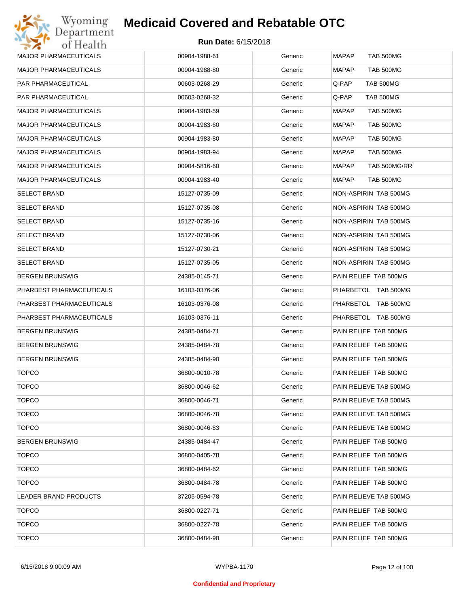| 00904-1988-61 | Generic | MAPAP<br><b>TAB 500MG</b>        |
|---------------|---------|----------------------------------|
| 00904-1988-80 | Generic | <b>MAPAP</b><br><b>TAB 500MG</b> |
| 00603-0268-29 | Generic | TAB 500MG<br>Q-PAP               |
| 00603-0268-32 | Generic | TAB 500MG<br>Q-PAP.              |
| 00904-1983-59 | Generic | <b>MAPAP</b><br><b>TAB 500MG</b> |
| 00904-1983-60 | Generic | <b>MAPAP</b><br>TAB 500MG        |
| 00904-1983-80 | Generic | MAPAP<br>TAB 500MG               |
| 00904-1983-94 | Generic | <b>MAPAP</b><br>TAB 500MG        |
| 00904-5816-60 | Generic | TAB 500MG/RR<br>MAPAP            |
| 00904-1983-40 | Generic | <b>MAPAP</b><br>TAB 500MG        |
| 15127-0735-09 | Generic | NON-ASPIRIN TAB 500MG            |
| 15127-0735-08 | Generic | NON-ASPIRIN TAB 500MG            |
| 15127-0735-16 | Generic | NON-ASPIRIN TAB 500MG            |
| 15127-0730-06 | Generic | NON-ASPIRIN TAB 500MG            |
| 15127-0730-21 | Generic | NON-ASPIRIN TAB 500MG            |
| 15127-0735-05 | Generic | NON-ASPIRIN TAB 500MG            |
| 24385-0145-71 | Generic | PAIN RELIEF TAB 500MG            |
| 16103-0376-06 | Generic | PHARBETOL TAB 500MG              |
| 16103-0376-08 | Generic | PHARBETOL TAB 500MG              |
| 16103-0376-11 | Generic | PHARBETOL TAB 500MG              |
| 24385-0484-71 | Generic | PAIN RELIEF TAB 500MG            |
| 24385-0484-78 | Generic | PAIN RELIEF TAB 500MG            |
| 24385-0484-90 | Generic | PAIN RELIEF TAB 500MG            |
| 36800-0010-78 | Generic | PAIN RELIEF TAB 500MG            |
| 36800-0046-62 | Generic | PAIN RELIEVE TAB 500MG           |
| 36800-0046-71 | Generic | PAIN RELIEVE TAB 500MG           |
| 36800-0046-78 | Generic | PAIN RELIEVE TAB 500MG           |
| 36800-0046-83 | Generic | PAIN RELIEVE TAB 500MG           |
| 24385-0484-47 | Generic | PAIN RELIEF TAB 500MG            |
| 36800-0405-78 | Generic | PAIN RELIEF TAB 500MG            |
| 36800-0484-62 | Generic | PAIN RELIEF TAB 500MG            |
| 36800-0484-78 | Generic | PAIN RELIEF TAB 500MG            |
| 37205-0594-78 | Generic | PAIN RELIEVE TAB 500MG           |
| 36800-0227-71 | Generic | PAIN RELIEF TAB 500MG            |
| 36800-0227-78 | Generic | PAIN RELIEF TAB 500MG            |
| 36800-0484-90 | Generic | PAIN RELIEF TAB 500MG            |
|               |         |                                  |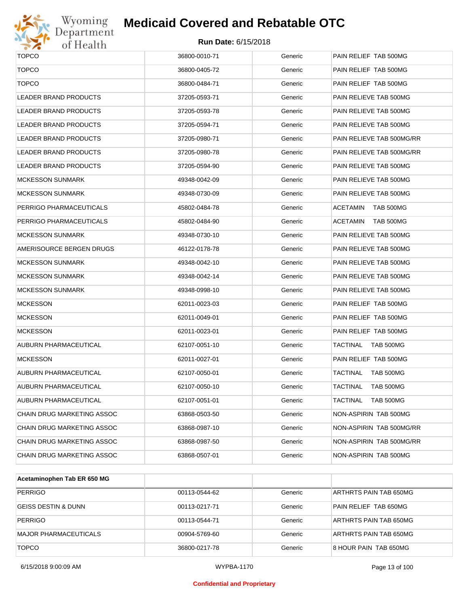

# Wyoming<br>Department<br>of Health

## **Medicaid Covered and Rebatable OTC**

| <b>TOPCO</b>               | 36800-0010-71 | Generic | PAIN RELIEF TAB 500MG        |
|----------------------------|---------------|---------|------------------------------|
| <b>TOPCO</b>               | 36800-0405-72 | Generic | PAIN RELIEF TAB 500MG        |
| <b>TOPCO</b>               | 36800-0484-71 | Generic | PAIN RELIEF TAB 500MG        |
| LEADER BRAND PRODUCTS      | 37205-0593-71 | Generic | PAIN RELIEVE TAB 500MG       |
| LEADER BRAND PRODUCTS      | 37205-0593-78 | Generic | PAIN RELIEVE TAB 500MG       |
| LEADER BRAND PRODUCTS      | 37205-0594-71 | Generic | PAIN RELIEVE TAB 500MG       |
| LEADER BRAND PRODUCTS      | 37205-0980-71 | Generic | PAIN RELIEVE TAB 500MG/RR    |
| LEADER BRAND PRODUCTS      | 37205-0980-78 | Generic | PAIN RELIEVE TAB 500MG/RR    |
| LEADER BRAND PRODUCTS      | 37205-0594-90 | Generic | PAIN RELIEVE TAB 500MG       |
| <b>MCKESSON SUNMARK</b>    | 49348-0042-09 | Generic | PAIN RELIEVE TAB 500MG       |
| MCKESSON SUNMARK           | 49348-0730-09 | Generic | PAIN RELIEVE TAB 500MG       |
| PERRIGO PHARMACEUTICALS    | 45802-0484-78 | Generic | <b>ACETAMIN</b><br>TAB 500MG |
| PERRIGO PHARMACEUTICALS    | 45802-0484-90 | Generic | <b>ACETAMIN</b><br>TAB 500MG |
| MCKESSON SUNMARK           | 49348-0730-10 | Generic | PAIN RELIEVE TAB 500MG       |
| AMERISOURCE BERGEN DRUGS   | 46122-0178-78 | Generic | PAIN RELIEVE TAB 500MG       |
| MCKESSON SUNMARK           | 49348-0042-10 | Generic | PAIN RELIEVE TAB 500MG       |
| MCKESSON SUNMARK           | 49348-0042-14 | Generic | PAIN RELIEVE TAB 500MG       |
| MCKESSON SUNMARK           | 49348-0998-10 | Generic | PAIN RELIEVE TAB 500MG       |
| <b>MCKESSON</b>            | 62011-0023-03 | Generic | PAIN RELIEF TAB 500MG        |
| <b>MCKESSON</b>            | 62011-0049-01 | Generic | PAIN RELIEF TAB 500MG        |
| <b>MCKESSON</b>            | 62011-0023-01 | Generic | PAIN RELIEF TAB 500MG        |
| AUBURN PHARMACEUTICAL      | 62107-0051-10 | Generic | TACTINAL<br>TAB 500MG        |
| <b>MCKESSON</b>            | 62011-0027-01 | Generic | PAIN RELIEF TAB 500MG        |
| AUBURN PHARMACEUTICAL      | 62107-0050-01 | Generic | <b>TACTINAL</b><br>TAB 500MG |
| AUBURN PHARMACEUTICAL      | 62107-0050-10 | Generic | <b>TACTINAL</b><br>TAB 500MG |
| AUBURN PHARMACEUTICAL      | 62107-0051-01 | Generic | <b>TACTINAL</b><br>TAB 500MG |
| CHAIN DRUG MARKETING ASSOC | 63868-0503-50 | Generic | NON-ASPIRIN TAB 500MG        |
| CHAIN DRUG MARKETING ASSOC | 63868-0987-10 | Generic | NON-ASPIRIN TAB 500MG/RR     |
| CHAIN DRUG MARKETING ASSOC | 63868-0987-50 | Generic | NON-ASPIRIN TAB 500MG/RR     |
| CHAIN DRUG MARKETING ASSOC | 63868-0507-01 | Generic | NON-ASPIRIN TAB 500MG        |

| Acetaminophen Tab ER 650 MG    |               |         |                        |
|--------------------------------|---------------|---------|------------------------|
| <b>PERRIGO</b>                 | 00113-0544-62 | Generic | ARTHRTS PAIN TAB 650MG |
| <b>GEISS DESTIN &amp; DUNN</b> | 00113-0217-71 | Generic | PAIN RELIEF TAB 650MG  |
| <b>PERRIGO</b>                 | 00113-0544-71 | Generic | ARTHRTS PAIN TAB 650MG |
| <b>MAJOR PHARMACEUTICALS</b>   | 00904-5769-60 | Generic | ARTHRTS PAIN TAB 650MG |
| <b>TOPCO</b>                   | 36800-0217-78 | Generic | 8 HOUR PAIN TAB 650MG  |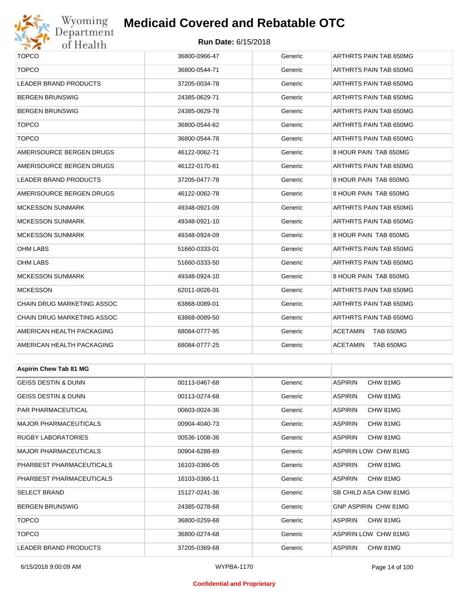## Wyoming<br>Department<br>of Health

## **Medicaid Covered and Rebatable OTC**

#### **Run Date:** 6/15/2018

| <b>TOPCO</b>                   | 36800-0966-47 | Generic | ARTHRTS PAIN TAB 650MG     |  |  |
|--------------------------------|---------------|---------|----------------------------|--|--|
| <b>TOPCO</b>                   | 36800-0544-71 | Generic | ARTHRTS PAIN TAB 650MG     |  |  |
| <b>LEADER BRAND PRODUCTS</b>   | 37205-0034-78 | Generic | ARTHRTS PAIN TAB 650MG     |  |  |
| <b>BERGEN BRUNSWIG</b>         | 24385-0629-71 | Generic | ARTHRTS PAIN TAB 650MG     |  |  |
| <b>BERGEN BRUNSWIG</b>         | 24385-0629-78 | Generic | ARTHRTS PAIN TAB 650MG     |  |  |
| <b>TOPCO</b>                   | 36800-0544-62 | Generic | ARTHRTS PAIN TAB 650MG     |  |  |
| <b>TOPCO</b>                   | 36800-0544-78 | Generic | ARTHRTS PAIN TAB 650MG     |  |  |
| AMERISOURCE BERGEN DRUGS       | 46122-0062-71 | Generic | 8 HOUR PAIN TAB 650MG      |  |  |
| AMERISOURCE BERGEN DRUGS       | 46122-0170-81 | Generic | ARTHRTS PAIN TAB 650MG     |  |  |
| LEADER BRAND PRODUCTS          | 37205-0477-78 | Generic | 8 HOUR PAIN TAB 650MG      |  |  |
| AMERISOURCE BERGEN DRUGS       | 46122-0062-78 | Generic | 8 HOUR PAIN TAB 650MG      |  |  |
| <b>MCKESSON SUNMARK</b>        | 49348-0921-09 | Generic | ARTHRTS PAIN TAB 650MG     |  |  |
| <b>MCKESSON SUNMARK</b>        | 49348-0921-10 | Generic | ARTHRTS PAIN TAB 650MG     |  |  |
| <b>MCKESSON SUNMARK</b>        | 49348-0924-09 | Generic | 8 HOUR PAIN TAB 650MG      |  |  |
| <b>OHM LABS</b>                | 51660-0333-01 | Generic | ARTHRTS PAIN TAB 650MG     |  |  |
| <b>OHM LABS</b>                | 51660-0333-50 | Generic | ARTHRTS PAIN TAB 650MG     |  |  |
| <b>MCKESSON SUNMARK</b>        | 49348-0924-10 | Generic | 8 HOUR PAIN TAB 650MG      |  |  |
| <b>MCKESSON</b>                | 62011-0026-01 | Generic | ARTHRTS PAIN TAB 650MG     |  |  |
| CHAIN DRUG MARKETING ASSOC     | 63868-0089-01 | Generic | ARTHRTS PAIN TAB 650MG     |  |  |
| CHAIN DRUG MARKETING ASSOC     | 63868-0089-50 | Generic | ARTHRTS PAIN TAB 650MG     |  |  |
| AMERICAN HEALTH PACKAGING      | 68084-0777-95 | Generic | ACETAMIN<br>TAB 650MG      |  |  |
| AMERICAN HEALTH PACKAGING      | 68084-0777-25 | Generic | ACETAMIN<br>TAB 650MG      |  |  |
|                                |               |         |                            |  |  |
| <b>Aspirin Chew Tab 81 MG</b>  |               |         |                            |  |  |
| <b>GEISS DESTIN &amp; DUNN</b> | 00113-0467-68 | Generic | <b>ASPIRIN</b><br>CHW 81MG |  |  |
| <b>GEISS DESTIN &amp; DUNN</b> | 00113-0274-68 | Generic | <b>ASPIRIN</b><br>CHW 81MG |  |  |
| PAR PHARMACEUTICAL             | 00603-0024-36 | Generic | <b>ASPIRIN</b><br>CHW 81MG |  |  |
| <b>MAJOR PHARMACEUTICALS</b>   | 00904-4040-73 | Generic | <b>ASPIRIN</b><br>CHW 81MG |  |  |
| RUGBY LABORATORIES             | 00536-1008-36 | Generic | <b>ASPIRIN</b><br>CHW 81MG |  |  |
| <b>MAJOR PHARMACEUTICALS</b>   | 00904-6288-89 | Generic | ASPIRIN LOW CHW 81MG       |  |  |
| PHARBEST PHARMACEUTICALS       | 16103-0366-05 | Generic | <b>ASPIRIN</b><br>CHW 81MG |  |  |
| PHARBEST PHARMACEUTICALS       | 16103-0366-11 | Generic | ASPIRIN<br>CHW 81MG        |  |  |
| <b>SELECT BRAND</b>            | 15127-0241-36 | Generic | SB CHILD ASA CHW 81MG      |  |  |
| <b>BERGEN BRUNSWIG</b>         | 24385-0278-68 | Generic | GNP ASPIRIN CHW 81MG       |  |  |
| <b>TOPCO</b>                   | 36800-0259-68 | Generic | <b>ASPIRIN</b><br>CHW 81MG |  |  |
| <b>TOPCO</b>                   | 36800-0274-68 | Generic | ASPIRIN LOW CHW 81MG       |  |  |

LEADER BRAND PRODUCTS 37205-0369-68 Generic ASPIRIN CHW 81MG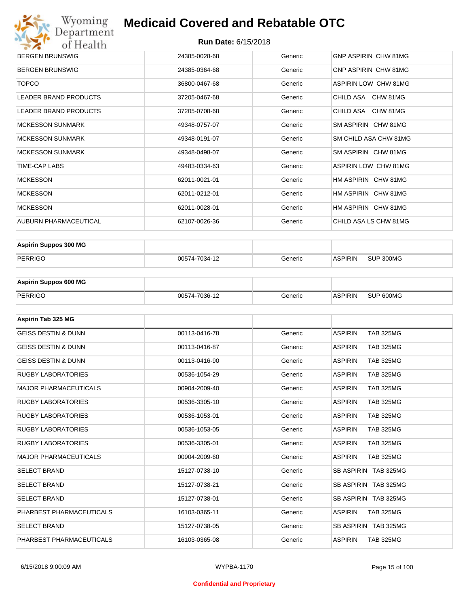

| <b>BERGEN BRUNSWIG</b>       | 24385-0028-68 | Generic | GNP ASPIRIN CHW 81MG        |
|------------------------------|---------------|---------|-----------------------------|
| <b>BERGEN BRUNSWIG</b>       | 24385-0364-68 | Generic | <b>GNP ASPIRIN CHW 81MG</b> |
| <b>TOPCO</b>                 | 36800-0467-68 | Generic | ASPIRIN LOW CHW 81MG        |
| LEADER BRAND PRODUCTS        | 37205-0467-68 | Generic | CHILD ASA CHW 81MG          |
| <b>LEADER BRAND PRODUCTS</b> | 37205-0708-68 | Generic | CHILD ASA CHW 81MG          |
| <b>MCKESSON SUNMARK</b>      | 49348-0757-07 | Generic | SM ASPIRIN CHW 81MG         |
| <b>MCKESSON SUNMARK</b>      | 49348-0191-07 | Generic | SM CHILD ASA CHW 81MG       |
| <b>MCKESSON SUNMARK</b>      | 49348-0498-07 | Generic | SM ASPIRIN CHW 81MG         |
| TIME-CAP LABS                | 49483-0334-63 | Generic | ASPIRIN LOW CHW 81MG        |
| <b>MCKESSON</b>              | 62011-0021-01 | Generic | HM ASPIRIN CHW 81MG         |
| <b>MCKESSON</b>              | 62011-0212-01 | Generic | HM ASPIRIN CHW 81MG         |
| <b>MCKESSON</b>              | 62011-0028-01 | Generic | HM ASPIRIN CHW 81MG         |
| <b>AUBURN PHARMACEUTICAL</b> | 62107-0026-36 | Generic | CHILD ASA LS CHW 81MG       |
|                              |               |         |                             |

| <b>Aspirin Suppos 300 MG</b> |               |         |                |           |
|------------------------------|---------------|---------|----------------|-----------|
| PERRIGO                      | 00574-7034-12 | Generic | <b>ASPIRIN</b> | SUP 300MG |

| <b>Aspirin Suppos 600 MG</b> |               |         |                |           |
|------------------------------|---------------|---------|----------------|-----------|
| PERRIGO                      | 00574-7036-12 | Generic | <b>ASPIRIN</b> | SUP 600MG |

| Aspirin Tab 325 MG             |               |         |                                    |
|--------------------------------|---------------|---------|------------------------------------|
| <b>GEISS DESTIN &amp; DUNN</b> | 00113-0416-78 | Generic | <b>ASPIRIN</b><br><b>TAB 325MG</b> |
| <b>GEISS DESTIN &amp; DUNN</b> | 00113-0416-87 | Generic | <b>ASPIRIN</b><br><b>TAB 325MG</b> |
| <b>GEISS DESTIN &amp; DUNN</b> | 00113-0416-90 | Generic | <b>ASPIRIN</b><br><b>TAB 325MG</b> |
| <b>RUGBY LABORATORIES</b>      | 00536-1054-29 | Generic | <b>TAB 325MG</b><br><b>ASPIRIN</b> |
| <b>MAJOR PHARMACEUTICALS</b>   | 00904-2009-40 | Generic | <b>ASPIRIN</b><br><b>TAB 325MG</b> |
| <b>RUGBY LABORATORIES</b>      | 00536-3305-10 | Generic | <b>ASPIRIN</b><br><b>TAB 325MG</b> |
| <b>RUGBY LABORATORIES</b>      | 00536-1053-01 | Generic | <b>ASPIRIN</b><br><b>TAB 325MG</b> |
| <b>RUGBY LABORATORIES</b>      | 00536-1053-05 | Generic | <b>ASPIRIN</b><br><b>TAB 325MG</b> |
| <b>RUGBY LABORATORIES</b>      | 00536-3305-01 | Generic | <b>TAB 325MG</b><br><b>ASPIRIN</b> |
| <b>MAJOR PHARMACEUTICALS</b>   | 00904-2009-60 | Generic | <b>ASPIRIN</b><br><b>TAB 325MG</b> |
| <b>SELECT BRAND</b>            | 15127-0738-10 | Generic | SB ASPIRIN TAB 325MG               |
| <b>SELECT BRAND</b>            | 15127-0738-21 | Generic | SB ASPIRIN TAB 325MG               |
| <b>SELECT BRAND</b>            | 15127-0738-01 | Generic | SB ASPIRIN TAB 325MG               |
| PHARBEST PHARMACEUTICALS       | 16103-0365-11 | Generic | <b>ASPIRIN</b><br><b>TAB 325MG</b> |
| <b>SELECT BRAND</b>            | 15127-0738-05 | Generic | SB ASPIRIN TAB 325MG               |
| PHARBEST PHARMACEUTICALS       | 16103-0365-08 | Generic | <b>ASPIRIN</b><br><b>TAB 325MG</b> |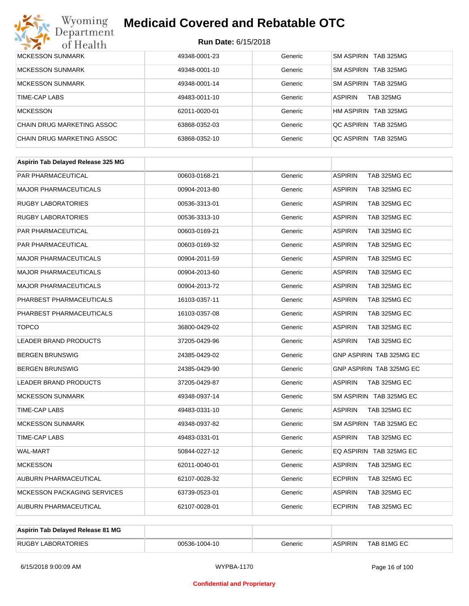# Wyoming<br>Department<br>of Health

## **Medicaid Covered and Rebatable OTC**

| <b>MCKESSON SUNMARK</b>    | 49348-0001-23 | Generic | SM ASPIRIN TAB 325MG               |
|----------------------------|---------------|---------|------------------------------------|
| <b>MCKESSON SUNMARK</b>    | 49348-0001-10 | Generic | SM ASPIRIN TAB 325MG               |
| <b>MCKESSON SUNMARK</b>    | 49348-0001-14 | Generic | SM ASPIRIN TAB 325MG               |
| TIME-CAP LABS              | 49483-0011-10 | Generic | <b>ASPIRIN</b><br><b>TAB 325MG</b> |
| <b>MCKESSON</b>            | 62011-0020-01 | Generic | HM ASPIRIN TAB 325MG               |
| CHAIN DRUG MARKETING ASSOC | 63868-0352-03 | Generic | OC ASPIRIN TAB 325MG               |
| CHAIN DRUG MARKETING ASSOC | 63868-0352-10 | Generic | OC ASPIRIN TAB 325MG               |

| Aspirin Tab Delayed Release 325 MG |               |         |                                 |
|------------------------------------|---------------|---------|---------------------------------|
| <b>PAR PHARMACEUTICAL</b>          | 00603-0168-21 | Generic | <b>ASPIRIN</b><br>TAB 325MG EC  |
| <b>MAJOR PHARMACEUTICALS</b>       | 00904-2013-80 | Generic | <b>ASPIRIN</b><br>TAB 325MG EC  |
| <b>RUGBY LABORATORIES</b>          | 00536-3313-01 | Generic | <b>ASPIRIN</b><br>TAB 325MG EC  |
| <b>RUGBY LABORATORIES</b>          | 00536-3313-10 | Generic | <b>ASPIRIN</b><br>TAB 325MG EC  |
| PAR PHARMACEUTICAL                 | 00603-0169-21 | Generic | <b>ASPIRIN</b><br>TAB 325MG EC  |
| PAR PHARMACEUTICAL                 | 00603-0169-32 | Generic | <b>ASPIRIN</b><br>TAB 325MG EC  |
| <b>MAJOR PHARMACEUTICALS</b>       | 00904-2011-59 | Generic | <b>ASPIRIN</b><br>TAB 325MG EC  |
| <b>MAJOR PHARMACEUTICALS</b>       | 00904-2013-60 | Generic | <b>ASPIRIN</b><br>TAB 325MG EC  |
| <b>MAJOR PHARMACEUTICALS</b>       | 00904-2013-72 | Generic | <b>ASPIRIN</b><br>TAB 325MG EC  |
| PHARBEST PHARMACEUTICALS           | 16103-0357-11 | Generic | <b>ASPIRIN</b><br>TAB 325MG EC  |
| PHARBEST PHARMACEUTICALS           | 16103-0357-08 | Generic | <b>ASPIRIN</b><br>TAB 325MG EC  |
| <b>TOPCO</b>                       | 36800-0429-02 | Generic | <b>ASPIRIN</b><br>TAB 325MG EC  |
| <b>LEADER BRAND PRODUCTS</b>       | 37205-0429-96 | Generic | <b>ASPIRIN</b><br>TAB 325MG EC  |
| <b>BERGEN BRUNSWIG</b>             | 24385-0429-02 | Generic | <b>GNP ASPIRIN TAB 325MG EC</b> |
| <b>BERGEN BRUNSWIG</b>             | 24385-0429-90 | Generic | <b>GNP ASPIRIN TAB 325MG EC</b> |
| <b>LEADER BRAND PRODUCTS</b>       | 37205-0429-87 | Generic | <b>ASPIRIN</b><br>TAB 325MG EC  |
| <b>MCKESSON SUNMARK</b>            | 49348-0937-14 | Generic | SM ASPIRIN TAB 325MG EC         |
| TIME-CAP LABS                      | 49483-0331-10 | Generic | <b>ASPIRIN</b><br>TAB 325MG EC  |
| <b>MCKESSON SUNMARK</b>            | 49348-0937-82 | Generic | SM ASPIRIN TAB 325MG EC         |
| <b>TIME-CAP LABS</b>               | 49483-0331-01 | Generic | <b>ASPIRIN</b><br>TAB 325MG EC  |
| WAL-MART                           | 50844-0227-12 | Generic | EQ ASPIRIN TAB 325MG EC         |
| <b>MCKESSON</b>                    | 62011-0040-01 | Generic | <b>ASPIRIN</b><br>TAB 325MG EC  |
| AUBURN PHARMACEUTICAL              | 62107-0028-32 | Generic | <b>ECPIRIN</b><br>TAB 325MG EC  |
| <b>MCKESSON PACKAGING SERVICES</b> | 63739-0523-01 | Generic | <b>ASPIRIN</b><br>TAB 325MG EC  |
| <b>AUBURN PHARMACEUTICAL</b>       | 62107-0028-01 | Generic | <b>ECPIRIN</b><br>TAB 325MG EC  |
|                                    |               |         |                                 |

| Aspirin Tab Delayed Release 81 MG |               |         |                |             |
|-----------------------------------|---------------|---------|----------------|-------------|
| <b>RUGBY LABORATORIES</b>         | 00536-1004-10 | Generic | <b>ASPIRIN</b> | TAB 81MG EC |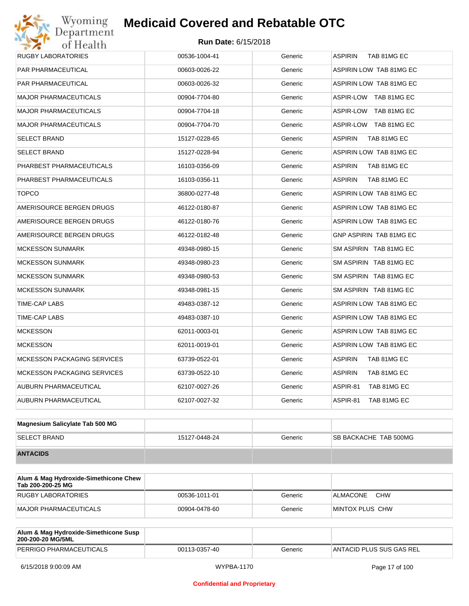# Wyoming<br>Department<br>of Health

## **Medicaid Covered and Rebatable OTC**

| <b>RUGBY LABORATORIES</b>          | 00536-1004-41 | Generic | <b>ASPIRIN</b><br>TAB 81MG EC |
|------------------------------------|---------------|---------|-------------------------------|
| PAR PHARMACEUTICAL                 | 00603-0026-22 | Generic | ASPIRIN LOW TAB 81MG EC       |
| PAR PHARMACEUTICAL                 | 00603-0026-32 | Generic | ASPIRIN LOW TAB 81MG EC       |
| <b>MAJOR PHARMACEUTICALS</b>       | 00904-7704-80 | Generic | ASPIR-LOW TAB 81MG EC         |
| <b>MAJOR PHARMACEUTICALS</b>       | 00904-7704-18 | Generic | ASPIR-LOW TAB 81MG EC         |
| <b>MAJOR PHARMACEUTICALS</b>       | 00904-7704-70 | Generic | ASPIR-LOW TAB 81MG EC         |
| <b>SELECT BRAND</b>                | 15127-0228-65 | Generic | <b>ASPIRIN</b><br>TAB 81MG EC |
| <b>SELECT BRAND</b>                | 15127-0228-94 | Generic | ASPIRIN LOW TAB 81MG EC       |
| PHARBEST PHARMACEUTICALS           | 16103-0356-09 | Generic | <b>ASPIRIN</b><br>TAB 81MG EC |
| PHARBEST PHARMACEUTICALS           | 16103-0356-11 | Generic | <b>ASPIRIN</b><br>TAB 81MG EC |
| <b>TOPCO</b>                       | 36800-0277-48 | Generic | ASPIRIN LOW TAB 81MG EC       |
| AMERISOURCE BERGEN DRUGS           | 46122-0180-87 | Generic | ASPIRIN LOW TAB 81MG EC       |
| AMERISOURCE BERGEN DRUGS           | 46122-0180-76 | Generic | ASPIRIN LOW TAB 81MG EC       |
| AMERISOURCE BERGEN DRUGS           | 46122-0182-48 | Generic | GNP ASPIRIN TAB 81MG EC       |
| <b>MCKESSON SUNMARK</b>            | 49348-0980-15 | Generic | SM ASPIRIN TAB 81MG EC        |
| <b>MCKESSON SUNMARK</b>            | 49348-0980-23 | Generic | SM ASPIRIN TAB 81MG EC        |
| <b>MCKESSON SUNMARK</b>            | 49348-0980-53 | Generic | SM ASPIRIN TAB 81MG EC        |
| <b>MCKESSON SUNMARK</b>            | 49348-0981-15 | Generic | SM ASPIRIN TAB 81MG EC        |
| TIME-CAP LABS                      | 49483-0387-12 | Generic | ASPIRIN LOW TAB 81MG EC       |
| TIME-CAP LABS                      | 49483-0387-10 | Generic | ASPIRIN LOW TAB 81MG EC       |
| <b>MCKESSON</b>                    | 62011-0003-01 | Generic | ASPIRIN LOW TAB 81MG EC       |
| <b>MCKESSON</b>                    | 62011-0019-01 | Generic | ASPIRIN LOW TAB 81MG EC       |
| <b>MCKESSON PACKAGING SERVICES</b> | 63739-0522-01 | Generic | <b>ASPIRIN</b><br>TAB 81MG EC |
| <b>MCKESSON PACKAGING SERVICES</b> | 63739-0522-10 | Generic | <b>ASPIRIN</b><br>TAB 81MG EC |
| AUBURN PHARMACEUTICAL              | 62107-0027-26 | Generic | ASPIR-81<br>TAB 81MG EC       |
| AUBURN PHARMACEUTICAL              | 62107-0027-32 | Generic | ASPIR-81<br>TAB 81MG EC       |
|                                    |               |         |                               |

| Magnesium Salicylate Tab 500 MG |               |         |                              |
|---------------------------------|---------------|---------|------------------------------|
| <b>SELECT BRAND</b>             | 15127-0448-24 | Generic | <b>SB BACKACHE TAB 500MG</b> |
| <b>ANTACIDS</b>                 |               |         |                              |

| Alum & Mag Hydroxide-Simethicone Chew<br>Tab 200-200-25 MG |               |         |                               |
|------------------------------------------------------------|---------------|---------|-------------------------------|
| RUGBY LABORATORIES                                         | 00536-1011-01 | Generic | <b>CHW</b><br><b>ALMACONE</b> |
| MAJOR PHARMACEUTICALS                                      | 00904-0478-60 | Generic | <b>IMINTOX PLUS CHW</b>       |

| Alum & Mag Hydroxide-Simethicone Susp<br>200-200-20 MG/5ML |               |         |                          |
|------------------------------------------------------------|---------------|---------|--------------------------|
| PERRIGO PHARMACEUTICALS                                    | 00113-0357-40 | Generic | ANTACID PLUS SUS GAS REL |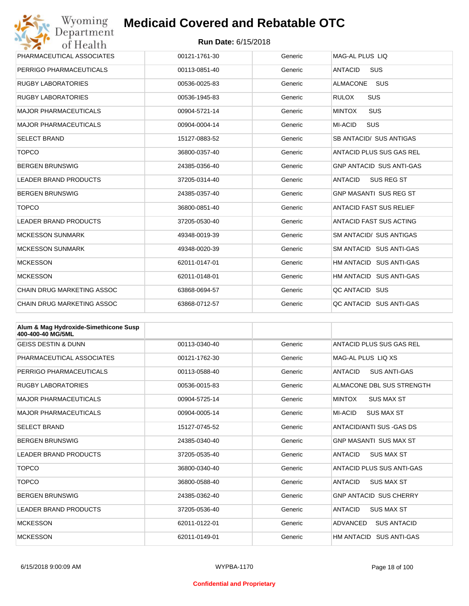| Wyoming<br>Department             | <b>Medicaid Covered and Rebatable OTC</b> |         |                                 |  |  |
|-----------------------------------|-------------------------------------------|---------|---------------------------------|--|--|
| of Health                         | <b>Run Date: 6/15/2018</b>                |         |                                 |  |  |
| PHARMACEUTICAL ASSOCIATES         | 00121-1761-30                             | Generic | MAG-AL PLUS LIO                 |  |  |
| PERRIGO PHARMACEUTICALS           | 00113-0851-40                             | Generic | <b>ANTACID</b><br><b>SUS</b>    |  |  |
| <b>RUGBY LABORATORIES</b>         | 00536-0025-83                             | Generic | <b>ALMACONE</b><br>SUS          |  |  |
| <b>RUGBY LABORATORIES</b>         | 00536-1945-83                             | Generic | <b>RULOX</b><br><b>SUS</b>      |  |  |
| MAJOR PHARMACEUTICALS             | 00904-5721-14                             | Generic | SUS<br><b>MINTOX</b>            |  |  |
| MAJOR PHARMACEUTICALS             | 00904-0004-14                             | Generic | <b>MI-ACID</b><br><b>SUS</b>    |  |  |
| SELECT BRAND                      | 15127-0883-52                             | Generic | SB ANTACID/ SUS ANTIGAS         |  |  |
| <b>TOPCO</b>                      | 36800-0357-40                             | Generic | ANTACID PLUS SUS GAS REL        |  |  |
| <b>BERGEN BRUNSWIG</b>            | 24385-0356-40                             | Generic | <b>GNP ANTACID SUS ANTI-GAS</b> |  |  |
| LEADER BRAND PRODUCTS             | 37205-0314-40                             | Generic | ANTACID<br>SUS REG ST           |  |  |
| <b>BERGEN BRUNSWIG</b>            | 24385-0357-40                             | Generic | <b>GNP MASANTI SUS REG ST</b>   |  |  |
| <b>TOPCO</b>                      | 36800-0851-40                             | Generic | <b>ANTACID FAST SUS RELIEF</b>  |  |  |
| <b>LEADER BRAND PRODUCTS</b>      | 37205-0530-40                             | Generic | ANTACID FAST SUS ACTING         |  |  |
| <b>MCKESSON SUNMARK</b>           | 49348-0019-39                             | Generic | <b>SM ANTACID/ SUS ANTIGAS</b>  |  |  |
| <b>MCKESSON SUNMARK</b>           | 49348-0020-39                             | Generic | SM ANTACID SUS ANTI-GAS         |  |  |
| <b>MCKESSON</b>                   | 62011-0147-01                             | Generic | HM ANTACID SUS ANTI-GAS         |  |  |
| <b>MCKESSON</b>                   | 62011-0148-01                             | Generic | HM ANTACID SUS ANTI-GAS         |  |  |
| <b>CHAIN DRUG MARKETING ASSOC</b> | 63868-0694-57                             | Generic | QC ANTACID SUS                  |  |  |
| <b>CHAIN DRUG MARKETING ASSOC</b> | 63868-0712-57                             | Generic | OC ANTACID SUS ANTI-GAS         |  |  |

| Alum & Mag Hydroxide-Simethicone Susp<br>400-400-40 MG/5ML |               |         |                                       |
|------------------------------------------------------------|---------------|---------|---------------------------------------|
| <b>GEISS DESTIN &amp; DUNN</b>                             | 00113-0340-40 | Generic | ANTACID PLUS SUS GAS REL              |
| PHARMACEUTICAL ASSOCIATES                                  | 00121-1762-30 | Generic | MAG-AL PLUS LIO XS                    |
| PERRIGO PHARMACEUTICALS                                    | 00113-0588-40 | Generic | <b>ANTACID</b><br><b>SUS ANTI-GAS</b> |
| <b>RUGBY LABORATORIES</b>                                  | 00536-0015-83 | Generic | ALMACONE DBL SUS STRENGTH             |
| MAJOR PHARMACFUTICALS                                      | 00904-5725-14 | Generic | <b>MINTOX</b><br><b>SUS MAX ST</b>    |
| <b>MAJOR PHARMACEUTICALS</b>                               | 00904-0005-14 | Generic | MI-ACID<br><b>SUS MAX ST</b>          |
| <b>SELECT BRAND</b>                                        | 15127-0745-52 | Generic | ANTACID/ANTI SUS - GAS DS             |
| <b>BERGEN BRUNSWIG</b>                                     | 24385-0340-40 | Generic | <b>GNP MASANTI SUS MAX ST</b>         |
| <b>LEADER BRAND PRODUCTS</b>                               | 37205-0535-40 | Generic | <b>ANTACID</b><br><b>SUS MAX ST</b>   |
| <b>TOPCO</b>                                               | 36800-0340-40 | Generic | ANTACID PLUS SUS ANTI-GAS             |
| <b>TOPCO</b>                                               | 36800-0588-40 | Generic | <b>SUS MAX ST</b><br><b>ANTACID</b>   |
| <b>BERGEN BRUNSWIG</b>                                     | 24385-0362-40 | Generic | <b>GNP ANTACID SUS CHERRY</b>         |
| <b>LEADER BRAND PRODUCTS</b>                               | 37205-0536-40 | Generic | <b>ANTACID</b><br><b>SUS MAX ST</b>   |
| <b>MCKESSON</b>                                            | 62011-0122-01 | Generic | ADVANCED<br><b>SUS ANTACID</b>        |
| <b>MCKESSON</b>                                            | 62011-0149-01 | Generic | HM ANTACID SUS ANTI-GAS               |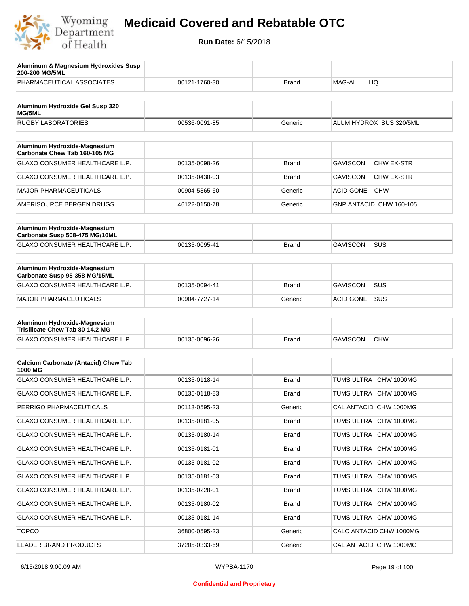

| Aluminum & Magnesium Hydroxides Susp<br>200-200 MG/5ML          |               |              |                                      |
|-----------------------------------------------------------------|---------------|--------------|--------------------------------------|
| PHARMACEUTICAL ASSOCIATES                                       | 00121-1760-30 | <b>Brand</b> | MAG-AL<br>LIQ                        |
| Aluminum Hydroxide Gel Susp 320                                 |               |              |                                      |
| <b>MG/5ML</b>                                                   |               |              |                                      |
| <b>RUGBY LABORATORIES</b>                                       | 00536-0091-85 | Generic      | ALUM HYDROX SUS 320/5ML              |
| Aluminum Hydroxide-Magnesium<br>Carbonate Chew Tab 160-105 MG   |               |              |                                      |
| GLAXO CONSUMER HEALTHCARE L.P.                                  | 00135-0098-26 | <b>Brand</b> | <b>GAVISCON</b><br><b>CHW EX-STR</b> |
| GLAXO CONSUMER HEALTHCARE L.P.                                  | 00135-0430-03 | <b>Brand</b> | <b>GAVISCON</b><br>CHW EX-STR        |
| <b>MAJOR PHARMACEUTICALS</b>                                    | 00904-5365-60 | Generic      | ACID GONE<br><b>CHW</b>              |
| AMERISOURCE BERGEN DRUGS                                        | 46122-0150-78 | Generic      | GNP ANTACID CHW 160-105              |
|                                                                 |               |              |                                      |
| Aluminum Hydroxide-Magnesium<br>Carbonate Susp 508-475 MG/10ML  |               |              |                                      |
| GLAXO CONSUMER HEALTHCARE L.P.                                  | 00135-0095-41 | <b>Brand</b> | <b>GAVISCON</b><br>SUS               |
|                                                                 |               |              |                                      |
| Aluminum Hydroxide-Magnesium<br>Carbonate Susp 95-358 MG/15ML   |               |              |                                      |
| <b>GLAXO CONSUMER HEALTHCARE L.P.</b>                           | 00135-0094-41 | <b>Brand</b> | <b>GAVISCON</b><br>SUS               |
| <b>MAJOR PHARMACEUTICALS</b>                                    | 00904-7727-14 | Generic      | ACID GONE<br><b>SUS</b>              |
|                                                                 |               |              |                                      |
| Aluminum Hydroxide-Magnesium<br>Trisilicate Chew Tab 80-14.2 MG |               |              |                                      |
| GLAXO CONSUMER HEALTHCARE L.P.                                  | 00135-0096-26 | <b>Brand</b> | <b>GAVISCON</b><br><b>CHW</b>        |
|                                                                 |               |              |                                      |
| <b>Calcium Carbonate (Antacid) Chew Tab</b><br>1000 MG          |               |              |                                      |
| <b>GLAXO CONSUMER HEALTHCARE L.P.</b>                           | 00135-0118-14 | <b>Brand</b> | TUMS ULTRA CHW 1000MG                |
| <b>GLAXO CONSUMER HEALTHCARE L.P.</b>                           | 00135-0118-83 | <b>Brand</b> | TUMS ULTRA CHW 1000MG                |
| PERRIGO PHARMACEUTICALS                                         | 00113-0595-23 | Generic      | CAL ANTACID CHW 1000MG               |
| GLAXO CONSUMER HEALTHCARE L.P.                                  | 00135-0181-05 | <b>Brand</b> | TUMS ULTRA CHW 1000MG                |
| GLAXO CONSUMER HEALTHCARE L.P.                                  | 00135-0180-14 | <b>Brand</b> | TUMS ULTRA CHW 1000MG                |
| GLAXO CONSUMER HEALTHCARE L.P.                                  | 00135-0181-01 | Brand        | TUMS ULTRA CHW 1000MG                |
| GLAXO CONSUMER HEALTHCARE L.P.                                  | 00135-0181-02 | <b>Brand</b> | TUMS ULTRA CHW 1000MG                |
| GLAXO CONSUMER HEALTHCARE L.P.                                  | 00135-0181-03 | Brand        | TUMS ULTRA CHW 1000MG                |
| GLAXO CONSUMER HEALTHCARE L.P.                                  | 00135-0228-01 | <b>Brand</b> | TUMS ULTRA CHW 1000MG                |
| GLAXO CONSUMER HEALTHCARE L.P.                                  | 00135-0180-02 | Brand        | TUMS ULTRA CHW 1000MG                |
| GLAXO CONSUMER HEALTHCARE L.P.                                  | 00135-0181-14 | <b>Brand</b> | TUMS ULTRA CHW 1000MG                |
| <b>TOPCO</b>                                                    | 36800-0595-23 | Generic      | CALC ANTACID CHW 1000MG              |
| LEADER BRAND PRODUCTS                                           | 37205-0333-69 | Generic      | CAL ANTACID CHW 1000MG               |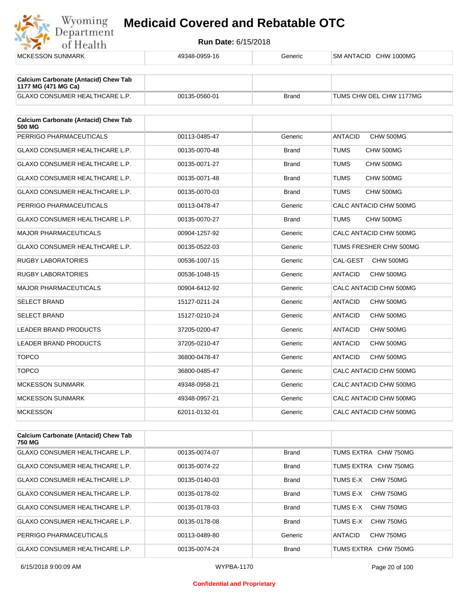

| <b>MCKESSON SUNMARK</b>                                            | 49348-0959-16 | Generic      | SM ANTACID CHW 1000MG       |
|--------------------------------------------------------------------|---------------|--------------|-----------------------------|
| <b>Calcium Carbonate (Antacid) Chew Tab</b><br>1177 MG (471 MG Ca) |               |              |                             |
| <b>GLAXO CONSUMER HEALTHCARE L.P.</b>                              | 00135-0560-01 | <b>Brand</b> | TUMS CHW DEL CHW 1177MG     |
| <b>Calcium Carbonate (Antacid) Chew Tab</b><br>500 MG              |               |              |                             |
| PERRIGO PHARMACEUTICALS                                            | 00113-0485-47 | Generic      | CHW 500MG<br><b>ANTACID</b> |
| <b>GLAXO CONSUMER HEALTHCARE L.P.</b>                              | 00135-0070-48 | <b>Brand</b> | <b>TUMS</b><br>CHW 500MG    |
| GLAXO CONSUMER HEALTHCARE L.P.                                     | 00135-0071-27 | <b>Brand</b> | <b>TUMS</b><br>CHW 500MG    |
| GLAXO CONSUMER HEALTHCARE L.P.                                     | 00135-0071-48 | <b>Brand</b> | TUMS<br>CHW 500MG           |
| GLAXO CONSUMER HEALTHCARE L.P.                                     | 00135-0070-03 | <b>Brand</b> | TUMS<br>CHW 500MG           |
| PERRIGO PHARMACEUTICALS                                            | 00113-0478-47 | Generic      | CALC ANTACID CHW 500MG      |
| GLAXO CONSUMER HEALTHCARE L.P.                                     | 00135-0070-27 | <b>Brand</b> | <b>TUMS</b><br>CHW 500MG    |
| <b>MAJOR PHARMACEUTICALS</b>                                       | 00904-1257-92 | Generic      | CALC ANTACID CHW 500MG      |
| <b>GLAXO CONSUMER HEALTHCARE L.P.</b>                              | 00135-0522-03 | Generic      | TUMS FRESHER CHW 500MG      |
| <b>RUGBY LABORATORIES</b>                                          | 00536-1007-15 | Generic      | CAL-GEST<br>CHW 500MG       |
| RUGBY LABORATORIES                                                 | 00536-1048-15 | Generic      | <b>ANTACID</b><br>CHW 500MG |
| <b>MAJOR PHARMACEUTICALS</b>                                       | 00904-6412-92 | Generic      | CALC ANTACID CHW 500MG      |
| <b>SELECT BRAND</b>                                                | 15127-0211-24 | Generic      | <b>ANTACID</b><br>CHW 500MG |
| <b>SELECT BRAND</b>                                                | 15127-0210-24 | Generic      | <b>ANTACID</b><br>CHW 500MG |
| <b>LEADER BRAND PRODUCTS</b>                                       | 37205-0200-47 | Generic      | CHW 500MG<br><b>ANTACID</b> |
| <b>LEADER BRAND PRODUCTS</b>                                       | 37205-0210-47 | Generic      | <b>ANTACID</b><br>CHW 500MG |
| <b>TOPCO</b>                                                       | 36800-0478-47 | Generic      | <b>ANTACID</b><br>CHW 500MG |
| <b>TOPCO</b>                                                       | 36800-0485-47 | Generic      | CALC ANTACID CHW 500MG      |
| MCKESSON SUNMARK                                                   | 49348-0958-21 | Generic      | CALC ANTACID CHW 500MG      |
| <b>MCKESSON SUNMARK</b>                                            | 49348-0957-21 | Generic      | CALC ANTACID CHW 500MG      |
| <b>MCKESSON</b>                                                    | 62011-0132-01 | Generic      | CALC ANTACID CHW 500MG      |
| <b>Calcium Carbonate (Antacid) Chew Tab</b><br>750 MG              |               |              |                             |

| 750 MG                                |               |              |                       |
|---------------------------------------|---------------|--------------|-----------------------|
| <b>GLAXO CONSUMER HEALTHCARE L.P.</b> | 00135-0074-07 | <b>Brand</b> | TUMS EXTRA CHW 750MG  |
| <b>GLAXO CONSUMER HEALTHCARE L.P.</b> | 00135-0074-22 | <b>Brand</b> | TUMS EXTRA CHW 750MG  |
| <b>GLAXO CONSUMER HEALTHCARE L.P.</b> | 00135-0140-03 | <b>Brand</b> | TUMS E-X<br>CHW 750MG |
| <b>GLAXO CONSUMER HEALTHCARE L.P.</b> | 00135-0178-02 | <b>Brand</b> | TUMS E-X<br>CHW 750MG |
| <b>GLAXO CONSUMER HEALTHCARE L.P.</b> | 00135-0178-03 | <b>Brand</b> | TUMS E-X<br>CHW 750MG |
| <b>GLAXO CONSUMER HEALTHCARE L.P.</b> | 00135-0178-08 | <b>Brand</b> | CHW 750MG<br>TUMS F-X |
| PERRIGO PHARMACEUTICALS               | 00113-0489-80 | Generic      | CHW 750MG<br>ANTACID  |
| <b>GLAXO CONSUMER HEALTHCARE L.P.</b> | 00135-0074-24 | <b>Brand</b> | TUMS EXTRA CHW 750MG  |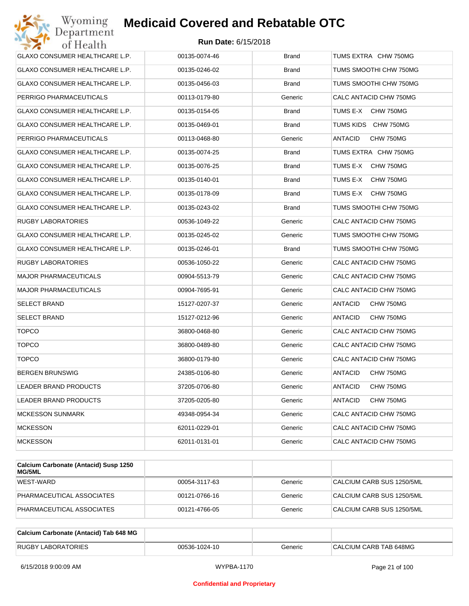| Wyoming<br>Department                 | <b>Medicaid Covered and Rebatable OTC</b> |              |                             |
|---------------------------------------|-------------------------------------------|--------------|-----------------------------|
| of Health                             | <b>Run Date: 6/15/2018</b>                |              |                             |
| <b>GLAXO CONSUMER HEALTHCARE L.P.</b> | 00135-0074-46                             | <b>Brand</b> | TUMS EXTRA CHW 750MG        |
| GLAXO CONSUMER HEALTHCARE L.P.        | 00135-0246-02                             | <b>Brand</b> | TUMS SMOOTHI CHW 750MG      |
| GLAXO CONSUMER HEALTHCARE L.P.        | 00135-0456-03                             | <b>Brand</b> | TUMS SMOOTHI CHW 750MG      |
| PERRIGO PHARMACEUTICALS               | 00113-0179-80                             | Generic      | CALC ANTACID CHW 750MG      |
| GLAXO CONSUMER HEALTHCARE L.P.        | 00135-0154-05                             | <b>Brand</b> | TUMS E-X<br>CHW 750MG       |
| GLAXO CONSUMER HEALTHCARE L.P.        | 00135-0469-01                             | <b>Brand</b> | TUMS KIDS CHW 750MG         |
| PERRIGO PHARMACEUTICALS               | 00113-0468-80                             | Generic      | <b>ANTACID</b><br>CHW 750MG |
| GLAXO CONSUMER HEALTHCARE L.P.        | 00135-0074-25                             | <b>Brand</b> | TUMS EXTRA CHW 750MG        |
| GLAXO CONSUMER HEALTHCARE L.P.        | 00135-0076-25                             | <b>Brand</b> | TUMS E-X<br>CHW 750MG       |
| GLAXO CONSUMER HEALTHCARE L.P.        | 00135-0140-01                             | <b>Brand</b> | TUMS E-X<br>CHW 750MG       |
| GLAXO CONSUMER HEALTHCARE L.P.        | 00135-0178-09                             | <b>Brand</b> | TUMS E-X<br>CHW 750MG       |
| GLAXO CONSUMER HEALTHCARE L.P.        | 00135-0243-02                             | <b>Brand</b> | TUMS SMOOTHI CHW 750MG      |
| RUGBY LABORATORIES                    | 00536-1049-22                             | Generic      | CALC ANTACID CHW 750MG      |
| GLAXO CONSUMER HEALTHCARE L.P.        | 00135-0245-02                             | Generic      | TUMS SMOOTHI CHW 750MG      |
| GLAXO CONSUMER HEALTHCARE L.P.        | 00135-0246-01                             | <b>Brand</b> | TUMS SMOOTHI CHW 750MG      |
| RUGBY LABORATORIES                    | 00536-1050-22                             | Generic      | CALC ANTACID CHW 750MG      |
| <b>MAJOR PHARMACEUTICALS</b>          | 00904-5513-79                             | Generic      | CALC ANTACID CHW 750MG      |
| <b>MAJOR PHARMACEUTICALS</b>          | 00904-7695-91                             | Generic      | CALC ANTACID CHW 750MG      |
| <b>SELECT BRAND</b>                   | 15127-0207-37                             | Generic      | ANTACID<br>CHW 750MG        |
| <b>SELECT BRAND</b>                   | 15127-0212-96                             | Generic      | <b>ANTACID</b><br>CHW 750MG |
| <b>TOPCO</b>                          | 36800-0468-80                             | Generic      | CALC ANTACID CHW 750MG      |
| <b>TOPCO</b>                          | 36800-0489-80                             | Generic      | CALC ANTACID CHW 750MG      |
| <b>TOPCO</b>                          | 36800-0179-80                             | Generic      | CALC ANTACID CHW 750MG      |
| <b>BERGEN BRUNSWIG</b>                | 24385-0106-80                             | Generic      | CHW 750MG<br><b>ANTACID</b> |
| <b>LEADER BRAND PRODUCTS</b>          | 37205-0706-80                             | Generic      | ANTACID<br>CHW 750MG        |
| <b>LEADER BRAND PRODUCTS</b>          | 37205-0205-80                             | Generic      | <b>ANTACID</b><br>CHW 750MG |
| <b>MCKESSON SUNMARK</b>               | 49348-0954-34                             | Generic      | CALC ANTACID CHW 750MG      |
| MCKESSON                              | 62011-0229-01                             | Generic      | CALC ANTACID CHW 750MG      |
| <b>MCKESSON</b>                       | 62011-0131-01                             | Generic      | CALC ANTACID CHW 750MG      |

| Calcium Carbonate (Antacid) Susp 1250<br><b>MG/5ML</b> |               |         |                           |
|--------------------------------------------------------|---------------|---------|---------------------------|
| WEST-WARD                                              | 00054-3117-63 | Generic | CALCIUM CARB SUS 1250/5ML |
| PHARMACEUTICAL ASSOCIATES                              | 00121-0766-16 | Generic | CALCIUM CARB SUS 1250/5ML |
| PHARMACEUTICAL ASSOCIATES                              | 00121-4766-05 | Generic | CALCIUM CARB SUS 1250/5ML |

| Calcium Carbonate (Antacid) Tab 648 MG |               |         |                        |
|----------------------------------------|---------------|---------|------------------------|
| <b>RUGBY LABORATORIES</b>              | 00536-1024-10 | Generic | CALCIUM CARB TAB 648MG |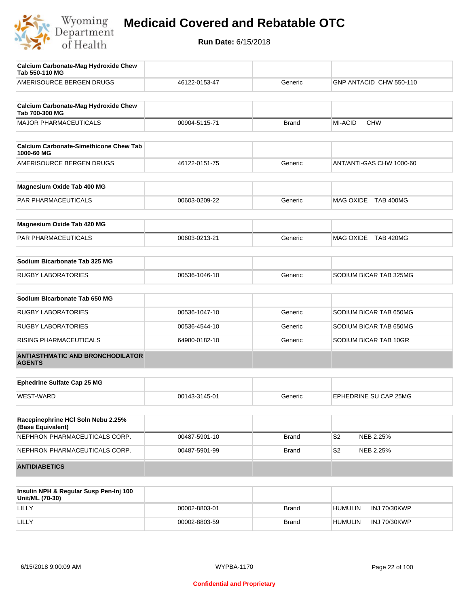

| <b>Calcium Carbonate-Mag Hydroxide Chew</b><br>Tab 550-110 MG |               |              |                              |
|---------------------------------------------------------------|---------------|--------------|------------------------------|
| AMERISOURCE BERGEN DRUGS                                      | 46122-0153-47 | Generic      | GNP ANTACID CHW 550-110      |
| <b>Calcium Carbonate-Mag Hydroxide Chew</b><br>Tab 700-300 MG |               |              |                              |
| <b>MAJOR PHARMACEUTICALS</b>                                  | 00904-5115-71 | <b>Brand</b> | <b>MI-ACID</b><br><b>CHW</b> |
| <b>Calcium Carbonate-Simethicone Chew Tab</b><br>1000-60 MG   |               |              |                              |
| AMERISOURCE BERGEN DRUGS                                      | 46122-0151-75 | Generic      | ANT/ANTI-GAS CHW 1000-60     |
| Magnesium Oxide Tab 400 MG                                    |               |              |                              |
| PAR PHARMACEUTICALS                                           | 00603-0209-22 | Generic      | MAG OXIDE TAB 400MG          |
| Magnesium Oxide Tab 420 MG                                    |               |              |                              |
| PAR PHARMACEUTICALS                                           | 00603-0213-21 | Generic      | MAG OXIDE TAB 420MG          |
| Sodium Bicarbonate Tab 325 MG                                 |               |              |                              |
| <b>RUGBY LABORATORIES</b>                                     | 00536-1046-10 | Generic      | SODIUM BICAR TAB 325MG       |
| Sodium Bicarbonate Tab 650 MG                                 |               |              |                              |
| <b>RUGBY LABORATORIES</b>                                     | 00536-1047-10 | Generic      | SODIUM BICAR TAB 650MG       |
| <b>RUGBY LABORATORIES</b>                                     | 00536-4544-10 | Generic      | SODIUM BICAR TAB 650MG       |
| RISING PHARMACEUTICALS                                        | 64980-0182-10 | Generic      | SODIUM BICAR TAB 10GR        |
| <b>ANTIASTHMATIC AND BRONCHODILATOR</b><br><b>AGENTS</b>      |               |              |                              |
| <b>Ephedrine Sulfate Cap 25 MG</b>                            |               |              |                              |
| <b>WEST-WARD</b>                                              | 00143-3145-01 | Generic      | EPHEDRINE SU CAP 25MG        |
| Racepinephrine HCI Soln Nebu 2.25%<br>(Base Equivalent)       |               |              |                              |
| NEPHRON PHARMACEUTICALS CORP.                                 | 00487-5901-10 | <b>Brand</b> | S <sub>2</sub><br>NEB 2.25%  |
| NEPHRON PHARMACEUTICALS CORP.                                 | 00487-5901-99 | <b>Brand</b> | S <sub>2</sub><br>NEB 2.25%  |
| <b>ANTIDIABETICS</b>                                          |               |              |                              |
| Inculin NDH & Poquiar Such Pon-Ini 100                        |               |              |                              |

| Insulin NPH & Regular Susp Pen-Inj 100<br>Unit/ML (70-30) |               |              |                |                     |
|-----------------------------------------------------------|---------------|--------------|----------------|---------------------|
| LILLY                                                     | 00002-8803-01 | <b>Brand</b> | <b>HUMULIN</b> | <b>INJ 70/30KWP</b> |
| LILLY                                                     | 00002-8803-59 | <b>Brand</b> | <b>HUMULIN</b> | <b>INJ 70/30KWP</b> |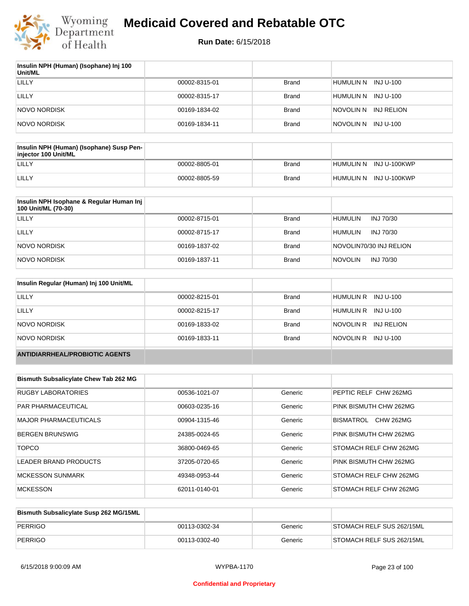

| Insulin NPH (Human) (Isophane) Inj 100<br>Unit/ML |               |              |                      |
|---------------------------------------------------|---------------|--------------|----------------------|
| LILLY                                             | 00002-8315-01 | <b>Brand</b> | HUMULIN N INJ U-100  |
| LILLY                                             | 00002-8315-17 | <b>Brand</b> | HUMULIN N INJ U-100  |
| <b>NOVO NORDISK</b>                               | 00169-1834-02 | <b>Brand</b> | NOVOLIN N INJ RELION |
| <b>NOVO NORDISK</b>                               | 00169-1834-11 | <b>Brand</b> | NOVOLIN N INJ U-100  |

| Insulin NPH (Human) (Isophane) Susp Pen-<br>injector 100 Unit/ML |               |              |                        |
|------------------------------------------------------------------|---------------|--------------|------------------------|
| LILLY                                                            | 00002-8805-01 | Brand        | HUMULIN N INJ U-100KWP |
| LILLY                                                            | 00002-8805-59 | <b>Brand</b> | HUMULIN N INJ U-100KWP |

| Insulin NPH Isophane & Regular Human Inj<br>100 Unit/ML (70-30) |               |              |                             |
|-----------------------------------------------------------------|---------------|--------------|-----------------------------|
| LILLY                                                           | 00002-8715-01 | Brand        | <b>HUMULIN</b><br>INJ 70/30 |
| LILLY                                                           | 00002-8715-17 | Brand        | <b>HUMULIN</b><br>INJ 70/30 |
| NOVO NORDISK                                                    | 00169-1837-02 | <b>Brand</b> | NOVOLIN70/30 INJ RELION     |
| NOVO NORDISK                                                    | 00169-1837-11 | <b>Brand</b> | <b>NOVOLIN</b><br>INJ 70/30 |

| Insulin Regular (Human) Inj 100 Unit/ML |               |              |                         |
|-----------------------------------------|---------------|--------------|-------------------------|
| <b>LILLY</b>                            | 00002-8215-01 | <b>Brand</b> | HUMULIN R INJ U-100     |
| LILLY                                   | 00002-8215-17 | <b>Brand</b> | HUMULIN R INJ U-100     |
| NOVO NORDISK                            | 00169-1833-02 | <b>Brand</b> | NOVOLIN R<br>INJ RELION |
| NOVO NORDISK                            | 00169-1833-11 | <b>Brand</b> | NOVOLIN R INJ U-100     |
| <b>ANTIDIARRHEAL/PROBIOTIC AGENTS</b>   |               |              |                         |

| <b>Bismuth Subsalicylate Chew Tab 262 MG</b> |               |         |                               |
|----------------------------------------------|---------------|---------|-------------------------------|
| <b>RUGBY LABORATORIES</b>                    | 00536-1021-07 | Generic | PEPTIC RELF CHW 262MG         |
| <b>PAR PHARMACEUTICAL</b>                    | 00603-0235-16 | Generic | PINK BISMUTH CHW 262MG        |
| <b>MAJOR PHARMACEUTICALS</b>                 | 00904-1315-46 | Generic | BISMATROL<br><b>CHW 262MG</b> |
| <b>BERGEN BRUNSWIG</b>                       | 24385-0024-65 | Generic | PINK BISMUTH CHW 262MG        |
| <b>TOPCO</b>                                 | 36800-0469-65 | Generic | STOMACH RELF CHW 262MG        |
| LEADER BRAND PRODUCTS                        | 37205-0720-65 | Generic | PINK BISMUTH CHW 262MG        |
| <b>MCKESSON SUNMARK</b>                      | 49348-0953-44 | Generic | STOMACH RELF CHW 262MG        |
| <b>MCKESSON</b>                              | 62011-0140-01 | Generic | STOMACH RELF CHW 262MG        |

| Bismuth Subsalicylate Susp 262 MG/15ML |               |         |                           |
|----------------------------------------|---------------|---------|---------------------------|
| PERRIGO                                | 00113-0302-34 | Generic | STOMACH RELF SUS 262/15ML |
| PERRIGO                                | 00113-0302-40 | Generic | STOMACH RELF SUS 262/15ML |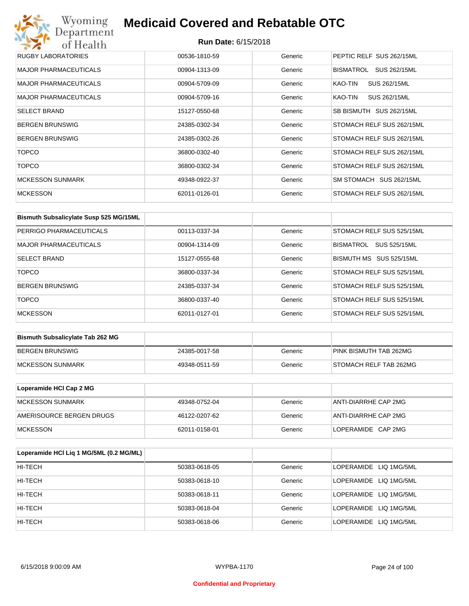## Wyoming<br>Department<br>of Health **Medicaid Covered and Rebatable OTC**

| RUGBY LABORATORIES           | 00536-1810-59 | Generic | PEPTIC RELF SUS 262/15ML       |
|------------------------------|---------------|---------|--------------------------------|
| <b>MAJOR PHARMACEUTICALS</b> | 00904-1313-09 | Generic | BISMATROL<br>SUS 262/15ML      |
| <b>MAJOR PHARMACEUTICALS</b> | 00904-5709-09 | Generic | KAO-TIN<br><b>SUS 262/15ML</b> |
| <b>MAJOR PHARMACEUTICALS</b> | 00904-5709-16 | Generic | SUS 262/15ML<br>KAO-TIN        |
| <b>SELECT BRAND</b>          | 15127-0550-68 | Generic | SB BISMUTH SUS 262/15ML        |
| <b>BERGEN BRUNSWIG</b>       | 24385-0302-34 | Generic | STOMACH RELF SUS 262/15ML      |
| <b>BERGEN BRUNSWIG</b>       | 24385-0302-26 | Generic | STOMACH RELF SUS 262/15ML      |
| <b>TOPCO</b>                 | 36800-0302-40 | Generic | STOMACH RELF SUS 262/15ML      |
| <b>TOPCO</b>                 | 36800-0302-34 | Generic | STOMACH RELF SUS 262/15ML      |
| <b>MCKESSON SUNMARK</b>      | 49348-0922-37 | Generic | SM STOMACH SUS 262/15ML        |
| <b>MCKESSON</b>              | 62011-0126-01 | Generic | STOMACH RELF SUS 262/15ML      |

| Bismuth Subsalicylate Susp 525 MG/15ML |               |         |                                  |
|----------------------------------------|---------------|---------|----------------------------------|
| PERRIGO PHARMACEUTICALS                | 00113-0337-34 | Generic | STOMACH RELF SUS 525/15ML        |
| <b>MAJOR PHARMACEUTICALS</b>           | 00904-1314-09 | Generic | SUS 525/15ML<br><b>BISMATROL</b> |
| <b>SELECT BRAND</b>                    | 15127-0555-68 | Generic | BISMUTH MS SUS 525/15ML          |
| <b>TOPCO</b>                           | 36800-0337-34 | Generic | STOMACH RELF SUS 525/15ML        |
| <b>BERGEN BRUNSWIG</b>                 | 24385-0337-34 | Generic | STOMACH RELF SUS 525/15ML        |
| <b>TOPCO</b>                           | 36800-0337-40 | Generic | STOMACH RELF SUS 525/15ML        |
| <b>MCKESSON</b>                        | 62011-0127-01 | Generic | STOMACH RELF SUS 525/15ML        |

| <b>Bismuth Subsalicylate Tab 262 MG</b> |               |         |                        |
|-----------------------------------------|---------------|---------|------------------------|
| BERGEN BRUNSWIG                         | 24385-0017-58 | Generic | PINK BISMUTH TAB 262MG |
| <b>IMCKESSON SUNMARK</b>                | 49348-0511-59 | Generic | STOMACH RELF TAB 262MG |

| Loperamide HCI Cap 2 MG  |               |         |                      |
|--------------------------|---------------|---------|----------------------|
| <b>IMCKESSON SUNMARK</b> | 49348-0752-04 | Generic | ANTI-DIARRHE CAP 2MG |
| AMERISOURCE BERGEN DRUGS | 46122-0207-62 | Generic | ANTI-DIARRHE CAP 2MG |
| <b>IMCKESSON</b>         | 62011-0158-01 | Generic | LOPERAMIDE CAP 2MG   |

| Loperamide HCI Liq 1 MG/5ML (0.2 MG/ML) |               |         |                        |
|-----------------------------------------|---------------|---------|------------------------|
| HI-TECH                                 | 50383-0618-05 | Generic | LOPERAMIDE LIQ 1MG/5ML |
| HI-TECH                                 | 50383-0618-10 | Generic | LOPERAMIDE LIQ 1MG/5ML |
| HI-TECH                                 | 50383-0618-11 | Generic | LOPERAMIDE LIQ 1MG/5ML |
| HI-TECH                                 | 50383-0618-04 | Generic | LOPERAMIDE LIQ 1MG/5ML |
| HI-TECH                                 | 50383-0618-06 | Generic | LOPERAMIDE LIQ 1MG/5ML |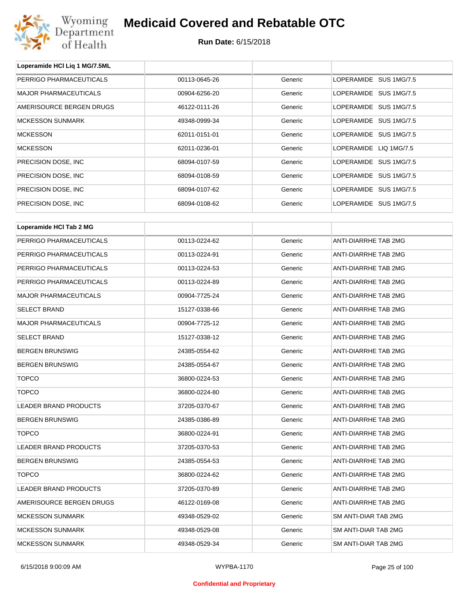

**Loperamide HCl Liq 1 MG/7.5ML**

## **Medicaid Covered and Rebatable OTC**

| PERRIGO PHARMACEUTICALS      | 00113-0645-26 | Generic | LOPERAMIDE SUS 1MG/7.5      |
|------------------------------|---------------|---------|-----------------------------|
| <b>MAJOR PHARMACEUTICALS</b> | 00904-6256-20 | Generic | LOPERAMIDE SUS 1MG/7.5      |
| AMERISOURCE BERGEN DRUGS     | 46122-0111-26 | Generic | LOPERAMIDE SUS 1MG/7.5      |
| <b>MCKESSON SUNMARK</b>      | 49348-0999-34 | Generic | LOPERAMIDE SUS 1MG/7.5      |
| <b>MCKESSON</b>              | 62011-0151-01 | Generic | LOPERAMIDE SUS 1MG/7.5      |
| <b>MCKESSON</b>              | 62011-0236-01 | Generic | LOPERAMIDE LIQ 1MG/7.5      |
| PRECISION DOSE, INC          | 68094-0107-59 | Generic | LOPERAMIDE SUS 1MG/7.5      |
| PRECISION DOSE, INC          | 68094-0108-59 | Generic | LOPERAMIDE SUS 1MG/7.5      |
| PRECISION DOSE, INC          | 68094-0107-62 | Generic | LOPERAMIDE SUS 1MG/7.5      |
| PRECISION DOSE, INC          | 68094-0108-62 | Generic | LOPERAMIDE SUS 1MG/7.5      |
|                              |               |         |                             |
| Loperamide HCI Tab 2 MG      |               |         |                             |
| PERRIGO PHARMACEUTICALS      | 00113-0224-62 | Generic | ANTI-DIARRHE TAB 2MG        |
| PERRIGO PHARMACEUTICALS      | 00113-0224-91 | Generic | ANTI-DIARRHE TAB 2MG        |
| PERRIGO PHARMACEUTICALS      | 00113-0224-53 | Generic | ANTI-DIARRHE TAB 2MG        |
| PERRIGO PHARMACEUTICALS      | 00113-0224-89 | Generic | ANTI-DIARRHE TAB 2MG        |
| <b>MAJOR PHARMACEUTICALS</b> | 00904-7725-24 | Generic | ANTI-DIARRHE TAB 2MG        |
| <b>SELECT BRAND</b>          | 15127-0338-66 | Generic | ANTI-DIARRHE TAB 2MG        |
| <b>MAJOR PHARMACEUTICALS</b> | 00904-7725-12 | Generic | ANTI-DIARRHE TAB 2MG        |
| <b>SELECT BRAND</b>          | 15127-0338-12 | Generic | ANTI-DIARRHE TAB 2MG        |
| <b>BERGEN BRUNSWIG</b>       | 24385-0554-62 | Generic | ANTI-DIARRHE TAB 2MG        |
| <b>BERGEN BRUNSWIG</b>       | 24385-0554-67 | Generic | ANTI-DIARRHE TAB 2MG        |
| <b>TOPCO</b>                 | 36800-0224-53 | Generic | ANTI-DIARRHE TAB 2MG        |
| <b>TOPCO</b>                 | 36800-0224-80 | Generic | ANTI-DIARRHE TAB 2MG        |
| <b>LEADER BRAND PRODUCTS</b> | 37205-0370-67 | Generic | ANTI-DIARRHE TAB 2MG        |
| <b>BERGEN BRUNSWIG</b>       | 24385-0386-89 | Generic | ANTI-DIARRHE TAB 2MG        |
| <b>TOPCO</b>                 | 36800-0224-91 | Generic | <b>ANTI-DIARRHE TAB 2MG</b> |
| LEADER BRAND PRODUCTS        | 37205-0370-53 | Generic | ANTI-DIARRHE TAB 2MG        |
| <b>BERGEN BRUNSWIG</b>       | 24385-0554-53 | Generic | ANTI-DIARRHE TAB 2MG        |
| <b>TOPCO</b>                 | 36800-0224-62 | Generic | ANTI-DIARRHE TAB 2MG        |
| LEADER BRAND PRODUCTS        | 37205-0370-89 | Generic | ANTI-DIARRHE TAB 2MG        |
| AMERISOURCE BERGEN DRUGS     | 46122-0169-08 | Generic | ANTI-DIARRHE TAB 2MG        |
| <b>MCKESSON SUNMARK</b>      | 49348-0529-02 | Generic | SM ANTI-DIAR TAB 2MG        |
| <b>MCKESSON SUNMARK</b>      | 49348-0529-08 | Generic | SM ANTI-DIAR TAB 2MG        |
| <b>MCKESSON SUNMARK</b>      | 49348-0529-34 | Generic | SM ANTI-DIAR TAB 2MG        |
|                              |               |         |                             |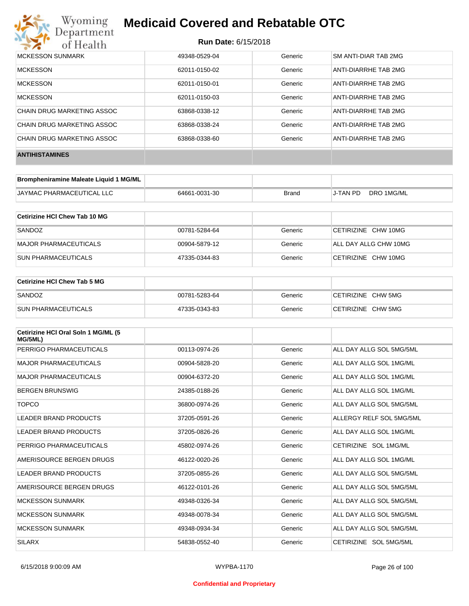

| MCKESSON SUNMARK           | 49348-0529-04 | Generic | SM ANTI-DIAR TAB 2MG |
|----------------------------|---------------|---------|----------------------|
| <b>MCKESSON</b>            | 62011-0150-02 | Generic | ANTI-DIARRHE TAB 2MG |
| <b>MCKESSON</b>            | 62011-0150-01 | Generic | ANTI-DIARRHE TAB 2MG |
| <b>MCKESSON</b>            | 62011-0150-03 | Generic | ANTI-DIARRHE TAB 2MG |
| CHAIN DRUG MARKETING ASSOC | 63868-0338-12 | Generic | ANTI-DIARRHE TAB 2MG |
| CHAIN DRUG MARKETING ASSOC | 63868-0338-24 | Generic | ANTI-DIARRHE TAB 2MG |
| CHAIN DRUG MARKETING ASSOC | 63868-0338-60 | Generic | ANTI-DIARRHE TAB 2MG |
| <b>ANTIHISTAMINES</b>      |               |         |                      |

| Brompheniramine Maleate Liquid 1 MG/ML |               |       |          |            |
|----------------------------------------|---------------|-------|----------|------------|
| <b>JAYMAC PHARMACEUTICAL LLC</b>       | 64661-0031-30 | Brand | J-TAN PD | DRO 1MG/ML |

| Cetirizine HCI Chew Tab 10 MG |               |         |                       |
|-------------------------------|---------------|---------|-----------------------|
| SANDOZ                        | 00781-5284-64 | Generic | CETIRIZINE CHW 10MG   |
| MAJOR PHARMACEUTICALS         | 00904-5879-12 | Generic | ALL DAY ALLG CHW 10MG |
| <b>SUN PHARMACEUTICALS</b>    | 47335-0344-83 | Generic | CETIRIZINE CHW 10MG   |

| <b>Cetirizine HCI Chew Tab 5 MG</b> |               |         |                    |
|-------------------------------------|---------------|---------|--------------------|
| SANDOZ                              | 00781-5283-64 | Generic | CETIRIZINE CHW 5MG |
| <b>SUN PHARMACEUTICALS</b>          | 47335-0343-83 | Generic | CETIRIZINE CHW 5MG |

| Cetirizine HCI Oral Soln 1 MG/ML (5<br>MG/5ML) |               |         |                          |
|------------------------------------------------|---------------|---------|--------------------------|
| PERRIGO PHARMACEUTICALS                        | 00113-0974-26 | Generic | ALL DAY ALLG SOL 5MG/5ML |
| <b>MAJOR PHARMACEUTICALS</b>                   | 00904-5828-20 | Generic | ALL DAY ALLG SOL 1MG/ML  |
| <b>MAJOR PHARMACEUTICALS</b>                   | 00904-6372-20 | Generic | ALL DAY ALLG SOL 1MG/ML  |
| <b>BERGEN BRUNSWIG</b>                         | 24385-0188-26 | Generic | ALL DAY ALLG SOL 1MG/ML  |
| <b>TOPCO</b>                                   | 36800-0974-26 | Generic | ALL DAY ALLG SOL 5MG/5ML |
| <b>LEADER BRAND PRODUCTS</b>                   | 37205-0591-26 | Generic | ALLERGY RELF SOL 5MG/5ML |
| LEADER BRAND PRODUCTS                          | 37205-0826-26 | Generic | ALL DAY ALLG SOL 1MG/ML  |
| PERRIGO PHARMACEUTICALS                        | 45802-0974-26 | Generic | CETIRIZINE SOL 1MG/ML    |
| AMERISOURCE BERGEN DRUGS                       | 46122-0020-26 | Generic | ALL DAY ALLG SOL 1MG/ML  |
| LEADER BRAND PRODUCTS                          | 37205-0855-26 | Generic | ALL DAY ALLG SOL 5MG/5ML |
| AMERISOURCE BERGEN DRUGS                       | 46122-0101-26 | Generic | ALL DAY ALLG SOL 5MG/5ML |
| <b>MCKESSON SUNMARK</b>                        | 49348-0326-34 | Generic | ALL DAY ALLG SOL 5MG/5ML |
| <b>MCKESSON SUNMARK</b>                        | 49348-0078-34 | Generic | ALL DAY ALLG SOL 5MG/5ML |
| <b>MCKESSON SUNMARK</b>                        | 49348-0934-34 | Generic | ALL DAY ALLG SOL 5MG/5ML |
| <b>SILARX</b>                                  | 54838-0552-40 | Generic | CETIRIZINE SOL 5MG/5ML   |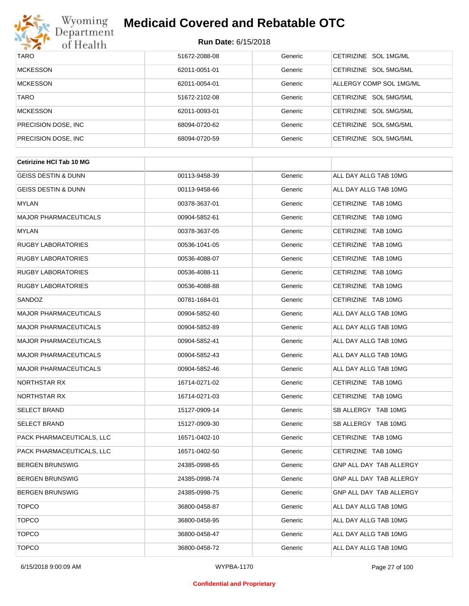

| <b>TARO</b>          | 51672-2088-08 | Generic | CETIRIZINE SOL 1MG/ML   |
|----------------------|---------------|---------|-------------------------|
| <b>MCKESSON</b>      | 62011-0051-01 | Generic | CETIRIZINE SOL 5MG/5ML  |
| <b>MCKESSON</b>      | 62011-0054-01 | Generic | ALLERGY COMP SOL 1MG/ML |
| <b>TARO</b>          | 51672-2102-08 | Generic | CETIRIZINE SOL 5MG/5ML  |
| <b>MCKESSON</b>      | 62011-0093-01 | Generic | CETIRIZINE SOL 5MG/5ML  |
| PRECISION DOSE, INC. | 68094-0720-62 | Generic | CETIRIZINE SOL 5MG/5ML  |
| PRECISION DOSE, INC. | 68094-0720-59 | Generic | CETIRIZINE SOL 5MG/5ML  |

| <b>Cetirizine HCI Tab 10 MG</b> |               |         |                         |
|---------------------------------|---------------|---------|-------------------------|
| <b>GEISS DESTIN &amp; DUNN</b>  | 00113-9458-39 | Generic | ALL DAY ALLG TAB 10MG   |
| <b>GEISS DESTIN &amp; DUNN</b>  | 00113-9458-66 | Generic | ALL DAY ALLG TAB 10MG   |
| <b>MYLAN</b>                    | 00378-3637-01 | Generic | CETIRIZINE TAB 10MG     |
| <b>MAJOR PHARMACEUTICALS</b>    | 00904-5852-61 | Generic | CETIRIZINE TAB 10MG     |
| <b>MYLAN</b>                    | 00378-3637-05 | Generic | CETIRIZINE TAB 10MG     |
| <b>RUGBY LABORATORIES</b>       | 00536-1041-05 | Generic | CETIRIZINE TAB 10MG     |
| <b>RUGBY LABORATORIES</b>       | 00536-4088-07 | Generic | CETIRIZINE TAB 10MG     |
| <b>RUGBY LABORATORIES</b>       | 00536-4088-11 | Generic | CETIRIZINE TAB 10MG     |
| <b>RUGBY LABORATORIES</b>       | 00536-4088-88 | Generic | CETIRIZINE TAB 10MG     |
| SANDOZ                          | 00781-1684-01 | Generic | CETIRIZINE TAB 10MG     |
| <b>MAJOR PHARMACEUTICALS</b>    | 00904-5852-60 | Generic | ALL DAY ALLG TAB 10MG   |
| <b>MAJOR PHARMACEUTICALS</b>    | 00904-5852-89 | Generic | ALL DAY ALLG TAB 10MG   |
| <b>MAJOR PHARMACEUTICALS</b>    | 00904-5852-41 | Generic | ALL DAY ALLG TAB 10MG   |
| <b>MAJOR PHARMACEUTICALS</b>    | 00904-5852-43 | Generic | ALL DAY ALLG TAB 10MG   |
| <b>MAJOR PHARMACEUTICALS</b>    | 00904-5852-46 | Generic | ALL DAY ALLG TAB 10MG   |
| NORTHSTAR RX                    | 16714-0271-02 | Generic | CETIRIZINE TAB 10MG     |
| NORTHSTAR RX                    | 16714-0271-03 | Generic | CETIRIZINE TAB 10MG     |
| <b>SELECT BRAND</b>             | 15127-0909-14 | Generic | SB ALLERGY TAB 10MG     |
| <b>SELECT BRAND</b>             | 15127-0909-30 | Generic | SB ALLERGY TAB 10MG     |
| PACK PHARMACEUTICALS, LLC       | 16571-0402-10 | Generic | CETIRIZINE TAB 10MG     |
| PACK PHARMACEUTICALS, LLC       | 16571-0402-50 | Generic | CETIRIZINE TAB 10MG     |
| <b>BERGEN BRUNSWIG</b>          | 24385-0998-65 | Generic | GNP ALL DAY TAB ALLERGY |
| <b>BERGEN BRUNSWIG</b>          | 24385-0998-74 | Generic | GNP ALL DAY TAB ALLERGY |
| <b>BERGEN BRUNSWIG</b>          | 24385-0998-75 | Generic | GNP ALL DAY TAB ALLERGY |
| <b>TOPCO</b>                    | 36800-0458-87 | Generic | ALL DAY ALLG TAB 10MG   |
| <b>TOPCO</b>                    | 36800-0458-95 | Generic | ALL DAY ALLG TAB 10MG   |
| <b>TOPCO</b>                    | 36800-0458-47 | Generic | ALL DAY ALLG TAB 10MG   |
| <b>TOPCO</b>                    | 36800-0458-72 | Generic | ALL DAY ALLG TAB 10MG   |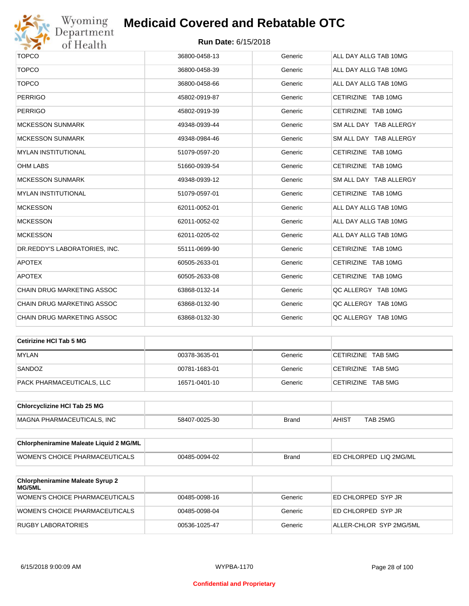

# Wyoming<br>Department<br>of Health

## **Medicaid Covered and Rebatable OTC**

| <b>TOPCO</b>                      | 36800-0458-13 | Generic | ALL DAY ALLG TAB 10MG  |
|-----------------------------------|---------------|---------|------------------------|
| <b>TOPCO</b>                      | 36800-0458-39 | Generic | ALL DAY ALLG TAB 10MG  |
| <b>TOPCO</b>                      | 36800-0458-66 | Generic | ALL DAY ALLG TAB 10MG  |
| <b>PERRIGO</b>                    | 45802-0919-87 | Generic | CETIRIZINE TAB 10MG    |
| <b>PERRIGO</b>                    | 45802-0919-39 | Generic | CETIRIZINE TAB 10MG    |
| <b>MCKESSON SUNMARK</b>           | 49348-0939-44 | Generic | SM ALL DAY TAB ALLERGY |
| <b>MCKESSON SUNMARK</b>           | 49348-0984-46 | Generic | SM ALL DAY TAB ALLERGY |
| <b>MYLAN INSTITUTIONAL</b>        | 51079-0597-20 | Generic | CETIRIZINE TAB 10MG    |
| <b>OHM LABS</b>                   | 51660-0939-54 | Generic | CETIRIZINE TAB 10MG    |
| <b>MCKESSON SUNMARK</b>           | 49348-0939-12 | Generic | SM ALL DAY TAB ALLERGY |
| <b>MYLAN INSTITUTIONAL</b>        | 51079-0597-01 | Generic | CETIRIZINE TAB 10MG    |
| <b>MCKESSON</b>                   | 62011-0052-01 | Generic | ALL DAY ALLG TAB 10MG  |
| <b>MCKESSON</b>                   | 62011-0052-02 | Generic | ALL DAY ALLG TAB 10MG  |
| <b>MCKESSON</b>                   | 62011-0205-02 | Generic | ALL DAY ALLG TAB 10MG  |
| DR.REDDY'S LABORATORIES, INC.     | 55111-0699-90 | Generic | CETIRIZINE TAB 10MG    |
| <b>APOTEX</b>                     | 60505-2633-01 | Generic | CETIRIZINE TAB 10MG    |
| <b>APOTEX</b>                     | 60505-2633-08 | Generic | CETIRIZINE TAB 10MG    |
| CHAIN DRUG MARKETING ASSOC        | 63868-0132-14 | Generic | QC ALLERGY TAB 10MG    |
| <b>CHAIN DRUG MARKETING ASSOC</b> | 63868-0132-90 | Generic | QC ALLERGY TAB 10MG    |
| <b>CHAIN DRUG MARKETING ASSOC</b> | 63868-0132-30 | Generic | OC ALLERGY TAB 10MG    |

| Cetirizine HCI Tab 5 MG   |               |         |                    |
|---------------------------|---------------|---------|--------------------|
| <b>MYLAN</b>              | 00378-3635-01 | Generic | CETIRIZINE TAB 5MG |
| SANDOZ                    | 00781-1683-01 | Generic | CETIRIZINE TAB 5MG |
| PACK PHARMACEUTICALS, LLC | 16571-0401-10 | Generic | CETIRIZINE TAB 5MG |

| <b>Chlorcyclizine HCI Tab 25 MG</b> |               |       |        |          |
|-------------------------------------|---------------|-------|--------|----------|
| MAGNA PHARMACEUTICALS. INC          | 58407-0025-30 | Brand | ⊣AHIS™ | TAB 25MG |

| <b>Chlorpheniramine Maleate Liquid 2 MG/ML</b> |               |              |                                |
|------------------------------------------------|---------------|--------------|--------------------------------|
| <b>WOMEN'S CHOICE PHARMACEUTICALS</b>          | 00485-0094-02 | <b>Brand</b> | <b>LED CHLORPED LIQ 2MG/ML</b> |

| <b>Chlorpheniramine Maleate Syrup 2</b><br>MG/5ML |               |         |                         |
|---------------------------------------------------|---------------|---------|-------------------------|
| WOMEN'S CHOICE PHARMACEUTICALS                    | 00485-0098-16 | Generic | ED CHLORPED SYP JR      |
| WOMEN'S CHOICE PHARMACEUTICALS                    | 00485-0098-04 | Generic | ED CHLORPED SYP JR      |
| RUGBY LABORATORIES                                | 00536-1025-47 | Generic | ALLER-CHLOR SYP 2MG/5ML |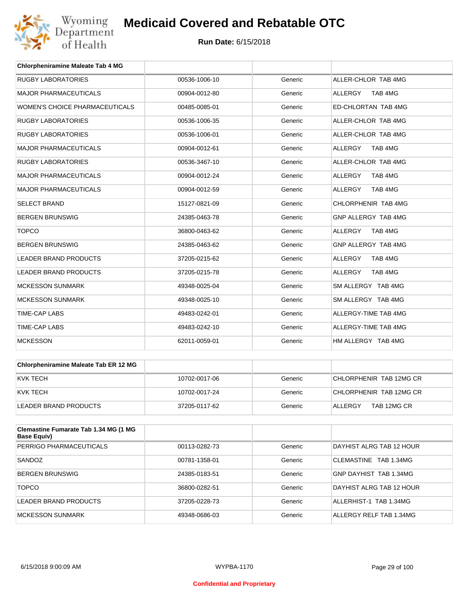

| <b>Chlorpheniramine Maleate Tab 4 MG</b> |               |         |                           |
|------------------------------------------|---------------|---------|---------------------------|
| <b>RUGBY LABORATORIES</b>                | 00536-1006-10 | Generic | ALLER-CHLOR TAB 4MG       |
| <b>MAJOR PHARMACEUTICALS</b>             | 00904-0012-80 | Generic | TAB 4MG<br><b>ALLERGY</b> |
| <b>WOMEN'S CHOICE PHARMACEUTICALS</b>    | 00485-0085-01 | Generic | ED-CHLORTAN TAB 4MG       |
| <b>RUGBY LABORATORIES</b>                | 00536-1006-35 | Generic | ALLER-CHLOR TAB 4MG       |
| <b>RUGBY LABORATORIES</b>                | 00536-1006-01 | Generic | ALLER-CHLOR TAB 4MG       |
| <b>MAJOR PHARMACEUTICALS</b>             | 00904-0012-61 | Generic | <b>ALLERGY</b><br>TAB 4MG |
| <b>RUGBY LABORATORIES</b>                | 00536-3467-10 | Generic | ALLER-CHLOR TAB 4MG       |
| <b>MAJOR PHARMACEUTICALS</b>             | 00904-0012-24 | Generic | <b>ALLERGY</b><br>TAB 4MG |
| <b>MAJOR PHARMACEUTICALS</b>             | 00904-0012-59 | Generic | <b>ALLERGY</b><br>TAB 4MG |
| <b>SELECT BRAND</b>                      | 15127-0821-09 | Generic | CHLORPHENIR TAB 4MG       |
| <b>BERGEN BRUNSWIG</b>                   | 24385-0463-78 | Generic | GNP ALLERGY TAB 4MG       |
| <b>TOPCO</b>                             | 36800-0463-62 | Generic | <b>ALLERGY</b><br>TAB 4MG |
| <b>BERGEN BRUNSWIG</b>                   | 24385-0463-62 | Generic | GNP ALLERGY TAB 4MG       |
| <b>LEADER BRAND PRODUCTS</b>             | 37205-0215-62 | Generic | <b>ALLERGY</b><br>TAB 4MG |
| <b>LEADER BRAND PRODUCTS</b>             | 37205-0215-78 | Generic | ALLERGY<br>TAB 4MG        |
| <b>MCKESSON SUNMARK</b>                  | 49348-0025-04 | Generic | SM ALLERGY TAB 4MG        |
| <b>MCKESSON SUNMARK</b>                  | 49348-0025-10 | Generic | SM ALLERGY TAB 4MG        |
| <b>TIME-CAP LABS</b>                     | 49483-0242-01 | Generic | ALLERGY-TIME TAB 4MG      |
| <b>TIME-CAP LABS</b>                     | 49483-0242-10 | Generic | ALLERGY-TIME TAB 4MG      |
| <b>MCKESSON</b>                          | 62011-0059-01 | Generic | HM ALLERGY TAB 4MG        |

| Chlorpheniramine Maleate Tab ER 12 MG |               |         |                         |
|---------------------------------------|---------------|---------|-------------------------|
| IKVK TECH                             | 10702-0017-06 | Generic | CHLORPHENIR TAB 12MG CR |
| IKVK TECH                             | 10702-0017-24 | Generic | CHLORPHENIR TAB 12MG CR |
| LEADER BRAND PRODUCTS                 | 37205-0117-62 | Generic | TAB 12MG CR<br>ALLERGY  |

| <b>Clemastine Fumarate Tab 1.34 MG (1 MG</b><br>Base Equiv) |               |         |                          |
|-------------------------------------------------------------|---------------|---------|--------------------------|
| PERRIGO PHARMACEUTICALS                                     | 00113-0282-73 | Generic | DAYHIST ALRG TAB 12 HOUR |
| SANDOZ                                                      | 00781-1358-01 | Generic | CLEMASTINE TAB 1.34MG    |
| <b>BERGEN BRUNSWIG</b>                                      | 24385-0183-51 | Generic | GNP DAYHIST TAB 1.34MG   |
| <b>TOPCO</b>                                                | 36800-0282-51 | Generic | DAYHIST ALRG TAB 12 HOUR |
| LEADER BRAND PRODUCTS                                       | 37205-0228-73 | Generic | ALLERHIST-1 TAB 1.34MG   |
| MCKESSON SUNMARK                                            | 49348-0686-03 | Generic | ALLERGY RELF TAB 1.34MG  |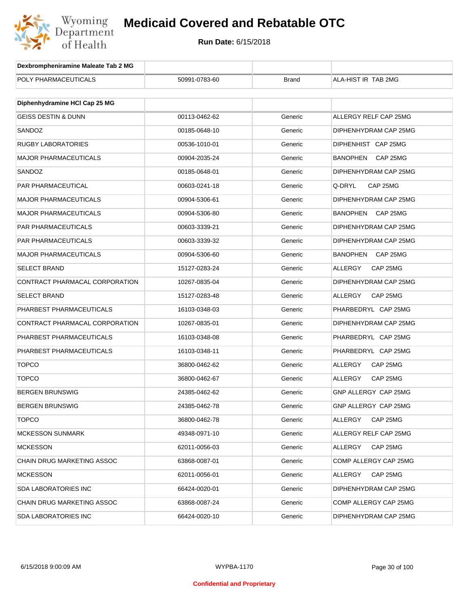

| Dexbrompheniramine Maleate Tab 2 MG |               |              |                       |
|-------------------------------------|---------------|--------------|-----------------------|
| POLY PHARMACEUTICALS                | 50991-0783-60 | <b>Brand</b> | ALA-HIST IR TAB 2MG   |
|                                     |               |              |                       |
| Diphenhydramine HCI Cap 25 MG       |               |              |                       |
| <b>GEISS DESTIN &amp; DUNN</b>      | 00113-0462-62 | Generic      | ALLERGY RELF CAP 25MG |
| SANDOZ                              | 00185-0648-10 | Generic      | DIPHENHYDRAM CAP 25MG |
| <b>RUGBY LABORATORIES</b>           | 00536-1010-01 | Generic      | DIPHENHIST CAP 25MG   |
| <b>MAJOR PHARMACEUTICALS</b>        | 00904-2035-24 | Generic      | BANOPHEN<br>CAP 25MG  |
| SANDOZ                              | 00185-0648-01 | Generic      | DIPHENHYDRAM CAP 25MG |
| PAR PHARMACEUTICAL                  | 00603-0241-18 | Generic      | Q-DRYL<br>CAP 25MG    |
| <b>MAJOR PHARMACEUTICALS</b>        | 00904-5306-61 | Generic      | DIPHENHYDRAM CAP 25MG |
| <b>MAJOR PHARMACEUTICALS</b>        | 00904-5306-80 | Generic      | BANOPHEN CAP 25MG     |
| PAR PHARMACEUTICALS                 | 00603-3339-21 | Generic      | DIPHENHYDRAM CAP 25MG |
| <b>PAR PHARMACEUTICALS</b>          | 00603-3339-32 | Generic      | DIPHENHYDRAM CAP 25MG |
| <b>MAJOR PHARMACEUTICALS</b>        | 00904-5306-60 | Generic      | BANOPHEN<br>CAP 25MG  |
| <b>SELECT BRAND</b>                 | 15127-0283-24 | Generic      | ALLERGY<br>CAP 25MG   |
| CONTRACT PHARMACAL CORPORATION      | 10267-0835-04 | Generic      | DIPHENHYDRAM CAP 25MG |
| <b>SELECT BRAND</b>                 | 15127-0283-48 | Generic      | ALLERGY<br>CAP 25MG   |
| PHARBEST PHARMACEUTICALS            | 16103-0348-03 | Generic      | PHARBEDRYL CAP 25MG   |
| CONTRACT PHARMACAL CORPORATION      | 10267-0835-01 | Generic      | DIPHENHYDRAM CAP 25MG |
| PHARBEST PHARMACEUTICALS            | 16103-0348-08 | Generic      | PHARBEDRYL CAP 25MG   |
| PHARBEST PHARMACEUTICALS            | 16103-0348-11 | Generic      | PHARBEDRYL CAP 25MG   |
| <b>TOPCO</b>                        | 36800-0462-62 | Generic      | ALLERGY<br>CAP 25MG   |
| <b>TOPCO</b>                        | 36800-0462-67 | Generic      | ALLERGY<br>CAP 25MG   |
| <b>BERGEN BRUNSWIG</b>              | 24385-0462-62 | Generic      | GNP ALLERGY CAP 25MG  |
| BERGEN BRUNSWIG                     | 24385-0462-78 | Generic      | GNP ALLERGY CAP 25MG  |
| <b>TOPCO</b>                        | 36800-0462-78 | Generic      | ALLERGY<br>CAP 25MG   |
| <b>MCKESSON SUNMARK</b>             | 49348-0971-10 | Generic      | ALLERGY RELF CAP 25MG |
| <b>MCKESSON</b>                     | 62011-0056-03 | Generic      | CAP 25MG<br>ALLERGY   |
| CHAIN DRUG MARKETING ASSOC          | 63868-0087-01 | Generic      | COMP ALLERGY CAP 25MG |
| <b>MCKESSON</b>                     | 62011-0056-01 | Generic      | CAP 25MG<br>ALLERGY   |
| <b>SDA LABORATORIES INC</b>         | 66424-0020-01 | Generic      | DIPHENHYDRAM CAP 25MG |
| <b>CHAIN DRUG MARKETING ASSOC</b>   | 63868-0087-24 | Generic      | COMP ALLERGY CAP 25MG |
| <b>SDA LABORATORIES INC</b>         | 66424-0020-10 | Generic      | DIPHENHYDRAM CAP 25MG |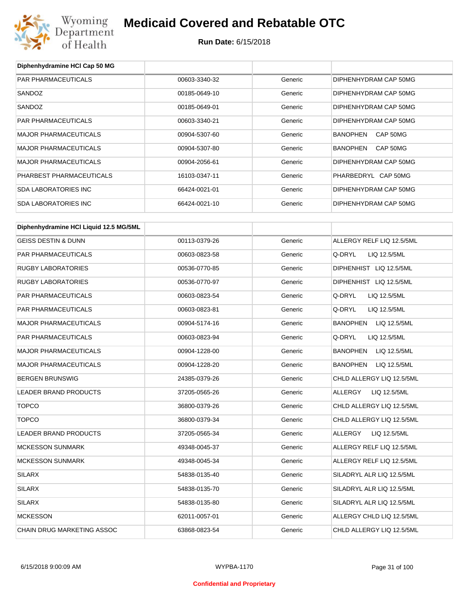

| Diphenhydramine HCI Cap 50 MG          |               |         |                                 |
|----------------------------------------|---------------|---------|---------------------------------|
| PAR PHARMACEUTICALS                    | 00603-3340-32 | Generic | DIPHENHYDRAM CAP 50MG           |
| SANDOZ                                 | 00185-0649-10 | Generic | DIPHENHYDRAM CAP 50MG           |
| SANDOZ                                 | 00185-0649-01 | Generic | DIPHENHYDRAM CAP 50MG           |
| PAR PHARMACEUTICALS                    | 00603-3340-21 | Generic | DIPHENHYDRAM CAP 50MG           |
| <b>MAJOR PHARMACEUTICALS</b>           | 00904-5307-60 | Generic | <b>BANOPHEN</b><br>CAP 50MG     |
| <b>MAJOR PHARMACEUTICALS</b>           | 00904-5307-80 | Generic | <b>BANOPHEN</b><br>CAP 50MG     |
| <b>MAJOR PHARMACEUTICALS</b>           | 00904-2056-61 | Generic | DIPHENHYDRAM CAP 50MG           |
| PHARBEST PHARMACEUTICALS               | 16103-0347-11 | Generic | PHARBEDRYL CAP 50MG             |
| <b>SDA LABORATORIES INC</b>            | 66424-0021-01 | Generic | DIPHENHYDRAM CAP 50MG           |
| <b>SDA LABORATORIES INC</b>            | 66424-0021-10 | Generic | DIPHENHYDRAM CAP 50MG           |
| Diphenhydramine HCI Liquid 12.5 MG/5ML |               |         |                                 |
| <b>GEISS DESTIN &amp; DUNN</b>         | 00113-0379-26 | Generic | ALLERGY RELF LIQ 12.5/5ML       |
| PAR PHARMACEUTICALS                    | 00603-0823-58 | Generic | Q-DRYL<br>LIQ 12.5/5ML          |
| <b>RUGBY LABORATORIES</b>              | 00536-0770-85 | Generic | DIPHENHIST LIQ 12.5/5ML         |
| <b>RUGBY LABORATORIES</b>              | 00536-0770-97 | Generic | DIPHENHIST LIQ 12.5/5ML         |
| PAR PHARMACEUTICALS                    | 00603-0823-54 | Generic | Q-DRYL<br>LIQ 12.5/5ML          |
| PAR PHARMACEUTICALS                    |               |         | Q-DRYL                          |
|                                        | 00603-0823-81 | Generic | LIQ 12.5/5ML                    |
| <b>MAJOR PHARMACEUTICALS</b>           | 00904-5174-16 | Generic | <b>BANOPHEN</b><br>LIQ 12.5/5ML |
| PAR PHARMACEUTICALS                    | 00603-0823-94 | Generic | Q-DRYL<br>LIQ 12.5/5ML          |
| <b>MAJOR PHARMACEUTICALS</b>           | 00904-1228-00 | Generic | <b>BANOPHEN</b><br>LIQ 12.5/5ML |
| <b>MAJOR PHARMACEUTICALS</b>           | 00904-1228-20 | Generic | <b>BANOPHEN</b><br>LIQ 12.5/5ML |
| <b>BERGEN BRUNSWIG</b>                 | 24385-0379-26 | Generic | CHLD ALLERGY LIQ 12.5/5ML       |
| <b>LEADER BRAND PRODUCTS</b>           | 37205-0565-26 | Generic | ALLERGY<br>LIQ 12.5/5ML         |
| <b>TOPCO</b>                           | 36800-0379-26 | Generic | CHLD ALLERGY LIQ 12.5/5ML       |
| <b>TOPCO</b>                           | 36800-0379-34 | Generic | CHLD ALLERGY LIQ 12.5/5ML       |
| LEADER BRAND PRODUCTS                  | 37205-0565-34 | Generic | LIQ 12.5/5ML<br>ALLERGY         |
| <b>MCKESSON SUNMARK</b>                | 49348-0045-37 | Generic | ALLERGY RELF LIQ 12.5/5ML       |
| <b>MCKESSON SUNMARK</b>                | 49348-0045-34 | Generic | ALLERGY RELF LIQ 12.5/5ML       |
| <b>SILARX</b>                          | 54838-0135-40 | Generic | SILADRYL ALR LIQ 12.5/5ML       |
| <b>SILARX</b>                          | 54838-0135-70 | Generic | SILADRYL ALR LIQ 12.5/5ML       |
| <b>SILARX</b>                          | 54838-0135-80 | Generic | SILADRYL ALR LIQ 12.5/5ML       |
| <b>MCKESSON</b>                        | 62011-0057-01 | Generic | ALLERGY CHLD LIQ 12.5/5ML       |
| CHAIN DRUG MARKETING ASSOC             | 63868-0823-54 | Generic | CHLD ALLERGY LIQ 12.5/5ML       |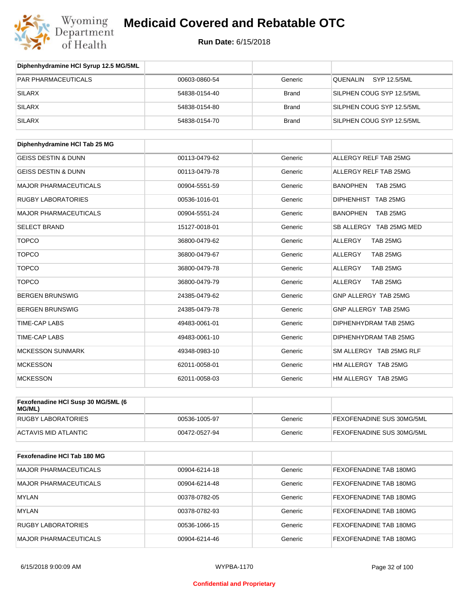

#### **Run Date:** 6/15/2018

| Diphenhydramine HCI Syrup 12.5 MG/5ML        |               |              |                             |
|----------------------------------------------|---------------|--------------|-----------------------------|
| <b>PAR PHARMACEUTICALS</b>                   | 00603-0860-54 | Generic      | QUENALIN<br>SYP 12.5/5ML    |
| <b>SILARX</b>                                | 54838-0154-40 | <b>Brand</b> | SILPHEN COUG SYP 12.5/5ML   |
| <b>SILARX</b>                                | 54838-0154-80 | <b>Brand</b> | SILPHEN COUG SYP 12.5/5ML   |
| <b>SILARX</b>                                | 54838-0154-70 | <b>Brand</b> | SILPHEN COUG SYP 12.5/5ML   |
| Diphenhydramine HCI Tab 25 MG                |               |              |                             |
| <b>GEISS DESTIN &amp; DUNN</b>               | 00113-0479-62 | Generic      | ALLERGY RELF TAB 25MG       |
| <b>GEISS DESTIN &amp; DUNN</b>               | 00113-0479-78 | Generic      | ALLERGY RELF TAB 25MG       |
| <b>MAJOR PHARMACEUTICALS</b>                 | 00904-5551-59 | Generic      | <b>BANOPHEN</b><br>TAB 25MG |
| <b>RUGBY LABORATORIES</b>                    | 00536-1016-01 | Generic      | DIPHENHIST TAB 25MG         |
| <b>MAJOR PHARMACEUTICALS</b>                 | 00904-5551-24 | Generic      | <b>BANOPHEN</b><br>TAB 25MG |
| <b>SELECT BRAND</b>                          | 15127-0018-01 | Generic      | SB ALLERGY TAB 25MG MED     |
| <b>TOPCO</b>                                 | 36800-0479-62 | Generic      | <b>ALLERGY</b><br>TAB 25MG  |
| <b>TOPCO</b>                                 | 36800-0479-67 | Generic      | TAB 25MG<br><b>ALLERGY</b>  |
| <b>TOPCO</b>                                 | 36800-0479-78 | Generic      | TAB 25MG<br><b>ALLERGY</b>  |
| <b>TOPCO</b>                                 | 36800-0479-79 | Generic      | <b>ALLERGY</b><br>TAB 25MG  |
| <b>BERGEN BRUNSWIG</b>                       | 24385-0479-62 | Generic      | GNP ALLERGY TAB 25MG        |
| <b>BERGEN BRUNSWIG</b>                       | 24385-0479-78 | Generic      | GNP ALLERGY TAB 25MG        |
| TIME-CAP LABS                                | 49483-0061-01 | Generic      | DIPHENHYDRAM TAB 25MG       |
| TIME-CAP LABS                                | 49483-0061-10 | Generic      | DIPHENHYDRAM TAB 25MG       |
| <b>MCKESSON SUNMARK</b>                      | 49348-0983-10 | Generic      | SM ALLERGY TAB 25MG RLF     |
| <b>MCKESSON</b>                              | 62011-0058-01 | Generic      | HM ALLERGY TAB 25MG         |
| <b>MCKESSON</b>                              | 62011-0058-03 | Generic      | HM ALLERGY TAB 25MG         |
| Fexofenadine HCI Susp 30 MG/5ML (6<br>MG/ML) |               |              |                             |
| <b>RUGBY LABORATORIES</b>                    | 00536-1005-97 | Generic      | FEXOFENADINE SUS 30MG/5ML   |

| Fexofenadine HCI Tab 180 MG |               |         |                        |
|-----------------------------|---------------|---------|------------------------|
| MAJOR PHARMACEUTICALS       | 00904-6214-18 | Generic | FEXOFENADINE TAB 180MG |
| MAJOR PHARMACEUTICALS       | 00904-6214-48 | Generic | FEXOFENADINE TAB 180MG |
| <b>MYLAN</b>                | 00378-0782-05 | Generic | FEXOFENADINE TAB 180MG |
| <b>MYLAN</b>                | 00378-0782-93 | Generic | FEXOFENADINE TAB 180MG |
| <b>RUGBY LABORATORIES</b>   | 00536-1066-15 | Generic | FEXOFENADINE TAB 180MG |
| MAJOR PHARMACEUTICALS       | 00904-6214-46 | Generic | FEXOFENADINE TAB 180MG |

ACTAVIS MID ATLANTIC **ACTAVIS MID ATLANTIC CONSUMING A CONSUMING A CONSUMING A CONSUMING A CONSUMING A CONSUMING A CONSUMING A CONSUMING A CONSUMING A CONSUMING A CONSUMING A CONSUMING A CONSUMING A CONSUMING A CONSUMING**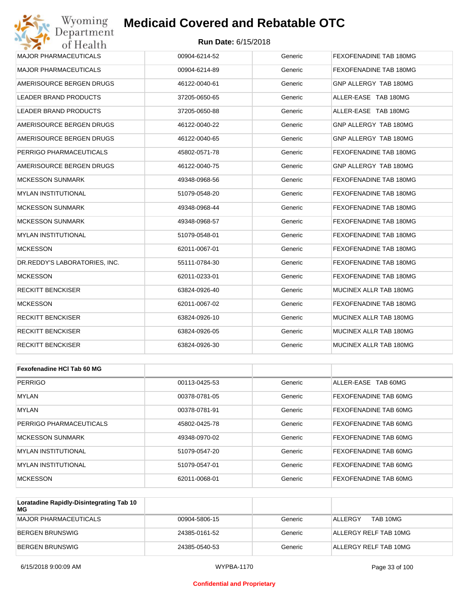#### **Run Date:** 6/15/2018

| Wyoming<br>Department         | <b>Medicaid Covered and Rebatable OTC</b> |         |                        |
|-------------------------------|-------------------------------------------|---------|------------------------|
| of Health                     | <b>Run Date: 6/15/2018</b>                |         |                        |
| <b>MAJOR PHARMACEUTICALS</b>  | 00904-6214-52                             | Generic | FEXOFENADINE TAB 180MG |
| <b>MAJOR PHARMACEUTICALS</b>  | 00904-6214-89                             | Generic | FEXOFENADINE TAB 180MG |
| AMERISOURCE BERGEN DRUGS      | 46122-0040-61                             | Generic | GNP ALLERGY TAB 180MG  |
| LEADER BRAND PRODUCTS         | 37205-0650-65                             | Generic | ALLER-EASE TAB 180MG   |
| LEADER BRAND PRODUCTS         | 37205-0650-88                             | Generic | ALLER-EASE TAB 180MG   |
| AMERISOURCE BERGEN DRUGS      | 46122-0040-22                             | Generic | GNP ALLERGY TAB 180MG  |
| AMERISOURCE BERGEN DRUGS      | 46122-0040-65                             | Generic | GNP ALLERGY TAB 180MG  |
| PERRIGO PHARMACEUTICALS       | 45802-0571-78                             | Generic | FEXOFENADINE TAB 180MG |
| AMERISOURCE BERGEN DRUGS      | 46122-0040-75                             | Generic | GNP ALLERGY TAB 180MG  |
| <b>MCKESSON SUNMARK</b>       | 49348-0968-56                             | Generic | FEXOFENADINE TAB 180MG |
| <b>MYLAN INSTITUTIONAL</b>    | 51079-0548-20                             | Generic | FEXOFENADINE TAB 180MG |
| <b>MCKESSON SUNMARK</b>       | 49348-0968-44                             | Generic | FEXOFENADINE TAB 180MG |
| <b>MCKESSON SUNMARK</b>       | 49348-0968-57                             | Generic | FEXOFENADINE TAB 180MG |
| <b>MYLAN INSTITUTIONAL</b>    | 51079-0548-01                             | Generic | FEXOFENADINE TAB 180MG |
| <b>MCKESSON</b>               | 62011-0067-01                             | Generic | FEXOFENADINE TAB 180MG |
| DR.REDDY'S LABORATORIES, INC. | 55111-0784-30                             | Generic | FEXOFENADINE TAB 180MG |
| <b>MCKESSON</b>               | 62011-0233-01                             | Generic | FEXOFENADINE TAB 180MG |
| <b>RECKITT BENCKISER</b>      | 63824-0926-40                             | Generic | MUCINEX ALLR TAB 180MG |
| <b>MCKESSON</b>               | 62011-0067-02                             | Generic | FEXOFENADINE TAB 180MG |
| <b>RECKITT BENCKISER</b>      | 63824-0926-10                             | Generic | MUCINEX ALLR TAB 180MG |
| <b>RECKITT BENCKISER</b>      | 63824-0926-05                             | Generic | MUCINEX ALLR TAB 180MG |
| <b>RECKITT BENCKISER</b>      | 63824-0926-30                             | Generic | MUCINEX ALLR TAB 180MG |
|                               |                                           |         |                        |
| Fexofenadine HCI Tab 60 MG    |                                           |         |                        |
| <b>PERRIGO</b>                | 00113-0425-53                             | Generic | ALLER-EASE TAB 60MG    |
| MYLAN                         | 00378-0781-05                             | Generic | FEXOFENADINE TAB 60MG  |
| <b>MYLAN</b>                  | 00378-0781-91                             | Generic | FEXOFENADINE TAB 60MG  |

| MYLAN                   | 00378-0781-91 | Generic | FEXOFENADINE TAB 60MG |
|-------------------------|---------------|---------|-----------------------|
| PERRIGO PHARMACEUTICALS | 45802-0425-78 | Generic | FEXOFENADINE TAB 60MG |
| MCKESSON SUNMARK        | 49348-0970-02 | Generic | FEXOFENADINE TAB 60MG |
| IMYLAN INSTITUTIONAL    | 51079-0547-20 | Generic | FEXOFENADINE TAB 60MG |
| IMYLAN INSTITUTIONAL    | 51079-0547-01 | Generic | FEXOFENADINE TAB 60MG |
| <b>MCKESSON</b>         | 62011-0068-01 | Generic | FEXOFENADINE TAB 60MG |

| Loratadine Rapidly-Disintegrating Tab 10<br>МG |               |         |                       |
|------------------------------------------------|---------------|---------|-----------------------|
| MAJOR PHARMACEUTICALS                          | 00904-5806-15 | Generic | TAB 10MG<br>ALLERGY   |
| BERGEN BRUNSWIG                                | 24385-0161-52 | Generic | ALLERGY RELF TAB 10MG |
| BERGEN BRUNSWIG                                | 24385-0540-53 | Generic | ALLERGY RELF TAB 10MG |

#### **Confidential and Proprietary**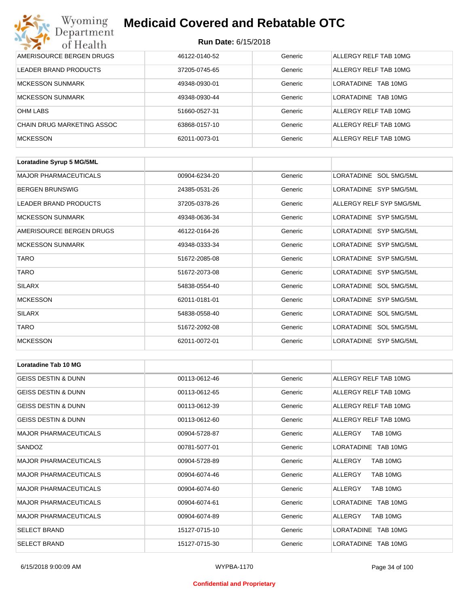| Wyoming<br><b>Medicaid Covered and Rebatable OTC</b><br>Department |                            |         |                         |  |
|--------------------------------------------------------------------|----------------------------|---------|-------------------------|--|
| of Health                                                          | <b>Run Date: 6/15/2018</b> |         |                         |  |
| AMERISOURCE BERGEN DRUGS                                           | 46122-0140-52              | Generic | ALLERGY RELF TAB 10MG   |  |
| LEADER BRAND PRODUCTS                                              | 37205-0745-65              | Generic | ALLERGY RELF TAB 10MG   |  |
| <b>MCKESSON SUNMARK</b>                                            | 49348-0930-01              | Generic | I ORATADINE<br>TAB 10MG |  |
| <b>MCKESSON SUNMARK</b>                                            | 49348-0930-44              | Generic | LORATADINE TAB 10MG     |  |
| <b>OHM LABS</b>                                                    | 51660-0527-31              | Generic | ALLERGY RELF TAB 10MG   |  |
| CHAIN DRUG MARKETING ASSOC                                         | 63868-0157-10              | Generic | ALLERGY RELF TAB 10MG   |  |
| <b>MCKESSON</b>                                                    | 62011-0073-01              | Generic | ALLERGY RELF TAB 10MG   |  |

| Loratadine Syrup 5 MG/5ML    |               |         |                          |
|------------------------------|---------------|---------|--------------------------|
| <b>MAJOR PHARMACEUTICALS</b> | 00904-6234-20 | Generic | LORATADINE SOL 5MG/5ML   |
| <b>BERGEN BRUNSWIG</b>       | 24385-0531-26 | Generic | LORATADINE SYP 5MG/5ML   |
| LEADER BRAND PRODUCTS        | 37205-0378-26 | Generic | ALLERGY RELF SYP 5MG/5ML |
| <b>MCKESSON SUNMARK</b>      | 49348-0636-34 | Generic | LORATADINE SYP 5MG/5ML   |
| AMERISOURCE BERGEN DRUGS     | 46122-0164-26 | Generic | LORATADINE SYP 5MG/5ML   |
| <b>MCKESSON SUNMARK</b>      | 49348-0333-34 | Generic | LORATADINE SYP 5MG/5ML   |
| <b>TARO</b>                  | 51672-2085-08 | Generic | LORATADINE SYP 5MG/5ML   |
| <b>TARO</b>                  | 51672-2073-08 | Generic | LORATADINE SYP 5MG/5ML   |
| <b>SILARX</b>                | 54838-0554-40 | Generic | LORATADINE SOL 5MG/5ML   |
| <b>MCKESSON</b>              | 62011-0181-01 | Generic | LORATADINE SYP 5MG/5ML   |
| <b>SILARX</b>                | 54838-0558-40 | Generic | LORATADINE SOL 5MG/5ML   |
| <b>TARO</b>                  | 51672-2092-08 | Generic | LORATADINE SOL 5MG/5ML   |
| <b>MCKESSON</b>              | 62011-0072-01 | Generic | LORATADINE SYP 5MG/5ML   |

| <b>Loratadine Tab 10 MG</b>    |               |         |                        |
|--------------------------------|---------------|---------|------------------------|
| <b>GEISS DESTIN &amp; DUNN</b> | 00113-0612-46 | Generic | ALLERGY RELF TAB 10MG  |
| <b>GEISS DESTIN &amp; DUNN</b> | 00113-0612-65 | Generic | ALLERGY RELF TAB 10MG  |
| <b>GEISS DESTIN &amp; DUNN</b> | 00113-0612-39 | Generic | ALLERGY RELF TAB 10MG  |
| <b>GEISS DESTIN &amp; DUNN</b> | 00113-0612-60 | Generic | ALLERGY RELF TAB 10MG  |
| <b>MAJOR PHARMACEUTICALS</b>   | 00904-5728-87 | Generic | TAB 10MG<br>ALLERGY    |
| SANDOZ                         | 00781-5077-01 | Generic | LORATADINE TAB 10MG    |
| <b>MAJOR PHARMACEUTICALS</b>   | 00904-5728-89 | Generic | TAB 10MG<br>ALLERGY    |
| <b>MAJOR PHARMACEUTICALS</b>   | 00904-6074-46 | Generic | ALLERGY<br>TAB 10MG    |
| <b>MAJOR PHARMACEUTICALS</b>   | 00904-6074-60 | Generic | ALLERGY<br>TAB 10MG    |
| <b>MAJOR PHARMACEUTICALS</b>   | 00904-6074-61 | Generic | LORATADINE TAB 10MG    |
| <b>MAJOR PHARMACEUTICALS</b>   | 00904-6074-89 | Generic | ALLERGY<br>TAB 10MG    |
| <b>SELECT BRAND</b>            | 15127-0715-10 | Generic | LORATADINE TAB 10MG    |
| <b>SELECT BRAND</b>            | 15127-0715-30 | Generic | LORATADINE<br>TAB 10MG |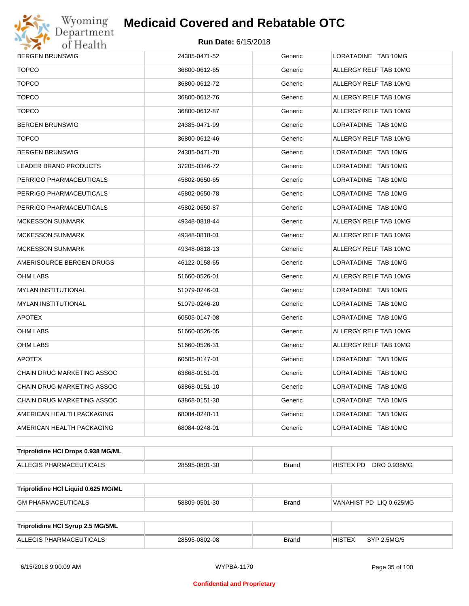

| <b>BERGEN BRUNSWIG</b>              | 24385-0471-52 | Generic      | LORATADINE TAB 10MG          |  |  |
|-------------------------------------|---------------|--------------|------------------------------|--|--|
| <b>TOPCO</b>                        | 36800-0612-65 | Generic      | ALLERGY RELF TAB 10MG        |  |  |
| <b>TOPCO</b>                        | 36800-0612-72 | Generic      | ALLERGY RELF TAB 10MG        |  |  |
| <b>TOPCO</b>                        | 36800-0612-76 | Generic      | ALLERGY RELF TAB 10MG        |  |  |
| <b>TOPCO</b>                        | 36800-0612-87 | Generic      | ALLERGY RELF TAB 10MG        |  |  |
| BERGEN BRUNSWIG                     | 24385-0471-99 | Generic      | LORATADINE TAB 10MG          |  |  |
| <b>TOPCO</b>                        | 36800-0612-46 | Generic      | ALLERGY RELF TAB 10MG        |  |  |
| BERGEN BRUNSWIG                     | 24385-0471-78 | Generic      | LORATADINE TAB 10MG          |  |  |
| LEADER BRAND PRODUCTS               | 37205-0346-72 | Generic      | LORATADINE TAB 10MG          |  |  |
| PERRIGO PHARMACEUTICALS             | 45802-0650-65 | Generic      | LORATADINE TAB 10MG          |  |  |
| PERRIGO PHARMACEUTICALS             | 45802-0650-78 | Generic      | LORATADINE TAB 10MG          |  |  |
| PERRIGO PHARMACEUTICALS             | 45802-0650-87 | Generic      | LORATADINE TAB 10MG          |  |  |
| MCKESSON SUNMARK                    | 49348-0818-44 | Generic      | ALLERGY RELF TAB 10MG        |  |  |
| MCKESSON SUNMARK                    | 49348-0818-01 | Generic      | ALLERGY RELF TAB 10MG        |  |  |
| MCKESSON SUNMARK                    | 49348-0818-13 | Generic      | ALLERGY RELF TAB 10MG        |  |  |
| AMERISOURCE BERGEN DRUGS            | 46122-0158-65 | Generic      | LORATADINE TAB 10MG          |  |  |
| OHM LABS                            | 51660-0526-01 | Generic      | ALLERGY RELF TAB 10MG        |  |  |
| MYLAN INSTITUTIONAL                 | 51079-0246-01 | Generic      | LORATADINE TAB 10MG          |  |  |
| MYLAN INSTITUTIONAL                 | 51079-0246-20 | Generic      | LORATADINE TAB 10MG          |  |  |
| <b>APOTEX</b>                       | 60505-0147-08 | Generic      | LORATADINE TAB 10MG          |  |  |
| OHM LABS                            | 51660-0526-05 | Generic      | ALLERGY RELF TAB 10MG        |  |  |
| OHM LABS                            | 51660-0526-31 | Generic      | ALLERGY RELF TAB 10MG        |  |  |
| <b>APOTEX</b>                       | 60505-0147-01 | Generic      | LORATADINE TAB 10MG          |  |  |
| CHAIN DRUG MARKETING ASSOC          | 63868-0151-01 | Generic      | LORATADINE TAB 10MG          |  |  |
| CHAIN DRUG MARKETING ASSOC          | 63868-0151-10 | Generic      | LORATADINE TAB 10MG          |  |  |
| CHAIN DRUG MARKETING ASSOC          | 63868-0151-30 | Generic      | LORATADINE TAB 10MG          |  |  |
| AMERICAN HEALTH PACKAGING           | 68084-0248-11 | Generic      | LORATADINE TAB 10MG          |  |  |
| AMERICAN HEALTH PACKAGING           | 68084-0248-01 | Generic      | LORATADINE TAB 10MG          |  |  |
| Triprolidine HCI Drops 0.938 MG/ML  |               |              |                              |  |  |
| ALLEGIS PHARMACEUTICALS             | 28595-0801-30 | <b>Brand</b> | HISTEX PD<br>DRO 0.938MG     |  |  |
| Triprolidine HCI Liquid 0.625 MG/ML |               |              |                              |  |  |
| <b>GM PHARMACEUTICALS</b>           | 58809-0501-30 | <b>Brand</b> | VANAHIST PD LIQ 0.625MG      |  |  |
|                                     |               |              |                              |  |  |
| Triprolidine HCI Syrup 2.5 MG/5ML   |               |              |                              |  |  |
| ALLEGIS PHARMACEUTICALS             | 28595-0802-08 | <b>Brand</b> | <b>HISTEX</b><br>SYP 2.5MG/5 |  |  |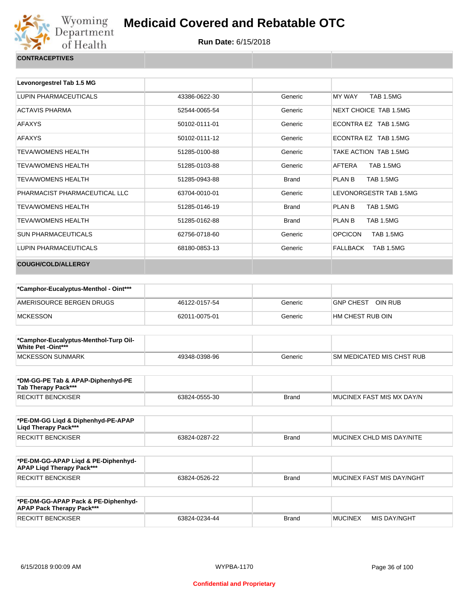

**Run Date:** 6/15/2018

**CONTRACEPTIVES**

| Levonorgestrel Tab 1.5 MG     |               |              |                                    |
|-------------------------------|---------------|--------------|------------------------------------|
| LUPIN PHARMACEUTICALS         | 43386-0622-30 | Generic      | MY WAY<br><b>TAB 1.5MG</b>         |
| <b>ACTAVIS PHARMA</b>         | 52544-0065-54 | Generic      | NEXT CHOICE TAB 1.5MG              |
| <b>AFAXYS</b>                 | 50102-0111-01 | Generic      | ECONTRA EZ TAB 1.5MG               |
| <b>AFAXYS</b>                 | 50102-0111-12 | Generic      | ECONTRA EZ TAB 1.5MG               |
| <b>TFVA/WOMENS HEAI TH</b>    | 51285-0100-88 | Generic      | TAKE ACTION TAB 1.5MG              |
| <b>TEVA/WOMENS HEALTH</b>     | 51285-0103-88 | Generic      | <b>TAB 1.5MG</b><br>AFTERA         |
| <b>TEVA/WOMENS HEALTH</b>     | 51285-0943-88 | <b>Brand</b> | PLAN B<br><b>TAB 1.5MG</b>         |
| PHARMACIST PHARMACEUTICAL LLC | 63704-0010-01 | Generic      | LEVONORGESTR TAB 1.5MG             |
| <b>TEVA/WOMENS HEALTH</b>     | 51285-0146-19 | <b>Brand</b> | PLAN B<br><b>TAB 1.5MG</b>         |
| <b>TEVA/WOMENS HEALTH</b>     | 51285-0162-88 | <b>Brand</b> | PLAN B<br><b>TAB 1.5MG</b>         |
| <b>SUN PHARMACEUTICALS</b>    | 62756-0718-60 | Generic      | <b>OPCICON</b><br><b>TAB 1.5MG</b> |
| <b>LUPIN PHARMACEUTICALS</b>  | 68180-0853-13 | Generic      | <b>FALLBACK</b><br>TAB 1.5MG       |
| <b>COUGH/COLD/ALLERGY</b>     |               |              |                                    |

| *Camphor-Eucalyptus-Menthol - Oint*** |               |         |                      |
|---------------------------------------|---------------|---------|----------------------|
| AMERISOURCE BERGEN DRUGS              | 46122-0157-54 | Generic | OIN RUB<br>GNP CHEST |
| <b>MCKESSON</b>                       | 62011-0075-01 | Generic | I HM CHEST RUB OIN   |

| *Camphor-Eucalyptus-Menthol-Turp Oil-<br><b>White Pet -Oint***</b> |               |         |                            |
|--------------------------------------------------------------------|---------------|---------|----------------------------|
| MCKESSON SUNMARK                                                   | 49348-0398-96 | Generic | ISM MEDICATED MIS CHST RUB |

| *DM-GG-PE Tab & APAP-Diphenhyd-PE<br>Tab Therapy Pack*** |               |       |                           |
|----------------------------------------------------------|---------------|-------|---------------------------|
| RECKITT BENCKISER                                        | 63824-0555-30 | Brand | MUCINEX FAST MIS MX DAY/N |

| *PE-DM-GG Ligd & Diphenhyd-PE-APAP<br>Ligd Therapy Pack*** |               |              |                                   |
|------------------------------------------------------------|---------------|--------------|-----------------------------------|
| RECKITT BENCKISER                                          | 63824-0287-22 | <b>Brand</b> | <b>IMUCINEX CHLD MIS DAY/NITE</b> |

| *PE-DM-GG-APAP Ligd & PE-Diphenhyd-<br><b>APAP Ligd Therapy Pack***</b> |               |       |                           |
|-------------------------------------------------------------------------|---------------|-------|---------------------------|
| RECKITT BENCKISER                                                       | 63824-0526-22 | Brand | MUCINEX FAST MIS DAY/NGHT |

| *PE-DM-GG-APAP Pack & PE-Diphenhyd-<br><b>APAP Pack Therapy Pack***</b> |               |              |                |              |
|-------------------------------------------------------------------------|---------------|--------------|----------------|--------------|
| <b>RECKITT BENCKISER</b>                                                | 63824-0234-44 | <b>Brand</b> | <b>MUCINEX</b> | MIS DAY/NGHT |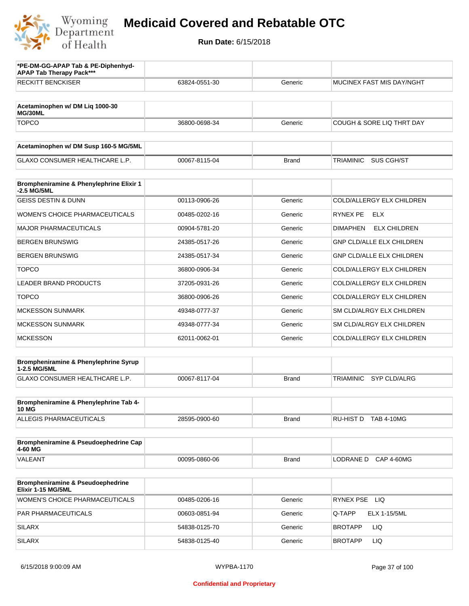

| *PE-DM-GG-APAP Tab & PE-Diphenhyd-<br><b>APAP Tab Therapy Pack***</b> |               |              |                                        |
|-----------------------------------------------------------------------|---------------|--------------|----------------------------------------|
| <b>RECKITT BENCKISER</b>                                              | 63824-0551-30 | Generic      | <b>MUCINEX FAST MIS DAY/NGHT</b>       |
| Acetaminophen w/ DM Liq 1000-30<br>MG/30ML                            |               |              |                                        |
| <b>TOPCO</b>                                                          | 36800-0698-34 | Generic      | COUGH & SORE LIQ THRT DAY              |
| Acetaminophen w/ DM Susp 160-5 MG/5ML                                 |               |              |                                        |
| <b>GLAXO CONSUMER HEALTHCARE L.P.</b>                                 | 00067-8115-04 | <b>Brand</b> | <b>TRIAMINIC</b><br>SUS CGH/ST         |
| Brompheniramine & Phenylephrine Elixir 1<br>-2.5 MG/5ML               |               |              |                                        |
| <b>GEISS DESTIN &amp; DUNN</b>                                        | 00113-0906-26 | Generic      | COLD/ALLERGY ELX CHILDREN              |
| <b>WOMEN'S CHOICE PHARMACEUTICALS</b>                                 | 00485-0202-16 | Generic      | RYNEX PE<br>ELX                        |
| <b>MAJOR PHARMACEUTICALS</b>                                          | 00904-5781-20 | Generic      | <b>DIMAPHEN</b><br><b>ELX CHILDREN</b> |
| <b>BERGEN BRUNSWIG</b>                                                | 24385-0517-26 | Generic      | <b>GNP CLD/ALLE ELX CHILDREN</b>       |
| <b>BERGEN BRUNSWIG</b>                                                | 24385-0517-34 | Generic      | GNP CLD/ALLE ELX CHILDREN              |
| <b>TOPCO</b>                                                          | 36800-0906-34 | Generic      | COLD/ALLERGY ELX CHILDREN              |
| LEADER BRAND PRODUCTS                                                 | 37205-0931-26 | Generic      | COLD/ALLERGY ELX CHILDREN              |
| <b>TOPCO</b>                                                          | 36800-0906-26 | Generic      | COLD/ALLERGY ELX CHILDREN              |
| <b>MCKESSON SUNMARK</b>                                               | 49348-0777-37 | Generic      | SM CLD/ALRGY ELX CHILDREN              |
| <b>MCKESSON SUNMARK</b>                                               | 49348-0777-34 | Generic      | SM CLD/ALRGY ELX CHILDREN              |
| <b>MCKESSON</b>                                                       | 62011-0062-01 | Generic      | COLD/ALLERGY ELX CHILDREN              |
| Brompheniramine & Phenylephrine Syrup<br>1-2.5 MG/5ML                 |               |              |                                        |
| GLAXO CONSUMER HEALTHCARE L.P.                                        | 00067-8117-04 | <b>Brand</b> | <b>SYP CLD/ALRG</b><br>TRIAMINIC       |
| Brompheniramine & Phenylephrine Tab 4-<br><b>10 MG</b>                |               |              |                                        |
| <b>ALLEGIS PHARMACEUTICALS</b>                                        | 28595-0900-60 | <b>Brand</b> | RU-HIST D TAB 4-10MG                   |
| Brompheniramine & Pseudoephedrine Cap<br>4-60 MG                      |               |              |                                        |
| VALEANT                                                               | 00095-0860-06 | <b>Brand</b> | LODRANE D<br><b>CAP 4-60MG</b>         |
| Brompheniramine & Pseudoephedrine<br>Elixir 1-15 MG/5ML               |               |              |                                        |
| WOMEN'S CHOICE PHARMACEUTICALS                                        | 00485-0206-16 | Generic      | RYNEX PSE LIQ                          |
| PAR PHARMACEUTICALS                                                   | 00603-0851-94 | Generic      | <b>ELX 1-15/5ML</b><br>Q-TAPP          |
| <b>SILARX</b>                                                         | 54838-0125-70 | Generic      | LIQ<br><b>BROTAPP</b>                  |
| <b>SILARX</b>                                                         | 54838-0125-40 | Generic      | LIQ<br><b>BROTAPP</b>                  |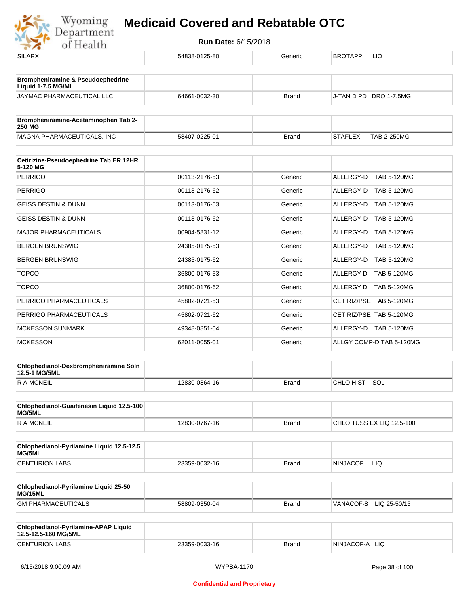

| $\cdots$                                                           |               |              |                                      |
|--------------------------------------------------------------------|---------------|--------------|--------------------------------------|
| <b>SILARX</b>                                                      | 54838-0125-80 | Generic      | <b>BROTAPP</b><br>LIQ                |
| <b>Brompheniramine &amp; Pseudoephedrine</b><br>Liquid 1-7.5 MG/ML |               |              |                                      |
| JAYMAC PHARMACEUTICAL LLC                                          | 64661-0032-30 | <b>Brand</b> | J-TAN D PD DRO 1-7.5MG               |
| Brompheniramine-Acetaminophen Tab 2-<br><b>250 MG</b>              |               |              |                                      |
| MAGNA PHARMACEUTICALS, INC                                         | 58407-0225-01 | <b>Brand</b> | <b>TAB 2-250MG</b><br><b>STAFLEX</b> |
| Cetirizine-Pseudoephedrine Tab ER 12HR                             |               |              |                                      |
| 5-120 MG<br><b>PERRIGO</b>                                         | 00113-2176-53 | Generic      | ALLERGY-D TAB 5-120MG                |
| <b>PERRIGO</b>                                                     | 00113-2176-62 | Generic      | ALLERGY-D TAB 5-120MG                |
| <b>GEISS DESTIN &amp; DUNN</b>                                     |               |              |                                      |
|                                                                    | 00113-0176-53 | Generic      | ALLERGY-D TAB 5-120MG                |
| <b>GEISS DESTIN &amp; DUNN</b>                                     | 00113-0176-62 | Generic      | ALLERGY-D TAB 5-120MG                |
| <b>MAJOR PHARMACEUTICALS</b>                                       | 00904-5831-12 | Generic      | ALLERGY-D TAB 5-120MG                |
| <b>BERGEN BRUNSWIG</b>                                             | 24385-0175-53 | Generic      | ALLERGY-D TAB 5-120MG                |
| <b>BERGEN BRUNSWIG</b>                                             | 24385-0175-62 | Generic      | ALLERGY-D TAB 5-120MG                |
| <b>TOPCO</b>                                                       | 36800-0176-53 | Generic      | ALLERGY D TAB 5-120MG                |
| <b>TOPCO</b>                                                       | 36800-0176-62 | Generic      | ALLERGY D TAB 5-120MG                |
| PERRIGO PHARMACEUTICALS                                            | 45802-0721-53 | Generic      | CETIRIZ/PSE TAB 5-120MG              |
| PERRIGO PHARMACEUTICALS                                            | 45802-0721-62 | Generic      | CETIRIZ/PSE TAB 5-120MG              |
| <b>MCKESSON SUNMARK</b>                                            | 49348-0851-04 | Generic      | ALLERGY-D TAB 5-120MG                |
| <b>MCKESSON</b>                                                    | 62011-0055-01 | Generic      | ALLGY COMP-D TAB 5-120MG             |
| Chlophedianol-Dexbrompheniramine Soln<br>12.5-1 MG/5ML             |               |              |                                      |
| <b>RAMCNEIL</b>                                                    | 12830-0864-16 | <b>Brand</b> | CHLO HIST SOL                        |
| Chlophedianol-Guaifenesin Liquid 12.5-100<br>MG/5ML                |               |              |                                      |
| <b>RAMCNEIL</b>                                                    | 12830-0767-16 | <b>Brand</b> | CHLO TUSS EX LIQ 12.5-100            |
| Chlophedianol-Pyrilamine Liquid 12.5-12.5<br>MG/5ML                |               |              |                                      |
| <b>CENTURION LABS</b>                                              | 23359-0032-16 | <b>Brand</b> | <b>NINJACOF</b><br>LIQ.              |
| Chlophedianol-Pyrilamine Liquid 25-50<br>MG/15ML                   |               |              |                                      |
| <b>GM PHARMACEUTICALS</b>                                          | 58809-0350-04 | <b>Brand</b> | VANACOF-8<br>LIQ 25-50/15            |
| Chlophedianol-Pyrilamine-APAP Liquid<br>12.5-12.5-160 MG/5ML       |               |              |                                      |
| <b>CENTURION LABS</b>                                              | 23359-0033-16 | <b>Brand</b> | NINJACOF-A LIQ                       |
|                                                                    |               |              |                                      |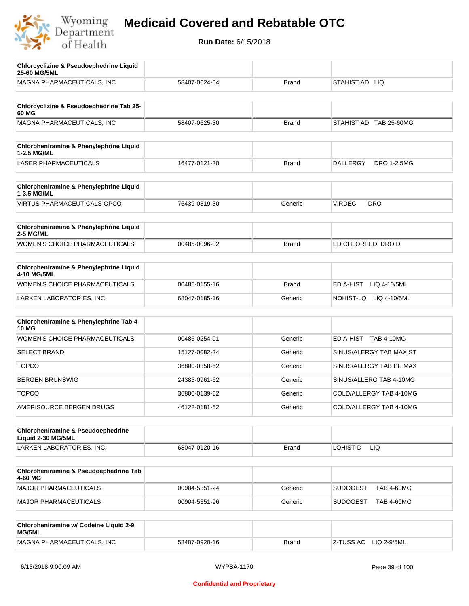

| <b>Chlorcyclizine &amp; Pseudoephedrine Liquid</b><br>25-60 MG/5ML  |               |              |                                      |
|---------------------------------------------------------------------|---------------|--------------|--------------------------------------|
| MAGNA PHARMACEUTICALS, INC                                          | 58407-0624-04 | <b>Brand</b> | STAHIST AD LIQ                       |
|                                                                     |               |              |                                      |
| Chlorcyclizine & Pseudoephedrine Tab 25-<br>60 MG                   |               |              |                                      |
| MAGNA PHARMACEUTICALS, INC                                          | 58407-0625-30 | <b>Brand</b> | STAHIST AD TAB 25-60MG               |
|                                                                     |               |              |                                      |
| Chlorpheniramine & Phenylephrine Liquid<br>1-2.5 MG/ML              |               |              |                                      |
| <b>LASER PHARMACEUTICALS</b>                                        | 16477-0121-30 | <b>Brand</b> | DALLERGY<br>DRO 1-2.5MG              |
| Chlorpheniramine & Phenylephrine Liquid<br>1-3.5 MG/ML              |               |              |                                      |
| <b>VIRTUS PHARMACEUTICALS OPCO</b>                                  | 76439-0319-30 | Generic      | <b>VIRDEC</b><br><b>DRO</b>          |
| Chlorpheniramine & Phenylephrine Liquid                             |               |              |                                      |
| <b>2-5 MG/ML</b>                                                    |               |              |                                      |
| <b>WOMEN'S CHOICE PHARMACEUTICALS</b>                               | 00485-0096-02 | <b>Brand</b> | ED CHLORPED DRO D                    |
| Chlorpheniramine & Phenylephrine Liquid<br>4-10 MG/5ML              |               |              |                                      |
| <b>WOMEN'S CHOICE PHARMACEUTICALS</b>                               | 00485-0155-16 | <b>Brand</b> | ED A-HIST LIQ 4-10/5ML               |
| LARKEN LABORATORIES, INC.                                           | 68047-0185-16 | Generic      | NOHIST-LQ LIQ 4-10/5ML               |
|                                                                     |               |              |                                      |
| Chlorpheniramine & Phenylephrine Tab 4-<br><b>10 MG</b>             |               |              |                                      |
| WOMEN'S CHOICE PHARMACEUTICALS                                      | 00485-0254-01 | Generic      | ED A-HIST TAB 4-10MG                 |
| <b>SELECT BRAND</b>                                                 | 15127-0082-24 | Generic      | SINUS/ALERGY TAB MAX ST              |
| <b>TOPCO</b>                                                        | 36800-0358-62 | Generic      | SINUS/ALERGY TAB PE MAX              |
| <b>BERGEN BRUNSWIG</b>                                              | 24385-0961-62 | Generic      | SINUS/ALLERG TAB 4-10MG              |
| <b>TOPCO</b>                                                        | 36800-0139-62 | Generic      | COLD/ALLERGY TAB 4-10MG              |
| AMERISOURCE BERGEN DRUGS                                            | 46122-0181-62 | Generic      | COLD/ALLERGY TAB 4-10MG              |
|                                                                     |               |              |                                      |
| <b>Chlorpheniramine &amp; Pseudoephedrine</b><br>Liquid 2-30 MG/5ML |               |              |                                      |
| LARKEN LABORATORIES, INC.                                           | 68047-0120-16 | <b>Brand</b> | LOHIST-D<br><b>LIQ</b>               |
|                                                                     |               |              |                                      |
| Chlorpheniramine & Pseudoephedrine Tab<br>4-60 MG                   |               |              |                                      |
| <b>MAJOR PHARMACEUTICALS</b>                                        | 00904-5351-24 | Generic      | <b>SUDOGEST</b><br><b>TAB 4-60MG</b> |
| <b>MAJOR PHARMACEUTICALS</b>                                        | 00904-5351-96 | Generic      | <b>TAB 4-60MG</b><br>SUDOGEST        |
|                                                                     |               |              |                                      |
| Chlorpheniramine w/ Codeine Liquid 2-9<br>MG/5ML                    |               |              |                                      |
| MAGNA PHARMACEUTICALS, INC                                          | 58407-0920-16 | <b>Brand</b> | Z-TUSS AC LIQ 2-9/5ML                |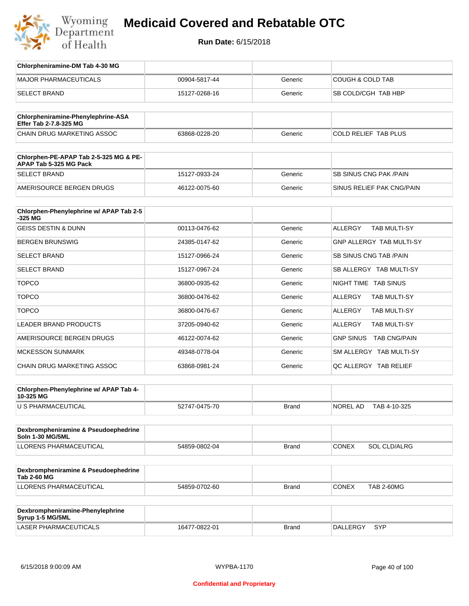

**Run Date:** 6/15/2018

| Chlorpheniramine-DM Tab 4-30 MG                                  |               |         |                                  |
|------------------------------------------------------------------|---------------|---------|----------------------------------|
| <b>MAJOR PHARMACEUTICALS</b>                                     | 00904-5817-44 | Generic | <b>COUGH &amp; COLD TAB</b>      |
| <b>SELECT BRAND</b>                                              | 15127-0268-16 | Generic | SB COLD/CGH TAB HBP              |
|                                                                  |               |         |                                  |
| Chlorpheniramine-Phenylephrine-ASA<br>Effer Tab 2-7.8-325 MG     |               |         |                                  |
| CHAIN DRUG MARKETING ASSOC                                       | 63868-0228-20 | Generic | COLD RELIEF TAB PLUS             |
| Chlorphen-PE-APAP Tab 2-5-325 MG & PE-<br>APAP Tab 5-325 MG Pack |               |         |                                  |
| <b>SELECT BRAND</b>                                              | 15127-0933-24 | Generic | <b>SB SINUS CNG PAK/PAIN</b>     |
| AMERISOURCE BERGEN DRUGS                                         | 46122-0075-60 | Generic | SINUS RELIEF PAK CNG/PAIN        |
| Chlorphen-Phenylephrine w/ APAP Tab 2-5<br>$-325$ MG             |               |         |                                  |
| <b>GEISS DESTIN &amp; DUNN</b>                                   | 00113-0476-62 | Generic | <b>TAB MULTI-SY</b><br>ALLERGY   |
| <b>BERGEN BRUNSWIG</b>                                           | 24385-0147-62 | Generic | <b>GNP ALLERGY TAB MULTI-SY</b>  |
| <b>SELECT BRAND</b>                                              | 15127-0966-24 | Generic | <b>SB SINUS CNG TAB /PAIN</b>    |
| <b>SELECT BRAND</b>                                              | 15127-0967-24 | Generic | SB ALLERGY TAB MULTI-SY          |
| <b>TOPCO</b>                                                     | 36800-0935-62 | Generic | NIGHT TIME TAB SINUS             |
| <b>TOPCO</b>                                                     | 36800-0476-62 | Generic | ALLERGY<br>TAB MULTI-SY          |
| <b>TOPCO</b>                                                     | 36800-0476-67 | Generic | ALLERGY<br>TAB MULTI-SY          |
| LEADER BRAND PRODUCTS                                            | 37205-0940-62 | Generic | ALLERGY<br>TAB MULTI-SY          |
| AMERISOURCE BERGEN DRUGS                                         | 46122-0074-62 | Generic | <b>GNP SINUS</b><br>TAB CNG/PAIN |
| <b>MCKESSON SUNMARK</b>                                          | 49348-0778-04 | Generic | SM ALLERGY TAB MULTI-SY          |
| CHAIN DRUG MARKETING ASSOC                                       | 63868-0981-24 | Generic | QC ALLERGY TAB RELIEF            |
|                                                                  |               |         |                                  |
| Chlorphen-Phenylephrine w/ APAP Tab 4-<br>10-325 MG              |               |         |                                  |
| U S PHARMACEUTICAL                                               | 52747-0475-70 | Brand   | NOREL AD<br>TAB 4-10-325         |
|                                                                  |               |         |                                  |
| Dexbrompheniramine & Pseudoephedrine<br>Soln 1-30 MG/5ML         |               |         |                                  |
| LLORENS PHARMACEUTICAL                                           | 54859-0802-04 | Brand   | <b>CONEX</b><br>SOL CLD/ALRG     |
|                                                                  |               |         |                                  |
| Dexbrompheniramine & Pseudoephedrine<br><b>Tab 2-60 MG</b>       |               |         |                                  |
| LLORENS PHARMACEUTICAL                                           | 54859-0702-60 | Brand   | CONEX<br><b>TAB 2-60MG</b>       |
|                                                                  |               |         |                                  |
| Dexbrompheniramine-Phenylephrine<br>Syrup 1-5 MG/5ML             |               |         |                                  |

LASER PHARMACEUTICALS 16477-0822-01 Brand DALLERGY SYP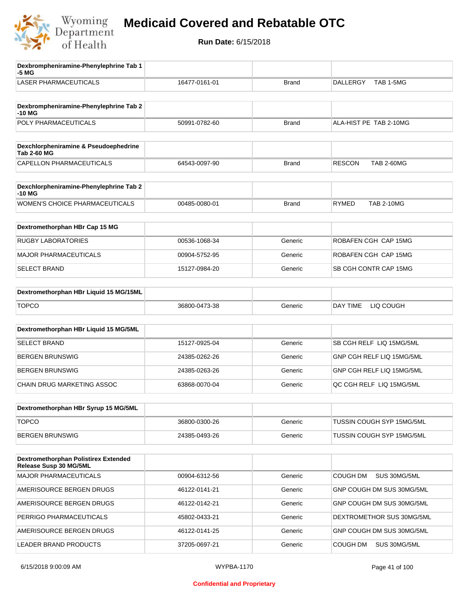

| Dexbrompheniramine-Phenylephrine Tab 1<br>-5 MG                |               |              |                                    |
|----------------------------------------------------------------|---------------|--------------|------------------------------------|
| <b>LASER PHARMACEUTICALS</b>                                   | 16477-0161-01 | <b>Brand</b> | TAB 1-5MG<br><b>DALLERGY</b>       |
| Dexbrompheniramine-Phenylephrine Tab 2<br>-10 MG               |               |              |                                    |
| POLY PHARMACEUTICALS                                           | 50991-0782-60 | <b>Brand</b> | ALA-HIST PE TAB 2-10MG             |
| Dexchlorpheniramine & Pseudoephedrine<br><b>Tab 2-60 MG</b>    |               |              |                                    |
| CAPELLON PHARMACEUTICALS                                       | 64543-0097-90 | <b>Brand</b> | <b>RESCON</b><br><b>TAB 2-60MG</b> |
| Dexchlorpheniramine-Phenylephrine Tab 2<br>-10 MG              |               |              |                                    |
| WOMEN'S CHOICE PHARMACEUTICALS                                 | 00485-0080-01 | <b>Brand</b> | <b>RYMED</b><br><b>TAB 2-10MG</b>  |
| Dextromethorphan HBr Cap 15 MG                                 |               |              |                                    |
| <b>RUGBY LABORATORIES</b>                                      | 00536-1068-34 | Generic      | ROBAFEN CGH CAP 15MG               |
| <b>MAJOR PHARMACEUTICALS</b>                                   | 00904-5752-95 | Generic      | ROBAFEN CGH CAP 15MG               |
| <b>SELECT BRAND</b>                                            | 15127-0984-20 | Generic      | SB CGH CONTR CAP 15MG              |
| Dextromethorphan HBr Liquid 15 MG/15ML                         |               |              |                                    |
| <b>TOPCO</b>                                                   | 36800-0473-38 | Generic      | DAY TIME<br>LIQ COUGH              |
| Dextromethorphan HBr Liquid 15 MG/5ML                          |               |              |                                    |
| SELECT BRAND                                                   | 15127-0925-04 | Generic      | SB CGH RELF LIQ 15MG/5ML           |
| <b>BERGEN BRUNSWIG</b>                                         | 24385-0262-26 | Generic      | GNP CGH RELF LIQ 15MG/5ML          |
| <b>BERGEN BRUNSWIG</b>                                         | 24385-0263-26 | Generic      | GNP CGH RELF LIQ 15MG/5ML          |
| CHAIN DRUG MARKETING ASSOC                                     | 63868-0070-04 | Generic      | QC CGH RELF LIQ 15MG/5ML           |
| Dextromethorphan HBr Syrup 15 MG/5ML                           |               |              |                                    |
| <b>TOPCO</b>                                                   | 36800-0300-26 | Generic      | TUSSIN COUGH SYP 15MG/5ML          |
| <b>BERGEN BRUNSWIG</b>                                         | 24385-0493-26 | Generic      | TUSSIN COUGH SYP 15MG/5ML          |
| Dextromethorphan Polistirex Extended<br>Release Susp 30 MG/5ML |               |              |                                    |
| <b>MAJOR PHARMACEUTICALS</b>                                   | 00904-6312-56 | Generic      | <b>COUGH DM</b><br>SUS 30MG/5ML    |
| AMERISOURCE BERGEN DRUGS                                       | 46122-0141-21 | Generic      | GNP COUGH DM SUS 30MG/5ML          |
| AMERISOURCE BERGEN DRUGS                                       | 46122-0142-21 | Generic      | GNP COUGH DM SUS 30MG/5ML          |
| PERRIGO PHARMACEUTICALS                                        | 45802-0433-21 | Generic      | DEXTROMETHOR SUS 30MG/5ML          |
| AMERISOURCE BERGEN DRUGS                                       | 46122-0141-25 | Generic      | GNP COUGH DM SUS 30MG/5ML          |
| LEADER BRAND PRODUCTS                                          | 37205-0697-21 | Generic      | COUGH DM<br>SUS 30MG/5ML           |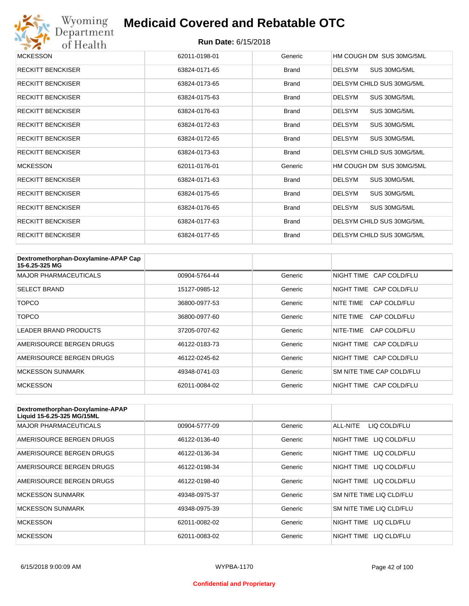

| <b>MCKESSON</b>          | 62011-0198-01 | Generic      | HM COUGH DM SUS 30MG/5ML      |
|--------------------------|---------------|--------------|-------------------------------|
| <b>RECKITT BENCKISER</b> | 63824-0171-65 | <b>Brand</b> | <b>DELSYM</b><br>SUS 30MG/5ML |
| <b>RECKITT BENCKISER</b> | 63824-0173-65 | <b>Brand</b> | DELSYM CHILD SUS 30MG/5ML     |
| <b>RECKITT BENCKISER</b> | 63824-0175-63 | Brand        | <b>DELSYM</b><br>SUS 30MG/5ML |
| <b>RECKITT BENCKISER</b> | 63824-0176-63 | <b>Brand</b> | <b>DELSYM</b><br>SUS 30MG/5ML |
| <b>RECKITT BENCKISER</b> | 63824-0172-63 | <b>Brand</b> | <b>DELSYM</b><br>SUS 30MG/5ML |
| <b>RECKITT BENCKISER</b> | 63824-0172-65 | <b>Brand</b> | <b>DELSYM</b><br>SUS 30MG/5ML |
| <b>RECKITT BENCKISER</b> | 63824-0173-63 | <b>Brand</b> | DELSYM CHILD SUS 30MG/5ML     |
| <b>MCKESSON</b>          | 62011-0176-01 | Generic      | HM COUGH DM SUS 30MG/5ML      |
| <b>RECKITT BENCKISER</b> | 63824-0171-63 | <b>Brand</b> | <b>DELSYM</b><br>SUS 30MG/5ML |
| <b>RECKITT BENCKISER</b> | 63824-0175-65 | <b>Brand</b> | <b>DELSYM</b><br>SUS 30MG/5ML |
| <b>RECKITT BENCKISER</b> | 63824-0176-65 | <b>Brand</b> | <b>DELSYM</b><br>SUS 30MG/5ML |
| <b>RECKITT BENCKISER</b> | 63824-0177-63 | <b>Brand</b> | DELSYM CHILD SUS 30MG/5ML     |
| <b>RECKITT BENCKISER</b> | 63824-0177-65 | <b>Brand</b> | DELSYM CHILD SUS 30MG/5ML     |

| Dextromethorphan-Doxylamine-APAP Cap<br>15-6.25-325 MG |               |         |                           |
|--------------------------------------------------------|---------------|---------|---------------------------|
| <b>MAJOR PHARMACEUTICALS</b>                           | 00904-5764-44 | Generic | NIGHT TIME CAP COLD/FLU   |
| <b>SELECT BRAND</b>                                    | 15127-0985-12 | Generic | NIGHT TIME CAP COLD/FLU   |
| TOPCO                                                  | 36800-0977-53 | Generic | NITF TIMF<br>CAP COLD/FLU |
| TOPCO                                                  | 36800-0977-60 | Generic | NITE TIME<br>CAP COLD/FLU |
| <b>LEADER BRAND PRODUCTS</b>                           | 37205-0707-62 | Generic | NITE-TIME<br>CAP COLD/FLU |
| AMERISOURCE BERGEN DRUGS                               | 46122-0183-73 | Generic | NIGHT TIME CAP COLD/FLU   |
| AMERISOURCE BERGEN DRUGS                               | 46122-0245-62 | Generic | NIGHT TIME CAP COLD/FLU   |
| <b>MCKESSON SUNMARK</b>                                | 49348-0741-03 | Generic | SM NITE TIME CAP COLD/FLU |
| <b>MCKESSON</b>                                        | 62011-0084-02 | Generic | NIGHT TIME CAP COLD/FLU   |

| Dextromethorphan-Doxylamine-APAP<br>Liquid 15-6.25-325 MG/15ML |               |         |                            |
|----------------------------------------------------------------|---------------|---------|----------------------------|
| <b>MAJOR PHARMACEUTICALS</b>                                   | 00904-5777-09 | Generic | ALL-NITE<br>LIQ COLD/FLU   |
| AMERISOURCE BERGEN DRUGS                                       | 46122-0136-40 | Generic | NIGHT TIME<br>LIQ COLD/FLU |
| AMERISOURCE BERGEN DRUGS                                       | 46122-0136-34 | Generic | NIGHT TIME<br>LIQ COLD/FLU |
| AMERISOURCE BERGEN DRUGS                                       | 46122-0198-34 | Generic | NIGHT TIME<br>LIQ COLD/FLU |
| AMERISOURCE BERGEN DRUGS                                       | 46122-0198-40 | Generic | NIGHT TIME LIQ COLD/FLU    |
| <b>MCKESSON SUNMARK</b>                                        | 49348-0975-37 | Generic | SM NITE TIME LIQ CLD/FLU   |
| <b>MCKESSON SUNMARK</b>                                        | 49348-0975-39 | Generic | SM NITE TIME LIQ CLD/FLU   |
| <b>MCKESSON</b>                                                | 62011-0082-02 | Generic | NIGHT TIME<br>LIQ CLD/FLU  |
| <b>MCKESSON</b>                                                | 62011-0083-02 | Generic | NIGHT TIME<br>LIO CLD/FLU  |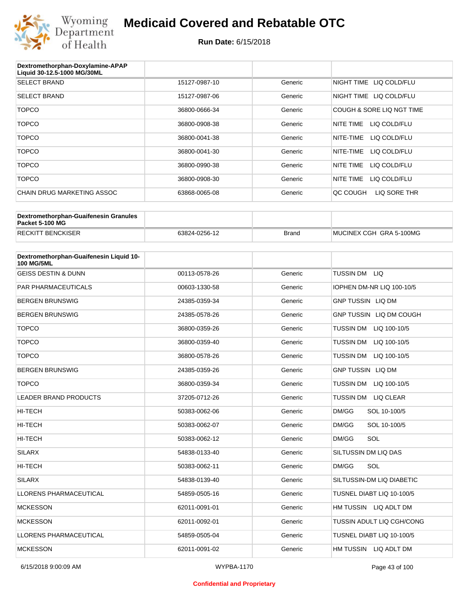

| Dextromethorphan-Doxylamine-APAP<br>Liquid 30-12.5-1000 MG/30ML |               |         |                           |
|-----------------------------------------------------------------|---------------|---------|---------------------------|
| <b>SELECT BRAND</b>                                             | 15127-0987-10 | Generic | NIGHT TIME LIQ COLD/FLU   |
| <b>SELECT BRAND</b>                                             | 15127-0987-06 | Generic | NIGHT TIME LIQ COLD/FLU   |
| <b>TOPCO</b>                                                    | 36800-0666-34 | Generic | COUGH & SORE LIQ NGT TIME |
| TOPCO                                                           | 36800-0908-38 | Generic | LIQ COLD/FLU<br>NITE TIME |
| <b>TOPCO</b>                                                    | 36800-0041-38 | Generic | NITE-TIME<br>LIQ COLD/FLU |
| <b>TOPCO</b>                                                    | 36800-0041-30 | Generic | LIQ COLD/FLU<br>NITE-TIME |
| <b>TOPCO</b>                                                    | 36800-0990-38 | Generic | NITE TIME<br>LIQ COLD/FLU |
| <b>TOPCO</b>                                                    | 36800-0908-30 | Generic | NITE TIME<br>LIQ COLD/FLU |
| CHAIN DRUG MARKETING ASSOC                                      | 63868-0065-08 | Generic | QC COUGH<br>LIQ SORE THR  |

| Dextromethorphan-Guaifenesin Granules<br>Packet 5-100 MG |               |              |                         |
|----------------------------------------------------------|---------------|--------------|-------------------------|
| <b>RECKITT BENCKISER</b>                                 | 63824-0256-12 | <b>Brand</b> | MUCINEX CGH GRA 5-100MG |

| Dextromethorphan-Guaifenesin Liquid 10-<br><b>100 MG/5ML</b> |               |         |                                  |
|--------------------------------------------------------------|---------------|---------|----------------------------------|
| <b>GEISS DESTIN &amp; DUNN</b>                               | 00113-0578-26 | Generic | TUSSIN DM LIQ                    |
| <b>PAR PHARMACEUTICALS</b>                                   | 00603-1330-58 | Generic | IOPHEN DM-NR LIQ 100-10/5        |
| <b>BERGEN BRUNSWIG</b>                                       | 24385-0359-34 | Generic | <b>GNP TUSSIN LIQ DM</b>         |
| <b>BERGEN BRUNSWIG</b>                                       | 24385-0578-26 | Generic | GNP TUSSIN LIQ DM COUGH          |
| <b>TOPCO</b>                                                 | 36800-0359-26 | Generic | TUSSIN DM LIQ 100-10/5           |
| <b>TOPCO</b>                                                 | 36800-0359-40 | Generic | TUSSIN DM<br>LIQ 100-10/5        |
| <b>TOPCO</b>                                                 | 36800-0578-26 | Generic | <b>TUSSIN DM</b><br>LIQ 100-10/5 |
| <b>BERGEN BRUNSWIG</b>                                       | 24385-0359-26 | Generic | <b>GNP TUSSIN LIQ DM</b>         |
| <b>TOPCO</b>                                                 | 36800-0359-34 | Generic | <b>TUSSIN DM</b><br>LIQ 100-10/5 |
| <b>LEADER BRAND PRODUCTS</b>                                 | 37205-0712-26 | Generic | TUSSIN DM LIQ CLEAR              |
| <b>HI-TECH</b>                                               | 50383-0062-06 | Generic | DM/GG<br>SOL 10-100/5            |
| <b>HI-TECH</b>                                               | 50383-0062-07 | Generic | DM/GG<br>SOL 10-100/5            |
| <b>HI-TECH</b>                                               | 50383-0062-12 | Generic | SOL<br>DM/GG                     |
| <b>SILARX</b>                                                | 54838-0133-40 | Generic | SILTUSSIN DM LIQ DAS             |
| <b>HI-TECH</b>                                               | 50383-0062-11 | Generic | SOL<br>DM/GG                     |
| <b>SILARX</b>                                                | 54838-0139-40 | Generic | SILTUSSIN-DM LIQ DIABETIC        |
| <b>LLORENS PHARMACEUTICAL</b>                                | 54859-0505-16 | Generic | TUSNEL DIABT LIQ 10-100/5        |
| <b>MCKESSON</b>                                              | 62011-0091-01 | Generic | HM TUSSIN LIQ ADLT DM            |
| <b>MCKESSON</b>                                              | 62011-0092-01 | Generic | TUSSIN ADULT LIQ CGH/CONG        |
| LLORENS PHARMACEUTICAL                                       | 54859-0505-04 | Generic | TUSNEL DIABT LIQ 10-100/5        |
| <b>MCKESSON</b>                                              | 62011-0091-02 | Generic | HM TUSSIN LIQ ADLT DM            |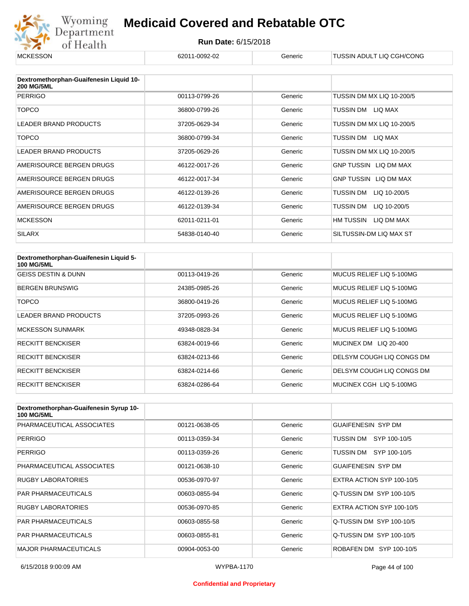

| <b>MCKESSON</b>                                              | 62011-0092-02 | Generic | TUSSIN ADULT LIQ CGH/CONG |
|--------------------------------------------------------------|---------------|---------|---------------------------|
|                                                              |               |         |                           |
| Dextromethorphan-Guaifenesin Liquid 10-<br><b>200 MG/5ML</b> |               |         |                           |
| <b>PERRIGO</b>                                               | 00113-0799-26 | Generic | TUSSIN DM MX LIQ 10-200/5 |
| <b>TOPCO</b>                                                 | 36800-0799-26 | Generic | TUSSIN DM<br>LIQ MAX      |
| LEADER BRAND PRODUCTS                                        | 37205-0629-34 | Generic | TUSSIN DM MX LIQ 10-200/5 |
| <b>TOPCO</b>                                                 | 36800-0799-34 | Generic | TUSSIN DM<br>LIQ MAX      |
| LEADER BRAND PRODUCTS                                        | 37205-0629-26 | Generic | TUSSIN DM MX LIQ 10-200/5 |
| AMERISOURCE BERGEN DRUGS                                     | 46122-0017-26 | Generic | GNP TUSSIN LIQ DM MAX     |
| AMERISOURCE BERGEN DRUGS                                     | 46122-0017-34 | Generic | GNP TUSSIN LIQ DM MAX     |
| AMERISOURCE BERGEN DRUGS                                     | 46122-0139-26 | Generic | TUSSIN DM<br>LIQ 10-200/5 |
| AMERISOURCE BERGEN DRUGS                                     | 46122-0139-34 | Generic | TUSSIN DM<br>LIQ 10-200/5 |
| <b>MCKESSON</b>                                              | 62011-0211-01 | Generic | HM TUSSIN<br>LIQ DM MAX   |
| <b>SILARX</b>                                                | 54838-0140-40 | Generic | SILTUSSIN-DM LIQ MAX ST   |

| Dextromethorphan-Guaifenesin Liquid 5-<br><b>100 MG/5ML</b> |               |         |                           |
|-------------------------------------------------------------|---------------|---------|---------------------------|
| <b>GEISS DESTIN &amp; DUNN</b>                              | 00113-0419-26 | Generic | MUCUS RELIEF LIQ 5-100MG  |
| <b>BERGEN BRUNSWIG</b>                                      | 24385-0985-26 | Generic | MUCUS RELIEF LIQ 5-100MG  |
| TOPCO                                                       | 36800-0419-26 | Generic | MUCUS RELIEF LIQ 5-100MG  |
| <b>LEADER BRAND PRODUCTS</b>                                | 37205-0993-26 | Generic | MUCUS RELIEF LIQ 5-100MG  |
| <b>MCKESSON SUNMARK</b>                                     | 49348-0828-34 | Generic | MUCUS RELIEF LIQ 5-100MG  |
| <b>RECKITT BENCKISER</b>                                    | 63824-0019-66 | Generic | MUCINEX DM LIQ 20-400     |
| <b>RECKITT BENCKISER</b>                                    | 63824-0213-66 | Generic | DELSYM COUGH LIQ CONGS DM |
| <b>RECKITT BENCKISER</b>                                    | 63824-0214-66 | Generic | DELSYM COUGH LIQ CONGS DM |
| <b>RECKITT BENCKISER</b>                                    | 63824-0286-64 | Generic | MUCINEX CGH LIQ 5-100MG   |

| Dextromethorphan-Guaifenesin Syrup 10-<br><b>100 MG/5ML</b> |               |         |                           |
|-------------------------------------------------------------|---------------|---------|---------------------------|
| PHARMACEUTICAL ASSOCIATES                                   | 00121-0638-05 | Generic | <b>GUAIFENESIN SYP DM</b> |
| <b>PERRIGO</b>                                              | 00113-0359-34 | Generic | SYP 100-10/5<br>TUSSIN DM |
| <b>PERRIGO</b>                                              | 00113-0359-26 | Generic | SYP 100-10/5<br>TUSSIN DM |
| PHARMACEUTICAL ASSOCIATES                                   | 00121-0638-10 | Generic | <b>GUAIFENESIN SYP DM</b> |
| <b>RUGBY LABORATORIES</b>                                   | 00536-0970-97 | Generic | EXTRA ACTION SYP 100-10/5 |
| <b>PAR PHARMACEUTICALS</b>                                  | 00603-0855-94 | Generic | Q-TUSSIN DM SYP 100-10/5  |
| <b>RUGBY LABORATORIES</b>                                   | 00536-0970-85 | Generic | EXTRA ACTION SYP 100-10/5 |
| <b>PAR PHARMACEUTICALS</b>                                  | 00603-0855-58 | Generic | Q-TUSSIN DM SYP 100-10/5  |
| <b>PAR PHARMACEUTICALS</b>                                  | 00603-0855-81 | Generic | Q-TUSSIN DM SYP 100-10/5  |
| <b>MAJOR PHARMACEUTICALS</b>                                | 00904-0053-00 | Generic | ROBAFEN DM SYP 100-10/5   |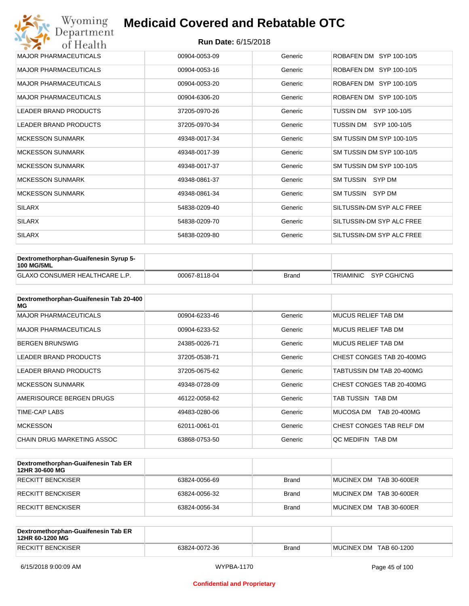| Wyoming<br>Department        | <b>Medicaid Covered and Rebatable OTC</b> |         |                           |  |  |
|------------------------------|-------------------------------------------|---------|---------------------------|--|--|
| of Health                    | <b>Run Date: 6/15/2018</b>                |         |                           |  |  |
| <b>MAJOR PHARMACEUTICALS</b> | 00904-0053-09                             | Generic | ROBAFEN DM SYP 100-10/5   |  |  |
| <b>MAJOR PHARMACEUTICALS</b> | 00904-0053-16                             | Generic | ROBAFEN DM SYP 100-10/5   |  |  |
| <b>MAJOR PHARMACEUTICALS</b> | 00904-0053-20                             | Generic | ROBAFEN DM SYP 100-10/5   |  |  |
| <b>MAJOR PHARMACEUTICALS</b> | 00904-6306-20                             | Generic | ROBAFEN DM SYP 100-10/5   |  |  |
| <b>LEADER BRAND PRODUCTS</b> | 37205-0970-26                             | Generic | TUSSIN DM<br>SYP 100-10/5 |  |  |
| <b>LEADER BRAND PRODUCTS</b> | 37205-0970-34                             | Generic | TUSSIN DM SYP 100-10/5    |  |  |
| <b>MCKESSON SUNMARK</b>      | 49348-0017-34                             | Generic | SM TUSSIN DM SYP 100-10/5 |  |  |
| <b>MCKESSON SUNMARK</b>      | 49348-0017-39                             | Generic | SM TUSSIN DM SYP 100-10/5 |  |  |
| <b>MCKESSON SUNMARK</b>      | 49348-0017-37                             | Generic | SM TUSSIN DM SYP 100-10/5 |  |  |
| <b>MCKESSON SUNMARK</b>      | 49348-0861-37                             | Generic | SM TUSSIN SYP DM          |  |  |
| <b>MCKESSON SUNMARK</b>      | 49348-0861-34                             | Generic | SM TUSSIN SYP DM          |  |  |
| <b>SILARX</b>                | 54838-0209-40                             | Generic | SILTUSSIN-DM SYP ALC FREE |  |  |
| <b>SILARX</b>                | 54838-0209-70                             | Generic | SILTUSSIN-DM SYP ALC FREE |  |  |
| <b>SILARX</b>                | 54838-0209-80                             | Generic | SILTUSSIN-DM SYP ALC FREE |  |  |

| Dextromethorphan-Guaifenesin Syrup 5-<br><b>100 MG/5ML</b> |               |              |                       |
|------------------------------------------------------------|---------------|--------------|-----------------------|
| <b>GLAXO CONSUMER HEALTHCARE L.P.</b>                      | 00067-8118-04 | <b>Brand</b> | TRIAMINIC SYP CGH/CNG |

| Dextromethorphan-Guaifenesin Tab 20-400<br>MG |               |         |                           |
|-----------------------------------------------|---------------|---------|---------------------------|
| <b>MAJOR PHARMACEUTICALS</b>                  | 00904-6233-46 | Generic | MUCUS RELIEF TAB DM       |
| <b>MAJOR PHARMACEUTICALS</b>                  | 00904-6233-52 | Generic | MUCUS RELIEF TAB DM       |
| <b>BERGEN BRUNSWIG</b>                        | 24385-0026-71 | Generic | MUCUS RELIEF TAB DM       |
| <b>LEADER BRAND PRODUCTS</b>                  | 37205-0538-71 | Generic | CHEST CONGES TAB 20-400MG |
| LEADER BRAND PRODUCTS                         | 37205-0675-62 | Generic | TABTUSSIN DM TAB 20-400MG |
| <b>MCKESSON SUNMARK</b>                       | 49348-0728-09 | Generic | CHEST CONGES TAB 20-400MG |
| AMERISOURCE BERGEN DRUGS                      | 46122-0058-62 | Generic | TAB TUSSIN TAB DM         |
| <b>TIME-CAP LABS</b>                          | 49483-0280-06 | Generic | MUCOSA DM<br>TAB 20-400MG |
| <b>MCKESSON</b>                               | 62011-0061-01 | Generic | CHEST CONGES TAB RELF DM  |
| CHAIN DRUG MARKETING ASSOC                    | 63868-0753-50 | Generic | OC MEDIFIN TAB DM         |

| Dextromethorphan-Guaifenesin Tab ER<br>12HR 30-600 MG |               |              |                         |
|-------------------------------------------------------|---------------|--------------|-------------------------|
| RECKITT BENCKISER                                     | 63824-0056-69 | Brand        | MUCINEX DM TAB 30-600ER |
| RECKITT BENCKISER                                     | 63824-0056-32 | Brand        | MUCINEX DM TAB 30-600ER |
| RECKITT BENCKISER                                     | 63824-0056-34 | <b>Brand</b> | MUCINEX DM TAB 30-600ER |

| Dextromethorphan-Guaifenesin Tab ER<br>12HR 60-1200 MG |               |       |                        |
|--------------------------------------------------------|---------------|-------|------------------------|
| <b>RECKITT BENCKISER</b>                               | 63824-0072-36 | Brand | MUCINEX DM TAB 60-1200 |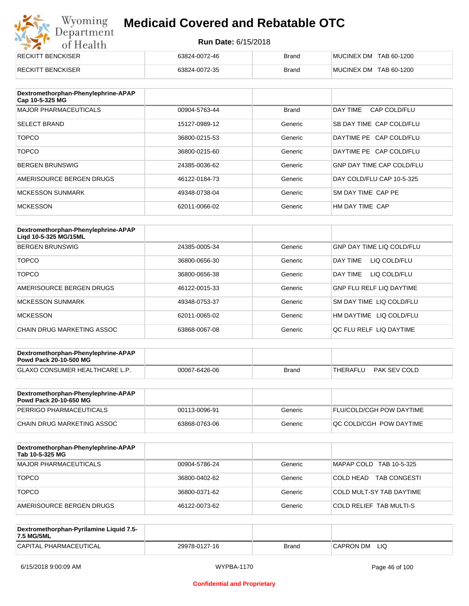# Wyoming<br>Department<br>of Health

## **Medicaid Covered and Rebatable OTC**

| RECKITT BENCKISER        | 63824-0072-46 | <b>Brand</b> | MUCINEX DM TAB 60-1200 |
|--------------------------|---------------|--------------|------------------------|
| <b>RECKITT BENCKISER</b> | 63824-0072-35 | <b>Brand</b> | MUCINEX DM TAB 60-1200 |

| Dextromethorphan-Phenylephrine-APAP<br>Cap 10-5-325 MG |               |              |                                  |
|--------------------------------------------------------|---------------|--------------|----------------------------------|
| <b>MAJOR PHARMACEUTICALS</b>                           | 00904-5763-44 | <b>Brand</b> | DAY TIME<br>CAP COLD/FLU         |
| <b>SELECT BRAND</b>                                    | 15127-0989-12 | Generic      | SB DAY TIME CAP COLD/FLU         |
| <b>TOPCO</b>                                           | 36800-0215-53 | Generic      | DAYTIME PE CAP COLD/FLU          |
| <b>TOPCO</b>                                           | 36800-0215-60 | Generic      | DAYTIME PE CAP COLD/FLU          |
| <b>BERGEN BRUNSWIG</b>                                 | 24385-0036-62 | Generic      | <b>GNP DAY TIME CAP COLD/FLU</b> |
| AMERISOURCE BERGEN DRUGS                               | 46122-0184-73 | Generic      | DAY COLD/FLU CAP 10-5-325        |
| <b>MCKESSON SUNMARK</b>                                | 49348-0738-04 | Generic      | SM DAY TIME CAP PE               |
| <b>MCKESSON</b>                                        | 62011-0066-02 | Generic      | HM DAY TIME CAP                  |

| Dextromethorphan-Phenylephrine-APAP<br>Ligd 10-5-325 MG/15ML |               |         |                                  |
|--------------------------------------------------------------|---------------|---------|----------------------------------|
| <b>BERGEN BRUNSWIG</b>                                       | 24385-0005-34 | Generic | <b>GNP DAY TIME LIQ COLD/FLU</b> |
| <b>TOPCO</b>                                                 | 36800-0656-30 | Generic | DAY TIME<br>LIQ COLD/FLU         |
| <b>TOPCO</b>                                                 | 36800-0656-38 | Generic | DAY TIME<br>LIQ COLD/FLU         |
| AMERISOURCE BERGEN DRUGS                                     | 46122-0015-33 | Generic | <b>GNP FLU RELF LIQ DAYTIME</b>  |
| MCKESSON SUNMARK                                             | 49348-0753-37 | Generic | SM DAY TIME LIQ COLD/FLU         |
| <b>MCKESSON</b>                                              | 62011-0065-02 | Generic | HM DAYTIME LIQ COLD/FLU          |
| CHAIN DRUG MARKETING ASSOC                                   | 63868-0067-08 | Generic | OC FLU RELF LIO DAYTIME          |

| Dextromethorphan-Phenylephrine-APAP<br><b>Powd Pack 20-10-500 MG</b> |               |       |                          |
|----------------------------------------------------------------------|---------------|-------|--------------------------|
| GLAXO CONSUMER HEALTHCARE L.P.                                       | 00067-6426-06 | Brand | PAK SEV COLD<br>THERAFLU |
|                                                                      |               |       |                          |

| Dextromethorphan-Phenylephrine-APAP<br><b>Powd Pack 20-10-650 MG</b> |               |         |                                 |
|----------------------------------------------------------------------|---------------|---------|---------------------------------|
| PERRIGO PHARMACEUTICALS                                              | 00113-0096-91 | Generic | <b>FLU/COLD/CGH POW DAYTIME</b> |
| CHAIN DRUG MARKETING ASSOC                                           | 63868-0763-06 | Generic | <b>OC COLD/CGH POW DAYTIME</b>  |

| Dextromethorphan-Phenylephrine-APAP<br>Tab 10-5-325 MG |               |         |                                  |
|--------------------------------------------------------|---------------|---------|----------------------------------|
| <b>MAJOR PHARMACEUTICALS</b>                           | 00904-5786-24 | Generic | MAPAP COLD TAB 10-5-325          |
| <b>TOPCO</b>                                           | 36800-0402-62 | Generic | COLD HEAD<br><b>TAB CONGESTI</b> |
| <b>TOPCO</b>                                           | 36800-0371-62 | Generic | COLD MULT-SY TAB DAYTIME         |
| AMERISOURCE BERGEN DRUGS                               | 46122-0073-62 | Generic | <b>COLD RELIEF TAB MULTI-S</b>   |

| Dextromethorphan-Pyrilamine Liquid 7.5-<br>7.5 MG/5ML |               |       |                  |
|-------------------------------------------------------|---------------|-------|------------------|
| CAPITAL PHARMACEUTICAL                                | 29978-0127-16 | Brand | LIQ<br>CAPRON DM |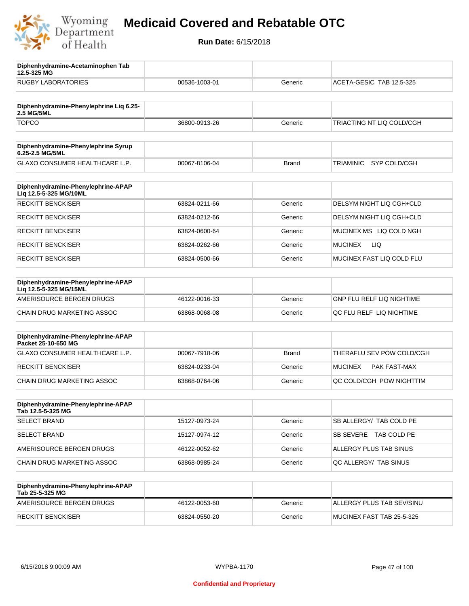

**12.5-325 MG**

**Diphenhydramine-Acetaminophen Tab** 

### **Medicaid Covered and Rebatable OTC**

| 00536-1003-01 | Generic      | ACETA-GESIC TAB 12.5-325     |
|---------------|--------------|------------------------------|
|               |              |                              |
| 36800-0913-26 | Generic      | TRIACTING NT LIQ COLD/CGH    |
|               |              |                              |
| 00067-8106-04 | <b>Brand</b> | SYP COLD/CGH<br>TRIAMINIC    |
|               |              |                              |
| 63824-0211-66 | Generic      | DELSYM NIGHT LIQ CGH+CLD     |
| 63824-0212-66 | Generic      | DELSYM NIGHT LIQ CGH+CLD     |
| 63824-0600-64 | Generic      | MUCINEX MS LIQ COLD NGH      |
| 63824-0262-66 | Generic      | <b>LIQ</b><br><b>MUCINEX</b> |
| 63824-0500-66 | Generic      | MUCINEX FAST LIQ COLD FLU    |
|               |              |                              |
| 46122-0016-33 | Generic      | GNP FLU RELF LIQ NIGHTIME    |
| 63868-0068-08 | Generic      | QC FLU RELF LIQ NIGHTIME     |
|               |              |                              |
| 00067-7918-06 | <b>Brand</b> | THERAFLU SEV POW COLD/CGH    |
| 63824-0233-04 | Generic      | MUCINEX<br>PAK FAST-MAX      |
| 63868-0764-06 | Generic      | QC COLD/CGH POW NIGHTTIM     |
|               |              |                              |
| 15127-0973-24 | Generic      | SB ALLERGY/ TAB COLD PE      |
| 15127-0974-12 | Generic      | SB SEVERE TAB COLD PE        |
| 46122-0052-62 | Generic      | ALLERGY PLUS TAB SINUS       |
| 63868-0985-24 | Generic      | QC ALLERGY/ TAB SINUS        |
|               |              |                              |
| 46122-0053-60 | Generic      | ALLERGY PLUS TAB SEV/SINU    |
| 63824-0550-20 | Generic      | MUCINEX FAST TAB 25-5-325    |
|               |              |                              |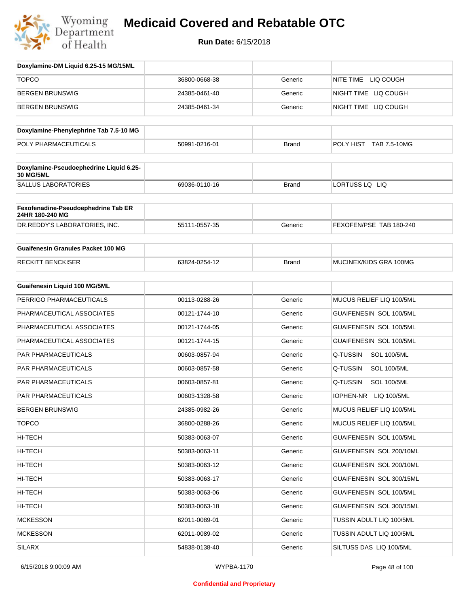

| Doxylamine-DM Liquid 6.25-15 MG/15ML                        |               |              |                                 |
|-------------------------------------------------------------|---------------|--------------|---------------------------------|
| <b>TOPCO</b>                                                | 36800-0668-38 | Generic      | NITE TIME LIQ COUGH             |
| <b>BERGEN BRUNSWIG</b>                                      | 24385-0461-40 | Generic      | NIGHT TIME LIQ COUGH            |
| <b>BERGEN BRUNSWIG</b>                                      | 24385-0461-34 | Generic      | NIGHT TIME LIQ COUGH            |
| Doxylamine-Phenylephrine Tab 7.5-10 MG                      |               |              |                                 |
| POLY PHARMACEUTICALS                                        | 50991-0216-01 | <b>Brand</b> | POLY HIST TAB 7.5-10MG          |
|                                                             |               |              |                                 |
| Doxylamine-Pseudoephedrine Liquid 6.25-<br><b>30 MG/5ML</b> |               |              |                                 |
| <b>SALLUS LABORATORIES</b>                                  | 69036-0110-16 | <b>Brand</b> | LORTUSS LQ LIQ                  |
| Fexofenadine-Pseudoephedrine Tab ER<br>24HR 180-240 MG      |               |              |                                 |
| DR.REDDY'S LABORATORIES, INC.                               | 55111-0557-35 | Generic      | FEXOFEN/PSE TAB 180-240         |
| <b>Guaifenesin Granules Packet 100 MG</b>                   |               |              |                                 |
| <b>RECKITT BENCKISER</b>                                    | 63824-0254-12 | <b>Brand</b> | MUCINEX/KIDS GRA 100MG          |
| <b>Guaifenesin Liquid 100 MG/5ML</b>                        |               |              |                                 |
| PERRIGO PHARMACEUTICALS                                     | 00113-0288-26 | Generic      | MUCUS RELIEF LIQ 100/5ML        |
| PHARMACEUTICAL ASSOCIATES                                   | 00121-1744-10 | Generic      | GUAIFENESIN SOL 100/5ML         |
| PHARMACEUTICAL ASSOCIATES                                   | 00121-1744-05 | Generic      | GUAIFENESIN SOL 100/5ML         |
| PHARMACEUTICAL ASSOCIATES                                   | 00121-1744-15 | Generic      | GUAIFENESIN SOL 100/5ML         |
| PAR PHARMACEUTICALS                                         | 00603-0857-94 | Generic      | Q-TUSSIN<br><b>SOL 100/5ML</b>  |
| PAR PHARMACEUTICALS                                         | 00603-0857-58 | Generic      | Q-TUSSIN<br><b>SOL 100/5ML</b>  |
| PAR PHARMACEUTICALS                                         | 00603-0857-81 | Generic      | Q-TUSSIN<br><b>SOL 100/5ML</b>  |
| PAR PHARMACEUTICALS                                         | 00603-1328-58 | Generic      | <b>IOPHEN-NR</b><br>LIQ 100/5ML |
| <b>BERGEN BRUNSWIG</b>                                      | 24385-0982-26 | Generic      | MUCUS RELIEF LIQ 100/5ML        |
| <b>TOPCO</b>                                                | 36800-0288-26 | Generic      | MUCUS RELIEF LIQ 100/5ML        |
| HI-TECH                                                     | 50383-0063-07 | Generic      | GUAIFENESIN SOL 100/5ML         |
| HI-TECH                                                     | 50383-0063-11 | Generic      | GUAIFENESIN SOL 200/10ML        |
| HI-TECH                                                     | 50383-0063-12 | Generic      | GUAIFENESIN SOL 200/10ML        |
| HI-TECH                                                     | 50383-0063-17 | Generic      | GUAIFENESIN SOL 300/15ML        |
| HI-TECH                                                     | 50383-0063-06 | Generic      | GUAIFENESIN SOL 100/5ML         |
| HI-TECH                                                     | 50383-0063-18 | Generic      | GUAIFENESIN SOL 300/15ML        |
| <b>MCKESSON</b>                                             | 62011-0089-01 | Generic      | TUSSIN ADULT LIQ 100/5ML        |
| <b>MCKESSON</b>                                             | 62011-0089-02 | Generic      | TUSSIN ADULT LIQ 100/5ML        |
| SILARX                                                      | 54838-0138-40 | Generic      | SILTUSS DAS LIQ 100/5ML         |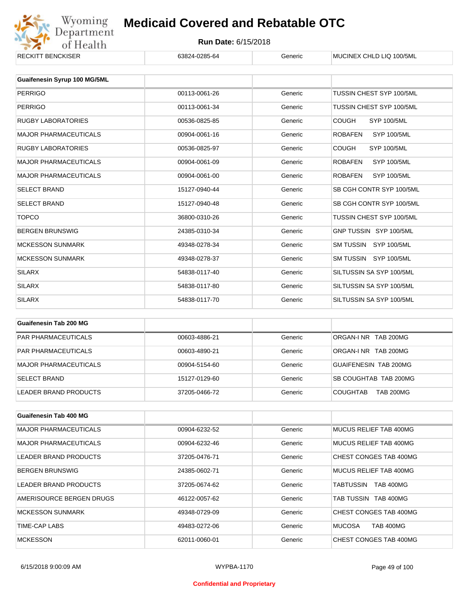

| KEUNII I BENUNDER            | 03824-0285-04 | Generic | MUUINEA UHLIJ LIU 100/5ML            |
|------------------------------|---------------|---------|--------------------------------------|
|                              |               |         |                                      |
| Guaifenesin Syrup 100 MG/5ML |               |         |                                      |
| <b>PERRIGO</b>               | 00113-0061-26 | Generic | <b>TUSSIN CHEST SYP 100/5ML</b>      |
| <b>PERRIGO</b>               | 00113-0061-34 | Generic | TUSSIN CHEST SYP 100/5ML             |
| <b>RUGBY LABORATORIES</b>    | 00536-0825-85 | Generic | <b>COUGH</b><br>SYP 100/5ML          |
| <b>MAJOR PHARMACEUTICALS</b> | 00904-0061-16 | Generic | <b>ROBAFEN</b><br><b>SYP 100/5ML</b> |
| <b>RUGBY LABORATORIES</b>    | 00536-0825-97 | Generic | <b>COUGH</b><br><b>SYP 100/5ML</b>   |
| <b>MAJOR PHARMACEUTICALS</b> | 00904-0061-09 | Generic | <b>ROBAFEN</b><br><b>SYP 100/5ML</b> |
| <b>MAJOR PHARMACEUTICALS</b> | 00904-0061-00 | Generic | <b>ROBAFEN</b><br><b>SYP 100/5ML</b> |
| <b>SELECT BRAND</b>          | 15127-0940-44 | Generic | SB CGH CONTR SYP 100/5ML             |
| <b>SELECT BRAND</b>          | 15127-0940-48 | Generic | SB CGH CONTR SYP 100/5ML             |
| <b>TOPCO</b>                 | 36800-0310-26 | Generic | TUSSIN CHEST SYP 100/5ML             |
| <b>BERGEN BRUNSWIG</b>       | 24385-0310-34 | Generic | GNP TUSSIN SYP 100/5ML               |
| <b>MCKESSON SUNMARK</b>      | 49348-0278-34 | Generic | SM TUSSIN SYP 100/5ML                |
| <b>MCKESSON SUNMARK</b>      | 49348-0278-37 | Generic | SM TUSSIN SYP 100/5ML                |
| <b>SILARX</b>                | 54838-0117-40 | Generic | SILTUSSIN SA SYP 100/5ML             |
| <b>SILARX</b>                | 54838-0117-80 | Generic | SILTUSSIN SA SYP 100/5ML             |
| <b>SILARX</b>                | 54838-0117-70 | Generic | SILTUSSIN SA SYP 100/5ML             |
|                              |               |         |                                      |

| Guaifenesin Tab 200 MG     |               |         |                                     |
|----------------------------|---------------|---------|-------------------------------------|
| <b>PAR PHARMACEUTICALS</b> | 00603-4886-21 | Generic | ORGAN-INR TAB 200MG                 |
| <b>PAR PHARMACEUTICALS</b> | 00603-4890-21 | Generic | ORGAN-INR TAB 200MG                 |
| MAJOR PHARMACEUTICALS      | 00904-5154-60 | Generic | GUAIFENESIN TAB 200MG               |
| <b>SELECT BRAND</b>        | 15127-0129-60 | Generic | SB COUGHTAB TAB 200MG               |
| LEADER BRAND PRODUCTS      | 37205-0466-72 | Generic | <b>TAB 200MG</b><br><b>COUGHTAB</b> |

| <b>Guaifenesin Tab 400 MG</b> |               |         |                                   |
|-------------------------------|---------------|---------|-----------------------------------|
| <b>MAJOR PHARMACEUTICALS</b>  | 00904-6232-52 | Generic | MUCUS RELIEF TAB 400MG            |
| <b>MAJOR PHARMACEUTICALS</b>  | 00904-6232-46 | Generic | MUCUS RELIEF TAB 400MG            |
| LEADER BRAND PRODUCTS         | 37205-0476-71 | Generic | CHEST CONGES TAB 400MG            |
| <b>BERGEN BRUNSWIG</b>        | 24385-0602-71 | Generic | MUCUS RELIEF TAB 400MG            |
| LEADER BRAND PRODUCTS         | 37205-0674-62 | Generic | <b>TAB 400MG</b><br>TABTUSSIN     |
| AMERISOURCE BERGEN DRUGS      | 46122-0057-62 | Generic | TAB TUSSIN TAB 400MG              |
| <b>MCKESSON SUNMARK</b>       | 49348-0729-09 | Generic | CHEST CONGES TAB 400MG            |
| TIME-CAP LABS                 | 49483-0272-06 | Generic | <b>MUCOSA</b><br><b>TAB 400MG</b> |
| <b>MCKESSON</b>               | 62011-0060-01 | Generic | CHEST CONGES TAB 400MG            |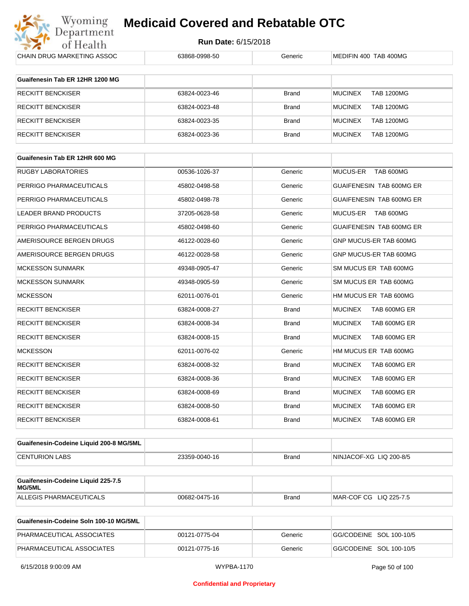

**Run Date:** 6/15/2018

| CHAIN DRUG MARKETING ASSOC                   | 63868-0998-50 | Generic      | MEDIFIN 400 TAB 400MG               |
|----------------------------------------------|---------------|--------------|-------------------------------------|
| Guaifenesin Tab ER 12HR 1200 MG              |               |              |                                     |
|                                              |               |              |                                     |
| <b>RECKITT BENCKISER</b>                     | 63824-0023-46 | Brand        | <b>MUCINEX</b><br><b>TAB 1200MG</b> |
| <b>RECKITT BENCKISER</b>                     | 63824-0023-48 | Brand        | <b>MUCINEX</b><br><b>TAB 1200MG</b> |
| <b>RECKITT BENCKISER</b>                     | 63824-0023-35 | Brand        | <b>MUCINEX</b><br><b>TAB 1200MG</b> |
| <b>RECKITT BENCKISER</b>                     | 63824-0023-36 | Brand        | <b>MUCINEX</b><br><b>TAB 1200MG</b> |
| Guaifenesin Tab ER 12HR 600 MG               |               |              |                                     |
| RUGBY LABORATORIES                           | 00536-1026-37 | Generic      | MUCUS-ER<br>TAB 600MG               |
| PERRIGO PHARMACEUTICALS                      | 45802-0498-58 | Generic      | GUAIFENESIN TAB 600MG ER            |
| PERRIGO PHARMACEUTICALS                      | 45802-0498-78 | Generic      | GUAIFENESIN TAB 600MG ER            |
| <b>LEADER BRAND PRODUCTS</b>                 | 37205-0628-58 | Generic      | MUCUS-ER TAB 600MG                  |
| PERRIGO PHARMACEUTICALS                      | 45802-0498-60 | Generic      | GUAIFENESIN TAB 600MG ER            |
|                                              | 46122-0028-60 | Generic      |                                     |
| AMERISOURCE BERGEN DRUGS                     |               |              | GNP MUCUS-ER TAB 600MG              |
| AMERISOURCE BERGEN DRUGS                     | 46122-0028-58 | Generic      | GNP MUCUS-ER TAB 600MG              |
| <b>MCKESSON SUNMARK</b>                      | 49348-0905-47 | Generic      | SM MUCUS ER TAB 600MG               |
| <b>MCKESSON SUNMARK</b>                      | 49348-0905-59 | Generic      | SM MUCUS ER TAB 600MG               |
| <b>MCKESSON</b>                              | 62011-0076-01 | Generic      | HM MUCUS ER TAB 600MG               |
| <b>RECKITT BENCKISER</b>                     | 63824-0008-27 | <b>Brand</b> | <b>MUCINEX</b><br>TAB 600MG ER      |
| <b>RECKITT BENCKISER</b>                     | 63824-0008-34 | Brand        | <b>MUCINEX</b><br>TAB 600MG ER      |
| RECKITT BENCKISER                            | 63824-0008-15 | Brand        | <b>MUCINEX</b><br>TAB 600MG ER      |
| <b>MCKESSON</b>                              | 62011-0076-02 | Generic      | HM MUCUS ER TAB 600MG               |
| <b>RECKITT BENCKISER</b>                     | 63824-0008-32 | <b>Brand</b> | <b>MUCINEX</b><br>TAB 600MG ER      |
| <b>RECKITT BENCKISER</b>                     | 63824-0008-36 | Brand        | <b>MUCINEX</b><br>TAB 600MG ER      |
| <b>RECKITT BENCKISER</b>                     | 63824-0008-69 | <b>Brand</b> | <b>MUCINEX</b><br>TAB 600MG ER      |
| <b>RECKITT BENCKISER</b>                     | 63824-0008-50 | Brand        | <b>MUCINEX</b><br>TAB 600MG ER      |
| <b>RECKITT BENCKISER</b>                     | 63824-0008-61 | Brand        | <b>MUCINEX</b><br>TAB 600MG ER      |
| Guaifenesin-Codeine Liquid 200-8 MG/5ML      |               |              |                                     |
| <b>CENTURION LABS</b>                        | 23359-0040-16 | Brand        | NINJACOF-XG LIQ 200-8/5             |
|                                              |               |              |                                     |
| Guaifenesin-Codeine Liquid 225-7.5<br>MG/5ML |               |              |                                     |
| ALLEGIS PHARMACEUTICALS                      | 00682-0475-16 | Brand        | MAR-COF CG LIQ 225-7.5              |
| Guaifenesin-Codeine Soln 100-10 MG/5ML       |               |              |                                     |
| PHARMACEUTICAL ASSOCIATES                    | 00121-0775-04 | Generic      | GG/CODEINE SOL 100-10/5             |

PHARMACEUTICAL ASSOCIATES 00121-0775-16 Generic GG/CODEINE SOL 100-10/5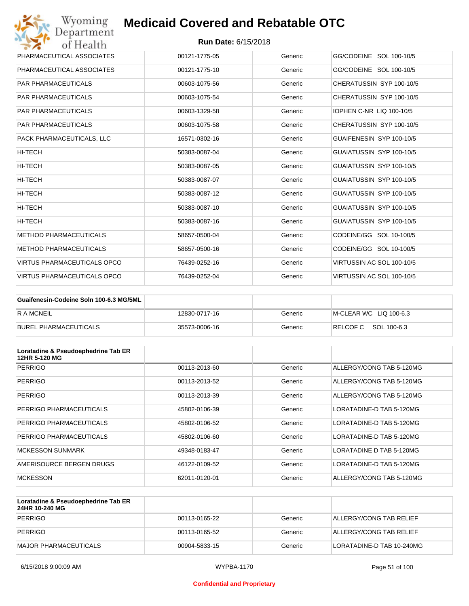| Wyoming<br><b>Medicaid Covered and Rebatable OTC</b><br>Department |                            |         |                                 |
|--------------------------------------------------------------------|----------------------------|---------|---------------------------------|
| of Health                                                          | <b>Run Date: 6/15/2018</b> |         |                                 |
| PHARMACEUTICAL ASSOCIATES                                          | 00121-1775-05              | Generic | GG/CODEINE SOL 100-10/5         |
| PHARMACEUTICAL ASSOCIATES                                          | 00121-1775-10              | Generic | GG/CODEINE SOL 100-10/5         |
| <b>PAR PHARMACEUTICALS</b>                                         | 00603-1075-56              | Generic | CHERATUSSIN SYP 100-10/5        |
| <b>PAR PHARMACEUTICALS</b>                                         | 00603-1075-54              | Generic | CHERATUSSIN SYP 100-10/5        |
| <b>PAR PHARMACEUTICALS</b>                                         | 00603-1329-58              | Generic | <b>IOPHEN C-NR LIQ 100-10/5</b> |
| <b>PAR PHARMACEUTICALS</b>                                         | 00603-1075-58              | Generic | CHERATUSSIN SYP 100-10/5        |
| PACK PHARMACEUTICALS, LLC                                          | 16571-0302-16              | Generic | GUAIFENESIN SYP 100-10/5        |
| <b>HI-TECH</b>                                                     | 50383-0087-04              | Generic | GUAIATUSSIN SYP 100-10/5        |
| HI-TECH                                                            | 50383-0087-05              | Generic | GUAIATUSSIN SYP 100-10/5        |
| HI-TECH                                                            | 50383-0087-07              | Generic | GUAIATUSSIN SYP 100-10/5        |
| HI-TECH                                                            | 50383-0087-12              | Generic | GUAIATUSSIN SYP 100-10/5        |
| <b>HI-TECH</b>                                                     | 50383-0087-10              | Generic | GUAIATUSSIN SYP 100-10/5        |
| HI-TECH                                                            | 50383-0087-16              | Generic | GUAIATUSSIN SYP 100-10/5        |
| <b>METHOD PHARMACEUTICALS</b>                                      | 58657-0500-04              | Generic | CODEINE/GG SOL 10-100/5         |
| <b>METHOD PHARMACEUTICALS</b>                                      | 58657-0500-16              | Generic | CODEINE/GG SOL 10-100/5         |
| <b>VIRTUS PHARMACEUTICALS OPCO</b>                                 | 76439-0252-16              | Generic | VIRTUSSIN AC SOL 100-10/5       |
| <b>VIRTUS PHARMACEUTICALS OPCO</b>                                 | 76439-0252-04              | Generic | VIRTUSSIN AC SOL 100-10/5       |

| Guaifenesin-Codeine Soln 100-6.3 MG/5ML |               |         |                         |
|-----------------------------------------|---------------|---------|-------------------------|
| R A MCNEIL                              | 12830-0717-16 | Generic | IM-CLEAR WC LIO 100-6.3 |
| BUREL PHARMACEUTICALS                   | 35573-0006-16 | Generic | RELCOF C SOL 100-6.3    |

| Loratadine & Pseudoephedrine Tab ER<br>12HR 5-120 MG |               |         |                          |
|------------------------------------------------------|---------------|---------|--------------------------|
| <b>PERRIGO</b>                                       | 00113-2013-60 | Generic | ALLERGY/CONG TAB 5-120MG |
| <b>PERRIGO</b>                                       | 00113-2013-52 | Generic | ALLERGY/CONG TAB 5-120MG |
| <b>PERRIGO</b>                                       | 00113-2013-39 | Generic | ALLERGY/CONG TAB 5-120MG |
| PERRIGO PHARMACEUTICALS                              | 45802-0106-39 | Generic | LORATADINE-D TAB 5-120MG |
| PERRIGO PHARMACEUTICALS                              | 45802-0106-52 | Generic | LORATADINE-D TAB 5-120MG |
| PERRIGO PHARMACEUTICALS                              | 45802-0106-60 | Generic | LORATADINE-D TAB 5-120MG |
| <b>MCKESSON SUNMARK</b>                              | 49348-0183-47 | Generic | LORATADINE D TAB 5-120MG |
| AMERISOURCE BERGEN DRUGS                             | 46122-0109-52 | Generic | LORATADINE-D TAB 5-120MG |
| <b>MCKESSON</b>                                      | 62011-0120-01 | Generic | ALLERGY/CONG TAB 5-120MG |

| Loratadine & Pseudoephedrine Tab ER<br>24HR 10-240 MG |               |         |                           |
|-------------------------------------------------------|---------------|---------|---------------------------|
| PERRIGO                                               | 00113-0165-22 | Generic | ALLERGY/CONG TAB RELIEF   |
| PERRIGO                                               | 00113-0165-52 | Generic | ALLERGY/CONG TAB RELIEF   |
| MAJOR PHARMACEUTICALS                                 | 00904-5833-15 | Generic | LORATADINE-D TAB 10-240MG |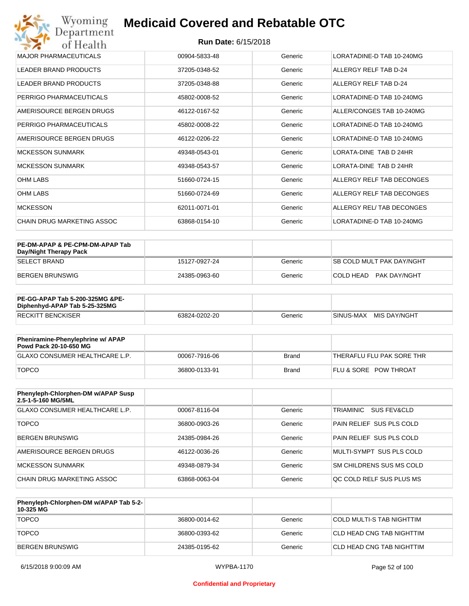| Wyoming<br><b>Medicaid Covered and Rebatable OTC</b><br>Department |                            |         |                           |  |
|--------------------------------------------------------------------|----------------------------|---------|---------------------------|--|
| of Health                                                          | <b>Run Date: 6/15/2018</b> |         |                           |  |
| <b>MAJOR PHARMACEUTICALS</b>                                       | 00904-5833-48              | Generic | LORATADINE-D TAB 10-240MG |  |
| <b>LEADER BRAND PRODUCTS</b>                                       | 37205-0348-52              | Generic | ALLERGY RELF TAB D-24     |  |
| <b>LEADER BRAND PRODUCTS</b>                                       | 37205-0348-88              | Generic | ALLERGY RELF TAB D-24     |  |
| PERRIGO PHARMACEUTICALS                                            | 45802-0008-52              | Generic | LORATADINE-D TAB 10-240MG |  |
| AMERISOURCE BERGEN DRUGS                                           | 46122-0167-52              | Generic | ALLER/CONGES TAB 10-240MG |  |
| PERRIGO PHARMACEUTICALS                                            | 45802-0008-22              | Generic | LORATADINE-D TAB 10-240MG |  |
| AMERISOURCE BERGEN DRUGS                                           | 46122-0206-22              | Generic | LORATADINE-D TAB 10-240MG |  |
| <b>MCKESSON SUNMARK</b>                                            | 49348-0543-01              | Generic | LORATA-DINE TAB D 24HR    |  |
| <b>MCKESSON SUNMARK</b>                                            | 49348-0543-57              | Generic | LORATA-DINE TAB D 24HR    |  |
| <b>OHM LABS</b>                                                    | 51660-0724-15              | Generic | ALLERGY RELF TAB DECONGES |  |
| <b>OHM LABS</b>                                                    | 51660-0724-69              | Generic | ALLERGY RELF TAB DECONGES |  |
| <b>MCKESSON</b>                                                    | 62011-0071-01              | Generic | ALLERGY REL/TAB DECONGES  |  |
| CHAIN DRUG MARKETING ASSOC                                         | 63868-0154-10              | Generic | LORATADINE-D TAB 10-240MG |  |

| PE-DM-APAP & PE-CPM-DM-APAP Tab<br>Day/Night Therapy Pack |               |         |                                  |
|-----------------------------------------------------------|---------------|---------|----------------------------------|
| ISELECT BRAND                                             | 15127-0927-24 | Generic | <b>SB COLD MULT PAK DAY/NGHT</b> |
| BERGEN BRUNSWIG                                           | 24385-0963-60 | Generic | COLD HEAD PAK DAY/NGHT           |

| PE-GG-APAP Tab 5-200-325MG &PE-<br>Diphenhyd-APAP Tab 5-25-325MG |               |         |                           |
|------------------------------------------------------------------|---------------|---------|---------------------------|
| <b>RECKITT BENCKISER</b>                                         | 63824-0202-20 | Generic | MIS DAY/NGHT<br>SINUS-MAX |

| Pheniramine-Phenylephrine w/ APAP<br>Powd Pack 20-10-650 MG |               |       |                                  |
|-------------------------------------------------------------|---------------|-------|----------------------------------|
| GLAXO CONSUMER HEALTHCARE L.P.                              | 00067-7916-06 | Brand | 'THERAFLU FLU PAK SORE THR       |
| <b>TOPCO</b>                                                | 36800-0133-91 | Brand | <b>FLU &amp; SORE POW THROAT</b> |

| Phenyleph-Chlorphen-DM w/APAP Susp<br>2.5-1-5-160 MG/5ML |               |         |                          |
|----------------------------------------------------------|---------------|---------|--------------------------|
| GLAXO CONSUMER HEALTHCARE L.P.                           | 00067-8116-04 | Generic | TRIAMINIC<br>SUS FEV&CLD |
| <b>TOPCO</b>                                             | 36800-0903-26 | Generic | PAIN RELIEF SUS PLS COLD |
| <b>BERGEN BRUNSWIG</b>                                   | 24385-0984-26 | Generic | PAIN RELIEF SUS PLS COLD |
| AMERISOURCE BERGEN DRUGS                                 | 46122-0036-26 | Generic | MULTI-SYMPT SUS PLS COLD |
| MCKESSON SUNMARK                                         | 49348-0879-34 | Generic | SM CHILDRENS SUS MS COLD |
| CHAIN DRUG MARKETING ASSOC                               | 63868-0063-04 | Generic | OC COLD RELF SUS PLUS MS |

| Phenyleph-Chlorphen-DM w/APAP Tab 5-2-<br>10-325 MG |               |         |                           |
|-----------------------------------------------------|---------------|---------|---------------------------|
| <b>TOPCO</b>                                        | 36800-0014-62 | Generic | COLD MULTI-S TAB NIGHTTIM |
| <b>TOPCO</b>                                        | 36800-0393-62 | Generic | CLD HEAD CNG TAB NIGHTTIM |
| BERGEN BRUNSWIG                                     | 24385-0195-62 | Generic | CLD HEAD CNG TAB NIGHTTIM |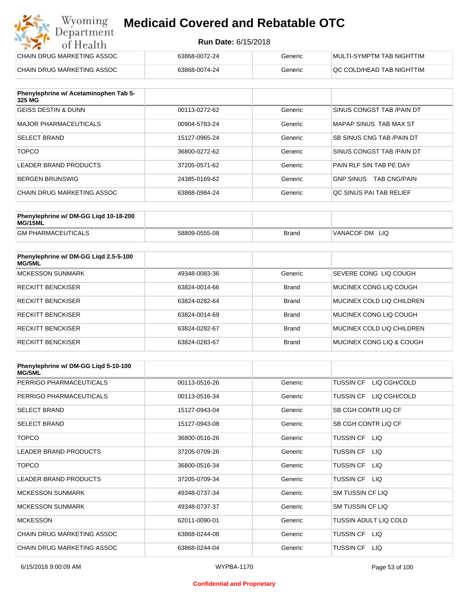#### **Run Date:** 6/15/2018

| Wyoming<br><b>Medicaid Covered and Rebatable OTC</b><br>Department |                            |         |                           |  |
|--------------------------------------------------------------------|----------------------------|---------|---------------------------|--|
| of Health                                                          | <b>Run Date: 6/15/2018</b> |         |                           |  |
| CHAIN DRUG MARKETING ASSOC                                         | 63868-0072-24              | Generic | MULTI-SYMPTM TAB NIGHTTIM |  |
| CHAIN DRUG MARKETING ASSOC                                         | 63868-0074-24              | Generic | QC COLD/HEAD TAB NIGHTTIM |  |

| Phenylephrine w/ Acetaminophen Tab 5-<br>325 MG |               |         |                                         |
|-------------------------------------------------|---------------|---------|-----------------------------------------|
| <b>GEISS DESTIN &amp; DUNN</b>                  | 00113-0272-62 | Generic | SINUS CONGST TAB /PAIN DT               |
| MAJOR PHARMACEUTICALS                           | 00904-5783-24 | Generic | MAPAP SINUS TAB MAX ST                  |
| <b>SELECT BRAND</b>                             | 15127-0965-24 | Generic | SB SINUS CNG TAB / PAIN DT              |
| <b>TOPCO</b>                                    | 36800-0272-62 | Generic | SINUS CONGST TAB /PAIN DT               |
| LEADER BRAND PRODUCTS                           | 37205-0571-62 | Generic | PAIN RLF SIN TAB PE DAY                 |
| <b>BERGEN BRUNSWIG</b>                          | 24385-0169-62 | Generic | <b>TAB CNG/PAIN</b><br><b>GNP SINUS</b> |
| CHAIN DRUG MARKETING ASSOC                      | 63868-0984-24 | Generic | OC SINUS PAI TAB RELIEF                 |

| Phenylephrine w/ DM-GG Ligd 10-18-200<br>MG/15ML |               |              |                      |
|--------------------------------------------------|---------------|--------------|----------------------|
| <b>GM PHARMACEUTICALS</b>                        | 58809-0555-08 | <b>Brand</b> | 'VANACOF DM<br>- LIQ |

| Phenylephrine w/ DM-GG Ligd 2.5-5-100<br>MG/5ML |               |              |                           |
|-------------------------------------------------|---------------|--------------|---------------------------|
| <b>MCKESSON SUNMARK</b>                         | 49348-0083-36 | Generic      | SEVERE CONG LIQ COUGH     |
| <b>RECKITT BENCKISER</b>                        | 63824-0014-66 | <b>Brand</b> | MUCINEX CONG LIO COUGH    |
| <b>RECKITT BENCKISER</b>                        | 63824-0282-64 | <b>Brand</b> | MUCINEX COLD LIQ CHILDREN |
| <b>RECKITT BENCKISER</b>                        | 63824-0014-69 | <b>Brand</b> | MUCINEX CONG LIO COUGH    |
| <b>RECKITT BENCKISER</b>                        | 63824-0282-67 | <b>Brand</b> | MUCINEX COLD LIQ CHILDREN |
| <b>RECKITT BENCKISER</b>                        | 63824-0283-67 | <b>Brand</b> | MUCINEX CONG LIO & COUGH  |

| Phenylephrine w/ DM-GG Ligd 5-10-100<br><b>MG/5ML</b> |               |         |                                  |
|-------------------------------------------------------|---------------|---------|----------------------------------|
| PERRIGO PHARMACEUTICALS                               | 00113-0516-26 | Generic | LIQ CGH/COLD<br><b>TUSSIN CF</b> |
| PERRIGO PHARMACEUTICALS                               | 00113-0516-34 | Generic | LIQ CGH/COLD<br><b>TUSSIN CF</b> |
| <b>SELECT BRAND</b>                                   | 15127-0943-04 | Generic | SB CGH CONTR LIQ CF              |
| <b>SELECT BRAND</b>                                   | 15127-0943-08 | Generic | SB CGH CONTR LIQ CF              |
| <b>TOPCO</b>                                          | 36800-0516-26 | Generic | TUSSIN CF LIQ                    |
| <b>LEADER BRAND PRODUCTS</b>                          | 37205-0709-26 | Generic | <b>TUSSIN CF</b><br>LIQ.         |
| <b>TOPCO</b>                                          | 36800-0516-34 | Generic | <b>TUSSIN CF</b><br>LIQ.         |
| <b>LEADER BRAND PRODUCTS</b>                          | 37205-0709-34 | Generic | <b>TUSSIN CF</b><br>LIQ          |
| <b>MCKESSON SUNMARK</b>                               | 49348-0737-34 | Generic | <b>SM TUSSIN CF LIQ</b>          |
| <b>MCKESSON SUNMARK</b>                               | 49348-0737-37 | Generic | SM TUSSIN CF LIQ                 |
| <b>MCKESSON</b>                                       | 62011-0090-01 | Generic | TUSSIN ADULT LIQ COLD            |
| CHAIN DRUG MARKETING ASSOC                            | 63868-0244-08 | Generic | TUSSIN CF LIQ                    |
| CHAIN DRUG MARKETING ASSOC                            | 63868-0244-04 | Generic | <b>TUSSIN CF</b><br>LIQ.         |

#### **Confidential and Proprietary**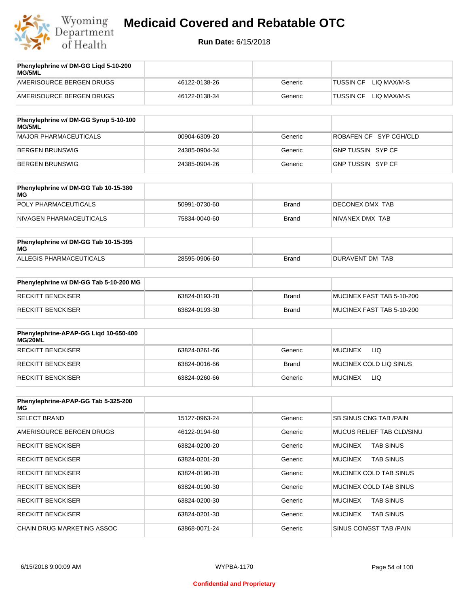

| Phenylephrine w/ DM-GG Ligd 5-10-200<br><b>MG/5ML</b> |               |         |                                 |
|-------------------------------------------------------|---------------|---------|---------------------------------|
| AMERISOURCE BERGEN DRUGS                              | 46122-0138-26 | Generic | LIO MAX/M-S<br>TUSSIN CF        |
| AMERISOURCE BERGEN DRUGS                              | 46122-0138-34 | Generic | LIO MAX/M-S<br><b>TUSSIN CF</b> |

| Phenylephrine w/ DM-GG Syrup 5-10-100<br>MG/5ML |               |         |                        |
|-------------------------------------------------|---------------|---------|------------------------|
| MAJOR PHARMACEUTICALS                           | 00904-6309-20 | Generic | ROBAFEN CF SYP CGH/CLD |
| BERGEN BRUNSWIG                                 | 24385-0904-34 | Generic | GNP TUSSIN SYP CF      |
| BERGEN BRUNSWIG                                 | 24385-0904-26 | Generic | GNP TUSSIN SYP CF      |

| Phenylephrine w/ DM-GG Tab 10-15-380<br>MG |               |       |                 |
|--------------------------------------------|---------------|-------|-----------------|
| POLY PHARMACEUTICALS                       | 50991-0730-60 | Brand | DECONEX DMX TAB |
| NIVAGEN PHARMACEUTICALS                    | 75834-0040-60 | Brand | NIVANEX DMX TAB |

| Phenylephrine w/ DM-GG Tab 10-15-395<br>MG |               |       |                 |
|--------------------------------------------|---------------|-------|-----------------|
| ALLEGIS PHARMACEUTICALS                    | 28595-0906-60 | Brand | DURAVENT DM TAB |

| Phenylephrine w/ DM-GG Tab 5-10-200 MG |               |       |                           |
|----------------------------------------|---------------|-------|---------------------------|
| RECKITT BENCKISER                      | 63824-0193-20 | Brand | MUCINEX FAST TAB 5-10-200 |
| RECKITT BENCKISER                      | 63824-0193-30 | Brand | MUCINEX FAST TAB 5-10-200 |

| Phenylephrine-APAP-GG Ligd 10-650-400<br>MG/20ML |               |              |                              |
|--------------------------------------------------|---------------|--------------|------------------------------|
| <b>RECKITT BENCKISER</b>                         | 63824-0261-66 | Generic      | LIQ<br><b>MUCINEX</b>        |
| <b>RECKITT BENCKISER</b>                         | 63824-0016-66 | <b>Brand</b> | MUCINEX COLD LIQ SINUS       |
| RECKITT BENCKISER                                | 63824-0260-66 | Generic      | <b>LIQ</b><br><b>MUCINEX</b> |

| Phenylephrine-APAP-GG Tab 5-325-200<br>MG |               |         |                                    |
|-------------------------------------------|---------------|---------|------------------------------------|
| <b>SELECT BRAND</b>                       | 15127-0963-24 | Generic | <b>SB SINUS CNG TAB /PAIN</b>      |
| AMERISOURCE BERGEN DRUGS                  | 46122-0194-60 | Generic | MUCUS RELIEF TAB CLD/SINU          |
| <b>RECKITT BENCKISER</b>                  | 63824-0200-20 | Generic | <b>TAB SINUS</b><br><b>MUCINEX</b> |
| <b>RECKITT BENCKISER</b>                  | 63824-0201-20 | Generic | <b>MUCINEX</b><br><b>TAB SINUS</b> |
| <b>RECKITT BENCKISER</b>                  | 63824-0190-20 | Generic | MUCINEX COLD TAB SINUS             |
| <b>RECKITT BENCKISER</b>                  | 63824-0190-30 | Generic | MUCINEX COLD TAB SINUS             |
| <b>RECKITT BENCKISER</b>                  | 63824-0200-30 | Generic | <b>TAB SINUS</b><br><b>MUCINEX</b> |
| <b>RECKITT BENCKISER</b>                  | 63824-0201-30 | Generic | <b>MUCINEX</b><br><b>TAB SINUS</b> |
| CHAIN DRUG MARKETING ASSOC                | 63868-0071-24 | Generic | SINUS CONGST TAB /PAIN             |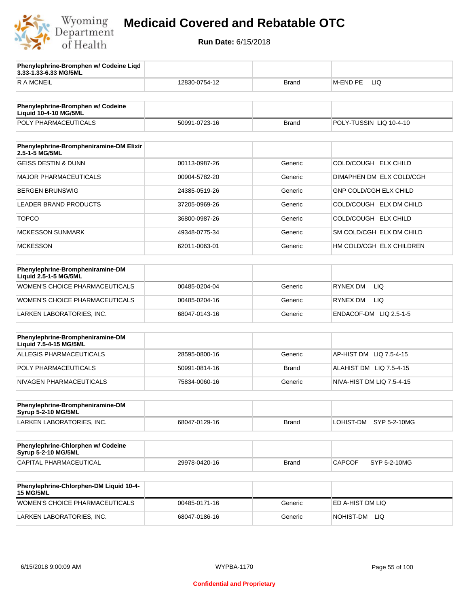

**3.33-1.33-6.33 MG/5ML**

**Phenylephrine-Bromphen w/ Codeine Liqd** 

### **Medicaid Covered and Rebatable OTC**

| <b>RAMCNEIL</b>                                                | 12830-0754-12 | <b>Brand</b> | M-END PE<br>LIQ               |
|----------------------------------------------------------------|---------------|--------------|-------------------------------|
|                                                                |               |              |                               |
| Phenylephrine-Bromphen w/ Codeine<br>Liquid 10-4-10 MG/5ML     |               |              |                               |
| POLY PHARMACEUTICALS                                           | 50991-0723-16 | <b>Brand</b> | POLY-TUSSIN LIQ 10-4-10       |
|                                                                |               |              |                               |
| Phenylephrine-Brompheniramine-DM Elixir<br>2.5-1-5 MG/5ML      |               |              |                               |
| <b>GEISS DESTIN &amp; DUNN</b>                                 | 00113-0987-26 | Generic      | COLD/COUGH ELX CHILD          |
| <b>MAJOR PHARMACEUTICALS</b>                                   | 00904-5782-20 | Generic      | DIMAPHEN DM ELX COLD/CGH      |
| <b>BERGEN BRUNSWIG</b>                                         | 24385-0519-26 | Generic      | <b>GNP COLD/CGH ELX CHILD</b> |
| LEADER BRAND PRODUCTS                                          | 37205-0969-26 | Generic      | COLD/COUGH ELX DM CHILD       |
| <b>TOPCO</b>                                                   | 36800-0987-26 | Generic      | COLD/COUGH ELX CHILD          |
| <b>MCKESSON SUNMARK</b>                                        | 49348-0775-34 | Generic      | SM COLD/CGH ELX DM CHILD      |
| <b>MCKESSON</b>                                                | 62011-0063-01 | Generic      | HM COLD/CGH ELX CHILDREN      |
|                                                                |               |              |                               |
| Phenylephrine-Brompheniramine-DM<br>Liquid 2.5-1-5 MG/5ML      |               |              |                               |
| WOMEN'S CHOICE PHARMACEUTICALS                                 | 00485-0204-04 | Generic      | RYNEX DM<br>LIQ.              |
| WOMEN'S CHOICE PHARMACEUTICALS                                 | 00485-0204-16 | Generic      | RYNEX DM<br>LIQ.              |
| LARKEN LABORATORIES, INC.                                      | 68047-0143-16 | Generic      | ENDACOF-DM LIQ 2.5-1-5        |
|                                                                |               |              |                               |
| Phenylephrine-Brompheniramine-DM<br>Liquid 7.5-4-15 MG/5ML     |               |              |                               |
| <b>ALLEGIS PHARMACEUTICALS</b>                                 | 28595-0800-16 | Generic      | AP-HIST DM<br>LIQ 7.5-4-15    |
| POLY PHARMACEUTICALS                                           | 50991-0814-16 | <b>Brand</b> | ALAHIST DM LIQ 7.5-4-15       |
| NIVAGEN PHARMACEUTICALS                                        | 75834-0060-16 | Generic      | NIVA-HIST DM LIQ 7.5-4-15     |
|                                                                |               |              |                               |
| Phenylephrine-Brompheniramine-DM<br><b>Syrup 5-2-10 MG/5ML</b> |               |              |                               |
| LARKEN LABORATORIES, INC.                                      | 68047-0129-16 | <b>Brand</b> | LOHIST-DM<br>SYP 5-2-10MG     |
|                                                                |               |              |                               |
| Phenylephrine-Chlorphen w/ Codeine<br>Syrup 5-2-10 MG/5ML      |               |              |                               |
| <b>CAPITAL PHARMACEUTICAL</b>                                  | 29978-0420-16 | <b>Brand</b> | <b>CAPCOF</b><br>SYP 5-2-10MG |
|                                                                |               |              |                               |
| Phenylephrine-Chlorphen-DM Liquid 10-4-<br><b>15 MG/5ML</b>    |               |              |                               |
| WOMEN'S CHOICE PHARMACEUTICALS                                 | 00485-0171-16 | Generic      | ED A-HIST DM LIQ              |
| LARKEN LABORATORIES, INC.                                      | 68047-0186-16 | Generic      | NOHIST-DM LIQ                 |
|                                                                |               |              |                               |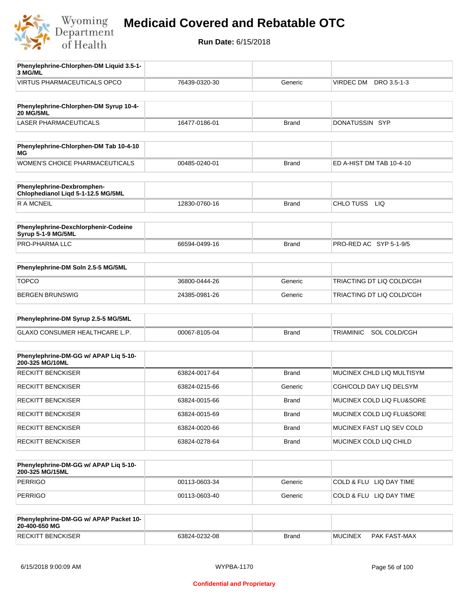

**Run Date:** 6/15/2018

| Phenylephrine-Chlorphen-DM Liquid 3.5-1-<br>3 MG/ML              |               |              |                           |
|------------------------------------------------------------------|---------------|--------------|---------------------------|
| <b>VIRTUS PHARMACEUTICALS OPCO</b>                               | 76439-0320-30 | Generic      | VIRDEC DM<br>DRO 3.5-1-3  |
|                                                                  |               |              |                           |
| Phenylephrine-Chlorphen-DM Syrup 10-4-<br><b>20 MG/5ML</b>       |               |              |                           |
| <b>LASER PHARMACEUTICALS</b>                                     | 16477-0186-01 | Brand        | DONATUSSIN SYP            |
|                                                                  |               |              |                           |
| Phenylephrine-Chlorphen-DM Tab 10-4-10<br><b>MG</b>              |               |              |                           |
| WOMEN'S CHOICE PHARMACEUTICALS                                   | 00485-0240-01 | <b>Brand</b> | ED A-HIST DM TAB 10-4-10  |
| Phenylephrine-Dexbromphen-<br>Chlophedianol Liqd 5-1-12.5 MG/5ML |               |              |                           |
| <b>RAMCNEIL</b>                                                  | 12830-0760-16 | <b>Brand</b> | CHLO TUSS LIQ             |
|                                                                  |               |              |                           |
| Phenylephrine-Dexchlorphenir-Codeine<br>Syrup 5-1-9 MG/5ML       |               |              |                           |
| PRO-PHARMA LLC                                                   | 66594-0499-16 | <b>Brand</b> | PRO-RED AC SYP 5-1-9/5    |
|                                                                  |               |              |                           |
| Phenylephrine-DM Soln 2.5-5 MG/5ML                               |               |              |                           |
| <b>TOPCO</b>                                                     | 36800-0444-26 | Generic      | TRIACTING DT LIQ COLD/CGH |
| <b>BERGEN BRUNSWIG</b>                                           | 24385-0981-26 | Generic      | TRIACTING DT LIQ COLD/CGH |
|                                                                  |               |              |                           |
| Phenylephrine-DM Syrup 2.5-5 MG/5ML                              |               |              |                           |
| <b>GLAXO CONSUMER HEALTHCARE L.P.</b>                            | 00067-8105-04 | <b>Brand</b> | TRIAMINIC SOL COLD/CGH    |
|                                                                  |               |              |                           |
| Phenylephrine-DM-GG w/ APAP Liq 5-10-<br>200-325 MG/10ML         |               |              |                           |
| <b>RECKITT BENCKISER</b>                                         | 63824-0017-64 | <b>Brand</b> | MUCINEX CHLD LIQ MULTISYM |
| <b>RECKITT BENCKISER</b>                                         | 63824-0215-66 | Generic      | CGH/COLD DAY LIQ DELSYM   |
| <b>RECKITT BENCKISER</b>                                         | 63824-0015-66 | Brand        | MUCINEX COLD LIQ FLU&SORE |
| <b>RECKITT BENCKISER</b>                                         | 63824-0015-69 | Brand        | MUCINEX COLD LIQ FLU&SORE |
| <b>RECKITT BENCKISER</b>                                         | 63824-0020-66 | Brand        | MUCINEX FAST LIQ SEV COLD |
| <b>RECKITT BENCKISER</b>                                         | 63824-0278-64 | Brand        | MUCINEX COLD LIQ CHILD    |
|                                                                  |               |              |                           |
| Phenylephrine-DM-GG w/ APAP Liq 5-10-<br>200-325 MG/15ML         |               |              |                           |
| <b>PERRIGO</b>                                                   | 00113-0603-34 | Generic      | COLD & FLU LIQ DAY TIME   |
| <b>PERRIGO</b>                                                   | 00113-0603-40 | Generic      | COLD & FLU LIQ DAY TIME   |
|                                                                  |               |              |                           |
| Phenylephrine-DM-GG w/ APAP Packet 10-<br>20-400-650 MG          |               |              |                           |

RECKITT BENCKISER 63824-0232-08 Brand MUCINEX PAK FAST-MAX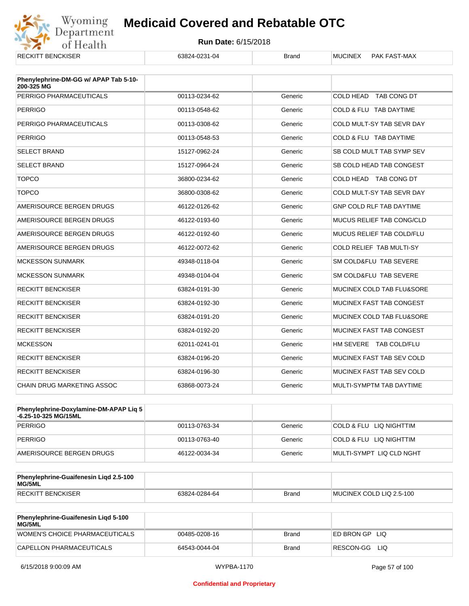

| <b>RECKITT BENCKISER</b>                            | 63824-0231-04 | <b>Brand</b> | PAK FAST-MAX<br><b>MUCINEX</b>   |
|-----------------------------------------------------|---------------|--------------|----------------------------------|
| Phenylephrine-DM-GG w/ APAP Tab 5-10-<br>200-325 MG |               |              |                                  |
| PERRIGO PHARMACEUTICALS                             | 00113-0234-62 | Generic      | COLD HEAD TAB CONG DT            |
| <b>PERRIGO</b>                                      | 00113-0548-62 | Generic      | COLD & FLU TAB DAYTIME           |
| PERRIGO PHARMACEUTICALS                             | 00113-0308-62 | Generic      | COLD MULT-SY TAB SEVR DAY        |
| <b>PERRIGO</b>                                      | 00113-0548-53 | Generic      | COLD & FLU TAB DAYTIME           |
| <b>SELECT BRAND</b>                                 | 15127-0962-24 | Generic      | SB COLD MULT TAB SYMP SEV        |
| <b>SELECT BRAND</b>                                 | 15127-0964-24 | Generic      | SB COLD HEAD TAB CONGEST         |
| <b>TOPCO</b>                                        | 36800-0234-62 | Generic      | COLD HEAD TAB CONG DT            |
| <b>TOPCO</b>                                        | 36800-0308-62 | Generic      | COLD MULT-SY TAB SEVR DAY        |
| AMERISOURCE BERGEN DRUGS                            | 46122-0126-62 | Generic      | <b>GNP COLD RLF TAB DAYTIME</b>  |
| AMERISOURCE BERGEN DRUGS                            | 46122-0193-60 | Generic      | MUCUS RELIEF TAB CONG/CLD        |
| AMERISOURCE BERGEN DRUGS                            | 46122-0192-60 | Generic      | <b>MUCUS RELIEF TAB COLD/FLU</b> |
| AMERISOURCE BERGEN DRUGS                            | 46122-0072-62 | Generic      | <b>COLD RELIEF TAB MULTI-SY</b>  |
| <b>MCKESSON SUNMARK</b>                             | 49348-0118-04 | Generic      | SM COLD&FLU TAB SEVERE           |
| <b>MCKESSON SUNMARK</b>                             | 49348-0104-04 | Generic      | SM COLD&FLU TAB SEVERE           |
| <b>RECKITT BENCKISER</b>                            | 63824-0191-30 | Generic      | MUCINEX COLD TAB FLU&SORE        |
| <b>RECKITT BENCKISER</b>                            | 63824-0192-30 | Generic      | MUCINEX FAST TAB CONGEST         |
| <b>RECKITT BENCKISER</b>                            | 63824-0191-20 | Generic      | MUCINEX COLD TAB FLU&SORE        |
| <b>RECKITT BENCKISER</b>                            | 63824-0192-20 | Generic      | MUCINEX FAST TAB CONGEST         |
| <b>MCKESSON</b>                                     | 62011-0241-01 | Generic      | HM SEVERE TAB COLD/FLU           |
| <b>RECKITT BENCKISER</b>                            | 63824-0196-20 | Generic      | MUCINEX FAST TAB SEV COLD        |
| <b>RECKITT BENCKISER</b>                            | 63824-0196-30 | Generic      | MUCINEX FAST TAB SEV COLD        |
| <b>CHAIN DRUG MARKETING ASSOC</b>                   | 63868-0073-24 | Generic      | MULTI-SYMPTM TAB DAYTIME         |

| Phenylephrine-Doxylamine-DM-APAP Liq 5<br>-6.25-10-325 MG/15ML |               |         |                          |
|----------------------------------------------------------------|---------------|---------|--------------------------|
| PERRIGO                                                        | 00113-0763-34 | Generic | COLD & FLU LIQ NIGHTTIM  |
| PERRIGO                                                        | 00113-0763-40 | Generic | COLD & FLU LIQ NIGHTTIM  |
| AMERISOURCE BERGEN DRUGS                                       | 46122-0034-34 | Generic | MULTI-SYMPT LIQ CLD NGHT |

| <b>Phenylephrine-Guaifenesin Ligd 2.5-100</b><br>MG/5ML |               |       |                          |
|---------------------------------------------------------|---------------|-------|--------------------------|
| <b>RECKITT BENCKISER</b>                                | 63824-0284-64 | Brand | MUCINEX COLD LIQ 2.5-100 |

| <b>Phenylephrine-Guaifenesin Ligd 5-100</b><br><b>MG/5ML</b> |               |              |                    |
|--------------------------------------------------------------|---------------|--------------|--------------------|
| WOMEN'S CHOICE PHARMACEUTICALS                               | 00485-0208-16 | <b>Brand</b> | ED BRON GP<br>-LIQ |
| CAPELLON PHARMACEUTICALS                                     | 64543-0044-04 | Brand        | RESCON-GG<br>-LIQ  |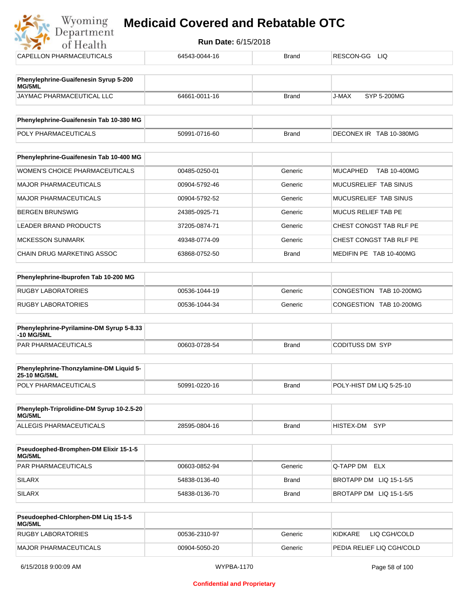| Department<br>of Health                         | <b>Run Date: 6/15/2018</b> |              |                                 |
|-------------------------------------------------|----------------------------|--------------|---------------------------------|
| CAPELLON PHARMACEUTICALS                        | 64543-0044-16              | <b>Brand</b> | RESCON-GG<br><b>LIQ</b>         |
| Phenylephrine-Guaifenesin Syrup 5-200<br>MG/5ML |                            |              |                                 |
| JAYMAC PHARMACEUTICAL LLC                       | 64661-0011-16              | <b>Brand</b> | J-MAX<br><b>SYP 5-200MG</b>     |
| Phenylephrine-Guaifenesin Tab 10-380 MG         |                            |              |                                 |
| POLY PHARMACEUTICALS                            | 50991-0716-60              | <b>Brand</b> | DECONEX IR TAB 10-380MG         |
| Phenylephrine-Guaifenesin Tab 10-400 MG         |                            |              |                                 |
| <b>WOMEN'S CHOICE PHARMACEUTICALS</b>           | 00485-0250-01              | Generic      | <b>MUCAPHED</b><br>TAB 10-400MG |
| <b>MAJOR PHARMACEUTICALS</b>                    | 00904-5792-46              | Generic      | MUCUSRELIEF TAB SINUS           |
| <b>MAJOR PHARMACEUTICALS</b>                    | 00904-5792-52              | Generic      | MUCUSRELIEF TAB SINUS           |
| <b>BERGEN BRUNSWIG</b>                          | 24385-0925-71              | Generic      | <b>MUCUS RELIEF TAB PE</b>      |
| <b>LEADER BRAND PRODUCTS</b>                    | 37205-0874-71              | Generic      | CHEST CONGST TAB RLF PE         |
| <b>MCKESSON SUNMARK</b>                         | 49348-0774-09              | Generic      | CHEST CONGST TAB RLF PE         |
| CHAIN DRUG MARKETING ASSOC                      | 63868-0752-50              | <b>Brand</b> | MEDIFIN PE TAB 10-400MG         |
| Phenylephrine-Ibuprofen Tab 10-200 MG           |                            |              |                                 |
| <b>RUGBY LABORATORIES</b>                       | 00536-1044-19              | Generic      | CONGESTION TAB 10-200MG         |
| <b>RUGBY LABORATORIES</b>                       | 00536-1044-34              | Generic      | CONGESTION TAB 10-200MG         |

| <b>Phenylephrine-Pyrilamine-DM Syrup 5-8.33</b><br>-10 MG/5ML |               |              |                 |
|---------------------------------------------------------------|---------------|--------------|-----------------|
| <b>PAR PHARMACEUTICALS</b>                                    | 00603-0728-54 | <b>Brand</b> | CODITUSS DM SYP |

| <b>Phenylephrine-Thonzylamine-DM Liquid 5-</b><br><b>25-10 MG/5ML</b> |               |       |                           |
|-----------------------------------------------------------------------|---------------|-------|---------------------------|
| <b>POLY PHARMACEUTICALS</b>                                           | 50991-0220-16 | Brand | IPOLY-HIST DM LIQ 5-25-10 |

| Phenyleph-Triprolidine-DM Syrup 10-2.5-20<br>MG/5ML |               |       |               |  |
|-----------------------------------------------------|---------------|-------|---------------|--|
| ALLEGIS PHARMACEUTICALS                             | 28595-0804-16 | Brand | HISTEX-DM SYP |  |

| <b>Pseudoephed-Bromphen-DM Elixir 15-1-5</b><br><b>MG/5ML</b> |               |         |                         |
|---------------------------------------------------------------|---------------|---------|-------------------------|
| <b>PAR PHARMACEUTICALS</b>                                    | 00603-0852-94 | Generic | Q-TAPP DM ELX           |
| <b>SILARX</b>                                                 | 54838-0136-40 | Brand   | BROTAPP DM LIQ 15-1-5/5 |
| <b>SILARX</b>                                                 | 54838-0136-70 | Brand   | BROTAPP DM LIQ 15-1-5/5 |

| <b>Pseudoephed-Chlorphen-DM Lig 15-1-5</b><br>MG/5ML |               |         |                             |
|------------------------------------------------------|---------------|---------|-----------------------------|
| RUGBY LABORATORIES                                   | 00536-2310-97 | Generic | LIQ CGH/COLD<br>KIDKARE     |
| MAJOR PHARMACEUTICALS                                | 00904-5050-20 | Generic | I PEDIA RELIEF LIQ CGH/COLD |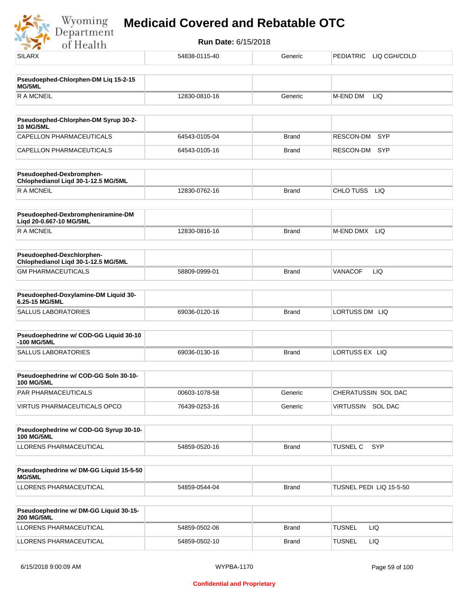

| <b>SILARX</b>                                                    | 54838-0115-40 | Generic      | PEDIATRIC LIQ CGH/COLD  |
|------------------------------------------------------------------|---------------|--------------|-------------------------|
| Pseudoephed-Chlorphen-DM Liq 15-2-15                             |               |              |                         |
| MG/5ML                                                           |               |              |                         |
| <b>RAMCNEIL</b>                                                  | 12830-0810-16 | Generic      | M-END DM<br>LIQ         |
|                                                                  |               |              |                         |
| Pseudoephed-Chlorphen-DM Syrup 30-2-<br><b>10 MG/5ML</b>         |               |              |                         |
| <b>CAPELLON PHARMACEUTICALS</b>                                  | 64543-0105-04 | <b>Brand</b> | <b>SYP</b><br>RESCON-DM |
| CAPELLON PHARMACEUTICALS                                         | 64543-0105-16 | <b>Brand</b> | RESCON-DM SYP           |
| Pseudoephed-Dexbromphen-<br>Chlophedianol Liqd 30-1-12.5 MG/5ML  |               |              |                         |
| <b>RAMCNEIL</b>                                                  | 12830-0762-16 | <b>Brand</b> | CHLO TUSS<br><b>LIQ</b> |
| Pseudoephed-Dexbrompheniramine-DM<br>Liqd 20-0.667-10 MG/5ML     |               |              |                         |
| <b>RAMCNEIL</b>                                                  | 12830-0816-16 | <b>Brand</b> | M-END DMX LIQ           |
| Pseudoephed-Dexchlorphen-<br>Chlophedianol Liqd 30-1-12.5 MG/5ML |               |              |                         |
| <b>GM PHARMACEUTICALS</b>                                        | 58809-0999-01 | <b>Brand</b> | <b>VANACOF</b><br>LIQ   |
|                                                                  |               |              |                         |
| Pseudoephed-Doxylamine-DM Liquid 30-<br>6.25-15 MG/5ML           |               |              |                         |
| <b>SALLUS LABORATORIES</b>                                       | 69036-0120-16 | <b>Brand</b> | LORTUSS DM LIQ          |
| Pseudoephedrine w/ COD-GG Liquid 30-10<br>-100 MG/5ML            |               |              |                         |
| <b>SALLUS LABORATORIES</b>                                       | 69036-0130-16 | <b>Brand</b> | LORTUSS EX LIQ          |
| Pseudoephedrine w/ COD-GG Soln 30-10-                            |               |              |                         |
| <b>100 MG/5ML</b>                                                |               |              |                         |
| PAR PHARMACEUTICALS                                              | 00603-1078-58 | Generic      | CHERATUSSIN SOL DAC     |
| VIRTUS PHARMACEUTICALS OPCO                                      | 76439-0253-16 | Generic      | VIRTUSSIN SOL DAC       |
| Pseudoephedrine w/ COD-GG Syrup 30-10-                           |               |              |                         |
| <b>100 MG/5ML</b>                                                |               |              |                         |
| LLORENS PHARMACEUTICAL                                           | 54859-0520-16 | <b>Brand</b> | <b>SYP</b><br>TUSNEL C  |
| Pseudoephedrine w/ DM-GG Liquid 15-5-50                          |               |              |                         |
| MG/5ML                                                           |               |              |                         |
| LLORENS PHARMACEUTICAL                                           | 54859-0544-04 | Brand        | TUSNEL PEDI LIQ 15-5-50 |
| Pseudoephedrine w/ DM-GG Liquid 30-15-<br><b>200 MG/5ML</b>      |               |              |                         |
| LLORENS PHARMACEUTICAL                                           | 54859-0502-06 | <b>Brand</b> | <b>TUSNEL</b><br>LIQ.   |
| LLORENS PHARMACEUTICAL                                           | 54859-0502-10 | <b>Brand</b> | <b>TUSNEL</b><br>LIQ    |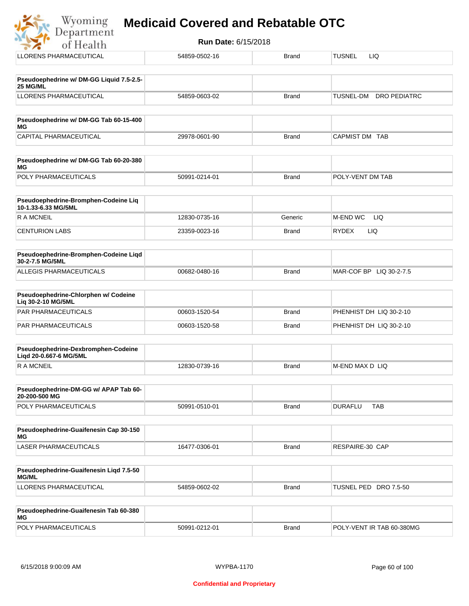| Department                                                    | <b>Run Date: 6/15/2018</b> |              |                                  |
|---------------------------------------------------------------|----------------------------|--------------|----------------------------------|
| of Health                                                     |                            |              |                                  |
| LLORENS PHARMACEUTICAL                                        | 54859-0502-16              | <b>Brand</b> | <b>TUSNEL</b><br>LIQ.            |
| Pseudoephedrine w/ DM-GG Liquid 7.5-2.5-<br>25 MG/ML          |                            |              |                                  |
| LLORENS PHARMACEUTICAL                                        | 54859-0603-02              | <b>Brand</b> | TUSNEL-DM<br><b>DRO PEDIATRC</b> |
| Pseudoephedrine w/ DM-GG Tab 60-15-400<br>ΜG                  |                            |              |                                  |
| CAPITAL PHARMACEUTICAL                                        | 29978-0601-90              | <b>Brand</b> | CAPMIST DM TAB                   |
| Pseudoephedrine w/ DM-GG Tab 60-20-380<br>ΜG                  |                            |              |                                  |
| POLY PHARMACEUTICALS                                          | 50991-0214-01              | <b>Brand</b> | POLY-VENT DM TAB                 |
| Pseudoephedrine-Bromphen-Codeine Liq<br>10-1.33-6.33 MG/5ML   |                            |              |                                  |
| <b>RAMCNEIL</b>                                               | 12830-0735-16              | Generic      | M-END WC<br>LIQ                  |
| <b>CENTURION LABS</b>                                         | 23359-0023-16              | <b>Brand</b> | <b>RYDEX</b><br>LIQ.             |
| Pseudoephedrine-Bromphen-Codeine Liqd<br>30-2-7.5 MG/5ML      |                            |              |                                  |
| ALLEGIS PHARMACEUTICALS                                       | 00682-0480-16              | <b>Brand</b> | MAR-COF BP LIQ 30-2-7.5          |
| Pseudoephedrine-Chlorphen w/ Codeine<br>Liq 30-2-10 MG/5ML    |                            |              |                                  |
| PAR PHARMACEUTICALS                                           | 00603-1520-54              | <b>Brand</b> | PHENHIST DH LIQ 30-2-10          |
| PAR PHARMACEUTICALS                                           | 00603-1520-58              | <b>Brand</b> | PHENHIST DH LIQ 30-2-10          |
| Pseudoephedrine-Dexbromphen-Codeine<br>Liqd 20-0.667-6 MG/5ML |                            |              |                                  |
| R A MCNEIL                                                    | 12830-0739-16              | <b>Brand</b> | M-END MAX D LIQ                  |
| Pseudoephedrine-DM-GG w/ APAP Tab 60-<br>20-200-500 MG        |                            |              |                                  |
| POLY PHARMACEUTICALS                                          | 50991-0510-01              | <b>Brand</b> | <b>DURAFLU</b><br><b>TAB</b>     |
| Pseudoephedrine-Guaifenesin Cap 30-150<br>МG                  |                            |              |                                  |
| <b>LASER PHARMACEUTICALS</b>                                  | 16477-0306-01              | <b>Brand</b> | RESPAIRE-30 CAP                  |

| Pseudoephedrine-Guaifenesin Ligd 7.5-50<br><b>MG/ML</b> |               |       |                          |
|---------------------------------------------------------|---------------|-------|--------------------------|
| LLORENS PHARMACEUTICAL                                  | 54859-0602-02 | Brand | TUSNEL PED<br>DRO 7.5-50 |

| <b>Pseudoephedrine-Guaifenesin Tab 60-380</b><br>MG |               |       |                           |
|-----------------------------------------------------|---------------|-------|---------------------------|
| <b>POLY PHARMACEUTICALS</b>                         | 50991-0212-01 | Brand | POLY-VENT IR TAB 60-380MG |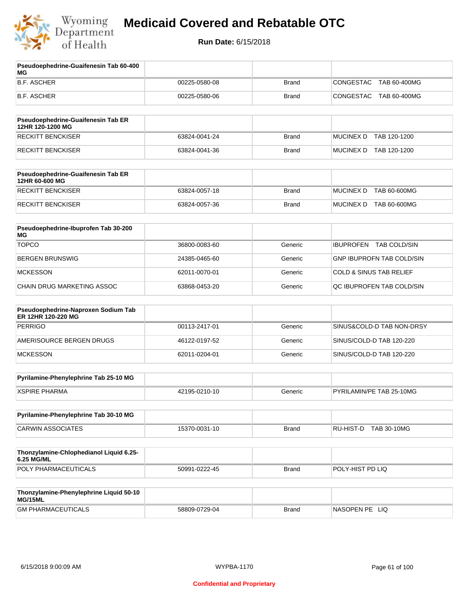

**Pseudoephedrine-Guaifenesin Tab 60-400** 

### **Medicaid Covered and Rebatable OTC**

| МG                                                        |               |              |                                         |
|-----------------------------------------------------------|---------------|--------------|-----------------------------------------|
| <b>B.F. ASCHER</b>                                        | 00225-0580-08 | <b>Brand</b> | CONGESTAC<br>TAB 60-400MG               |
| <b>B.F. ASCHER</b>                                        | 00225-0580-06 | <b>Brand</b> | <b>CONGESTAC</b><br>TAB 60-400MG        |
| Pseudoephedrine-Guaifenesin Tab ER<br>12HR 120-1200 MG    |               |              |                                         |
| <b>RECKITT BENCKISER</b>                                  | 63824-0041-24 | <b>Brand</b> | <b>MUCINEX D</b><br>TAB 120-1200        |
| <b>RECKITT BENCKISER</b>                                  | 63824-0041-36 | <b>Brand</b> | MUCINEX D TAB 120-1200                  |
| Pseudoephedrine-Guaifenesin Tab ER<br>12HR 60-600 MG      |               |              |                                         |
| <b>RECKITT BENCKISER</b>                                  | 63824-0057-18 | <b>Brand</b> | <b>TAB 60-600MG</b><br><b>MUCINEX D</b> |
| <b>RECKITT BENCKISER</b>                                  | 63824-0057-36 | <b>Brand</b> | MUCINEX D TAB 60-600MG                  |
| Pseudoephedrine-Ibuprofen Tab 30-200<br>МG                |               |              |                                         |
| <b>TOPCO</b>                                              | 36800-0083-60 | Generic      | <b>TAB COLD/SIN</b><br><b>IBUPROFEN</b> |
| <b>BERGEN BRUNSWIG</b>                                    | 24385-0465-60 | Generic      | <b>GNP IBUPROFN TAB COLD/SIN</b>        |
| <b>MCKESSON</b>                                           | 62011-0070-01 | Generic      | <b>COLD &amp; SINUS TAB RELIEF</b>      |
| CHAIN DRUG MARKETING ASSOC                                | 63868-0453-20 | Generic      | QC IBUPROFEN TAB COLD/SIN               |
| Pseudoephedrine-Naproxen Sodium Tab<br>ER 12HR 120-220 MG |               |              |                                         |
| <b>PERRIGO</b>                                            | 00113-2417-01 | Generic      | SINUS&COLD-D TAB NON-DRSY               |
| AMERISOURCE BERGEN DRUGS                                  | 46122-0197-52 | Generic      | SINUS/COLD-D TAB 120-220                |
| <b>MCKESSON</b>                                           | 62011-0204-01 | Generic      | SINUS/COLD-D TAB 120-220                |
| Pyrilamine-Phenylephrine Tab 25-10 MG                     |               |              |                                         |
| <b>XSPIRE PHARMA</b>                                      | 42195-0210-10 | Generic      | PYRILAMIN/PE TAB 25-10MG                |
| Pyrilamine-Phenylephrine Tab 30-10 MG                     |               |              |                                         |
| <b>CARWIN ASSOCIATES</b>                                  | 15370-0031-10 | <b>Brand</b> | RU-HIST-D<br>TAB 30-10MG                |
|                                                           |               |              |                                         |
| Thonzylamine-Chlophedianol Liquid 6.25-<br>6.25 MG/ML     |               |              |                                         |
| POLY PHARMACEUTICALS                                      | 50991-0222-45 | <b>Brand</b> | POLY-HIST PD LIQ                        |
|                                                           |               |              |                                         |
| Thonzylamine-Phenylephrine Liquid 50-10<br>MG/15ML        |               |              |                                         |
| <b>GM PHARMACEUTICALS</b>                                 | 58809-0729-04 | <b>Brand</b> | NASOPEN PE LIQ                          |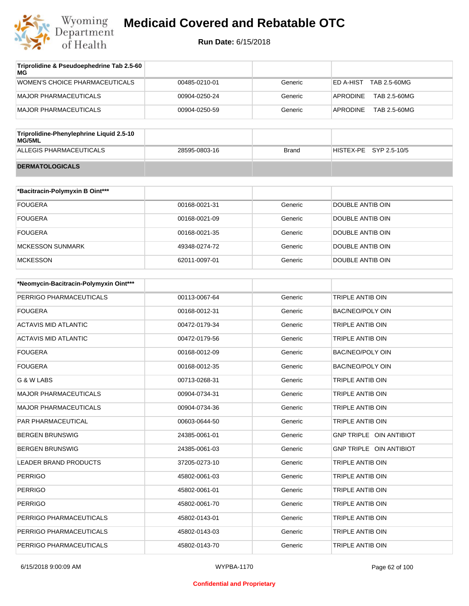

| Triprolidine & Pseudoephedrine Tab 2.5-60<br>MG |               |         |                            |
|-------------------------------------------------|---------------|---------|----------------------------|
| WOMEN'S CHOICE PHARMACEUTICALS                  | 00485-0210-01 | Generic | TAB 2.5-60MG<br>IED A-HIST |
| MAJOR PHARMACEUTICALS                           | 00904-0250-24 | Generic | TAB 2.5-60MG<br>APRODINE   |
| MAJOR PHARMACEUTICALS                           | 00904-0250-59 | Generic | TAB 2.5-60MG<br>APRODINE   |

| Triprolidine-Phenylephrine Liquid 2.5-10<br>MG/5ML |               |       |                        |  |
|----------------------------------------------------|---------------|-------|------------------------|--|
| ALLEGIS PHARMACEUTICALS                            | 28595-0803-16 | Brand | HISTEX-PE SYP 2.5-10/5 |  |
| <b>DERMATOLOGICALS</b>                             |               |       |                        |  |

| *Bacitracin-Polymyxin B Oint*** |               |         |                  |
|---------------------------------|---------------|---------|------------------|
| <b>FOUGERA</b>                  | 00168-0021-31 | Generic | DOUBLE ANTIB OIN |
| <b>FOUGERA</b>                  | 00168-0021-09 | Generic | DOUBLE ANTIB OIN |
| <b>FOUGERA</b>                  | 00168-0021-35 | Generic | DOUBLE ANTIB OIN |
| MCKESSON SUNMARK                | 49348-0274-72 | Generic | DOUBLE ANTIB OIN |
| <b>MCKESSON</b>                 | 62011-0097-01 | Generic | DOUBLE ANTIB OIN |

| *Neomycin-Bacitracin-Polymyxin Oint*** |               |         |                                |
|----------------------------------------|---------------|---------|--------------------------------|
| PERRIGO PHARMACEUTICALS                | 00113-0067-64 | Generic | <b>TRIPLE ANTIB OIN</b>        |
| <b>FOUGERA</b>                         | 00168-0012-31 | Generic | <b>BAC/NEO/POLY OIN</b>        |
| <b>ACTAVIS MID ATLANTIC</b>            | 00472-0179-34 | Generic | <b>TRIPLE ANTIB OIN</b>        |
| <b>ACTAVIS MID ATLANTIC</b>            | 00472-0179-56 | Generic | <b>TRIPLE ANTIB OIN</b>        |
| <b>FOUGERA</b>                         | 00168-0012-09 | Generic | <b>BAC/NEO/POLY OIN</b>        |
| <b>FOUGERA</b>                         | 00168-0012-35 | Generic | <b>BAC/NEO/POLY OIN</b>        |
| G & W LABS                             | 00713-0268-31 | Generic | <b>TRIPLE ANTIB OIN</b>        |
| <b>MAJOR PHARMACEUTICALS</b>           | 00904-0734-31 | Generic | <b>TRIPLE ANTIB OIN</b>        |
| <b>MAJOR PHARMACEUTICALS</b>           | 00904-0734-36 | Generic | <b>TRIPLE ANTIB OIN</b>        |
| <b>PAR PHARMACEUTICAL</b>              | 00603-0644-50 | Generic | <b>TRIPLE ANTIB OIN</b>        |
| <b>BERGEN BRUNSWIG</b>                 | 24385-0061-01 | Generic | <b>GNP TRIPLE OIN ANTIBIOT</b> |
| <b>BERGEN BRUNSWIG</b>                 | 24385-0061-03 | Generic | GNP TRIPLE OIN ANTIBIOT        |
| <b>LEADER BRAND PRODUCTS</b>           | 37205-0273-10 | Generic | <b>TRIPLE ANTIB OIN</b>        |
| <b>PERRIGO</b>                         | 45802-0061-03 | Generic | TRIPLE ANTIB OIN               |
| <b>PERRIGO</b>                         | 45802-0061-01 | Generic | <b>TRIPLE ANTIB OIN</b>        |
| <b>PERRIGO</b>                         | 45802-0061-70 | Generic | <b>TRIPLE ANTIB OIN</b>        |
| PERRIGO PHARMACEUTICALS                | 45802-0143-01 | Generic | <b>TRIPLE ANTIB OIN</b>        |
| PERRIGO PHARMACEUTICALS                | 45802-0143-03 | Generic | <b>TRIPLE ANTIB OIN</b>        |
| PERRIGO PHARMACEUTICALS                | 45802-0143-70 | Generic | <b>TRIPLE ANTIB OIN</b>        |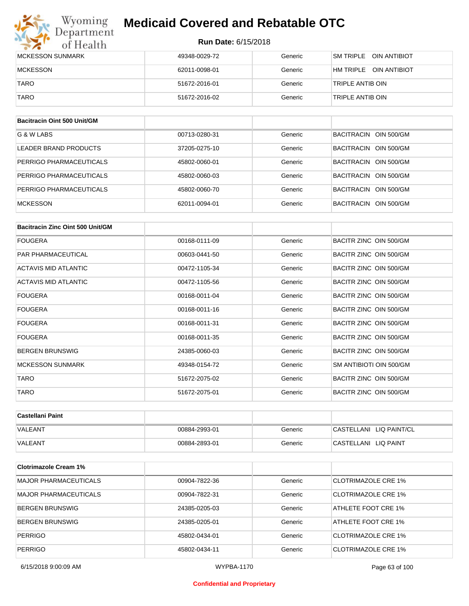#### **Run Date:** 6/15/2018

| Wyoming<br>Department   | <b>Medicaid Covered and Rebatable OTC</b> |         |                                   |  |  |
|-------------------------|-------------------------------------------|---------|-----------------------------------|--|--|
| of Health               | <b>Run Date: 6/15/2018</b>                |         |                                   |  |  |
| <b>MCKESSON SUNMARK</b> | 49348-0029-72                             | Generic | SM TRIPI F<br>OIN ANTIBIOT        |  |  |
| <b>MCKESSON</b>         | 62011-0098-01                             | Generic | HM TRIPI F<br><b>OIN ANTIBIOT</b> |  |  |
| <b>TARO</b>             | 51672-2016-01                             | Generic | TRIPLE ANTIB OIN                  |  |  |
| <b>TARO</b>             | 51672-2016-02                             | Generic | TRIPLE ANTIB OIN                  |  |  |

| Bacitracin Oint 500 Unit/GM |               |         |                                 |
|-----------------------------|---------------|---------|---------------------------------|
| G & W LABS                  | 00713-0280-31 | Generic | BACITRACIN OIN 500/GM           |
| LEADER BRAND PRODUCTS       | 37205-0275-10 | Generic | OIN 500/GM<br>BACITRACIN        |
| PERRIGO PHARMACEUTICALS     | 45802-0060-01 | Generic | BACITRACIN<br>OIN 500/GM        |
| PERRIGO PHARMACEUTICALS     | 45802-0060-03 | Generic | BACITRACIN<br>OIN 500/GM        |
| PERRIGO PHARMACEUTICALS     | 45802-0060-70 | Generic | BACITRACIN<br>OIN 500/GM        |
| <b>MCKESSON</b>             | 62011-0094-01 | Generic | OIN 500/GM<br><b>BACITRACIN</b> |

| Bacitracin Zinc Oint 500 Unit/GM |               |         |                         |
|----------------------------------|---------------|---------|-------------------------|
| <b>FOUGERA</b>                   | 00168-0111-09 | Generic | BACITR ZINC OIN 500/GM  |
| <b>PAR PHARMACEUTICAL</b>        | 00603-0441-50 | Generic | BACITR ZINC OIN 500/GM  |
| <b>ACTAVIS MID ATLANTIC</b>      | 00472-1105-34 | Generic | BACITR ZINC OIN 500/GM  |
| ACTAVIS MID ATLANTIC             | 00472-1105-56 | Generic | BACITR ZINC OIN 500/GM  |
| <b>FOUGERA</b>                   | 00168-0011-04 | Generic | BACITR ZINC OIN 500/GM  |
| <b>FOUGERA</b>                   | 00168-0011-16 | Generic | BACITR ZINC OIN 500/GM  |
| <b>FOUGERA</b>                   | 00168-0011-31 | Generic | BACITR ZINC OIN 500/GM  |
| <b>FOUGERA</b>                   | 00168-0011-35 | Generic | BACITR ZINC OIN 500/GM  |
| <b>BERGEN BRUNSWIG</b>           | 24385-0060-03 | Generic | BACITR ZINC OIN 500/GM  |
| <b>MCKESSON SUNMARK</b>          | 49348-0154-72 | Generic | SM ANTIBIOTI OIN 500/GM |
| <b>TARO</b>                      | 51672-2075-02 | Generic | BACITR ZINC OIN 500/GM  |
| <b>TARO</b>                      | 51672-2075-01 | Generic | BACITR ZINC OIN 500/GM  |

| ∣Castellani Paint |               |         |                         |
|-------------------|---------------|---------|-------------------------|
| <b>VALEANT</b>    | 00884-2993-01 | Generic | CASTELLANI LIQ PAINT/CL |
| <b>VALEANT</b>    | 00884-2893-01 | Generic | CASTELLANI LIQ PAINT    |

| <b>Clotrimazole Cream 1%</b> |               |         |                            |
|------------------------------|---------------|---------|----------------------------|
| MAJOR PHARMACEUTICALS        | 00904-7822-36 | Generic | <b>CLOTRIMAZOLE CRE 1%</b> |
| MAJOR PHARMACEUTICALS        | 00904-7822-31 | Generic | CLOTRIMAZOLE CRE 1%        |
| <b>BERGEN BRUNSWIG</b>       | 24385-0205-03 | Generic | ATHLETE FOOT CRE 1%        |
| <b>BERGEN BRUNSWIG</b>       | 24385-0205-01 | Generic | ATHLETE FOOT CRE 1%        |
| <b>PERRIGO</b>               | 45802-0434-01 | Generic | CLOTRIMAZOLE CRE 1%        |
| <b>PERRIGO</b>               | 45802-0434-11 | Generic | CLOTRIMAZOLE CRE 1%        |

#### **Confidential and Proprietary**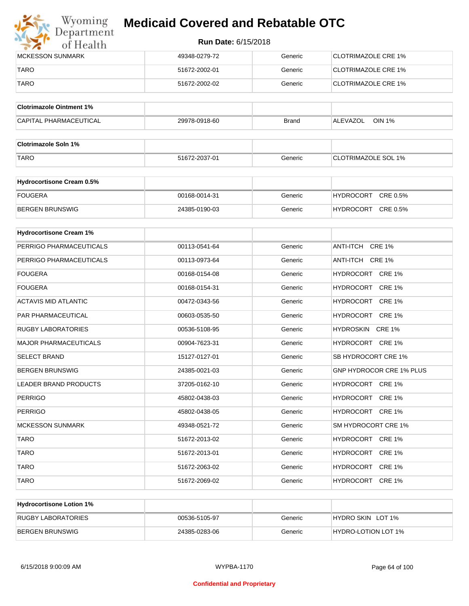

| <b>IMCKESSON SUNMARK</b> | 49348-0279-72 | Generic | <b>CLOTRIMAZOLE CRE 1%</b>  |
|--------------------------|---------------|---------|-----------------------------|
| TARO                     | 51672-2002-01 | Generic | <b>ICLOTRIMAZOLE CRE 1%</b> |
| <b>TARO</b>              | 51672-2002-02 | Generic | CLOTRIMAZOLE CRE 1%         |

| <b>Clotrimazole Ointment 1%</b> |               |              |                           |
|---------------------------------|---------------|--------------|---------------------------|
| CAPITAL PHARMACEUTICAL          | 29978-0918-60 | <b>Brand</b> | <b>OIN 1%</b><br>ALEVAZOL |

| <b>Clotrimazole Soln 1%</b> |               |         |                            |
|-----------------------------|---------------|---------|----------------------------|
| <b>TARO</b>                 | 51672-2037-01 | Generic | <b>CLOTRIMAZOLE SOL 1%</b> |

| <b>Hydrocortisone Cream 0.5%</b> |               |         |                              |
|----------------------------------|---------------|---------|------------------------------|
| FOUGERA                          | 00168-0014-31 | Generic | CRE 0.5%<br>HYDROCORT        |
| BERGEN BRUNSWIG                  | 24385-0190-03 | Generic | CRE 0.5%<br><b>HYDROCORT</b> |

| <b>Hydrocortisone Cream 1%</b> |               |         |                                 |
|--------------------------------|---------------|---------|---------------------------------|
| PERRIGO PHARMACEUTICALS        | 00113-0541-64 | Generic | ANTI-ITCH CRE 1%                |
| PERRIGO PHARMACEUTICALS        | 00113-0973-64 | Generic | ANTI-ITCH CRE 1%                |
| <b>FOUGERA</b>                 | 00168-0154-08 | Generic | HYDROCORT CRE 1%                |
| <b>FOUGERA</b>                 | 00168-0154-31 | Generic | HYDROCORT CRE 1%                |
| <b>ACTAVIS MID ATLANTIC</b>    | 00472-0343-56 | Generic | HYDROCORT CRE 1%                |
| PAR PHARMACEUTICAL             | 00603-0535-50 | Generic | HYDROCORT CRE 1%                |
| <b>RUGBY LABORATORIES</b>      | 00536-5108-95 | Generic | HYDROSKIN CRE 1%                |
| <b>MAJOR PHARMACEUTICALS</b>   | 00904-7623-31 | Generic | HYDROCORT CRE 1%                |
| <b>SELECT BRAND</b>            | 15127-0127-01 | Generic | SB HYDROCORT CRE 1%             |
| <b>BERGEN BRUNSWIG</b>         | 24385-0021-03 | Generic | <b>GNP HYDROCOR CRE 1% PLUS</b> |
| <b>LEADER BRAND PRODUCTS</b>   | 37205-0162-10 | Generic | HYDROCORT CRE 1%                |
| <b>PERRIGO</b>                 | 45802-0438-03 | Generic | HYDROCORT CRE 1%                |
| <b>PERRIGO</b>                 | 45802-0438-05 | Generic | HYDROCORT CRE 1%                |
| <b>MCKESSON SUNMARK</b>        | 49348-0521-72 | Generic | SM HYDROCORT CRE 1%             |
| <b>TARO</b>                    | 51672-2013-02 | Generic | HYDROCORT CRE 1%                |
| <b>TARO</b>                    | 51672-2013-01 | Generic | HYDROCORT CRE 1%                |
| <b>TARO</b>                    | 51672-2063-02 | Generic | HYDROCORT CRE 1%                |
| <b>TARO</b>                    | 51672-2069-02 | Generic | HYDROCORT CRE 1%                |

| <b>Hydrocortisone Lotion 1%</b> |               |         |                            |
|---------------------------------|---------------|---------|----------------------------|
| RUGBY LABORATORIES              | 00536-5105-97 | Generic | HYDRO SKIN LOT 1%          |
| BERGEN BRUNSWIG                 | 24385-0283-06 | Generic | <b>HYDRO-LOTION LOT 1%</b> |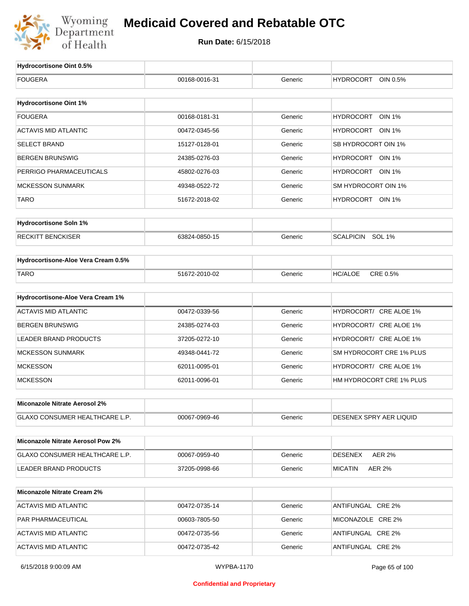

| Hydrocortisone Oint 0.5%                 |               |         |                                   |
|------------------------------------------|---------------|---------|-----------------------------------|
| <b>FOUGERA</b>                           | 00168-0016-31 | Generic | <b>HYDROCORT</b><br>OIN 0.5%      |
|                                          |               |         |                                   |
| <b>Hydrocortisone Oint 1%</b>            |               |         |                                   |
| <b>FOUGERA</b>                           | 00168-0181-31 | Generic | <b>HYDROCORT</b><br><b>OIN 1%</b> |
| <b>ACTAVIS MID ATLANTIC</b>              | 00472-0345-56 | Generic | HYDROCORT OIN 1%                  |
| <b>SELECT BRAND</b>                      | 15127-0128-01 | Generic | SB HYDROCORT OIN 1%               |
| <b>BERGEN BRUNSWIG</b>                   | 24385-0276-03 | Generic | HYDROCORT OIN 1%                  |
| PERRIGO PHARMACEUTICALS                  | 45802-0276-03 | Generic | HYDROCORT OIN 1%                  |
| <b>MCKESSON SUNMARK</b>                  | 49348-0522-72 | Generic | SM HYDROCORT OIN 1%               |
| <b>TARO</b>                              | 51672-2018-02 | Generic | HYDROCORT OIN 1%                  |
| <b>Hydrocortisone Soln 1%</b>            |               |         |                                   |
|                                          |               |         |                                   |
| <b>RECKITT BENCKISER</b>                 | 63824-0850-15 | Generic | <b>SCALPICIN</b><br><b>SOL 1%</b> |
| Hydrocortisone-Aloe Vera Cream 0.5%      |               |         |                                   |
| <b>TARO</b>                              | 51672-2010-02 | Generic | CRE 0.5%<br><b>HC/ALOE</b>        |
|                                          |               |         |                                   |
| Hydrocortisone-Aloe Vera Cream 1%        |               |         |                                   |
| <b>ACTAVIS MID ATLANTIC</b>              | 00472-0339-56 | Generic | HYDROCORT/ CRE ALOE 1%            |
| <b>BERGEN BRUNSWIG</b>                   | 24385-0274-03 | Generic | HYDROCORT/ CRE ALOE 1%            |
| <b>LEADER BRAND PRODUCTS</b>             | 37205-0272-10 | Generic | HYDROCORT/ CRE ALOE 1%            |
| <b>MCKESSON SUNMARK</b>                  | 49348-0441-72 | Generic | SM HYDROCORT CRE 1% PLUS          |
| <b>MCKESSON</b>                          | 62011-0095-01 | Generic | HYDROCORT/ CRE ALOE 1%            |
| <b>MCKESSON</b>                          | 62011-0096-01 | Generic | HM HYDROCORT CRE 1% PLUS          |
| Miconazole Nitrate Aerosol 2%            |               |         |                                   |
| <b>GLAXO CONSUMER HEALTHCARE L.P.</b>    | 00067-0969-46 | Generic | DESENEX SPRY AER LIQUID           |
|                                          |               |         |                                   |
| <b>Miconazole Nitrate Aerosol Pow 2%</b> |               |         |                                   |
| GLAXO CONSUMER HEALTHCARE L.P.           | 00067-0959-40 | Generic | <b>AER 2%</b><br>DESENEX          |
| LEADER BRAND PRODUCTS                    | 37205-0998-66 | Generic | <b>AER 2%</b><br>MICATIN          |
| <b>Miconazole Nitrate Cream 2%</b>       |               |         |                                   |
| <b>ACTAVIS MID ATLANTIC</b>              | 00472-0735-14 | Generic | ANTIFUNGAL CRE 2%                 |
| PAR PHARMACEUTICAL                       | 00603-7805-50 | Generic | MICONAZOLE CRE 2%                 |
| <b>ACTAVIS MID ATLANTIC</b>              | 00472-0735-56 | Generic | ANTIFUNGAL CRE 2%                 |
| <b>ACTAVIS MID ATLANTIC</b>              | 00472-0735-42 | Generic | ANTIFUNGAL CRE 2%                 |
|                                          |               |         |                                   |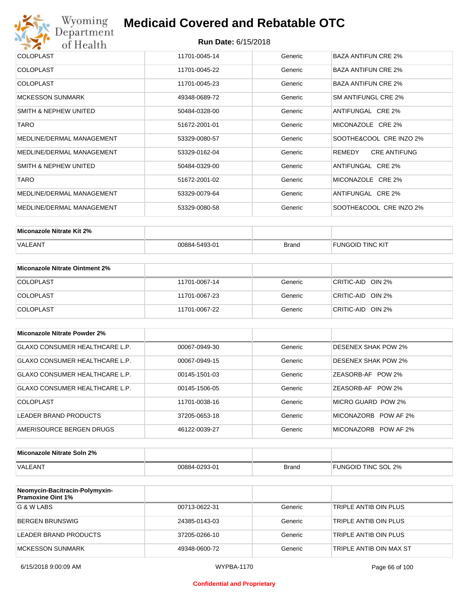

| <b>COLOPLAST</b>          | 11701-0045-14 | Generic | BAZA ANTIFUN CRE 2%           |
|---------------------------|---------------|---------|-------------------------------|
| <b>COLOPLAST</b>          | 11701-0045-22 | Generic | <b>BAZA ANTIFUN CRE 2%</b>    |
| <b>COLOPLAST</b>          | 11701-0045-23 | Generic | <b>BAZA ANTIFUN CRE 2%</b>    |
| <b>MCKESSON SUNMARK</b>   | 49348-0689-72 | Generic | SM ANTIFUNGL CRE 2%           |
| SMITH & NEPHEW UNITED     | 50484-0328-00 | Generic | ANTIFUNGAL CRE 2%             |
| <b>TARO</b>               | 51672-2001-01 | Generic | MICONAZOLE CRE 2%             |
| MEDLINE/DERMAL MANAGEMENT | 53329-0080-57 | Generic | SOOTHE&COOL CRE INZO 2%       |
| MEDLINE/DERMAL MANAGEMENT | 53329-0162-04 | Generic | REMEDY<br><b>CRE ANTIFUNG</b> |
| SMITH & NEPHEW UNITED     | 50484-0329-00 | Generic | ANTIFUNGAL CRE 2%             |
| <b>TARO</b>               | 51672-2001-02 | Generic | MICONAZOLE CRE 2%             |
| MEDLINE/DERMAL MANAGEMENT | 53329-0079-64 | Generic | ANTIFUNGAL CRE 2%             |
| MEDLINE/DERMAL MANAGEMENT | 53329-0080-58 | Generic | SOOTHE&COOL CRE INZO 2%       |

| Miconazole Nitrate Kit 2% |               |              |                         |
|---------------------------|---------------|--------------|-------------------------|
| VALEANT                   | 00884-5493-01 | <b>Brand</b> | <b>FUNGOID TINC KIT</b> |

| Miconazole Nitrate Ointment 2% |               |         |                   |
|--------------------------------|---------------|---------|-------------------|
| <b>COLOPLAST</b>               | 11701-0067-14 | Generic | CRITIC-AID OIN 2% |
| <b>COLOPLAST</b>               | 11701-0067-23 | Generic | CRITIC-AID OIN 2% |
| <b>COLOPLAST</b>               | 11701-0067-22 | Generic | CRITIC-AID OIN 2% |

| Miconazole Nitrate Powder 2%   |               |         |                            |
|--------------------------------|---------------|---------|----------------------------|
| GLAXO CONSUMER HEALTHCARE L.P. | 00067-0949-30 | Generic | DESENEX SHAK POW 2%        |
| GLAXO CONSUMER HEALTHCARE L.P. | 00067-0949-15 | Generic | <b>DESENEX SHAK POW 2%</b> |
| GLAXO CONSUMER HEALTHCARE L.P. | 00145-1501-03 | Generic | ZEASORB-AF POW 2%          |
| GLAXO CONSUMER HEALTHCARE L.P. | 00145-1506-05 | Generic | ZEASORB-AF POW 2%          |
| COLOPLAST                      | 11701-0038-16 | Generic | MICRO GUARD POW 2%         |
| LEADER BRAND PRODUCTS          | 37205-0653-18 | Generic | MICONAZORB POW AF 2%       |
| AMERISOURCE BERGEN DRUGS       | 46122-0039-27 | Generic | MICONAZORB POW AF 2%       |

| Miconazole Nitrate Soln 2% |               |       |                     |
|----------------------------|---------------|-------|---------------------|
| <b>VALEANT</b>             | 00884-0293-01 | Brand | FUNGOID TINC SOL 2% |

| Neomycin-Bacitracin-Polymyxin-<br><b>Pramoxine Oint 1%</b> |               |         |                         |
|------------------------------------------------------------|---------------|---------|-------------------------|
| G & W LABS                                                 | 00713-0622-31 | Generic | TRIPLE ANTIB OIN PLUS   |
| <b>BERGEN BRUNSWIG</b>                                     | 24385-0143-03 | Generic | TRIPLE ANTIB OIN PLUS   |
| LEADER BRAND PRODUCTS                                      | 37205-0266-10 | Generic | TRIPLE ANTIB OIN PLUS   |
| MCKESSON SUNMARK                                           | 49348-0600-72 | Generic | TRIPLE ANTIB OIN MAX ST |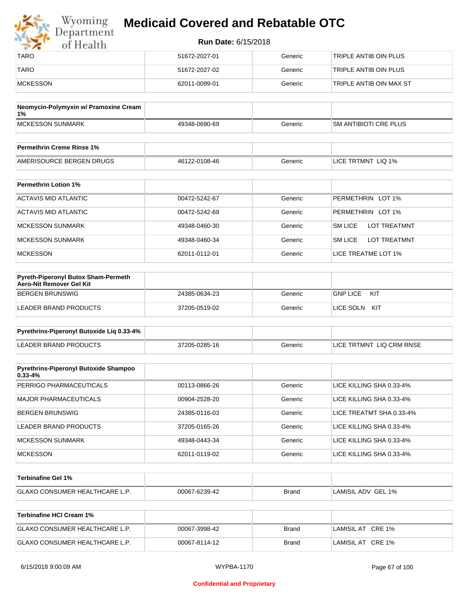| Wyoming<br>Department | <b>Medicaid Covered and Rebatable OTC</b><br><b>Run Date: 6/15/2018</b> |         |                         |  |
|-----------------------|-------------------------------------------------------------------------|---------|-------------------------|--|
| of Health             |                                                                         |         |                         |  |
| <b>TARO</b>           | 51672-2027-01                                                           | Generic | TRIPLE ANTIB OIN PLUS   |  |
| <b>TARO</b>           | 51672-2027-02                                                           | Generic | TRIPLE ANTIB OIN PLUS   |  |
| MCKESSON              | 62011-0099-01                                                           | Generic | TRIPLE ANTIB OIN MAX ST |  |

| Neomycin-Polymyxin w/ Pramoxine Cream<br>1% |               |         |                              |
|---------------------------------------------|---------------|---------|------------------------------|
| <b>IMCKESSON SUNMARK</b>                    | 49348-0690-69 | Generic | <b>SM ANTIBIOTI CRE PLUS</b> |
|                                             |               |         |                              |
| <b>Permethrin Creme Rinse 1%</b>            |               |         |                              |

| AMERISOURCE BERGEN DRUGS    | 46122-0108-46 | Generic | LICE TRTMNT LIQ 1% |
|-----------------------------|---------------|---------|--------------------|
|                             |               |         |                    |
| <b>Permethrin Lotion 1%</b> |               |         |                    |

| 1 GHRGUIHI LOUOH 170 |               |         |                                       |
|----------------------|---------------|---------|---------------------------------------|
| ACTAVIS MID ATLANTIC | 00472-5242-67 | Generic | PERMETHRIN LOT 1%                     |
| ACTAVIS MID ATLANTIC | 00472-5242-69 | Generic | PERMETHRIN LOT 1%                     |
| MCKESSON SUNMARK     | 49348-0460-30 | Generic | <b>SM LICE</b><br><b>LOT TREATMNT</b> |
| MCKESSON SUNMARK     | 49348-0460-34 | Generic | <b>SM LICE</b><br><b>LOT TREATMNT</b> |
| <b>MCKESSON</b>      | 62011-0112-01 | Generic | LICE TREATME LOT 1%                   |

| <b>Pyreth-Piperonyl Butox Sham-Permeth</b><br>Aero-Nit Remover Gel Kit |               |         |                        |
|------------------------------------------------------------------------|---------------|---------|------------------------|
| BERGEN BRUNSWIG                                                        | 24385-0634-23 | Generic | <b>GNP LICE</b><br>KIT |
| LEADER BRAND PRODUCTS                                                  | 37205-0519-02 | Generic | LICE SOLN<br>KIT       |

| Pyrethrins-Piperonyl Butoxide Lig 0.33-4% |               |         |                          |
|-------------------------------------------|---------------|---------|--------------------------|
| LEADER BRAND PRODUCTS                     | 37205-0285-16 | Generic | LICE TRTMNT LIQ CRM RNSE |

| <b>Pyrethrins-Piperonyl Butoxide Shampoo</b><br>$0.33 - 4%$ |               |         |                          |
|-------------------------------------------------------------|---------------|---------|--------------------------|
| PERRIGO PHARMACEUTICALS                                     | 00113-0866-26 | Generic | LICE KILLING SHA 0.33-4% |
| MAJOR PHARMACEUTICALS                                       | 00904-2528-20 | Generic | LICE KILLING SHA 0.33-4% |
| BERGEN BRUNSWIG                                             | 24385-0116-03 | Generic | LICE TREATMT SHA 0.33-4% |
| LEADER BRAND PRODUCTS                                       | 37205-0165-26 | Generic | LICE KILLING SHA 0.33-4% |
| <b>MCKESSON SUNMARK</b>                                     | 49348-0443-34 | Generic | LICE KILLING SHA 0.33-4% |
| <b>MCKESSON</b>                                             | 62011-0119-02 | Generic | LICE KILLING SHA 0.33-4% |

| ∣Terbinafine Gel 1%                   |               |              |                    |
|---------------------------------------|---------------|--------------|--------------------|
| <b>GLAXO CONSUMER HEALTHCARE L.P.</b> | 00067-6239-42 | <b>Brand</b> | LAMISIL ADV GEL 1% |

| Terbinafine HCI Cream 1%              |               |              |                   |
|---------------------------------------|---------------|--------------|-------------------|
| <b>GLAXO CONSUMER HEALTHCARE L.P.</b> | 00067-3998-42 | <b>Brand</b> | LAMISIL AT CRE 1% |
| <b>GLAXO CONSUMER HEALTHCARE L.P.</b> | 00067-8114-12 | Brand        | LAMISIL AT CRE 1% |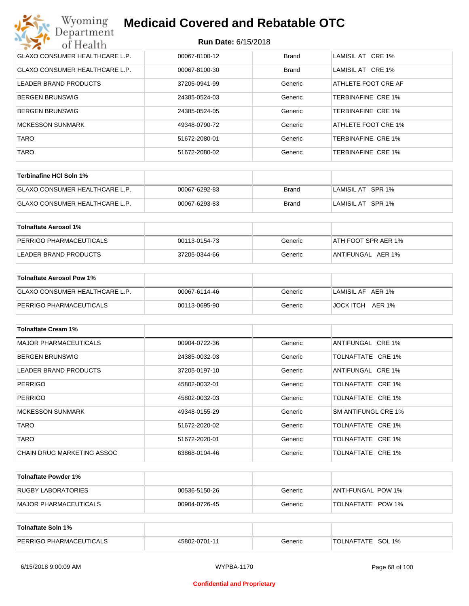| Wyoming<br><b>Medicaid Covered and Rebatable OTC</b><br>Department |                            |              |                     |  |
|--------------------------------------------------------------------|----------------------------|--------------|---------------------|--|
| of Health                                                          | <b>Run Date: 6/15/2018</b> |              |                     |  |
| <b>GLAXO CONSUMER HEALTHCARE L.P.</b>                              | 00067-8100-12              | <b>Brand</b> | LAMISIL AT CRE 1%   |  |
| <b>GLAXO CONSUMER HEALTHCARE L.P.</b>                              | 00067-8100-30              | Brand        | LAMISIL AT CRE 1%   |  |
| LEADER BRAND PRODUCTS                                              | 37205-0941-99              | Generic      | ATHLETE FOOT CRE AF |  |
| <b>BERGEN BRUNSWIG</b>                                             | 24385-0524-03              | Generic      | TERBINAFINE CRE 1%  |  |
| <b>BERGEN BRUNSWIG</b>                                             | 24385-0524-05              | Generic      | TERBINAFINE CRE 1%  |  |
| <b>MCKESSON SUNMARK</b>                                            | 49348-0790-72              | Generic      | ATHLETE FOOT CRE 1% |  |
| <b>TARO</b>                                                        | 51672-2080-01              | Generic      | TERBINAFINE CRE 1%  |  |
| <b>TARO</b>                                                        | 51672-2080-02              | Generic      | TERBINAFINE CRE 1%  |  |

| Terbinafine HCI Soln 1%        |               |       |                   |
|--------------------------------|---------------|-------|-------------------|
| GLAXO CONSUMER HEALTHCARE L.P. | 00067-6292-83 | Brand | LAMISIL AT SPR 1% |
| GLAXO CONSUMER HEALTHCARE L.P. | 00067-6293-83 | Brand | LAMISIL AT SPR 1% |

| Tolnaftate Aerosol 1%   |               |         |                     |
|-------------------------|---------------|---------|---------------------|
| PERRIGO PHARMACEUTICALS | 00113-0154-73 | Generic | ATH FOOT SPR AER 1% |
| LEADER BRAND PRODUCTS   | 37205-0344-66 | Generic | ANTIFUNGAL AER 1%   |

| Tolnaftate Aerosol Pow 1%      |               |         |                   |
|--------------------------------|---------------|---------|-------------------|
| GLAXO CONSUMER HEALTHCARE L.P. | 00067-6114-46 | Generic | LAMISIL AF AER 1% |
| PERRIGO PHARMACEUTICALS        | 00113-0695-90 | Generic | JOCK ITCH AER 1%  |

| <b>Tolnaftate Cream 1%</b>   |               |         |                     |
|------------------------------|---------------|---------|---------------------|
| <b>MAJOR PHARMACEUTICALS</b> | 00904-0722-36 | Generic | ANTIFUNGAL CRE 1%   |
| <b>BERGEN BRUNSWIG</b>       | 24385-0032-03 | Generic | TOLNAFTATE CRE 1%   |
| LEADER BRAND PRODUCTS        | 37205-0197-10 | Generic | ANTIFUNGAL CRE 1%   |
| <b>PERRIGO</b>               | 45802-0032-01 | Generic | TOLNAFTATE CRE 1%   |
| <b>PERRIGO</b>               | 45802-0032-03 | Generic | TOLNAFTATE CRE 1%   |
| <b>MCKESSON SUNMARK</b>      | 49348-0155-29 | Generic | SM ANTIFUNGL CRE 1% |
| <b>TARO</b>                  | 51672-2020-02 | Generic | TOLNAFTATE CRE 1%   |
| <b>TARO</b>                  | 51672-2020-01 | Generic | TOLNAFTATE CRE 1%   |
| CHAIN DRUG MARKETING ASSOC   | 63868-0104-46 | Generic | TOLNAFTATE CRE 1%   |

| Tolnaftate Powder 1%  |               |         |                     |
|-----------------------|---------------|---------|---------------------|
| RUGBY LABORATORIES    | 00536-5150-26 | Generic | IANTI-FUNGAL POW 1% |
| MAJOR PHARMACEUTICALS | 00904-0726-45 | Generic | TOLNAFTATE POW 1%   |

| <b>Tolnaftate Soln 1%</b>      |               |         |                   |
|--------------------------------|---------------|---------|-------------------|
| <b>PERRIGO PHARMACEUTICALS</b> | 45802-0701-11 | Generic | TOLNAFTATE SOL 1% |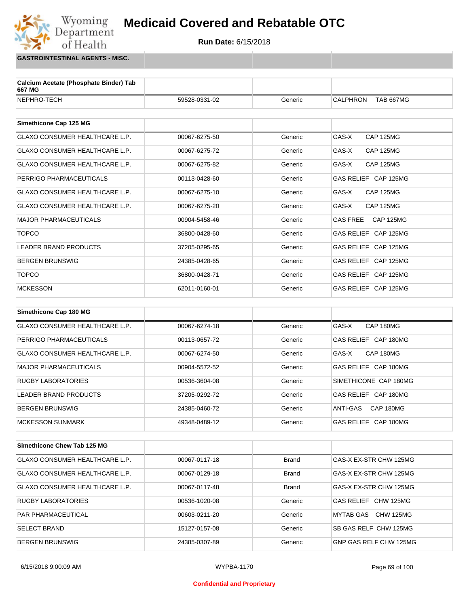

**GASTROINTESTINAL AGENTS - MISC.**

Wyoming<br>Department

of Health

| Calcium Acetate (Phosphate Binder) Tab<br>667 MG |               |         |                                       |
|--------------------------------------------------|---------------|---------|---------------------------------------|
| NEPHRO-TECH                                      | 59528-0331-02 | Generic | <b>CALPHRON</b><br><b>TAB 667MG</b>   |
|                                                  |               |         |                                       |
| Simethicone Cap 125 MG                           |               |         |                                       |
| <b>GLAXO CONSUMER HEALTHCARE L.P.</b>            | 00067-6275-50 | Generic | <b>CAP 125MG</b><br>GAS-X             |
| <b>GLAXO CONSUMER HEALTHCARE L.P.</b>            | 00067-6275-72 | Generic | GAS-X<br><b>CAP 125MG</b>             |
| <b>GLAXO CONSUMER HEALTHCARE L.P.</b>            | 00067-6275-82 | Generic | GAS-X<br><b>CAP 125MG</b>             |
| PERRIGO PHARMACEUTICALS                          | 00113-0428-60 | Generic | GAS RELIEF CAP 125MG                  |
| <b>GLAXO CONSUMER HEALTHCARE L.P.</b>            | 00067-6275-10 | Generic | GAS-X<br><b>CAP 125MG</b>             |
| <b>GLAXO CONSUMER HEALTHCARE L.P.</b>            | 00067-6275-20 | Generic | GAS-X<br><b>CAP 125MG</b>             |
| <b>MAJOR PHARMACEUTICALS</b>                     | 00904-5458-46 | Generic | <b>GAS FREE</b><br><b>CAP 125MG</b>   |
| <b>TOPCO</b>                                     | 36800-0428-60 | Generic | GAS RELIEF CAP 125MG                  |
| <b>LEADER BRAND PRODUCTS</b>                     | 37205-0295-65 | Generic | GAS RELIEF CAP 125MG                  |
| <b>BERGEN BRUNSWIG</b>                           | 24385-0428-65 | Generic | <b>GAS RELIEF</b><br><b>CAP 125MG</b> |
| <b>TOPCO</b>                                     | 36800-0428-71 | Generic | GAS RELIEF CAP 125MG                  |
| <b>MCKESSON</b>                                  | 62011-0160-01 | Generic | GAS RELIEF CAP 125MG                  |
|                                                  |               |         |                                       |
| Simethicone Cap 180 MG                           |               |         |                                       |
| <b>GLAXO CONSUMER HEALTHCARE L.P.</b>            | 00067-6274-18 | Generic | GAS-X<br>CAP 180MG                    |

| GLAXO CONSUMER HEALTHCARE L.P. | 00067-6274-18 | Generic | GAS-X<br>CAP 180MG    |
|--------------------------------|---------------|---------|-----------------------|
| PERRIGO PHARMACEUTICALS        | 00113-0657-72 | Generic | GAS RELIEF CAP 180MG  |
| GLAXO CONSUMER HEALTHCARE L.P. | 00067-6274-50 | Generic | CAP 180MG<br>GAS-X    |
| MAJOR PHARMACEUTICALS          | 00904-5572-52 | Generic | GAS RELIEF CAP 180MG  |
| <b>RUGBY LABORATORIES</b>      | 00536-3604-08 | Generic | SIMETHICONE CAP 180MG |
| LEADER BRAND PRODUCTS          | 37205-0292-72 | Generic | GAS RELIEF CAP 180MG  |
| BERGEN BRUNSWIG                | 24385-0460-72 | Generic | CAP 180MG<br>ANTI-GAS |
| MCKESSON SUNMARK               | 49348-0489-12 | Generic | GAS RELIEF CAP 180MG  |

| Simethicone Chew Tab 125 MG           |               |              |                        |
|---------------------------------------|---------------|--------------|------------------------|
| GLAXO CONSUMER HEALTHCARE L.P.        | 00067-0117-18 | Brand        | GAS-X EX-STR CHW 125MG |
| <b>GLAXO CONSUMER HEALTHCARE L.P.</b> | 00067-0129-18 | <b>Brand</b> | GAS-X EX-STR CHW 125MG |
| <b>GLAXO CONSUMER HEALTHCARE L.P.</b> | 00067-0117-48 | <b>Brand</b> | GAS-X EX-STR CHW 125MG |
| <b>RUGBY LABORATORIES</b>             | 00536-1020-08 | Generic      | GAS RELIEF CHW 125MG   |
| <b>PAR PHARMACEUTICAL</b>             | 00603-0211-20 | Generic      | CHW 125MG<br>MYTAB GAS |
| <b>SELECT BRAND</b>                   | 15127-0157-08 | Generic      | SB GAS RELF CHW 125MG  |
| <b>BERGEN BRUNSWIG</b>                | 24385-0307-89 | Generic      | GNP GAS RELF CHW 125MG |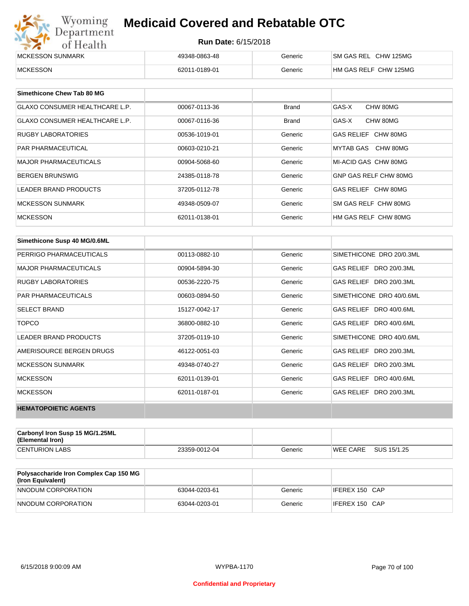| Wyoming<br><b>Medicaid Covered and Rebatable OTC</b><br>Department |                            |         |                       |  |
|--------------------------------------------------------------------|----------------------------|---------|-----------------------|--|
| of Health                                                          | <b>Run Date: 6/15/2018</b> |         |                       |  |
| MCKESSON SUNMARK                                                   | 49348-0863-48              | Generic | SM GAS REL CHW 125MG  |  |
| <b>MCKESSON</b>                                                    | 62011-0189-01              | Generic | HM GAS RELF CHW 125MG |  |

| Simethicone Chew Tab 80 MG            |               |              |                       |
|---------------------------------------|---------------|--------------|-----------------------|
| <b>GLAXO CONSUMER HEALTHCARE L.P.</b> | 00067-0113-36 | <b>Brand</b> | GAS-X<br>CHW 80MG     |
| <b>GLAXO CONSUMER HEALTHCARE L.P.</b> | 00067-0116-36 | <b>Brand</b> | GAS-X<br>CHW 80MG     |
| <b>RUGBY LABORATORIES</b>             | 00536-1019-01 | Generic      | GAS RELIEF CHW 80MG   |
| <b>PAR PHARMACEUTICAL</b>             | 00603-0210-21 | Generic      | MYTAB GAS CHW 80MG    |
| <b>MAJOR PHARMACEUTICALS</b>          | 00904-5068-60 | Generic      | MI-ACID GAS CHW 80MG  |
| <b>BERGEN BRUNSWIG</b>                | 24385-0118-78 | Generic      | GNP GAS RELF CHW 80MG |
| <b>LEADER BRAND PRODUCTS</b>          | 37205-0112-78 | Generic      | GAS RELIEF CHW 80MG   |
| MCKESSON SUNMARK                      | 49348-0509-07 | Generic      | SM GAS RELF CHW 80MG  |
| <b>MCKESSON</b>                       | 62011-0138-01 | Generic      | HM GAS RELF CHW 80MG  |

| Simethicone Susp 40 MG/0.6ML |               |         |                          |
|------------------------------|---------------|---------|--------------------------|
| PERRIGO PHARMACEUTICALS      | 00113-0882-10 | Generic | SIMETHICONE DRO 20/0.3ML |
| <b>MAJOR PHARMACEUTICALS</b> | 00904-5894-30 | Generic | GAS RELIEF DRO 20/0.3ML  |
| <b>RUGBY LABORATORIES</b>    | 00536-2220-75 | Generic | GAS RELIEF DRO 20/0.3ML  |
| <b>PAR PHARMACEUTICALS</b>   | 00603-0894-50 | Generic | SIMETHICONE DRO 40/0.6ML |
| <b>SELECT BRAND</b>          | 15127-0042-17 | Generic | GAS RELIEF DRO 40/0.6ML  |
| <b>TOPCO</b>                 | 36800-0882-10 | Generic | GAS RELIEF DRO 40/0.6ML  |
| <b>LEADER BRAND PRODUCTS</b> | 37205-0119-10 | Generic | SIMETHICONE DRO 40/0.6ML |
| AMERISOURCE BERGEN DRUGS     | 46122-0051-03 | Generic | GAS RELIEF DRO 20/0.3ML  |
| <b>MCKESSON SUNMARK</b>      | 49348-0740-27 | Generic | GAS RELIEF DRO 20/0.3ML  |
| <b>MCKESSON</b>              | 62011-0139-01 | Generic | GAS RELIEF DRO 40/0.6ML  |
| <b>MCKESSON</b>              | 62011-0187-01 | Generic | GAS RELIEF DRO 20/0.3ML  |
| <b>HEMATOPOIETIC AGENTS</b>  |               |         |                          |

| Carbonyl Iron Susp 15 MG/1.25ML<br>(Elemental Iron) |               |         |                 |             |
|-----------------------------------------------------|---------------|---------|-----------------|-------------|
| <b>CENTURION LABS</b>                               | 23359-0012-04 | Generic | <b>WEE CARE</b> | SUS 15/1.25 |

| <b>Polysaccharide Iron Complex Cap 150 MG</b><br>(Iron Equivalent) |               |         |                |
|--------------------------------------------------------------------|---------------|---------|----------------|
| NNODUM CORPORATION                                                 | 63044-0203-61 | Generic | IFEREX 150 CAP |
| NNODUM CORPORATION                                                 | 63044-0203-01 | Generic | IFEREX 150 CAP |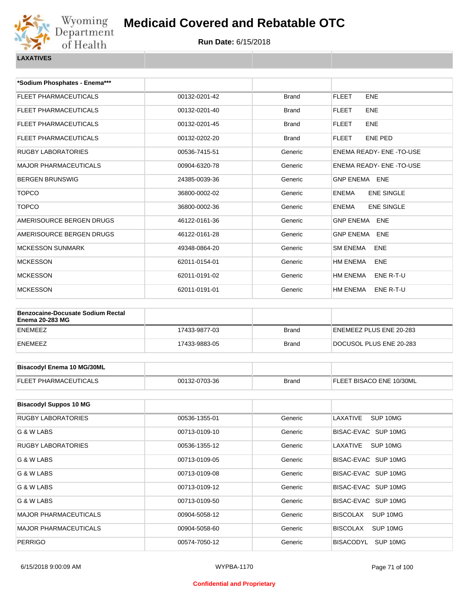

| *Sodium Phosphates - Enema***                                      |               |              |                                   |
|--------------------------------------------------------------------|---------------|--------------|-----------------------------------|
| FLEET PHARMACEUTICALS                                              | 00132-0201-42 | <b>Brand</b> | <b>FLEET</b><br><b>ENE</b>        |
| FLEET PHARMACEUTICALS                                              | 00132-0201-40 | <b>Brand</b> | <b>FLEET</b><br><b>ENE</b>        |
| FLEET PHARMACEUTICALS                                              | 00132-0201-45 | <b>Brand</b> | <b>FLEET</b><br><b>ENE</b>        |
| <b>FLEET PHARMACEUTICALS</b>                                       | 00132-0202-20 | <b>Brand</b> | <b>FLEET</b><br><b>ENE PED</b>    |
| <b>RUGBY LABORATORIES</b>                                          | 00536-7415-51 | Generic      | ENEMA READY- ENE-TO-USE           |
| <b>MAJOR PHARMACEUTICALS</b>                                       | 00904-6320-78 | Generic      | ENEMA READY- ENE -TO-USE          |
| <b>BERGEN BRUNSWIG</b>                                             | 24385-0039-36 | Generic      | <b>GNP ENEMA ENE</b>              |
| <b>TOPCO</b>                                                       | 36800-0002-02 | Generic      | <b>ENE SINGLE</b><br><b>ENEMA</b> |
| <b>TOPCO</b>                                                       | 36800-0002-36 | Generic      | <b>ENEMA</b><br><b>ENE SINGLE</b> |
| AMERISOURCE BERGEN DRUGS                                           | 46122-0161-36 | Generic      | <b>GNP ENEMA ENE</b>              |
| AMERISOURCE BERGEN DRUGS                                           | 46122-0161-28 | Generic      | <b>GNP ENEMA</b><br><b>ENE</b>    |
| <b>MCKESSON SUNMARK</b>                                            | 49348-0864-20 | Generic      | <b>SM ENEMA</b><br><b>ENE</b>     |
| <b>MCKESSON</b>                                                    | 62011-0154-01 | Generic      | HM ENEMA<br><b>ENE</b>            |
| <b>MCKESSON</b>                                                    | 62011-0191-02 | Generic      | HM ENEMA<br>ENE R-T-U             |
| <b>MCKESSON</b>                                                    | 62011-0191-01 | Generic      | HM ENEMA<br>ENE R-T-U             |
|                                                                    |               |              |                                   |
| <b>Benzocaine-Docusate Sodium Rectal</b><br><b>Enema 20-283 MG</b> |               |              |                                   |
| <b>ENEMEEZ</b>                                                     | 17433-9877-03 | <b>Brand</b> | ENEMEEZ PLUS ENE 20-283           |
| <b>ENEMEEZ</b>                                                     | 17433-9883-05 | <b>Brand</b> | DOCUSOL PLUS ENE 20-283           |
|                                                                    |               |              |                                   |
| <b>Bisacodyl Enema 10 MG/30ML</b>                                  |               |              |                                   |
| FLEET PHARMACEUTICALS                                              | 00132-0703-36 | <b>Brand</b> | FLEET BISACO ENE 10/30ML          |
|                                                                    |               |              |                                   |
| <b>Bisacodyl Suppos 10 MG</b>                                      |               |              |                                   |
| <b>RUGBY LABORATORIES</b>                                          | 00536-1355-01 | Generic      | SUP 10MG<br>LAXATIVE              |
| G & W LABS                                                         | 00713-0109-10 | Generic      | BISAC-EVAC SUP 10MG               |

| G & W LABS                   | 00713-0109-10 | Generic | BISAC-EVAC SUP 10MG          |
|------------------------------|---------------|---------|------------------------------|
| <b>RUGBY LABORATORIES</b>    | 00536-1355-12 | Generic | SUP 10MG<br>LAXATIVE         |
| G & W LABS                   | 00713-0109-05 | Generic | BISAC-EVAC SUP 10MG          |
| G & W LABS                   | 00713-0109-08 | Generic | BISAC-EVAC SUP 10MG          |
| G & W LABS                   | 00713-0109-12 | Generic | BISAC-EVAC SUP 10MG          |
| G & W LABS                   | 00713-0109-50 | Generic | BISAC-EVAC SUP 10MG          |
| <b>MAJOR PHARMACEUTICALS</b> | 00904-5058-12 | Generic | SUP 10MG<br><b>BISCOLAX</b>  |
| <b>MAJOR PHARMACEUTICALS</b> | 00904-5058-60 | Generic | SUP 10MG<br><b>BISCOLAX</b>  |
| <b>PERRIGO</b>               | 00574-7050-12 | Generic | <b>BISACODYL</b><br>SUP 10MG |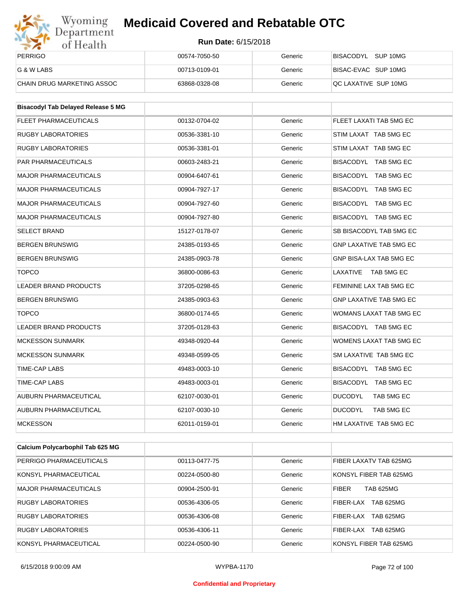

| Wyoming<br>Department      | <b>Medicaid Covered and Rebatable OTC</b> |         |                       |  |  |
|----------------------------|-------------------------------------------|---------|-----------------------|--|--|
| of Health                  | <b>Run Date: 6/15/2018</b>                |         |                       |  |  |
| <b>PERRIGO</b>             | 00574-7050-50                             | Generic | BISACODYL<br>SUP 10MG |  |  |
| G & W LABS                 | 00713-0109-01                             | Generic | BISAC-EVAC SUP 10MG   |  |  |
| CHAIN DRUG MARKETING ASSOC | 63868-0328-08                             | Generic | QC LAXATIVE SUP 10MG  |  |  |

| <b>Bisacodyl Tab Delayed Release 5 MG</b> |               |         |                                |
|-------------------------------------------|---------------|---------|--------------------------------|
| <b>FLEET PHARMACEUTICALS</b>              | 00132-0704-02 | Generic | FLEET LAXATI TAB 5MG EC        |
| <b>RUGBY LABORATORIES</b>                 | 00536-3381-10 | Generic | STIM LAXAT TAB 5MG EC          |
| <b>RUGBY LABORATORIES</b>                 | 00536-3381-01 | Generic | STIM LAXAT TAB 5MG EC          |
| PAR PHARMACEUTICALS                       | 00603-2483-21 | Generic | BISACODYL TAB 5MG EC           |
| <b>MAJOR PHARMACEUTICALS</b>              | 00904-6407-61 | Generic | BISACODYL TAB 5MG EC           |
| <b>MAJOR PHARMACEUTICALS</b>              | 00904-7927-17 | Generic | BISACODYL TAB 5MG EC           |
| <b>MAJOR PHARMACEUTICALS</b>              | 00904-7927-60 | Generic | BISACODYL TAB 5MG EC           |
| <b>MAJOR PHARMACEUTICALS</b>              | 00904-7927-80 | Generic | BISACODYL TAB 5MG EC           |
| <b>SELECT BRAND</b>                       | 15127-0178-07 | Generic | SB BISACODYL TAB 5MG EC        |
| <b>BERGEN BRUNSWIG</b>                    | 24385-0193-65 | Generic | <b>GNP LAXATIVE TAB 5MG EC</b> |
| <b>BERGEN BRUNSWIG</b>                    | 24385-0903-78 | Generic | GNP BISA-LAX TAB 5MG EC        |
| <b>TOPCO</b>                              | 36800-0086-63 | Generic | LAXATIVE<br>TAB 5MG EC         |
| <b>LEADER BRAND PRODUCTS</b>              | 37205-0298-65 | Generic | FEMININE LAX TAB 5MG EC        |
| <b>BERGEN BRUNSWIG</b>                    | 24385-0903-63 | Generic | <b>GNP LAXATIVE TAB 5MG EC</b> |
| <b>TOPCO</b>                              | 36800-0174-65 | Generic | WOMANS LAXAT TAB 5MG EC        |
| <b>LEADER BRAND PRODUCTS</b>              | 37205-0128-63 | Generic | BISACODYL TAB 5MG EC           |
| <b>MCKESSON SUNMARK</b>                   | 49348-0920-44 | Generic | <b>WOMENS LAXAT TAB 5MG EC</b> |
| <b>MCKESSON SUNMARK</b>                   | 49348-0599-05 | Generic | SM LAXATIVE TAB 5MG EC         |
| TIME-CAP LABS                             | 49483-0003-10 | Generic | BISACODYL TAB 5MG EC           |
| TIME-CAP LABS                             | 49483-0003-01 | Generic | BISACODYL TAB 5MG EC           |
| AUBURN PHARMACEUTICAL                     | 62107-0030-01 | Generic | <b>DUCODYL</b><br>TAB 5MG EC   |
| AUBURN PHARMACEUTICAL                     | 62107-0030-10 | Generic | <b>DUCODYL</b><br>TAB 5MG EC   |
| <b>MCKESSON</b>                           | 62011-0159-01 | Generic | HM LAXATIVE TAB 5MG EC         |

| Calcium Polycarbophil Tab 625 MG |               |         |                                  |
|----------------------------------|---------------|---------|----------------------------------|
| PERRIGO PHARMACEUTICALS          | 00113-0477-75 | Generic | FIBER LAXATV TAB 625MG           |
| KONSYL PHARMACEUTICAL            | 00224-0500-80 | Generic | KONSYL FIBER TAB 625MG           |
| <b>MAJOR PHARMACEUTICALS</b>     | 00904-2500-91 | Generic | <b>FIBER</b><br><b>TAB 625MG</b> |
| <b>RUGBY LABORATORIES</b>        | 00536-4306-05 | Generic | FIBER-LAX<br><b>TAB 625MG</b>    |
| <b>RUGBY LABORATORIES</b>        | 00536-4306-08 | Generic | <b>TAB 625MG</b><br>FIBER-LAX    |
| <b>RUGBY LABORATORIES</b>        | 00536-4306-11 | Generic | <b>TAB 625MG</b><br>FIBER-LAX    |
| KONSYL PHARMACEUTICAL            | 00224-0500-90 | Generic | KONSYL FIBER TAB 625MG           |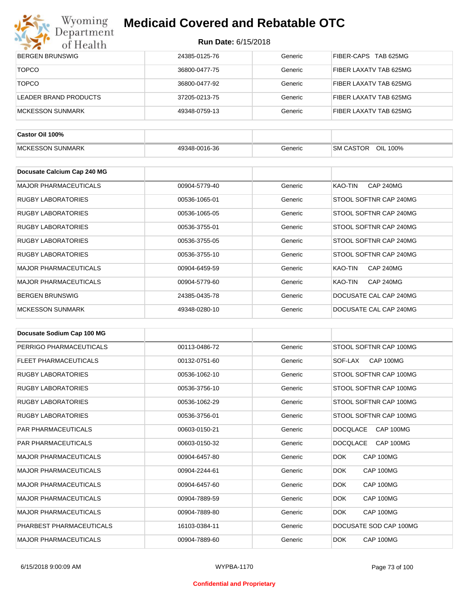

| $\bullet$ $\bullet$<br><b>OT TTOGETTE</b> |               |         |                             |
|-------------------------------------------|---------------|---------|-----------------------------|
| <b>BERGEN BRUNSWIG</b>                    | 24385-0125-76 | Generic | FIBER-CAPS TAB 625MG        |
| <b>TOPCO</b>                              | 36800-0477-75 | Generic | FIBER LAXATV TAB 625MG      |
| <b>TOPCO</b>                              | 36800-0477-92 | Generic | FIBER LAXATV TAB 625MG      |
| <b>LEADER BRAND PRODUCTS</b>              | 37205-0213-75 | Generic | FIBER LAXATV TAB 625MG      |
| <b>MCKESSON SUNMARK</b>                   | 49348-0759-13 | Generic | FIBER LAXATV TAB 625MG      |
| Castor Oil 100%                           |               |         |                             |
| <b>MCKESSON SUNMARK</b>                   | 49348-0016-36 | Generic | SM CASTOR<br>OIL 100%       |
| Docusate Calcium Cap 240 MG               |               |         |                             |
| <b>MAJOR PHARMACEUTICALS</b>              | 00904-5779-40 | Generic | KAO-TIN<br>CAP 240MG        |
| <b>RUGBY LABORATORIES</b>                 | 00536-1065-01 | Generic | STOOL SOFTNR CAP 240MG      |
| <b>RUGBY LABORATORIES</b>                 | 00536-1065-05 | Generic | STOOL SOFTNR CAP 240MG      |
| <b>RUGBY LABORATORIES</b>                 | 00536-3755-01 | Generic | STOOL SOFTNR CAP 240MG      |
| <b>RUGBY LABORATORIES</b>                 | 00536-3755-05 | Generic | STOOL SOFTNR CAP 240MG      |
| <b>RUGBY LABORATORIES</b>                 | 00536-3755-10 | Generic | STOOL SOFTNR CAP 240MG      |
| <b>MAJOR PHARMACEUTICALS</b>              | 00904-6459-59 | Generic | KAO-TIN<br><b>CAP 240MG</b> |
| <b>MAJOR PHARMACEUTICALS</b>              | 00904-5779-60 | Generic | KAO-TIN<br><b>CAP 240MG</b> |
| <b>BERGEN BRUNSWIG</b>                    | 24385-0435-78 | Generic | DOCUSATE CAL CAP 240MG      |
| <b>MCKESSON SUNMARK</b>                   | 49348-0280-10 | Generic | DOCUSATE CAL CAP 240MG      |

| Docusate Sodium Cap 100 MG   |               |         |                              |
|------------------------------|---------------|---------|------------------------------|
| PERRIGO PHARMACEUTICALS      | 00113-0486-72 | Generic | STOOL SOFTNR CAP 100MG       |
| <b>FLEET PHARMACEUTICALS</b> | 00132-0751-60 | Generic | CAP 100MG<br>SOF-LAX         |
| <b>RUGBY LABORATORIES</b>    | 00536-1062-10 | Generic | STOOL SOFTNR CAP 100MG       |
| <b>RUGBY LABORATORIES</b>    | 00536-3756-10 | Generic | STOOL SOFTNR CAP 100MG       |
| <b>RUGBY LABORATORIES</b>    | 00536-1062-29 | Generic | STOOL SOFTNR CAP 100MG       |
| <b>RUGBY LABORATORIES</b>    | 00536-3756-01 | Generic | STOOL SOFTNR CAP 100MG       |
| <b>PAR PHARMACEUTICALS</b>   | 00603-0150-21 | Generic | <b>DOCQLACE</b><br>CAP 100MG |
| <b>PAR PHARMACEUTICALS</b>   | 00603-0150-32 | Generic | <b>DOCQLACE</b><br>CAP 100MG |
| <b>MAJOR PHARMACEUTICALS</b> | 00904-6457-80 | Generic | <b>DOK</b><br>CAP 100MG      |
| <b>MAJOR PHARMACEUTICALS</b> | 00904-2244-61 | Generic | <b>DOK</b><br>CAP 100MG      |
| <b>MAJOR PHARMACEUTICALS</b> | 00904-6457-60 | Generic | CAP 100MG<br>DOK.            |
| <b>MAJOR PHARMACEUTICALS</b> | 00904-7889-59 | Generic | <b>DOK</b><br>CAP 100MG      |
| <b>MAJOR PHARMACEUTICALS</b> | 00904-7889-80 | Generic | <b>DOK</b><br>CAP 100MG      |
| PHARBEST PHARMACEUTICALS     | 16103-0384-11 | Generic | DOCUSATE SOD CAP 100MG       |
| <b>MAJOR PHARMACEUTICALS</b> | 00904-7889-60 | Generic | <b>DOK</b><br>CAP 100MG      |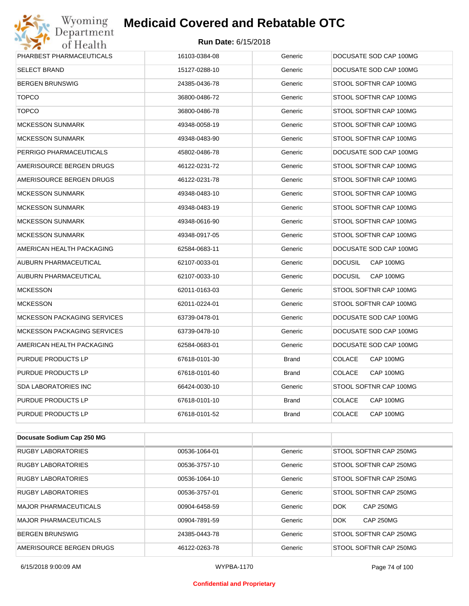

| PHARBEST PHARMACEUTICALS           | 16103-0384-08 | Generic      | DOCUSATE SOD CAP 100MG      |
|------------------------------------|---------------|--------------|-----------------------------|
| <b>SELECT BRAND</b>                | 15127-0288-10 | Generic      | DOCUSATE SOD CAP 100MG      |
| <b>BERGEN BRUNSWIG</b>             | 24385-0436-78 | Generic      | STOOL SOFTNR CAP 100MG      |
| <b>TOPCO</b>                       | 36800-0486-72 | Generic      | STOOL SOFTNR CAP 100MG      |
| <b>TOPCO</b>                       | 36800-0486-78 | Generic      | STOOL SOFTNR CAP 100MG      |
| MCKESSON SUNMARK                   | 49348-0058-19 | Generic      | STOOL SOFTNR CAP 100MG      |
| <b>MCKESSON SUNMARK</b>            | 49348-0483-90 | Generic      | STOOL SOFTNR CAP 100MG      |
| PERRIGO PHARMACEUTICALS            | 45802-0486-78 | Generic      | DOCUSATE SOD CAP 100MG      |
| AMERISOURCE BERGEN DRUGS           | 46122-0231-72 | Generic      | STOOL SOFTNR CAP 100MG      |
| AMERISOURCE BERGEN DRUGS           | 46122-0231-78 | Generic      | STOOL SOFTNR CAP 100MG      |
| <b>MCKESSON SUNMARK</b>            | 49348-0483-10 | Generic      | STOOL SOFTNR CAP 100MG      |
| <b>MCKESSON SUNMARK</b>            | 49348-0483-19 | Generic      | STOOL SOFTNR CAP 100MG      |
| <b>MCKESSON SUNMARK</b>            | 49348-0616-90 | Generic      | STOOL SOFTNR CAP 100MG      |
| <b>MCKESSON SUNMARK</b>            | 49348-0917-05 | Generic      | STOOL SOFTNR CAP 100MG      |
| AMERICAN HEALTH PACKAGING          | 62584-0683-11 | Generic      | DOCUSATE SOD CAP 100MG      |
| AUBURN PHARMACEUTICAL              | 62107-0033-01 | Generic      | <b>DOCUSIL</b><br>CAP 100MG |
| AUBURN PHARMACEUTICAL              | 62107-0033-10 | Generic      | <b>DOCUSIL</b><br>CAP 100MG |
| <b>MCKESSON</b>                    | 62011-0163-03 | Generic      | STOOL SOFTNR CAP 100MG      |
| <b>MCKESSON</b>                    | 62011-0224-01 | Generic      | STOOL SOFTNR CAP 100MG      |
| <b>MCKESSON PACKAGING SERVICES</b> | 63739-0478-01 | Generic      | DOCUSATE SOD CAP 100MG      |
| <b>MCKESSON PACKAGING SERVICES</b> | 63739-0478-10 | Generic      | DOCUSATE SOD CAP 100MG      |
| AMERICAN HEALTH PACKAGING          | 62584-0683-01 | Generic      | DOCUSATE SOD CAP 100MG      |
| PURDUE PRODUCTS LP                 | 67618-0101-30 | <b>Brand</b> | CAP 100MG<br><b>COLACE</b>  |
| <b>PURDUE PRODUCTS LP</b>          | 67618-0101-60 | <b>Brand</b> | <b>COLACE</b><br>CAP 100MG  |
| <b>SDA LABORATORIES INC</b>        | 66424-0030-10 | Generic      | STOOL SOFTNR CAP 100MG      |
| PURDUE PRODUCTS LP                 | 67618-0101-10 | <b>Brand</b> | <b>COLACE</b><br>CAP 100MG  |
| <b>PURDUE PRODUCTS LP</b>          | 67618-0101-52 | <b>Brand</b> | CAP 100MG<br><b>COLACE</b>  |

| Docusate Sodium Cap 250 MG |               |         |                                |
|----------------------------|---------------|---------|--------------------------------|
| <b>RUGBY LABORATORIES</b>  | 00536-1064-01 | Generic | STOOL SOFTNR CAP 250MG         |
| <b>RUGBY LABORATORIES</b>  | 00536-3757-10 | Generic | STOOL SOFTNR CAP 250MG         |
| <b>RUGBY LABORATORIES</b>  | 00536-1064-10 | Generic | STOOL SOFTNR CAP 250MG         |
| <b>RUGBY LABORATORIES</b>  | 00536-3757-01 | Generic | STOOL SOFTNR CAP 250MG         |
| MAJOR PHARMACEUTICALS      | 00904-6458-59 | Generic | <b>CAP 250MG</b><br><b>DOK</b> |
| MAJOR PHARMACEUTICALS      | 00904-7891-59 | Generic | <b>DOK</b><br><b>CAP 250MG</b> |
| <b>BERGEN BRUNSWIG</b>     | 24385-0443-78 | Generic | STOOL SOFTNR CAP 250MG         |
| AMERISOURCE BERGEN DRUGS   | 46122-0263-78 | Generic | STOOL SOFTNR CAP 250MG         |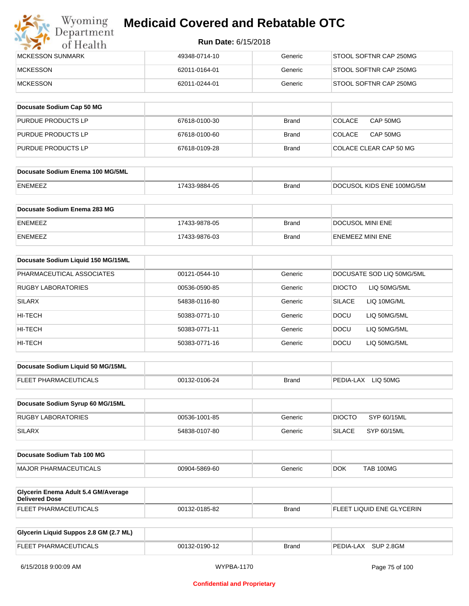

| IMCKESSON SUNMARK | 49348-0714-10 | Generic | STOOL SOFTNR CAP 250MG |
|-------------------|---------------|---------|------------------------|
| <b>IMCKESSON</b>  | 62011-0164-01 | Generic | STOOL SOFTNR CAP 250MG |
| <b>IMCKESSON</b>  | 62011-0244-01 | Generic | STOOL SOFTNR CAP 250MG |

| Docusate Sodium Cap 50 MG |               |              |                           |
|---------------------------|---------------|--------------|---------------------------|
| <b>PURDUE PRODUCTS LP</b> | 67618-0100-30 | <b>Brand</b> | CAP 50MG<br><b>COLACE</b> |
| PURDUE PRODUCTS LP        | 67618-0100-60 | <b>Brand</b> | CAP 50MG<br><b>COLACE</b> |
| <b>PURDUE PRODUCTS LP</b> | 67618-0109-28 | <b>Brand</b> | COLACE CLEAR CAP 50 MG    |

| Docusate Sodium Enema 100 MG/5ML |               |              |                           |
|----------------------------------|---------------|--------------|---------------------------|
| ENEMEEZ                          | 17433-9884-05 | <b>Brand</b> | DOCUSOL KIDS ENE 100MG/5M |

| <b>Docusate Sodium Enema 283 MG</b> |               |              |                         |
|-------------------------------------|---------------|--------------|-------------------------|
| <b>ENEMEEZ</b>                      | 17433-9878-05 | <b>Brand</b> | DOCUSOL MINI ENE        |
| <b>ENEMEEZ</b>                      | 17433-9876-03 | Brand        | <b>ENEMEEZ MINI ENE</b> |

| Docusate Sodium Liquid 150 MG/15ML |               |         |                               |
|------------------------------------|---------------|---------|-------------------------------|
| PHARMACEUTICAL ASSOCIATES          | 00121-0544-10 | Generic | DOCUSATE SOD LIQ 50MG/5ML     |
| <b>RUGBY LABORATORIES</b>          | 00536-0590-85 | Generic | <b>DIOCTO</b><br>LIQ 50MG/5ML |
| <b>SILARX</b>                      | 54838-0116-80 | Generic | <b>SILACE</b><br>LIQ 10MG/ML  |
| HI-TECH                            | 50383-0771-10 | Generic | <b>DOCU</b><br>LIQ 50MG/5ML   |
| HI-TECH                            | 50383-0771-11 | Generic | LIQ 50MG/5ML<br><b>DOCU</b>   |
| HI-TECH                            | 50383-0771-16 | Generic | LIQ 50MG/5ML<br><b>DOCU</b>   |

| Docusate Sodium Liquid 50 MG/15ML |               |       |                       |
|-----------------------------------|---------------|-------|-----------------------|
| <b>FLEET PHARMACEUTICALS</b>      | 00132-0106-24 | Brand | LIQ 50MG<br>PEDIA-LAX |

| Docusate Sodium Syrup 60 MG/15ML |               |         |               |             |
|----------------------------------|---------------|---------|---------------|-------------|
| RUGBY LABORATORIES               | 00536-1001-85 | Generic | <b>DIOCTO</b> | SYP 60/15ML |
| SILARX                           | 54838-0107-80 | Generic | <b>SILACE</b> | SYP 60/15ML |

| Docusate Sodium Tab 100 MG   |               |         |            |                  |
|------------------------------|---------------|---------|------------|------------------|
| <b>MAJOR PHARMACEUTICALS</b> | 00904-5869-60 | Generic | <b>DOK</b> | <b>TAB 100MG</b> |

| Glycerin Enema Adult 5.4 GM/Average<br>Delivered Dose |               |       |                           |
|-------------------------------------------------------|---------------|-------|---------------------------|
| <b>FLEET PHARMACEUTICALS</b>                          | 00132-0185-82 | Brand | FLEET LIQUID ENE GLYCERIN |

| Glycerin Liquid Suppos 2.8 GM (2.7 ML) |               |       |                     |
|----------------------------------------|---------------|-------|---------------------|
| FLEET PHARMACEUTICALS                  | 00132-0190-12 | Brand | PEDIA-LAX SUP 2.8GM |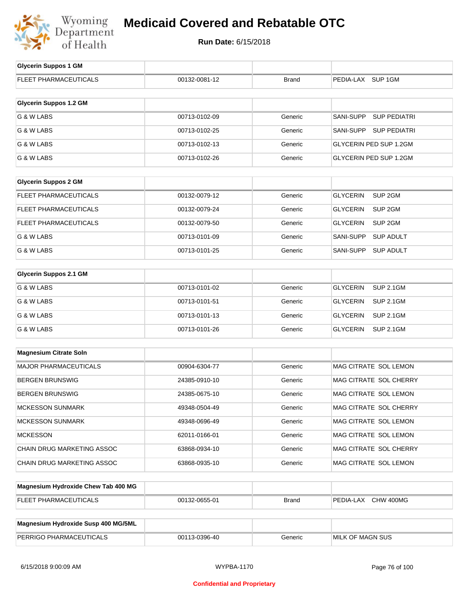

| <b>Glycerin Suppos 1 GM</b>         |               |              |                                         |
|-------------------------------------|---------------|--------------|-----------------------------------------|
| <b>FLEET PHARMACEUTICALS</b>        | 00132-0081-12 | <b>Brand</b> | PEDIA-LAX SUP 1GM                       |
| <b>Glycerin Suppos 1.2 GM</b>       |               |              |                                         |
| G & W LABS                          | 00713-0102-09 | Generic      | <b>SANI-SUPP</b><br><b>SUP PEDIATRI</b> |
|                                     |               |              |                                         |
| G & W LABS                          | 00713-0102-25 | Generic      | SANI-SUPP SUP PEDIATRI                  |
| G & W LABS                          | 00713-0102-13 | Generic      | GLYCERIN PED SUP 1.2GM                  |
| G & W LABS                          | 00713-0102-26 | Generic      | GLYCERIN PED SUP 1.2GM                  |
| <b>Glycerin Suppos 2 GM</b>         |               |              |                                         |
| FLEET PHARMACEUTICALS               | 00132-0079-12 | Generic      | <b>GLYCERIN</b><br>SUP <sub>2GM</sub>   |
| <b>FLEET PHARMACEUTICALS</b>        | 00132-0079-24 | Generic      | <b>GLYCERIN</b><br>SUP <sub>2GM</sub>   |
| FLEET PHARMACEUTICALS               | 00132-0079-50 | Generic      | <b>GLYCERIN</b><br>SUP <sub>2GM</sub>   |
| G & W LABS                          | 00713-0101-09 | Generic      | SANI-SUPP<br><b>SUP ADULT</b>           |
| G & W LABS                          | 00713-0101-25 | Generic      | <b>SUP ADULT</b><br>SANI-SUPP           |
| <b>Glycerin Suppos 2.1 GM</b>       |               |              |                                         |
| G & W LABS                          | 00713-0101-02 | Generic      | <b>GLYCERIN</b><br><b>SUP 2.1GM</b>     |
|                                     |               |              |                                         |
| G & W LABS                          | 00713-0101-51 | Generic      | <b>GLYCERIN</b><br><b>SUP 2.1GM</b>     |
| G & W LABS                          | 00713-0101-13 | Generic      | <b>GLYCERIN</b><br><b>SUP 2.1GM</b>     |
| G & W LABS                          | 00713-0101-26 | Generic      | <b>GLYCERIN</b><br><b>SUP 2.1GM</b>     |
| <b>Magnesium Citrate Soln</b>       |               |              |                                         |
|                                     |               |              |                                         |
| <b>MAJOR PHARMACEUTICALS</b>        | 00904-6304-77 | Generic      | MAG CITRATE SOL LEMON                   |
| <b>BERGEN BRUNSWIG</b>              | 24385-0910-10 | Generic      | MAG CITRATE SOL CHERRY                  |
| <b>BERGEN BRUNSWIG</b>              | 24385-0675-10 | Generic      | MAG CITRATE SOL LEMON                   |
| <b>MCKESSON SUNMARK</b>             | 49348-0504-49 | Generic      | MAG CITRATE SOL CHERRY                  |
| <b>MCKESSON SUNMARK</b>             | 49348-0696-49 | Generic      | MAG CITRATE SOL LEMON                   |
| <b>MCKESSON</b>                     | 62011-0166-01 | Generic      | MAG CITRATE SOL LEMON                   |
| <b>CHAIN DRUG MARKETING ASSOC</b>   | 63868-0934-10 | Generic      | MAG CITRATE SOL CHERRY                  |
| CHAIN DRUG MARKETING ASSOC          | 63868-0935-10 | Generic      | MAG CITRATE SOL LEMON                   |
| Magnesium Hydroxide Chew Tab 400 MG |               |              |                                         |

| <b>May 1998</b> The Magnesian Library Concern Laboratory <b>Magnesian</b> Library |               |       |                     |
|-----------------------------------------------------------------------------------|---------------|-------|---------------------|
| <b>FLEET PHARMACEUTICALS</b>                                                      | 00132-0655-01 | Brand | PEDIA-LAX CHW 400MG |
|                                                                                   |               |       |                     |
| Magnesium Hydroxide Susp 400 MG/5ML                                               |               |       |                     |

| <b>Magnesium rival oxide ousp from MOISML</b> |               |         |                         |
|-----------------------------------------------|---------------|---------|-------------------------|
| PERRIGO PHARMACEUTICALS                       | 00113-0396-40 | 3eneric | <b>MILK OF MAGN SUS</b> |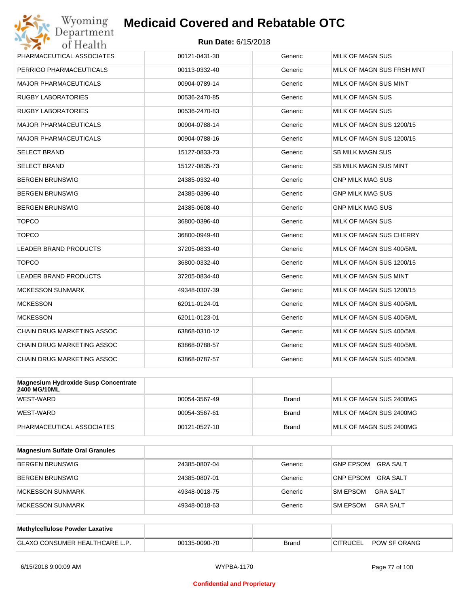

| Wyoming<br>Department                                       | <b>Medicaid Covered and Rebatable OTC</b> |              |                                     |
|-------------------------------------------------------------|-------------------------------------------|--------------|-------------------------------------|
| of Health                                                   | <b>Run Date: 6/15/2018</b>                |              |                                     |
| PHARMACEUTICAL ASSOCIATES                                   | 00121-0431-30                             | Generic      | <b>MILK OF MAGN SUS</b>             |
| PERRIGO PHARMACEUTICALS                                     | 00113-0332-40                             | Generic      | MILK OF MAGN SUS FRSH MNT           |
| <b>MAJOR PHARMACEUTICALS</b>                                | 00904-0789-14                             | Generic      | MILK OF MAGN SUS MINT               |
| <b>RUGBY LABORATORIES</b>                                   | 00536-2470-85                             | Generic      | MILK OF MAGN SUS                    |
| <b>RUGBY LABORATORIES</b>                                   | 00536-2470-83                             | Generic      | MILK OF MAGN SUS                    |
| <b>MAJOR PHARMACEUTICALS</b>                                | 00904-0788-14                             | Generic      | MILK OF MAGN SUS 1200/15            |
| <b>MAJOR PHARMACEUTICALS</b>                                | 00904-0788-16                             | Generic      | MILK OF MAGN SUS 1200/15            |
| <b>SELECT BRAND</b>                                         | 15127-0833-73                             | Generic      | <b>SB MILK MAGN SUS</b>             |
| <b>SELECT BRAND</b>                                         | 15127-0835-73                             | Generic      | SB MILK MAGN SUS MINT               |
| <b>BERGEN BRUNSWIG</b>                                      | 24385-0332-40                             | Generic      | <b>GNP MILK MAG SUS</b>             |
| <b>BERGEN BRUNSWIG</b>                                      | 24385-0396-40                             | Generic      | <b>GNP MILK MAG SUS</b>             |
| <b>BERGEN BRUNSWIG</b>                                      | 24385-0608-40                             | Generic      | <b>GNP MILK MAG SUS</b>             |
| <b>TOPCO</b>                                                | 36800-0396-40                             | Generic      | <b>MILK OF MAGN SUS</b>             |
| <b>TOPCO</b>                                                | 36800-0949-40                             | Generic      | MILK OF MAGN SUS CHERRY             |
| <b>LEADER BRAND PRODUCTS</b>                                | 37205-0833-40                             | Generic      | MILK OF MAGN SUS 400/5ML            |
| <b>TOPCO</b>                                                | 36800-0332-40                             | Generic      | MILK OF MAGN SUS 1200/15            |
| LEADER BRAND PRODUCTS                                       | 37205-0834-40                             | Generic      | MILK OF MAGN SUS MINT               |
| <b>MCKESSON SUNMARK</b>                                     | 49348-0307-39                             | Generic      | MILK OF MAGN SUS 1200/15            |
| <b>MCKESSON</b>                                             | 62011-0124-01                             | Generic      | MILK OF MAGN SUS 400/5ML            |
| <b>MCKESSON</b>                                             | 62011-0123-01                             | Generic      | MILK OF MAGN SUS 400/5ML            |
| CHAIN DRUG MARKETING ASSOC                                  | 63868-0310-12                             | Generic      | MILK OF MAGN SUS 400/5ML            |
| CHAIN DRUG MARKETING ASSOC                                  | 63868-0788-57                             | Generic      | MILK OF MAGN SUS 400/5ML            |
| CHAIN DRUG MARKETING ASSOC                                  | 63868-0787-57                             | Generic      | MILK OF MAGN SUS 400/5ML            |
| <b>Magnesium Hydroxide Susp Concentrate</b><br>2400 MG/10ML |                                           |              |                                     |
| WEST-WARD                                                   | 00054-3567-49                             | <b>Brand</b> | MILK OF MAGN SUS 2400MG             |
| WEST-WARD                                                   | 00054-3567-61                             | Brand        | MILK OF MAGN SUS 2400MG             |
| PHARMACEUTICAL ASSOCIATES                                   | 00121-0527-10                             | <b>Brand</b> | MILK OF MAGN SUS 2400MG             |
| <b>Magnesium Sulfate Oral Granules</b>                      |                                           |              |                                     |
| <b>BERGEN BRUNSWIG</b>                                      | 24385-0807-04                             | Generic      | <b>GNP EPSOM</b><br><b>GRA SALT</b> |
| <b>BERGEN BRUNSWIG</b>                                      | 24385-0807-01                             | Generic      | <b>GNP EPSOM</b><br><b>GRA SALT</b> |

| Methylcellulose Powder Laxative       |               |              |                                 |
|---------------------------------------|---------------|--------------|---------------------------------|
| <b>GLAXO CONSUMER HEALTHCARE L.P.</b> | 00135-0090-70 | <b>Brand</b> | POW SF ORANG<br><b>CITRUCEL</b> |

MCKESSON SUNMARK 49348-0018-75 Generic SM EPSOM GRA SALT MCKESSON SUNMARK 49348-0018-63 Generic SM EPSOM GRA SALT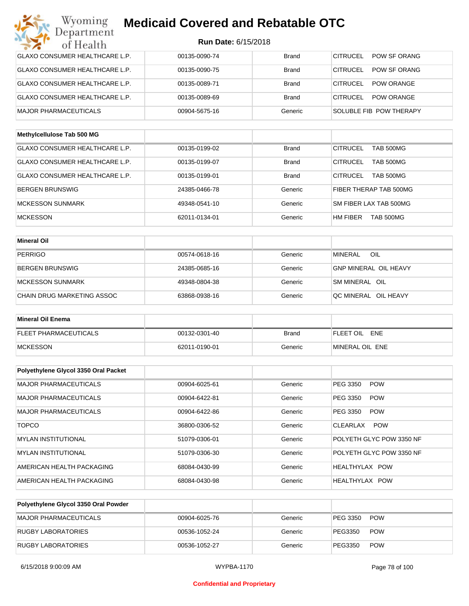| Wyoming<br>Department                 | <b>Medicaid Covered and Rebatable OTC</b> |              |                                     |
|---------------------------------------|-------------------------------------------|--------------|-------------------------------------|
| of Health                             | <b>Run Date: 6/15/2018</b>                |              |                                     |
| <b>GLAXO CONSUMER HEALTHCARE L.P.</b> | 00135-0090-74                             | <b>Brand</b> | CITRUCEL<br>POW SF ORANG            |
| <b>GLAXO CONSUMER HEALTHCARE L.P.</b> | 00135-0090-75                             | <b>Brand</b> | CITRUCEL<br>POW SF ORANG            |
| <b>GLAXO CONSUMER HEALTHCARE L.P.</b> | 00135-0089-71                             | <b>Brand</b> | CITRUCEL<br><b>POW ORANGE</b>       |
| <b>GLAXO CONSUMER HEALTHCARE L.P.</b> | 00135-0089-69                             | <b>Brand</b> | CITRUCEL<br><b>POW ORANGE</b>       |
| <b>MAJOR PHARMACEUTICALS</b>          | 00904-5675-16                             | Generic      | SOLUBLE FIB POW THERAPY             |
| Methylcellulose Tab 500 MG            |                                           |              |                                     |
| <b>GLAXO CONSUMER HEALTHCARE L.P.</b> | 00135-0199-02                             | <b>Brand</b> | <b>CITRUCEL</b><br><b>TAB 500MG</b> |
| <b>GLAXO CONSUMER HEALTHCARE L.P.</b> | 00135-0199-07                             | <b>Brand</b> | <b>CITRUCEL</b><br><b>TAB 500MG</b> |
| GLAXO CONSUMER HEALTHCARE L.P.        | 00135-0199-01                             | <b>Brand</b> | CITRUCEL<br><b>TAB 500MG</b>        |
| <b>BERGEN BRUNSWIG</b>                | 24385-0466-78                             | Generic      | FIBER THERAP TAB 500MG              |
| <b>MCKESSON SUNMARK</b>               | 49348-0541-10                             | Generic      | SM FIBER LAX TAB 500MG              |
| <b>MCKESSON</b>                       | 62011-0134-01                             | Generic      | HM FIBER<br>TAB 500MG               |
| <b>Mineral Oil</b>                    |                                           |              |                                     |
| <b>PERRIGO</b>                        | 00574-0618-16                             | Generic      | <b>MINERAL</b><br>OIL               |
| <b>BERGEN BRUNSWIG</b>                | 24385-0685-16                             | Generic      | <b>GNP MINERAL OIL HEAVY</b>        |
| <b>MCKESSON SUNMARK</b>               | 49348-0804-38                             | Generic      | SM MINERAL OIL                      |
| CHAIN DRUG MARKETING ASSOC            | 63868-0938-16                             | Generic      | QC MINERAL OIL HEAVY                |
|                                       |                                           |              |                                     |
| <b>Mineral Oil Enema</b>              |                                           |              |                                     |
| <b>FLEET PHARMACEUTICALS</b>          | 00132-0301-40                             | <b>Brand</b> | FLEET OIL<br>ENE                    |
| <b>MCKESSON</b>                       | 62011-0190-01                             | Generic      | MINERAL OIL ENE                     |
| Polyethylene Glycol 3350 Oral Packet  |                                           |              |                                     |
| MAJOR PHARMACEUTICALS                 | 00904-6025-61                             | Generic      | PEG 3350<br><b>POW</b>              |
| MAJOR PHARMACEUTICALS                 | 00904-6422-81                             | Generic      | PEG 3350<br><b>POW</b>              |
| MAJOR PHARMACEUTICALS                 | 00904-6422-86                             | Generic      | PEG 3350<br><b>POW</b>              |
| <b>TOPCO</b>                          | 36800-0306-52                             | Generic      | <b>POW</b><br>CLEARLAX              |
| <b>MYLAN INSTITUTIONAL</b>            | 51079-0306-01                             | Generic      | POLYETH GLYC POW 3350 NF            |
| <b>MYLAN INSTITUTIONAL</b>            | 51079-0306-30                             | Generic      | POLYETH GLYC POW 3350 NF            |
| AMERICAN HEALTH PACKAGING             | 68084-0430-99                             | Generic      | HEALTHYLAX POW                      |
| AMERICAN HEALTH PACKAGING             | 68084-0430-98                             | Generic      | HEALTHYLAX POW                      |

| Polyethylene Glycol 3350 Oral Powder |               |         |          |            |
|--------------------------------------|---------------|---------|----------|------------|
| MAJOR PHARMACEUTICALS                | 00904-6025-76 | Generic | PEG 3350 | <b>POW</b> |
| RUGBY LABORATORIES                   | 00536-1052-24 | Generic | PEG3350  | <b>POW</b> |
| RUGBY LABORATORIES                   | 00536-1052-27 | Generic | PEG3350  | <b>POW</b> |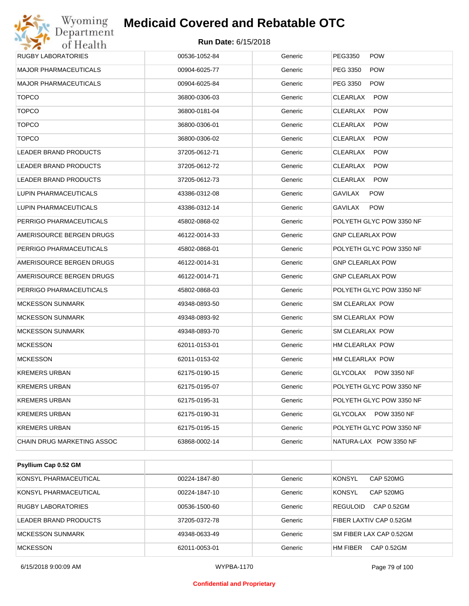| Wyoming<br>Department        | <b>Medicaid Covered and Rebatable OTC</b> |         |                              |
|------------------------------|-------------------------------------------|---------|------------------------------|
| of Health                    | <b>Run Date: 6/15/2018</b>                |         |                              |
| <b>RUGBY LABORATORIES</b>    | 00536-1052-84                             | Generic | PEG3350<br><b>POW</b>        |
| <b>MAJOR PHARMACEUTICALS</b> | 00904-6025-77                             | Generic | PEG 3350<br><b>POW</b>       |
| <b>MAJOR PHARMACEUTICALS</b> | 00904-6025-84                             | Generic | PEG 3350<br><b>POW</b>       |
| <b>TOPCO</b>                 | 36800-0306-03                             | Generic | CLEARLAX<br><b>POW</b>       |
| <b>TOPCO</b>                 | 36800-0181-04                             | Generic | CLEARLAX<br><b>POW</b>       |
| <b>TOPCO</b>                 | 36800-0306-01                             | Generic | CLEARLAX<br><b>POW</b>       |
| <b>TOPCO</b>                 | 36800-0306-02                             | Generic | CLEARLAX<br><b>POW</b>       |
| LEADER BRAND PRODUCTS        | 37205-0612-71                             | Generic | CLEARLAX<br><b>POW</b>       |
| LEADER BRAND PRODUCTS        | 37205-0612-72                             | Generic | CLEARLAX<br><b>POW</b>       |
| <b>LEADER BRAND PRODUCTS</b> | 37205-0612-73                             | Generic | CLEARLAX<br><b>POW</b>       |
| LUPIN PHARMACEUTICALS        | 43386-0312-08                             | Generic | GAVILAX<br><b>POW</b>        |
| LUPIN PHARMACEUTICALS        | 43386-0312-14                             | Generic | <b>GAVILAX</b><br><b>POW</b> |
| PERRIGO PHARMACEUTICALS      | 45802-0868-02                             | Generic | POLYETH GLYC POW 3350 NF     |
| AMERISOURCE BERGEN DRUGS     | 46122-0014-33                             | Generic | <b>GNP CLEARLAX POW</b>      |
| PERRIGO PHARMACEUTICALS      | 45802-0868-01                             | Generic | POLYETH GLYC POW 3350 NF     |
| AMERISOURCE BERGEN DRUGS     | 46122-0014-31                             | Generic | <b>GNP CLEARLAX POW</b>      |
| AMERISOURCE BERGEN DRUGS     | 46122-0014-71                             | Generic | <b>GNP CLEARLAX POW</b>      |
| PERRIGO PHARMACEUTICALS      | 45802-0868-03                             | Generic | POLYETH GLYC POW 3350 NF     |
| <b>MCKESSON SUNMARK</b>      | 49348-0893-50                             | Generic | SM CLEARLAX POW              |
| <b>MCKESSON SUNMARK</b>      | 49348-0893-92                             | Generic | SM CLEARLAX POW              |
| <b>MCKESSON SUNMARK</b>      | 49348-0893-70                             | Generic | SM CLEARLAX POW              |
| <b>MCKESSON</b>              | 62011-0153-01                             | Generic | HM CLEARLAX POW              |
| <b>MCKESSON</b>              | 62011-0153-02                             | Generic | HM CLEARLAX POW              |
| <b>KREMERS URBAN</b>         | 62175-0190-15                             | Generic | GLYCOLAX POW 3350 NF         |
| <b>KREMERS URBAN</b>         | 62175-0195-07                             | Generic | POLYETH GLYC POW 3350 NF     |
| <b>KREMERS URBAN</b>         | 62175-0195-31                             | Generic | POLYETH GLYC POW 3350 NF     |
| <b>KREMERS URBAN</b>         | 62175-0190-31                             | Generic | GLYCOLAX POW 3350 NF         |
| <b>KREMERS URBAN</b>         | 62175-0195-15                             | Generic | POLYETH GLYC POW 3350 NF     |
| CHAIN DRUG MARKETING ASSOC   | 63868-0002-14                             | Generic | NATURA-LAX POW 3350 NF       |

| Psyllium Cap 0.52 GM      |               |         |                               |
|---------------------------|---------------|---------|-------------------------------|
| KONSYL PHARMACEUTICAL     | 00224-1847-80 | Generic | KONSYL<br><b>CAP 520MG</b>    |
| KONSYL PHARMACEUTICAL     | 00224-1847-10 | Generic | KONSYL<br><b>CAP 520MG</b>    |
| <b>RUGBY LABORATORIES</b> | 00536-1500-60 | Generic | <b>REGULOID</b><br>CAP 0.52GM |
| LEADER BRAND PRODUCTS     | 37205-0372-78 | Generic | FIBER LAXTIV CAP 0.52GM       |
| <b>MCKESSON SUNMARK</b>   | 49348-0633-49 | Generic | SM FIBER LAX CAP 0.52GM       |
| <b>MCKESSON</b>           | 62011-0053-01 | Generic | CAP 0.52GM<br>HM FIBER        |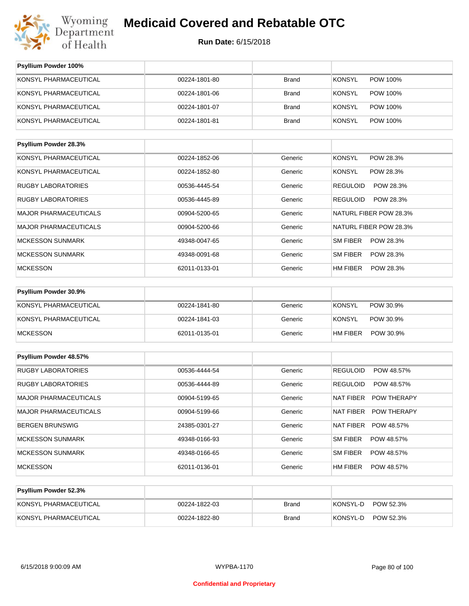

| <b>Psyllium Powder 100%</b>  |               |              |                              |
|------------------------------|---------------|--------------|------------------------------|
| KONSYL PHARMACEUTICAL        | 00224-1801-80 | <b>Brand</b> | POW 100%<br><b>KONSYL</b>    |
| KONSYL PHARMACEUTICAL        | 00224-1801-06 | <b>Brand</b> | <b>KONSYL</b><br>POW 100%    |
| KONSYL PHARMACEUTICAL        | 00224-1801-07 | <b>Brand</b> | <b>KONSYL</b><br>POW 100%    |
| KONSYL PHARMACEUTICAL        | 00224-1801-81 | <b>Brand</b> | <b>KONSYL</b><br>POW 100%    |
|                              |               |              |                              |
| Psyllium Powder 28.3%        |               |              |                              |
| KONSYL PHARMACEUTICAL        | 00224-1852-06 | Generic      | <b>KONSYL</b><br>POW 28.3%   |
| KONSYL PHARMACEUTICAL        | 00224-1852-80 | Generic      | <b>KONSYL</b><br>POW 28.3%   |
| <b>RUGBY LABORATORIES</b>    | 00536-4445-54 | Generic      | <b>REGULOID</b><br>POW 28.3% |
| <b>RUGBY LABORATORIES</b>    | 00536-4445-89 | Generic      | <b>REGULOID</b><br>POW 28.3% |
| <b>MAJOR PHARMACEUTICALS</b> | 00904-5200-65 | Generic      | NATURL FIBER POW 28.3%       |
| <b>MAJOR PHARMACEUTICALS</b> | 00904-5200-66 | Generic      | NATURL FIBER POW 28.3%       |
| <b>MCKESSON SUNMARK</b>      | 49348-0047-65 | Generic      | <b>SM FIBER</b><br>POW 28.3% |
| <b>MCKESSON SUNMARK</b>      | 49348-0091-68 | Generic      | <b>SM FIBER</b><br>POW 28.3% |
| <b>MCKESSON</b>              | 62011-0133-01 | Generic      | <b>HM FIBER</b><br>POW 28.3% |

| <b>Psyllium Powder 30.9%</b> |               |         |                              |
|------------------------------|---------------|---------|------------------------------|
| KONSYL PHARMACEUTICAL        | 00224-1841-80 | Generic | KONSYL<br>POW 30.9%          |
| KONSYL PHARMACEUTICAL        | 00224-1841-03 | Generic | KONSYL<br>POW 30.9%          |
| <b>MCKESSON</b>              | 62011-0135-01 | Generic | <b>HM FIBER</b><br>POW 30.9% |

| <b>Psyllium Powder 48.57%</b> |               |         |                                        |
|-------------------------------|---------------|---------|----------------------------------------|
| <b>RUGBY LABORATORIES</b>     | 00536-4444-54 | Generic | <b>REGULOID</b><br>POW 48.57%          |
| <b>RUGBY LABORATORIES</b>     | 00536-4444-89 | Generic | <b>REGULOID</b><br>POW 48.57%          |
| <b>MAJOR PHARMACEUTICALS</b>  | 00904-5199-65 | Generic | <b>NAT FIBER</b><br><b>POW THERAPY</b> |
| <b>MAJOR PHARMACEUTICALS</b>  | 00904-5199-66 | Generic | NAT FIBER<br><b>POW THERAPY</b>        |
| <b>BERGEN BRUNSWIG</b>        | 24385-0301-27 | Generic | POW 48.57%<br>NAT FIBER                |
| <b>MCKESSON SUNMARK</b>       | 49348-0166-93 | Generic | <b>SM FIBER</b><br>POW 48.57%          |
| <b>MCKESSON SUNMARK</b>       | 49348-0166-65 | Generic | <b>SM FIBER</b><br>POW 48.57%          |
| <b>MCKESSON</b>               | 62011-0136-01 | Generic | HM FIBER<br>POW 48.57%                 |

| <b>Psyllium Powder 52.3%</b> |               |       |                       |
|------------------------------|---------------|-------|-----------------------|
| KONSYL PHARMACEUTICAL        | 00224-1822-03 | Brand | KONSYL-D<br>POW 52.3% |
| KONSYL PHARMACEUTICAL        | 00224-1822-80 | Brand | KONSYL-D<br>POW 52.3% |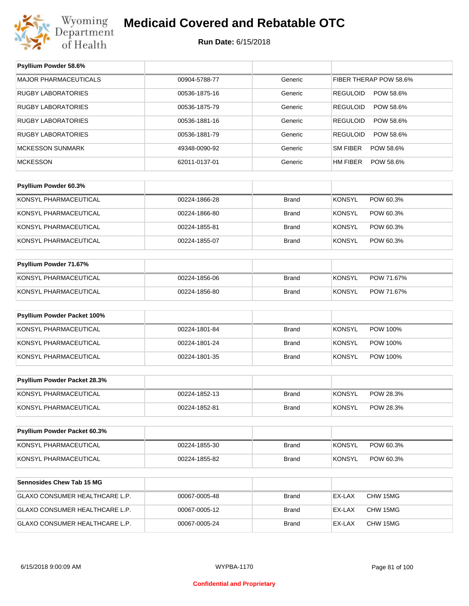

## **Medicaid Covered and Rebatable OTC**

#### **Run Date:** 6/15/2018

| Psyllium Powder 58.6%            |               |              |                              |
|----------------------------------|---------------|--------------|------------------------------|
| <b>MAJOR PHARMACEUTICALS</b>     | 00904-5788-77 | Generic      | FIBER THERAP POW 58.6%       |
| <b>RUGBY LABORATORIES</b>        | 00536-1875-16 | Generic      | <b>REGULOID</b><br>POW 58.6% |
| <b>RUGBY LABORATORIES</b>        | 00536-1875-79 | Generic      | <b>REGULOID</b><br>POW 58.6% |
| <b>RUGBY LABORATORIES</b>        | 00536-1881-16 | Generic      | <b>REGULOID</b><br>POW 58.6% |
| <b>RUGBY LABORATORIES</b>        | 00536-1881-79 | Generic      | <b>REGULOID</b><br>POW 58.6% |
| <b>MCKESSON SUNMARK</b>          | 49348-0090-92 | Generic      | <b>SM FIBER</b><br>POW 58.6% |
| <b>MCKESSON</b>                  | 62011-0137-01 | Generic      | <b>HM FIBER</b><br>POW 58.6% |
|                                  |               |              |                              |
| Psyllium Powder 60.3%            |               |              |                              |
| KONSYL PHARMACEUTICAL            | 00224-1866-28 | <b>Brand</b> | <b>KONSYL</b><br>POW 60.3%   |
| KONSYL PHARMACEUTICAL            | 00224-1866-80 | <b>Brand</b> | <b>KONSYL</b><br>POW 60.3%   |
| KONSYL PHARMACEUTICAL            | 00224-1855-81 | <b>Brand</b> | <b>KONSYL</b><br>POW 60.3%   |
| KONSYL PHARMACEUTICAL            | 00224-1855-07 | <b>Brand</b> | <b>KONSYL</b><br>POW 60.3%   |
|                                  |               |              |                              |
| Psyllium Powder 71.67%           |               |              |                              |
| KONSYL PHARMACEUTICAL            | 00224-1856-06 | <b>Brand</b> | <b>KONSYL</b><br>POW 71.67%  |
| KONSYL PHARMACEUTICAL            | 00224-1856-80 | <b>Brand</b> | <b>KONSYL</b><br>POW 71.67%  |
| Psyllium Powder Packet 100%      |               |              |                              |
|                                  |               |              |                              |
| KONSYL PHARMACEUTICAL            | 00224-1801-84 | <b>Brand</b> | <b>KONSYL</b><br>POW 100%    |
| KONSYL PHARMACEUTICAL            | 00224-1801-24 | <b>Brand</b> | <b>KONSYL</b><br>POW 100%    |
| KONSYL PHARMACEUTICAL            | 00224-1801-35 | <b>Brand</b> | <b>KONSYL</b><br>POW 100%    |
| Psyllium Powder Packet 28.3%     |               |              |                              |
| KONSYL PHARMACEUTICAL            | 00224-1852-13 | <b>Brand</b> | <b>KONSYL</b><br>POW 28.3%   |
| KONSYL PHARMACEUTICAL            | 00224-1852-81 | Brand        | <b>KONSYL</b><br>POW 28.3%   |
|                                  |               |              |                              |
| Psyllium Powder Packet 60.3%     |               |              |                              |
| KONSYL PHARMACEUTICAL            | 00224-1855-30 | Brand        | <b>KONSYL</b><br>POW 60.3%   |
| KONSYL PHARMACEUTICAL            | 00224-1855-82 | Brand        | <b>KONSYL</b><br>POW 60.3%   |
|                                  |               |              |                              |
| <b>Sennosides Chew Tab 15 MG</b> |               |              |                              |
| GLAXO CONSUMER HEALTHCARE L.P.   | 00067-0005-48 | <b>Brand</b> | EX-LAX<br>CHW 15MG           |
| GLAXO CONSUMER HEALTHCARE L.P.   | 00067-0005-12 | Brand        | EX-LAX<br>CHW 15MG           |
| GLAXO CONSUMER HEALTHCARE L.P.   | 00067-0005-24 | Brand        | EX-LAX<br>CHW 15MG           |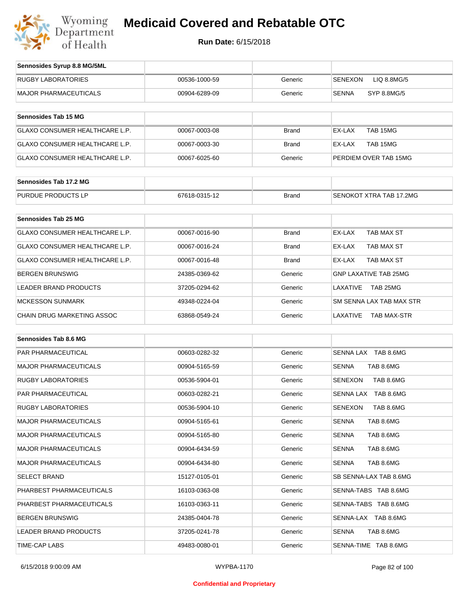

| Sennosides Syrup 8.8 MG/5ML           |               |              |                               |
|---------------------------------------|---------------|--------------|-------------------------------|
| <b>RUGBY LABORATORIES</b>             | 00536-1000-59 | Generic      | LIQ 8.8MG/5<br><b>SENEXON</b> |
| <b>MAJOR PHARMACEUTICALS</b>          | 00904-6289-09 | Generic      | <b>SENNA</b><br>SYP 8.8MG/5   |
| Sennosides Tab 15 MG                  |               |              |                               |
| <b>GLAXO CONSUMER HEALTHCARE L.P.</b> | 00067-0003-08 | <b>Brand</b> | TAB 15MG<br>EX-LAX            |
| <b>GLAXO CONSUMER HEALTHCARE L.P.</b> | 00067-0003-30 | <b>Brand</b> | EX-LAX<br>TAB 15MG            |
| <b>GLAXO CONSUMER HEALTHCARE L.P.</b> | 00067-6025-60 | Generic      | PERDIEM OVER TAB 15MG         |
| Sennosides Tab 17.2 MG                |               |              |                               |
| PURDUE PRODUCTS LP                    | 67618-0315-12 | <b>Brand</b> | SENOKOT XTRA TAB 17.2MG       |
| Sennosides Tab 25 MG                  |               |              |                               |
| <b>GLAXO CONSUMER HEALTHCARE L.P.</b> | 00067-0016-90 | <b>Brand</b> | EX-LAX<br>TAB MAX ST          |
| <b>GLAXO CONSUMER HEALTHCARE L.P.</b> | 00067-0016-24 | <b>Brand</b> | EX-LAX<br>TAB MAX ST          |
| <b>GLAXO CONSUMER HEALTHCARE L.P.</b> | 00067-0016-48 | <b>Brand</b> | EX-LAX<br>TAB MAX ST          |
| <b>BERGEN BRUNSWIG</b>                | 24385-0369-62 | Generic      | <b>GNP LAXATIVE TAB 25MG</b>  |
|                                       |               |              |                               |

| BERGEN BRUNSWIG            | 24385-0369-62 | Generic | GNP LAXATIVE TAB 25MG     |
|----------------------------|---------------|---------|---------------------------|
| LEADER BRAND PRODUCTS      | 37205-0294-62 | Generic | TAB 25MG<br>LAXATIVE      |
| <b>MCKESSON SUNMARK</b>    | 49348-0224-04 | Generic | ISM SENNA LAX TAB MAX STR |
| CHAIN DRUG MARKETING ASSOC | 63868-0549-24 | Generic | TAB MAX-STR<br>LAXATIVE   |

| Sennosides Tab 8.6 MG        |               |         |                             |
|------------------------------|---------------|---------|-----------------------------|
| <b>PAR PHARMACEUTICAL</b>    | 00603-0282-32 | Generic | SENNA LAX TAB 8.6MG         |
| <b>MAJOR PHARMACEUTICALS</b> | 00904-5165-59 | Generic | <b>SENNA</b><br>TAB 8.6MG   |
| <b>RUGBY LABORATORIES</b>    | 00536-5904-01 | Generic | TAB 8.6MG<br><b>SENEXON</b> |
| <b>PAR PHARMACEUTICAL</b>    | 00603-0282-21 | Generic | SENNA LAX TAB 8.6MG         |
| RUGBY LABORATORIES           | 00536-5904-10 | Generic | TAB 8.6MG<br><b>SENEXON</b> |
| <b>MAJOR PHARMACEUTICALS</b> | 00904-5165-61 | Generic | TAB 8.6MG<br><b>SENNA</b>   |
| <b>MAJOR PHARMACEUTICALS</b> | 00904-5165-80 | Generic | TAB 8.6MG<br><b>SENNA</b>   |
| <b>MAJOR PHARMACEUTICALS</b> | 00904-6434-59 | Generic | TAB 8.6MG<br><b>SENNA</b>   |
| <b>MAJOR PHARMACEUTICALS</b> | 00904-6434-80 | Generic | <b>SENNA</b><br>TAB 8.6MG   |
| <b>SELECT BRAND</b>          | 15127-0105-01 | Generic | SB SENNA-LAX TAB 8.6MG      |
| PHARBEST PHARMACEUTICALS     | 16103-0363-08 | Generic | SENNA-TABS TAB 8.6MG        |
| PHARBEST PHARMACEUTICALS     | 16103-0363-11 | Generic | SENNA-TABS TAB 8.6MG        |
| <b>BERGEN BRUNSWIG</b>       | 24385-0404-78 | Generic | SENNA-LAX TAB 8.6MG         |
| <b>LEADER BRAND PRODUCTS</b> | 37205-0241-78 | Generic | <b>SENNA</b><br>TAB 8.6MG   |
| <b>TIME-CAP LABS</b>         | 49483-0080-01 | Generic | SENNA-TIME TAB 8.6MG        |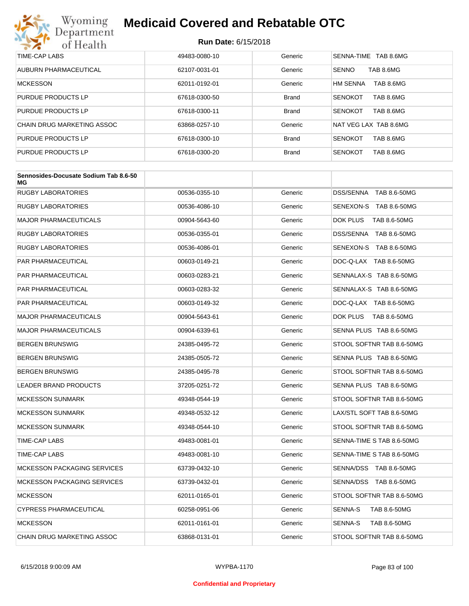

| TIME-CAP LABS              | 49483-0080-10 | Generic      | TAB 8.6MG<br>SENNA-TIME      |
|----------------------------|---------------|--------------|------------------------------|
| AUBURN PHARMACEUTICAL      | 62107-0031-01 | Generic      | TAB 8.6MG<br><b>SENNO</b>    |
| <b>MCKESSON</b>            | 62011-0192-01 | Generic      | <b>HM SENNA</b><br>TAB 8.6MG |
| PURDUE PRODUCTS LP         | 67618-0300-50 | <b>Brand</b> | TAB 8.6MG<br><b>SENOKOT</b>  |
| PURDUE PRODUCTS LP         | 67618-0300-11 | <b>Brand</b> | <b>SENOKOT</b><br>TAB 8.6MG  |
| CHAIN DRUG MARKETING ASSOC | 63868-0257-10 | Generic      | NAT VEG LAX TAB 8.6MG        |
| PURDUE PRODUCTS LP         | 67618-0300-10 | <b>Brand</b> | <b>SENOKOT</b><br>TAB 8.6MG  |
| PURDUE PRODUCTS LP         | 67618-0300-20 | <b>Brand</b> | TAB 8.6MG<br><b>SENOKOT</b>  |

| Sennosides-Docusate Sodium Tab 8.6-50<br>МG |               |         |                           |
|---------------------------------------------|---------------|---------|---------------------------|
| <b>RUGBY LABORATORIES</b>                   | 00536-0355-10 | Generic | DSS/SENNA TAB 8.6-50MG    |
| <b>RUGBY LABORATORIES</b>                   | 00536-4086-10 | Generic | SENEXON-S TAB 8.6-50MG    |
| <b>MAJOR PHARMACEUTICALS</b>                | 00904-5643-60 | Generic | DOK PLUS<br>TAB 8.6-50MG  |
| <b>RUGBY LABORATORIES</b>                   | 00536-0355-01 | Generic | DSS/SENNA TAB 8.6-50MG    |
| <b>RUGBY LABORATORIES</b>                   | 00536-4086-01 | Generic | SENEXON-S TAB 8.6-50MG    |
| PAR PHARMACEUTICAL                          | 00603-0149-21 | Generic | DOC-Q-LAX TAB 8.6-50MG    |
| PAR PHARMACEUTICAL                          | 00603-0283-21 | Generic | SENNALAX-S TAB 8.6-50MG   |
| PAR PHARMACEUTICAL                          | 00603-0283-32 | Generic | SENNALAX-S TAB 8.6-50MG   |
| <b>PAR PHARMACEUTICAL</b>                   | 00603-0149-32 | Generic | DOC-Q-LAX TAB 8.6-50MG    |
| <b>MAJOR PHARMACEUTICALS</b>                | 00904-5643-61 | Generic | DOK PLUS<br>TAB 8.6-50MG  |
| <b>MAJOR PHARMACEUTICALS</b>                | 00904-6339-61 | Generic | SENNA PLUS TAB 8.6-50MG   |
| <b>BERGEN BRUNSWIG</b>                      | 24385-0495-72 | Generic | STOOL SOFTNR TAB 8.6-50MG |
| <b>BERGEN BRUNSWIG</b>                      | 24385-0505-72 | Generic | SENNA PLUS TAB 8.6-50MG   |
| <b>BERGEN BRUNSWIG</b>                      | 24385-0495-78 | Generic | STOOL SOFTNR TAB 8.6-50MG |
| <b>LEADER BRAND PRODUCTS</b>                | 37205-0251-72 | Generic | SENNA PLUS TAB 8.6-50MG   |
| <b>MCKESSON SUNMARK</b>                     | 49348-0544-19 | Generic | STOOL SOFTNR TAB 8.6-50MG |
| <b>MCKESSON SUNMARK</b>                     | 49348-0532-12 | Generic | LAX/STL SOFT TAB 8.6-50MG |
| <b>MCKESSON SUNMARK</b>                     | 49348-0544-10 | Generic | STOOL SOFTNR TAB 8.6-50MG |
| TIME-CAP LABS                               | 49483-0081-01 | Generic | SENNA-TIME S TAB 8.6-50MG |
| TIME-CAP LABS                               | 49483-0081-10 | Generic | SENNA-TIME S TAB 8.6-50MG |
| <b>MCKESSON PACKAGING SERVICES</b>          | 63739-0432-10 | Generic | SENNA/DSS TAB 8.6-50MG    |
| <b>MCKESSON PACKAGING SERVICES</b>          | 63739-0432-01 | Generic | SENNA/DSS TAB 8.6-50MG    |
| <b>MCKESSON</b>                             | 62011-0165-01 | Generic | STOOL SOFTNR TAB 8.6-50MG |
| <b>CYPRESS PHARMACEUTICAL</b>               | 60258-0951-06 | Generic | SENNA-S<br>TAB 8.6-50MG   |
| <b>MCKESSON</b>                             | 62011-0161-01 | Generic | SENNA-S<br>TAB 8.6-50MG   |
| <b>CHAIN DRUG MARKETING ASSOC</b>           | 63868-0131-01 | Generic | STOOL SOFTNR TAB 8.6-50MG |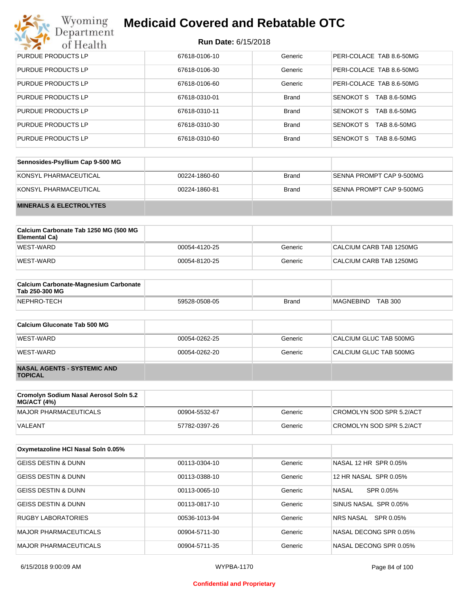## Wyoming<br>Department<br>of Health

## **Medicaid Covered and Rebatable OTC**

| <b>PURDUE PRODUCTS LP</b> | 67618-0106-10 | Generic      | PERI-COLACE TAB 8.6-50MG  |
|---------------------------|---------------|--------------|---------------------------|
| PURDUE PRODUCTS LP        | 67618-0106-30 | Generic      | PERI-COLACE TAB 8.6-50MG  |
| <b>PURDUE PRODUCTS LP</b> | 67618-0106-60 | Generic      | PERI-COLACE TAB 8.6-50MG  |
| PURDUE PRODUCTS LP        | 67618-0310-01 | <b>Brand</b> | SENOKOT S<br>TAB 8.6-50MG |
| PURDUE PRODUCTS LP        | 67618-0310-11 | <b>Brand</b> | SENOKOT S<br>TAB 8.6-50MG |
| PURDUE PRODUCTS LP        | 67618-0310-30 | <b>Brand</b> | SENOKOT S<br>TAB 8.6-50MG |
| <b>PURDUE PRODUCTS LP</b> | 67618-0310-60 | <b>Brand</b> | SENOKOT S<br>TAB 8.6-50MG |

| Sennosides-Psyllium Cap 9-500 MG   |               |       |                          |
|------------------------------------|---------------|-------|--------------------------|
| KONSYL PHARMACEUTICAL              | 00224-1860-60 | Brand | SENNA PROMPT CAP 9-500MG |
| KONSYL PHARMACEUTICAL              | 00224-1860-81 | Brand | SENNA PROMPT CAP 9-500MG |
| <b>MINERALS &amp; ELECTROLYTES</b> |               |       |                          |

| Calcium Carbonate Tab 1250 MG (500 MG<br>Elemental Ca) |               |         |                         |
|--------------------------------------------------------|---------------|---------|-------------------------|
| WEST-WARD                                              | 00054-4120-25 | Generic | CALCIUM CARB TAB 1250MG |
| WEST-WARD                                              | 00054-8120-25 | Generic | CALCIUM CARB TAB 1250MG |

| <b>Calcium Carbonate-Magnesium Carbonate</b><br>Tab 250-300 MG |               |              |                                    |
|----------------------------------------------------------------|---------------|--------------|------------------------------------|
| NEPHRO-TECH                                                    | 59528-0508-05 | <b>Brand</b> | <b>TAB 300</b><br><b>MAGNEBIND</b> |

| Calcium Gluconate Tab 500 MG                         |               |         |                        |
|------------------------------------------------------|---------------|---------|------------------------|
| WEST-WARD                                            | 00054-0262-25 | Generic | CALCIUM GLUC TAB 500MG |
| WEST-WARD                                            | 00054-0262-20 | Generic | CALCIUM GLUC TAB 500MG |
| <b>NASAL AGENTS - SYSTEMIC AND</b><br><b>TOPICAL</b> |               |         |                        |

| Cromolyn Sodium Nasal Aerosol Soln 5.2<br>MG/ACT (4%) |               |         |                          |
|-------------------------------------------------------|---------------|---------|--------------------------|
| MAJOR PHARMACEUTICALS                                 | 00904-5532-67 | Generic | CROMOLYN SOD SPR 5.2/ACT |
| <b>VALEANT</b>                                        | 57782-0397-26 | Generic | CROMOLYN SOD SPR 5.2/ACT |

| Oxymetazoline HCI Nasal Soln 0.05% |               |         |                        |
|------------------------------------|---------------|---------|------------------------|
| <b>GEISS DESTIN &amp; DUNN</b>     | 00113-0304-10 | Generic | NASAL 12 HR SPR 0.05%  |
| GEISS DESTIN & DUNN                | 00113-0388-10 | Generic | 12 HR NASAL SPR 0.05%  |
| <b>GEISS DESTIN &amp; DUNN</b>     | 00113-0065-10 | Generic | NASAL<br>SPR 0.05%     |
| <b>GEISS DESTIN &amp; DUNN</b>     | 00113-0817-10 | Generic | SINUS NASAL SPR 0.05%  |
| <b>RUGBY LABORATORIES</b>          | 00536-1013-94 | Generic | SPR 0.05%<br>NRS NASAL |
| MAJOR PHARMACEUTICALS              | 00904-5711-30 | Generic | NASAL DECONG SPR 0.05% |
| MAJOR PHARMACEUTICALS              | 00904-5711-35 | Generic | NASAL DECONG SPR 0.05% |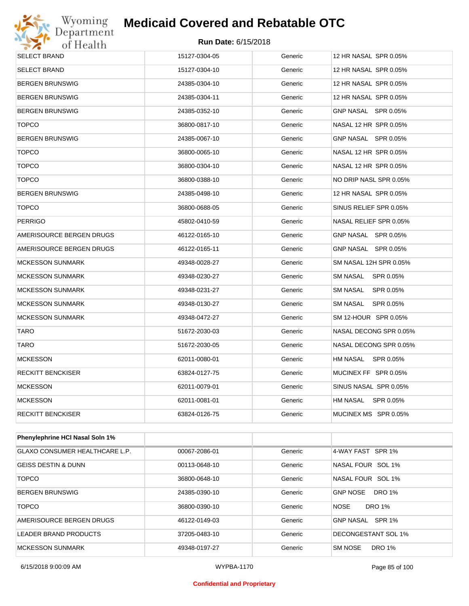

| SELECT BRAND             | 15127-0304-05 | Generic | 12 HR NASAL SPR 0.05%  |  |
|--------------------------|---------------|---------|------------------------|--|
| SELECT BRAND             | 15127-0304-10 | Generic | 12 HR NASAL SPR 0.05%  |  |
| BERGEN BRUNSWIG          | 24385-0304-10 | Generic | 12 HR NASAL SPR 0.05%  |  |
| BERGEN BRUNSWIG          | 24385-0304-11 | Generic | 12 HR NASAL SPR 0.05%  |  |
| <b>BERGEN BRUNSWIG</b>   | 24385-0352-10 | Generic | GNP NASAL SPR 0.05%    |  |
| <b>TOPCO</b>             | 36800-0817-10 | Generic | NASAL 12 HR SPR 0.05%  |  |
| BERGEN BRUNSWIG          | 24385-0067-10 | Generic | GNP NASAL SPR 0.05%    |  |
| <b>TOPCO</b>             | 36800-0065-10 | Generic | NASAL 12 HR SPR 0.05%  |  |
| <b>TOPCO</b>             | 36800-0304-10 | Generic | NASAL 12 HR SPR 0.05%  |  |
| <b>TOPCO</b>             | 36800-0388-10 | Generic | NO DRIP NASL SPR 0.05% |  |
| <b>BERGEN BRUNSWIG</b>   | 24385-0498-10 | Generic | 12 HR NASAL SPR 0.05%  |  |
| <b>TOPCO</b>             | 36800-0688-05 | Generic | SINUS RELIEF SPR 0.05% |  |
| PERRIGO                  | 45802-0410-59 | Generic | NASAL RELIEF SPR 0.05% |  |
| AMERISOURCE BERGEN DRUGS | 46122-0165-10 | Generic | GNP NASAL SPR 0.05%    |  |
| AMERISOURCE BERGEN DRUGS | 46122-0165-11 | Generic | GNP NASAL SPR 0.05%    |  |
| <b>MCKESSON SUNMARK</b>  | 49348-0028-27 | Generic | SM NASAL 12H SPR 0.05% |  |
| <b>MCKESSON SUNMARK</b>  | 49348-0230-27 | Generic | SM NASAL SPR 0.05%     |  |
| <b>MCKESSON SUNMARK</b>  | 49348-0231-27 | Generic | SM NASAL<br>SPR 0.05%  |  |
| <b>MCKESSON SUNMARK</b>  | 49348-0130-27 | Generic | SM NASAL<br>SPR 0.05%  |  |
| <b>MCKESSON SUNMARK</b>  | 49348-0472-27 | Generic | SM 12-HOUR SPR 0.05%   |  |
| TARO                     | 51672-2030-03 | Generic | NASAL DECONG SPR 0.05% |  |
| TARO                     | 51672-2030-05 | Generic | NASAL DECONG SPR 0.05% |  |
| <b>MCKESSON</b>          | 62011-0080-01 | Generic | HM NASAL SPR 0.05%     |  |
| RECKITT BENCKISER        | 63824-0127-75 | Generic | MUCINEX FF SPR 0.05%   |  |
| <b>MCKESSON</b>          | 62011-0079-01 | Generic | SINUS NASAL SPR 0.05%  |  |
| <b>MCKESSON</b>          | 62011-0081-01 | Generic | HM NASAL SPR 0.05%     |  |
| <b>RECKITT BENCKISER</b> | 63824-0126-75 | Generic | MUCINEX MS SPR 0.05%   |  |
|                          |               |         |                        |  |

| <b>Phenylephrine HCI Nasal Soln 1%</b> |               |         |                                  |
|----------------------------------------|---------------|---------|----------------------------------|
| GLAXO CONSUMER HEALTHCARE L.P.         | 00067-2086-01 | Generic | 4-WAY FAST SPR 1%                |
| GEISS DESTIN & DUNN                    | 00113-0648-10 | Generic | NASAL FOUR SOL 1%                |
| <b>TOPCO</b>                           | 36800-0648-10 | Generic | NASAL FOUR SOL 1%                |
| BERGEN BRUNSWIG                        | 24385-0390-10 | Generic | <b>DRO 1%</b><br><b>GNP NOSE</b> |
| <b>TOPCO</b>                           | 36800-0390-10 | Generic | <b>DRO 1%</b><br><b>NOSE</b>     |
| AMERISOURCE BERGEN DRUGS               | 46122-0149-03 | Generic | GNP NASAL SPR 1%                 |
| LEADER BRAND PRODUCTS                  | 37205-0483-10 | Generic | DECONGESTANT SOL 1%              |
| MCKESSON SUNMARK                       | 49348-0197-27 | Generic | <b>DRO 1%</b><br><b>SM NOSE</b>  |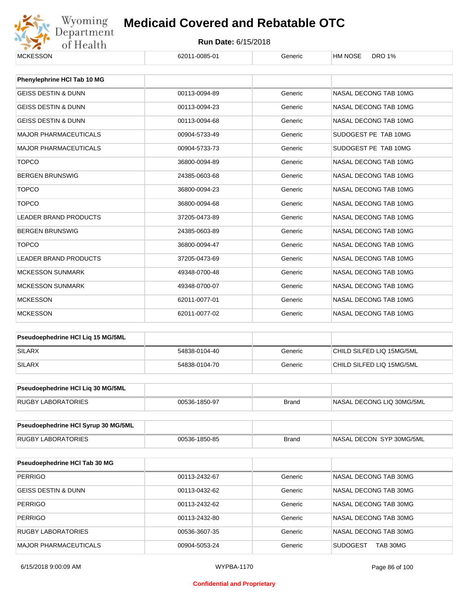

#### **Run Date:** 6/15/2018

| <b>MCKESSON</b>                     | 62011-0085-01 | Generic      | <b>HM NOSE</b><br><b>DRO 1%</b> |  |
|-------------------------------------|---------------|--------------|---------------------------------|--|
| Phenylephrine HCI Tab 10 MG         |               |              |                                 |  |
|                                     |               |              |                                 |  |
| <b>GEISS DESTIN &amp; DUNN</b>      | 00113-0094-89 | Generic      | NASAL DECONG TAB 10MG           |  |
| <b>GEISS DESTIN &amp; DUNN</b>      | 00113-0094-23 | Generic      | NASAL DECONG TAB 10MG           |  |
| <b>GEISS DESTIN &amp; DUNN</b>      | 00113-0094-68 | Generic      | NASAL DECONG TAB 10MG           |  |
| <b>MAJOR PHARMACEUTICALS</b>        | 00904-5733-49 | Generic      | SUDOGEST PE TAB 10MG            |  |
| <b>MAJOR PHARMACEUTICALS</b>        | 00904-5733-73 | Generic      | SUDOGEST PE TAB 10MG            |  |
| <b>TOPCO</b>                        | 36800-0094-89 | Generic      | NASAL DECONG TAB 10MG           |  |
| <b>BERGEN BRUNSWIG</b>              | 24385-0603-68 | Generic      | NASAL DECONG TAB 10MG           |  |
| <b>TOPCO</b>                        | 36800-0094-23 | Generic      | NASAL DECONG TAB 10MG           |  |
| <b>TOPCO</b>                        | 36800-0094-68 | Generic      | NASAL DECONG TAB 10MG           |  |
| <b>LEADER BRAND PRODUCTS</b>        | 37205-0473-89 | Generic      | NASAL DECONG TAB 10MG           |  |
| <b>BERGEN BRUNSWIG</b>              | 24385-0603-89 | Generic      | NASAL DECONG TAB 10MG           |  |
| <b>TOPCO</b>                        | 36800-0094-47 | Generic      | NASAL DECONG TAB 10MG           |  |
| <b>LEADER BRAND PRODUCTS</b>        | 37205-0473-69 | Generic      | NASAL DECONG TAB 10MG           |  |
| <b>MCKESSON SUNMARK</b>             | 49348-0700-48 | Generic      | NASAL DECONG TAB 10MG           |  |
| <b>MCKESSON SUNMARK</b>             | 49348-0700-07 | Generic      | NASAL DECONG TAB 10MG           |  |
| <b>MCKESSON</b>                     | 62011-0077-01 | Generic      | NASAL DECONG TAB 10MG           |  |
| <b>MCKESSON</b>                     | 62011-0077-02 | Generic      | NASAL DECONG TAB 10MG           |  |
|                                     |               |              |                                 |  |
| Pseudoephedrine HCI Liq 15 MG/5ML   |               |              |                                 |  |
| <b>SILARX</b>                       | 54838-0104-40 | Generic      | CHILD SILFED LIQ 15MG/5ML       |  |
| <b>SILARX</b>                       | 54838-0104-70 | Generic      | CHILD SILFED LIQ 15MG/5ML       |  |
| Pseudoephedrine HCI Lig 30 MG/5ML   |               |              |                                 |  |
|                                     |               |              |                                 |  |
| RUGBY LABORATORIES                  | 00536-1850-97 | <b>Brand</b> | NASAL DECONG LIQ 30MG/5ML       |  |
| Pseudoephedrine HCI Syrup 30 MG/5ML |               |              |                                 |  |
| <b>RUGBY LABORATORIES</b>           | 00536-1850-85 | <b>Brand</b> | NASAL DECON SYP 30MG/5ML        |  |
|                                     |               |              |                                 |  |
| Pseudoephedrine HCI Tab 30 MG       |               |              |                                 |  |
| <b>PERRIGO</b>                      | 00113-2432-67 | Generic      | NASAL DECONG TAB 30MG           |  |
| <b>GEISS DESTIN &amp; DUNN</b>      | 00113-0432-62 | Generic      | NASAL DECONG TAB 30MG           |  |
| <b>PERRIGO</b>                      | 00113-2432-62 | Generic      | NASAL DECONG TAB 30MG           |  |
| <b>PERRIGO</b>                      | 00113-2432-80 | Generic      | NASAL DECONG TAB 30MG           |  |
| <b>RUGBY LABORATORIES</b>           | 00536-3607-35 | Generic      | NASAL DECONG TAB 30MG           |  |
| <b>MAJOR PHARMACEUTICALS</b>        | 00904-5053-24 | Generic      | <b>SUDOGEST</b><br>TAB 30MG     |  |

6/15/2018 9:00:09 AM WYPBA-1170 Page 86 of 100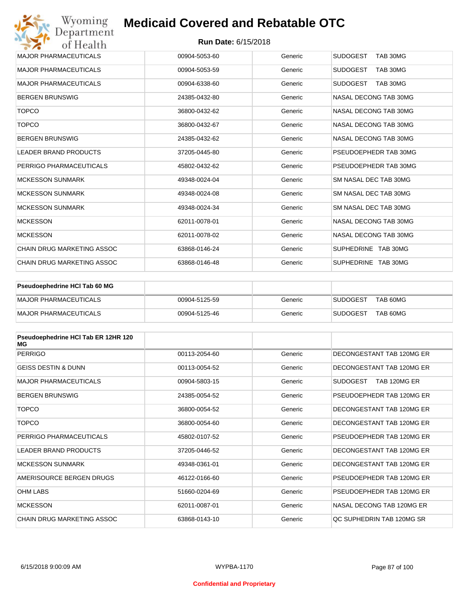| Wyoming<br>Department             | <b>Medicaid Covered and Rebatable OTC</b> |         |                             |
|-----------------------------------|-------------------------------------------|---------|-----------------------------|
| of Health                         | <b>Run Date: 6/15/2018</b>                |         |                             |
| <b>MAJOR PHARMACEUTICALS</b>      | 00904-5053-60                             | Generic | <b>SUDOGEST</b><br>TAB 30MG |
| <b>MAJOR PHARMACEUTICALS</b>      | 00904-5053-59                             | Generic | <b>SUDOGEST</b><br>TAB 30MG |
| <b>MAJOR PHARMACEUTICALS</b>      | 00904-6338-60                             | Generic | <b>SUDOGEST</b><br>TAB 30MG |
| <b>BERGEN BRUNSWIG</b>            | 24385-0432-80                             | Generic | NASAL DECONG TAB 30MG       |
| <b>TOPCO</b>                      | 36800-0432-62                             | Generic | NASAL DECONG TAB 30MG       |
| <b>TOPCO</b>                      | 36800-0432-67                             | Generic | NASAL DECONG TAB 30MG       |
| <b>BERGEN BRUNSWIG</b>            | 24385-0432-62                             | Generic | NASAL DECONG TAB 30MG       |
| <b>LEADER BRAND PRODUCTS</b>      | 37205-0445-80                             | Generic | PSEUDOEPHEDR TAB 30MG       |
| PERRIGO PHARMACEUTICALS           | 45802-0432-62                             | Generic | PSEUDOEPHEDR TAB 30MG       |
| <b>MCKESSON SUNMARK</b>           | 49348-0024-04                             | Generic | SM NASAL DEC TAB 30MG       |
| <b>MCKESSON SUNMARK</b>           | 49348-0024-08                             | Generic | SM NASAL DEC TAB 30MG       |
| <b>MCKESSON SUNMARK</b>           | 49348-0024-34                             | Generic | SM NASAL DEC TAB 30MG       |
| <b>MCKESSON</b>                   | 62011-0078-01                             | Generic | NASAL DECONG TAB 30MG       |
| <b>MCKESSON</b>                   | 62011-0078-02                             | Generic | NASAL DECONG TAB 30MG       |
| <b>CHAIN DRUG MARKETING ASSOC</b> | 63868-0146-24                             | Generic | SUPHEDRINE TAB 30MG         |
| CHAIN DRUG MARKETING ASSOC        | 63868-0146-48                             | Generic | SUPHEDRINE TAB 30MG         |

| <b>Pseudoephedrine HCI Tab 60 MG</b> |               |         |                             |
|--------------------------------------|---------------|---------|-----------------------------|
| <b>IMAJOR PHARMACEUTICALS</b>        | 00904-5125-59 | Generic | TAB 60MG<br>SUDOGEST        |
| <b>IMAJOR PHARMACEUTICALS</b>        | 00904-5125-46 | Generic | TAB 60MG<br><b>SUDOGEST</b> |

| Pseudoephedrine HCI Tab ER 12HR 120<br>МG |               |         |                                 |
|-------------------------------------------|---------------|---------|---------------------------------|
| <b>PERRIGO</b>                            | 00113-2054-60 | Generic | DECONGESTANT TAB 120MG ER       |
| <b>GEISS DESTIN &amp; DUNN</b>            | 00113-0054-52 | Generic | DECONGESTANT TAB 120MG ER       |
| <b>MAJOR PHARMACEUTICALS</b>              | 00904-5803-15 | Generic | <b>SUDOGEST</b><br>TAB 120MG ER |
| <b>BERGEN BRUNSWIG</b>                    | 24385-0054-52 | Generic | PSEUDOEPHEDR TAB 120MG ER       |
| <b>TOPCO</b>                              | 36800-0054-52 | Generic | DECONGESTANT TAB 120MG ER       |
| <b>TOPCO</b>                              | 36800-0054-60 | Generic | DECONGESTANT TAB 120MG ER       |
| PERRIGO PHARMACEUTICALS                   | 45802-0107-52 | Generic | PSEUDOEPHEDR TAB 120MG ER       |
| <b>LEADER BRAND PRODUCTS</b>              | 37205-0446-52 | Generic | DECONGESTANT TAB 120MG ER       |
| <b>MCKESSON SUNMARK</b>                   | 49348-0361-01 | Generic | DECONGESTANT TAB 120MG ER       |
| AMERISOURCE BERGEN DRUGS                  | 46122-0166-60 | Generic | PSEUDOEPHEDR TAB 120MG ER       |
| <b>OHM LABS</b>                           | 51660-0204-69 | Generic | PSEUDOEPHEDR TAB 120MG ER       |
| <b>MCKESSON</b>                           | 62011-0087-01 | Generic | NASAL DECONG TAB 120MG ER       |
| CHAIN DRUG MARKETING ASSOC                | 63868-0143-10 | Generic | QC SUPHEDRIN TAB 120MG SR       |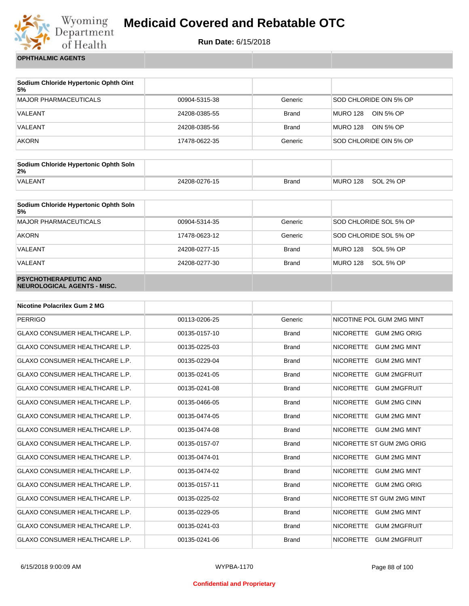

**Run Date:** 6/15/2018

**OPHTHALMIC AGENTS**

| Sodium Chloride Hypertonic Ophth Oint<br>5% |               |              |                        |
|---------------------------------------------|---------------|--------------|------------------------|
| MAJOR PHARMACEUTICALS                       | 00904-5315-38 | Generic      | SOD CHLORIDE OIN 5% OP |
| VALEANT                                     | 24208-0385-55 | Brand        | MURO 128<br>OIN 5% OP  |
| VALEANT                                     | 24208-0385-56 | <b>Brand</b> | MURO 128<br>OIN 5% OP  |
| <b>AKORN</b>                                | 17478-0622-35 | Generic      | SOD CHLORIDE OIN 5% OP |

| Sodium Chloride Hypertonic Ophth Soln<br>2% |               |              |          |           |
|---------------------------------------------|---------------|--------------|----------|-----------|
| <b>VALEANT</b>                              | 24208-0276-15 | <b>Brand</b> | MURO 128 | SOL 2% OP |

| Sodium Chloride Hypertonic Ophth Soln<br>5%                 |               |              |                              |
|-------------------------------------------------------------|---------------|--------------|------------------------------|
| <b>MAJOR PHARMACEUTICALS</b>                                | 00904-5314-35 | Generic      | SOD CHLORIDE SOL 5% OP       |
| <b>AKORN</b>                                                | 17478-0623-12 | Generic      | SOD CHLORIDE SOL 5% OP       |
| VALEANT                                                     | 24208-0277-15 | <b>Brand</b> | SOL 5% OP<br><b>MURO 128</b> |
| VALEANT                                                     | 24208-0277-30 | <b>Brand</b> | MURO 128<br>SOL 5% OP        |
| <b>PSYCHOTHERAPEUTIC AND</b><br>NEUROLOGICAL AGENTS - MISC. |               |              |                              |

| <b>Nicotine Polacrilex Gum 2 MG</b>   |               |              |                                         |
|---------------------------------------|---------------|--------------|-----------------------------------------|
| <b>PERRIGO</b>                        | 00113-0206-25 | Generic      | NICOTINE POL GUM 2MG MINT               |
| <b>GLAXO CONSUMER HEALTHCARE L.P.</b> | 00135-0157-10 | <b>Brand</b> | <b>NICORETTE</b><br>GUM 2MG ORIG        |
| <b>GLAXO CONSUMER HEALTHCARE L.P.</b> | 00135-0225-03 | <b>Brand</b> | <b>NICORETTE</b><br><b>GUM 2MG MINT</b> |
| <b>GLAXO CONSUMER HEALTHCARE L.P.</b> | 00135-0229-04 | <b>Brand</b> | <b>GUM 2MG MINT</b><br><b>NICORETTE</b> |
| GLAXO CONSUMER HEALTHCARE L.P.        | 00135-0241-05 | <b>Brand</b> | <b>NICORETTE</b><br><b>GUM 2MGFRUIT</b> |
| <b>GLAXO CONSUMER HEALTHCARE L.P.</b> | 00135-0241-08 | <b>Brand</b> | <b>NICORETTE</b><br><b>GUM 2MGFRUIT</b> |
| GLAXO CONSUMER HEALTHCARE L.P.        | 00135-0466-05 | <b>Brand</b> | <b>NICORETTE</b><br><b>GUM 2MG CINN</b> |
| <b>GLAXO CONSUMER HEALTHCARE L.P.</b> | 00135-0474-05 | <b>Brand</b> | <b>NICORETTE</b><br><b>GUM 2MG MINT</b> |
| <b>GLAXO CONSUMER HEALTHCARE L.P.</b> | 00135-0474-08 | <b>Brand</b> | <b>NICORETTE</b><br><b>GUM 2MG MINT</b> |
| <b>GLAXO CONSUMER HEALTHCARE L.P.</b> | 00135-0157-07 | <b>Brand</b> | NICORETTE ST GUM 2MG ORIG               |
| GLAXO CONSUMER HEALTHCARE L.P.        | 00135-0474-01 | <b>Brand</b> | <b>NICORETTE</b><br><b>GUM 2MG MINT</b> |
| GLAXO CONSUMER HEALTHCARE L.P.        | 00135-0474-02 | <b>Brand</b> | <b>NICORETTE</b><br><b>GUM 2MG MINT</b> |
| <b>GLAXO CONSUMER HEALTHCARE L.P.</b> | 00135-0157-11 | <b>Brand</b> | <b>NICORETTE</b><br><b>GUM 2MG ORIG</b> |
| GLAXO CONSUMER HEALTHCARE L.P.        | 00135-0225-02 | <b>Brand</b> | NICORETTE ST GUM 2MG MINT               |
| <b>GLAXO CONSUMER HEALTHCARE L.P.</b> | 00135-0229-05 | <b>Brand</b> | <b>NICORETTE</b><br><b>GUM 2MG MINT</b> |
| <b>GLAXO CONSUMER HEALTHCARE L.P.</b> | 00135-0241-03 | <b>Brand</b> | <b>NICORETTE</b><br><b>GUM 2MGFRUIT</b> |
| <b>GLAXO CONSUMER HEALTHCARE L.P.</b> | 00135-0241-06 | <b>Brand</b> | <b>NICORETTE</b><br><b>GUM 2MGFRUIT</b> |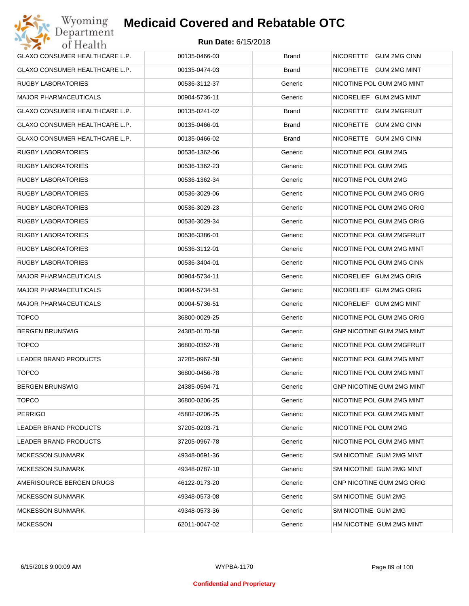| GLAXO CONSUMER HEALTHCARE L.P. | 00135-0466-03 | <b>Brand</b> | NICORETTE GUM 2MG CINN           |
|--------------------------------|---------------|--------------|----------------------------------|
| GLAXO CONSUMER HEALTHCARE L.P. | 00135-0474-03 | <b>Brand</b> | NICORETTE GUM 2MG MINT           |
| RUGBY LABORATORIES             | 00536-3112-37 | Generic      | NICOTINE POL GUM 2MG MINT        |
| <b>MAJOR PHARMACEUTICALS</b>   | 00904-5736-11 | Generic      | NICORELIEF GUM 2MG MINT          |
| GLAXO CONSUMER HEALTHCARE L.P. | 00135-0241-02 | <b>Brand</b> | NICORETTE GUM 2MGFRUIT           |
| GLAXO CONSUMER HEALTHCARE L.P. | 00135-0466-01 | <b>Brand</b> | NICORETTE GUM 2MG CINN           |
| GLAXO CONSUMER HEALTHCARE L.P. | 00135-0466-02 | <b>Brand</b> | NICORETTE GUM 2MG CINN           |
| <b>RUGBY LABORATORIES</b>      | 00536-1362-06 | Generic      | NICOTINE POL GUM 2MG             |
| <b>RUGBY LABORATORIES</b>      | 00536-1362-23 | Generic      | NICOTINE POL GUM 2MG             |
| <b>RUGBY LABORATORIES</b>      | 00536-1362-34 | Generic      | NICOTINE POL GUM 2MG             |
| <b>RUGBY LABORATORIES</b>      | 00536-3029-06 | Generic      | NICOTINE POL GUM 2MG ORIG        |
| <b>RUGBY LABORATORIES</b>      | 00536-3029-23 | Generic      | NICOTINE POL GUM 2MG ORIG        |
| <b>RUGBY LABORATORIES</b>      | 00536-3029-34 | Generic      | NICOTINE POL GUM 2MG ORIG        |
| <b>RUGBY LABORATORIES</b>      | 00536-3386-01 | Generic      | NICOTINE POL GUM 2MGFRUIT        |
| <b>RUGBY LABORATORIES</b>      | 00536-3112-01 | Generic      | NICOTINE POL GUM 2MG MINT        |
| <b>RUGBY LABORATORIES</b>      | 00536-3404-01 | Generic      | NICOTINE POL GUM 2MG CINN        |
| <b>MAJOR PHARMACEUTICALS</b>   | 00904-5734-11 | Generic      | NICORELIEF GUM 2MG ORIG          |
| <b>MAJOR PHARMACEUTICALS</b>   | 00904-5734-51 | Generic      | NICORELIEF GUM 2MG ORIG          |
| <b>MAJOR PHARMACEUTICALS</b>   | 00904-5736-51 | Generic      | NICORELIEF GUM 2MG MINT          |
| <b>TOPCO</b>                   | 36800-0029-25 | Generic      | NICOTINE POL GUM 2MG ORIG        |
| <b>BERGEN BRUNSWIG</b>         | 24385-0170-58 | Generic      | GNP NICOTINE GUM 2MG MINT        |
| <b>TOPCO</b>                   | 36800-0352-78 | Generic      | NICOTINE POL GUM 2MGFRUIT        |
| <b>LEADER BRAND PRODUCTS</b>   | 37205-0967-58 | Generic      | NICOTINE POL GUM 2MG MINT        |
| <b>TOPCO</b>                   | 36800-0456-78 | Generic      | NICOTINE POL GUM 2MG MINT        |
| <b>BERGEN BRUNSWIG</b>         | 24385-0594-71 | Generic      | <b>GNP NICOTINE GUM 2MG MINT</b> |
| <b>TOPCO</b>                   | 36800-0206-25 | Generic      | NICOTINE POL GUM 2MG MINT        |
| <b>PERRIGO</b>                 | 45802-0206-25 | Generic      | NICOTINE POL GUM 2MG MINT        |
| LEADER BRAND PRODUCTS          | 37205-0203-71 | Generic      | NICOTINE POL GUM 2MG             |
| LEADER BRAND PRODUCTS          | 37205-0967-78 | Generic      | NICOTINE POL GUM 2MG MINT        |
| <b>MCKESSON SUNMARK</b>        | 49348-0691-36 | Generic      | SM NICOTINE GUM 2MG MINT         |
| <b>MCKESSON SUNMARK</b>        | 49348-0787-10 | Generic      | SM NICOTINE GUM 2MG MINT         |
| AMERISOURCE BERGEN DRUGS       | 46122-0173-20 | Generic      | <b>GNP NICOTINE GUM 2MG ORIG</b> |
| <b>MCKESSON SUNMARK</b>        | 49348-0573-08 | Generic      | SM NICOTINE GUM 2MG              |
| <b>MCKESSON SUNMARK</b>        | 49348-0573-36 | Generic      | SM NICOTINE GUM 2MG              |
| <b>MCKESSON</b>                | 62011-0047-02 | Generic      | HM NICOTINE GUM 2MG MINT         |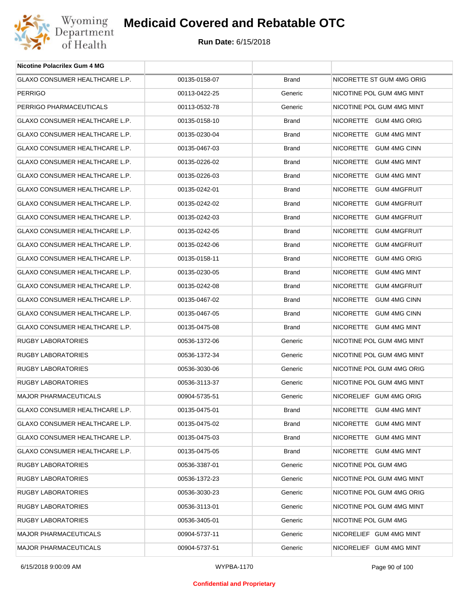

| Nicotine Polacrilex Gum 4 MG   |               |              |                           |
|--------------------------------|---------------|--------------|---------------------------|
| GLAXO CONSUMER HEALTHCARE L.P. | 00135-0158-07 | Brand        | NICORETTE ST GUM 4MG ORIG |
| <b>PERRIGO</b>                 | 00113-0422-25 | Generic      | NICOTINE POL GUM 4MG MINT |
| PERRIGO PHARMACEUTICALS        | 00113-0532-78 | Generic      | NICOTINE POL GUM 4MG MINT |
| GLAXO CONSUMER HEALTHCARE L.P. | 00135-0158-10 | Brand        | NICORETTE GUM 4MG ORIG    |
| GLAXO CONSUMER HEALTHCARE L.P. | 00135-0230-04 | Brand        | NICORETTE GUM 4MG MINT    |
| GLAXO CONSUMER HEALTHCARE L.P. | 00135-0467-03 | Brand        | NICORETTE GUM 4MG CINN    |
| GLAXO CONSUMER HEALTHCARE L.P. | 00135-0226-02 | Brand        | NICORETTE GUM 4MG MINT    |
| GLAXO CONSUMER HEALTHCARE L.P. | 00135-0226-03 | Brand        | NICORETTE GUM 4MG MINT    |
| GLAXO CONSUMER HEALTHCARE L.P. | 00135-0242-01 | Brand        | NICORETTE GUM 4MGFRUIT    |
| GLAXO CONSUMER HEALTHCARE L.P. | 00135-0242-02 | Brand        | NICORETTE GUM 4MGFRUIT    |
| GLAXO CONSUMER HEALTHCARE L.P. | 00135-0242-03 | Brand        | NICORETTE GUM 4MGFRUIT    |
| GLAXO CONSUMER HEALTHCARE L.P. | 00135-0242-05 | Brand        | NICORETTE GUM 4MGFRUIT    |
| GLAXO CONSUMER HEALTHCARE L.P. | 00135-0242-06 | Brand        | NICORETTE GUM 4MGFRUIT    |
| GLAXO CONSUMER HEALTHCARE L.P. | 00135-0158-11 | Brand        | NICORETTE GUM 4MG ORIG    |
| GLAXO CONSUMER HEALTHCARE L.P. | 00135-0230-05 | Brand        | NICORETTE GUM 4MG MINT    |
| GLAXO CONSUMER HEALTHCARE L.P. | 00135-0242-08 | Brand        | NICORETTE GUM 4MGFRUIT    |
| GLAXO CONSUMER HEALTHCARE L.P. | 00135-0467-02 | Brand        | NICORETTE GUM 4MG CINN    |
| GLAXO CONSUMER HEALTHCARE L.P. | 00135-0467-05 | Brand        | NICORETTE GUM 4MG CINN    |
| GLAXO CONSUMER HEALTHCARE L.P. | 00135-0475-08 | Brand        | NICORETTE GUM 4MG MINT    |
| RUGBY LABORATORIES             | 00536-1372-06 | Generic      | NICOTINE POL GUM 4MG MINT |
| RUGBY LABORATORIES             | 00536-1372-34 | Generic      | NICOTINE POL GUM 4MG MINT |
| RUGBY LABORATORIES             | 00536-3030-06 | Generic      | NICOTINE POL GUM 4MG ORIG |
| <b>RUGBY LABORATORIES</b>      | 00536-3113-37 | Generic      | NICOTINE POL GUM 4MG MINT |
| <b>MAJOR PHARMACEUTICALS</b>   | 00904-5735-51 | Generic      | NICORELIEF GUM 4MG ORIG   |
| GLAXO CONSUMER HEALTHCARE L.P. | 00135-0475-01 | Brand        | NICORETTE GUM 4MG MINT    |
| GLAXO CONSUMER HEALTHCARE L.P. | 00135-0475-02 | <b>Brand</b> | NICORETTE GUM 4MG MINT    |
| GLAXO CONSUMER HEALTHCARE L.P. | 00135-0475-03 | Brand        | NICORETTE GUM 4MG MINT    |
| GLAXO CONSUMER HEALTHCARE L.P. | 00135-0475-05 | Brand        | NICORETTE GUM 4MG MINT    |
| <b>RUGBY LABORATORIES</b>      | 00536-3387-01 | Generic      | NICOTINE POL GUM 4MG      |
| RUGBY LABORATORIES             | 00536-1372-23 | Generic      | NICOTINE POL GUM 4MG MINT |
| <b>RUGBY LABORATORIES</b>      | 00536-3030-23 | Generic      | NICOTINE POL GUM 4MG ORIG |
| RUGBY LABORATORIES             | 00536-3113-01 | Generic      | NICOTINE POL GUM 4MG MINT |
| RUGBY LABORATORIES             | 00536-3405-01 | Generic      | NICOTINE POL GUM 4MG      |
| <b>MAJOR PHARMACEUTICALS</b>   | 00904-5737-11 | Generic      | NICORELIEF GUM 4MG MINT   |
| MAJOR PHARMACEUTICALS          | 00904-5737-51 | Generic      | NICORELIEF GUM 4MG MINT   |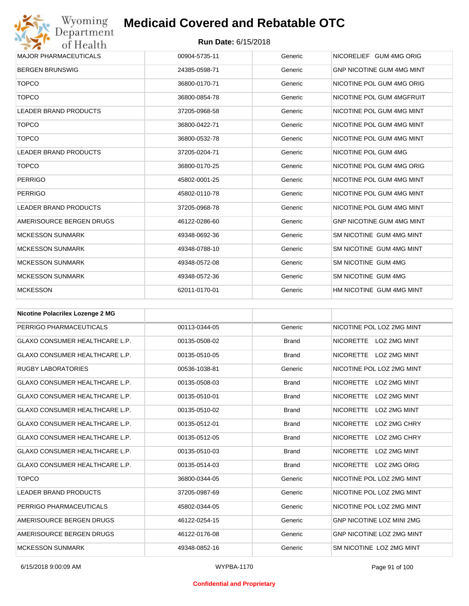

| <b>MAJOR PHARMACEUTICALS</b> | 00904-5735-11 | Generic | NICORELIEF GUM 4MG ORIG          |
|------------------------------|---------------|---------|----------------------------------|
| <b>BERGEN BRUNSWIG</b>       | 24385-0598-71 | Generic | <b>GNP NICOTINE GUM 4MG MINT</b> |
| <b>TOPCO</b>                 | 36800-0170-71 | Generic | NICOTINE POL GUM 4MG ORIG        |
| <b>TOPCO</b>                 | 36800-0854-78 | Generic | NICOTINE POL GUM 4MGFRUIT        |
| <b>LEADER BRAND PRODUCTS</b> | 37205-0968-58 | Generic | NICOTINE POL GUM 4MG MINT        |
| <b>TOPCO</b>                 | 36800-0422-71 | Generic | NICOTINE POL GUM 4MG MINT        |
| <b>TOPCO</b>                 | 36800-0532-78 | Generic | NICOTINE POL GUM 4MG MINT        |
| <b>LEADER BRAND PRODUCTS</b> | 37205-0204-71 | Generic | NICOTINE POL GUM 4MG             |
| <b>TOPCO</b>                 | 36800-0170-25 | Generic | NICOTINE POL GUM 4MG ORIG        |
| <b>PERRIGO</b>               | 45802-0001-25 | Generic | NICOTINE POL GUM 4MG MINT        |
| <b>PERRIGO</b>               | 45802-0110-78 | Generic | NICOTINE POL GUM 4MG MINT        |
| <b>LEADER BRAND PRODUCTS</b> | 37205-0968-78 | Generic | NICOTINE POL GUM 4MG MINT        |
| AMERISOURCE BERGEN DRUGS     | 46122-0286-60 | Generic | <b>GNP NICOTINE GUM 4MG MINT</b> |
| <b>MCKESSON SUNMARK</b>      | 49348-0692-36 | Generic | SM NICOTINE GUM 4MG MINT         |
| <b>MCKESSON SUNMARK</b>      | 49348-0788-10 | Generic | SM NICOTINE GUM 4MG MINT         |
| <b>MCKESSON SUNMARK</b>      | 49348-0572-08 | Generic | SM NICOTINE GUM 4MG              |
| <b>MCKESSON SUNMARK</b>      | 49348-0572-36 | Generic | SM NICOTINE GUM 4MG              |
| <b>MCKESSON</b>              | 62011-0170-01 | Generic | HM NICOTINE GUM 4MG MINT         |

| <b>Nicotine Polacrilex Lozenge 2 MG</b> |               |              |                                         |
|-----------------------------------------|---------------|--------------|-----------------------------------------|
| PERRIGO PHARMACEUTICALS                 | 00113-0344-05 | Generic      | NICOTINE POL LOZ 2MG MINT               |
| <b>GLAXO CONSUMER HEALTHCARE L.P.</b>   | 00135-0508-02 | <b>Brand</b> | NICORETTE LOZ 2MG MINT                  |
| <b>GLAXO CONSUMER HEALTHCARE L.P.</b>   | 00135-0510-05 | <b>Brand</b> | NICORETTE LOZ 2MG MINT                  |
| <b>RUGBY LABORATORIES</b>               | 00536-1038-81 | Generic      | NICOTINE POL LOZ 2MG MINT               |
| <b>GLAXO CONSUMER HEALTHCARE L.P.</b>   | 00135-0508-03 | <b>Brand</b> | NICORETTE LOZ 2MG MINT                  |
| <b>GLAXO CONSUMER HEALTHCARE L.P.</b>   | 00135-0510-01 | <b>Brand</b> | NICORETTE LOZ 2MG MINT                  |
| <b>GLAXO CONSUMER HEALTHCARE L.P.</b>   | 00135-0510-02 | <b>Brand</b> | <b>NICORETTE</b><br>LOZ 2MG MINT        |
| <b>GLAXO CONSUMER HEALTHCARE L.P.</b>   | 00135-0512-01 | <b>Brand</b> | <b>NICORETTE</b><br>LOZ 2MG CHRY        |
| <b>GLAXO CONSUMER HEALTHCARE L.P.</b>   | 00135-0512-05 | <b>Brand</b> | <b>NICORETTE</b><br>LOZ 2MG CHRY        |
| <b>GLAXO CONSUMER HEALTHCARE L.P.</b>   | 00135-0510-03 | <b>Brand</b> | <b>NICORETTE</b><br><b>LOZ 2MG MINT</b> |
| <b>GLAXO CONSUMER HEALTHCARE L.P.</b>   | 00135-0514-03 | <b>Brand</b> | NICORETTE LOZ 2MG ORIG                  |
| <b>TOPCO</b>                            | 36800-0344-05 | Generic      | NICOTINE POL LOZ 2MG MINT               |
| <b>LEADER BRAND PRODUCTS</b>            | 37205-0987-69 | Generic      | NICOTINE POL LOZ 2MG MINT               |
| PERRIGO PHARMACEUTICALS                 | 45802-0344-05 | Generic      | NICOTINE POL LOZ 2MG MINT               |
| AMERISOURCE BERGEN DRUGS                | 46122-0254-15 | Generic      | <b>GNP NICOTINE LOZ MINI 2MG</b>        |
| AMERISOURCE BERGEN DRUGS                | 46122-0176-08 | Generic      | <b>GNP NICOTINE LOZ 2MG MINT</b>        |
| <b>MCKESSON SUNMARK</b>                 | 49348-0852-16 | Generic      | SM NICOTINE LOZ 2MG MINT                |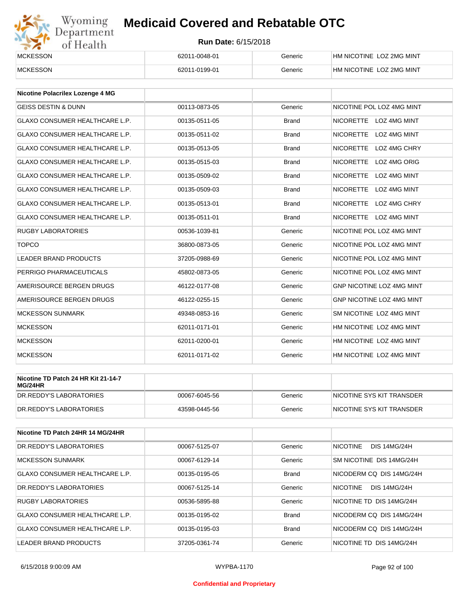# Wyoming<br>Department<br>of Health

## **Medicaid Covered and Rebatable OTC**

| <b>MCKESSON</b> | 62011-0048-01 | Generic | HM NICOTINE LOZ 2MG MINT |
|-----------------|---------------|---------|--------------------------|
| <b>MCKESSON</b> | 62011-0199-01 | Generic | HM NICOTINE LOZ 2MG MINT |

| Nicotine Polacrilex Lozenge 4 MG      |               |              |                                         |
|---------------------------------------|---------------|--------------|-----------------------------------------|
| <b>GEISS DESTIN &amp; DUNN</b>        | 00113-0873-05 | Generic      | NICOTINE POL LOZ 4MG MINT               |
| <b>GLAXO CONSUMER HEALTHCARE L.P.</b> | 00135-0511-05 | <b>Brand</b> | NICORETTE LOZ 4MG MINT                  |
| <b>GLAXO CONSUMER HEALTHCARE L.P.</b> | 00135-0511-02 | <b>Brand</b> | <b>NICORETTE</b><br><b>LOZ 4MG MINT</b> |
| <b>GLAXO CONSUMER HEALTHCARE L.P.</b> | 00135-0513-05 | <b>Brand</b> | <b>NICORETTE</b><br>LOZ 4MG CHRY        |
| <b>GLAXO CONSUMER HEALTHCARE L.P.</b> | 00135-0515-03 | <b>Brand</b> | <b>NICORETTE</b><br>LOZ 4MG ORIG        |
| <b>GLAXO CONSUMER HEALTHCARE L.P.</b> | 00135-0509-02 | <b>Brand</b> | <b>NICORETTE</b><br><b>LOZ 4MG MINT</b> |
| <b>GLAXO CONSUMER HEALTHCARE L.P.</b> | 00135-0509-03 | <b>Brand</b> | <b>NICORETTE</b><br><b>LOZ 4MG MINT</b> |
| <b>GLAXO CONSUMER HEALTHCARE L.P.</b> | 00135-0513-01 | <b>Brand</b> | <b>NICORETTE</b><br>LOZ 4MG CHRY        |
| <b>GLAXO CONSUMER HEALTHCARE L.P.</b> | 00135-0511-01 | <b>Brand</b> | NICORETTE LOZ 4MG MINT                  |
| <b>RUGBY LABORATORIES</b>             | 00536-1039-81 | Generic      | NICOTINE POL LOZ 4MG MINT               |
| <b>TOPCO</b>                          | 36800-0873-05 | Generic      | NICOTINE POL LOZ 4MG MINT               |
| <b>LEADER BRAND PRODUCTS</b>          | 37205-0988-69 | Generic      | NICOTINE POL LOZ 4MG MINT               |
| PERRIGO PHARMACEUTICALS               | 45802-0873-05 | Generic      | NICOTINE POL LOZ 4MG MINT               |
| AMERISOURCE BERGEN DRUGS              | 46122-0177-08 | Generic      | <b>GNP NICOTINE LOZ 4MG MINT</b>        |
| AMERISOURCE BERGEN DRUGS              | 46122-0255-15 | Generic      | GNP NICOTINE LOZ 4MG MINT               |
| <b>MCKESSON SUNMARK</b>               | 49348-0853-16 | Generic      | SM NICOTINE LOZ 4MG MINT                |
| <b>MCKESSON</b>                       | 62011-0171-01 | Generic      | HM NICOTINE LOZ 4MG MINT                |
| <b>MCKESSON</b>                       | 62011-0200-01 | Generic      | HM NICOTINE LOZ 4MG MINT                |
| <b>MCKESSON</b>                       | 62011-0171-02 | Generic      | HM NICOTINE LOZ 4MG MINT                |

| Nicotine TD Patch 24 HR Kit 21-14-7<br>MG/24HR |               |         |                           |
|------------------------------------------------|---------------|---------|---------------------------|
| DR.REDDY'S LABORATORIES                        | 00067-6045-56 | Generic | NICOTINE SYS KIT TRANSDER |
| DR.REDDY'S LABORATORIES                        | 43598-0445-56 | Generic | NICOTINE SYS KIT TRANSDER |

| Nicotine TD Patch 24HR 14 MG/24HR |               |              |                                        |
|-----------------------------------|---------------|--------------|----------------------------------------|
| DR.REDDY'S LABORATORIES           | 00067-5125-07 | Generic      | <b>NICOTINE</b><br><b>DIS 14MG/24H</b> |
| <b>MCKESSON SUNMARK</b>           | 00067-6129-14 | Generic      | SM NICOTINE DIS 14MG/24H               |
| GLAXO CONSUMER HEALTHCARE L.P.    | 00135-0195-05 | <b>Brand</b> | NICODERM CO DIS 14MG/24H               |
| DR.REDDY'S LABORATORIES           | 00067-5125-14 | Generic      | <b>NICOTINE</b><br><b>DIS 14MG/24H</b> |
| <b>RUGBY LABORATORIES</b>         | 00536-5895-88 | Generic      | NICOTINE TD DIS 14MG/24H               |
| GLAXO CONSUMER HEALTHCARE L.P.    | 00135-0195-02 | <b>Brand</b> | NICODERM CO DIS 14MG/24H               |
| GLAXO CONSUMER HEALTHCARE L.P.    | 00135-0195-03 | <b>Brand</b> | NICODERM CO DIS 14MG/24H               |
| LEADER BRAND PRODUCTS             | 37205-0361-74 | Generic      | NICOTINE TD DIS 14MG/24H               |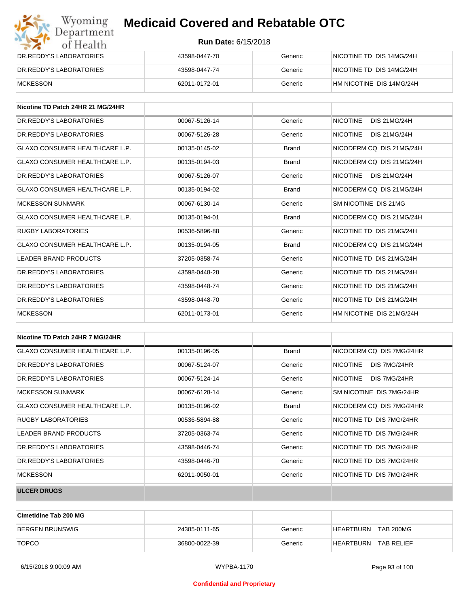| Wyoming<br>Department          | <b>Medicaid Covered and Rebatable OTC</b> |         |                          |  |
|--------------------------------|-------------------------------------------|---------|--------------------------|--|
| of Health                      | <b>Run Date: 6/15/2018</b>                |         |                          |  |
| DR.REDDY'S LABORATORIES        | 43598-0447-70                             | Generic | NICOTINE TD DIS 14MG/24H |  |
| <b>DR.REDDY'S LABORATORIES</b> | 43598-0447-74                             | Generic | NICOTINE TD DIS 14MG/24H |  |
| <b>MCKESSON</b>                | 62011-0172-01                             | Generic | HM NICOTINE DIS 14MG/24H |  |

| Nicotine TD Patch 24HR 21 MG/24HR     |               |              |                                        |
|---------------------------------------|---------------|--------------|----------------------------------------|
| DR. REDDY'S LABORATORIES              | 00067-5126-14 | Generic      | <b>NICOTINE</b><br><b>DIS 21MG/24H</b> |
| DR. REDDY'S LABORATORIES              | 00067-5126-28 | Generic      | <b>NICOTINE</b><br><b>DIS 21MG/24H</b> |
| GLAXO CONSUMER HEALTHCARE L.P.        | 00135-0145-02 | <b>Brand</b> | NICODERM CO DIS 21MG/24H               |
| GLAXO CONSUMER HEALTHCARE L.P.        | 00135-0194-03 | <b>Brand</b> | NICODERM CO DIS 21MG/24H               |
| DR. REDDY'S LABORATORIES              | 00067-5126-07 | Generic      | <b>NICOTINE</b><br><b>DIS 21MG/24H</b> |
| <b>GLAXO CONSUMER HEALTHCARE L.P.</b> | 00135-0194-02 | <b>Brand</b> | NICODERM CO DIS 21MG/24H               |
| <b>MCKESSON SUNMARK</b>               | 00067-6130-14 | Generic      | SM NICOTINE DIS 21MG                   |
| GLAXO CONSUMER HEALTHCARE L.P.        | 00135-0194-01 | <b>Brand</b> | NICODERM CO DIS 21MG/24H               |
| <b>RUGBY LABORATORIES</b>             | 00536-5896-88 | Generic      | NICOTINE TD DIS 21MG/24H               |
| <b>GLAXO CONSUMER HEALTHCARE L.P.</b> | 00135-0194-05 | <b>Brand</b> | NICODERM CO DIS 21MG/24H               |
| <b>LEADER BRAND PRODUCTS</b>          | 37205-0358-74 | Generic      | NICOTINE TD DIS 21MG/24H               |
| DR.REDDY'S LABORATORIES               | 43598-0448-28 | Generic      | NICOTINE TD DIS 21MG/24H               |
| DR.REDDY'S LABORATORIES               | 43598-0448-74 | Generic      | NICOTINE TD DIS 21MG/24H               |
| DR.REDDY'S LABORATORIES               | 43598-0448-70 | Generic      | NICOTINE TD DIS 21MG/24H               |
| <b>MCKESSON</b>                       | 62011-0173-01 | Generic      | HM NICOTINE DIS 21MG/24H               |

| Nicotine TD Patch 24HR 7 MG/24HR      |               |              |                                 |
|---------------------------------------|---------------|--------------|---------------------------------|
| <b>GLAXO CONSUMER HEALTHCARE L.P.</b> | 00135-0196-05 | <b>Brand</b> | NICODERM CO DIS 7MG/24HR        |
| DR. REDDY'S LABORATORIES              | 00067-5124-07 | Generic      | <b>NICOTINE</b><br>DIS 7MG/24HR |
| DR. REDDY'S LABORATORIES              | 00067-5124-14 | Generic      | <b>NICOTINE</b><br>DIS 7MG/24HR |
| MCKESSON SUNMARK                      | 00067-6128-14 | Generic      | SM NICOTINE DIS 7MG/24HR        |
| <b>GLAXO CONSUMER HEALTHCARE L.P.</b> | 00135-0196-02 | <b>Brand</b> | NICODERM CQ DIS 7MG/24HR        |
| <b>RUGBY LABORATORIES</b>             | 00536-5894-88 | Generic      | NICOTINE TD DIS 7MG/24HR        |
| LEADER BRAND PRODUCTS                 | 37205-0363-74 | Generic      | NICOTINE TD DIS 7MG/24HR        |
| DR. REDDY'S LABORATORIES              | 43598-0446-74 | Generic      | NICOTINE TD DIS 7MG/24HR        |
| DR. REDDY'S LABORATORIES              | 43598-0446-70 | Generic      | NICOTINE TD DIS 7MG/24HR        |
| <b>MCKESSON</b>                       | 62011-0050-01 | Generic      | NICOTINE TD DIS 7MG/24HR        |
| <b>ULCER DRUGS</b>                    |               |              |                                 |

| <b>Cimetidine Tab 200 MG</b> |               |         |                                |
|------------------------------|---------------|---------|--------------------------------|
| <b>BERGEN BRUNSWIG</b>       | 24385-0111-65 | Generic | HEARTBURN<br><b>TAB 200MG</b>  |
| <b>TOPCO</b>                 | 36800-0022-39 | Generic | HEARTBURN<br><b>TAB RELIEF</b> |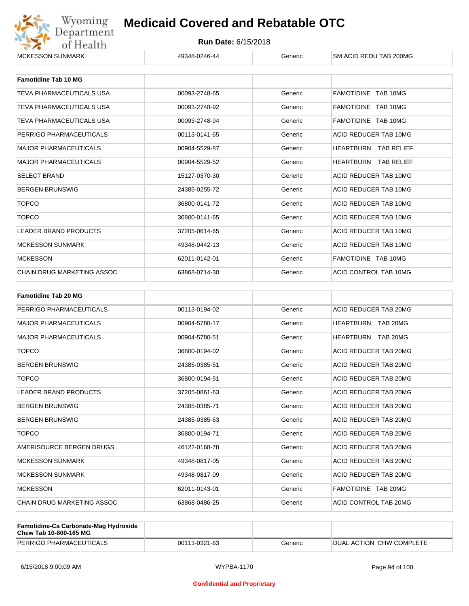

| <b>Famotidine Tab 10 MG</b>     |               |         |                             |
|---------------------------------|---------------|---------|-----------------------------|
| TEVA PHARMACEUTICALS USA        | 00093-2748-65 | Generic | FAMOTIDINE TAB 10MG         |
| <b>TEVA PHARMACEUTICALS USA</b> | 00093-2748-92 | Generic | FAMOTIDINE TAB 10MG         |
| TEVA PHARMACEUTICALS USA        | 00093-2748-94 | Generic | FAMOTIDINE TAB 10MG         |
| PERRIGO PHARMACEUTICALS         | 00113-0141-65 | Generic | ACID REDUCER TAB 10MG       |
| <b>MAJOR PHARMACEUTICALS</b>    | 00904-5529-87 | Generic | HEARTBURN<br>TAB RELIEF     |
| <b>MAJOR PHARMACEUTICALS</b>    | 00904-5529-52 | Generic | <b>HEARTBURN TAB RELIEF</b> |
| <b>SELECT BRAND</b>             | 15127-0370-30 | Generic | ACID REDUCER TAB 10MG       |
| <b>BERGEN BRUNSWIG</b>          | 24385-0255-72 | Generic | ACID REDUCER TAB 10MG       |
| <b>TOPCO</b>                    | 36800-0141-72 | Generic | ACID REDUCER TAB 10MG       |
| <b>TOPCO</b>                    | 36800-0141-65 | Generic | ACID REDUCER TAB 10MG       |
| <b>LEADER BRAND PRODUCTS</b>    | 37205-0614-65 | Generic | ACID REDUCER TAB 10MG       |
| <b>MCKESSON SUNMARK</b>         | 49348-0442-13 | Generic | ACID REDUCER TAB 10MG       |
| <b>MCKESSON</b>                 | 62011-0142-01 | Generic | FAMOTIDINE TAB 10MG         |
| CHAIN DRUG MARKETING ASSOC      | 63868-0714-30 | Generic | ACID CONTROL TAB 10MG       |

| <b>Famotidine Tab 20 MG</b>       |               |         |                       |
|-----------------------------------|---------------|---------|-----------------------|
| PERRIGO PHARMACEUTICALS           | 00113-0194-02 | Generic | ACID REDUCER TAB 20MG |
| <b>MAJOR PHARMACEUTICALS</b>      | 00904-5780-17 | Generic | HEARTBURN TAB 20MG    |
| <b>MAJOR PHARMACEUTICALS</b>      | 00904-5780-51 | Generic | HEARTBURN TAB 20MG    |
| <b>TOPCO</b>                      | 36800-0194-02 | Generic | ACID REDUCER TAB 20MG |
| <b>BERGEN BRUNSWIG</b>            | 24385-0385-51 | Generic | ACID REDUCER TAB 20MG |
| <b>TOPCO</b>                      | 36800-0194-51 | Generic | ACID REDUCER TAB 20MG |
| <b>LEADER BRAND PRODUCTS</b>      | 37205-0861-63 | Generic | ACID REDUCER TAB 20MG |
| <b>BERGEN BRUNSWIG</b>            | 24385-0385-71 | Generic | ACID REDUCER TAB 20MG |
| <b>BERGEN BRUNSWIG</b>            | 24385-0385-63 | Generic | ACID REDUCER TAB 20MG |
| <b>TOPCO</b>                      | 36800-0194-71 | Generic | ACID REDUCER TAB 20MG |
| AMERISOURCE BERGEN DRUGS          | 46122-0168-78 | Generic | ACID REDUCER TAB 20MG |
| <b>MCKESSON SUNMARK</b>           | 49348-0817-05 | Generic | ACID REDUCER TAB 20MG |
| <b>MCKESSON SUNMARK</b>           | 49348-0817-09 | Generic | ACID REDUCER TAB 20MG |
| <b>MCKESSON</b>                   | 62011-0143-01 | Generic | FAMOTIDINE TAB 20MG   |
| <b>CHAIN DRUG MARKETING ASSOC</b> | 63868-0486-25 | Generic | ACID CONTROL TAB 20MG |

| <b>Famotidine-Ca Carbonate-Mag Hydroxide</b><br>Chew Tab 10-800-165 MG |               |         |                            |
|------------------------------------------------------------------------|---------------|---------|----------------------------|
| PERRIGO PHARMACEUTICALS                                                | 00113-0321-63 | Generic | I DUAL ACTION CHW COMPLETE |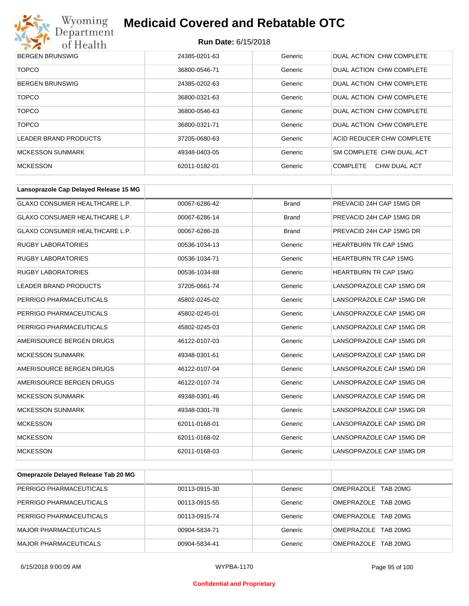

| <b>BERGEN BRUNSWIG</b> | 24385-0201-63 | Generic | DUAL ACTION CHW COMPLETE        |
|------------------------|---------------|---------|---------------------------------|
| <b>TOPCO</b>           | 36800-0546-71 | Generic | DUAL ACTION CHW COMPLETE        |
| <b>BERGEN BRUNSWIG</b> | 24385-0202-63 | Generic | DUAL ACTION CHW COMPLETE        |
| <b>TOPCO</b>           | 36800-0321-63 | Generic | DUAL ACTION CHW COMPLETE        |
| <b>TOPCO</b>           | 36800-0546-63 | Generic | DUAL ACTION CHW COMPLETE        |
| <b>TOPCO</b>           | 36800-0321-71 | Generic | DUAL ACTION CHW COMPLETE        |
| LEADER BRAND PRODUCTS  | 37205-0680-63 | Generic | ACID REDUCER CHW COMPLETE       |
| MCKESSON SUNMARK       | 49348-0403-05 | Generic | SM COMPLETE CHW DUAL ACT        |
| <b>MCKESSON</b>        | 62011-0182-01 | Generic | <b>COMPLETE</b><br>CHW DUAL ACT |

| Lansoprazole Cap Delayed Release 15 MG |               |              |                              |
|----------------------------------------|---------------|--------------|------------------------------|
| <b>GLAXO CONSUMER HEALTHCARE L.P.</b>  | 00067-6286-42 | <b>Brand</b> | PREVACID 24H CAP 15MG DR     |
| <b>GLAXO CONSUMER HEALTHCARE L.P.</b>  | 00067-6286-14 | <b>Brand</b> | PREVACID 24H CAP 15MG DR     |
| GLAXO CONSUMER HEALTHCARE L.P.         | 00067-6286-28 | <b>Brand</b> | PREVACID 24H CAP 15MG DR     |
| <b>RUGBY LABORATORIES</b>              | 00536-1034-13 | Generic      | <b>HEARTBURN TR CAP 15MG</b> |
| <b>RUGBY LABORATORIES</b>              | 00536-1034-71 | Generic      | <b>HEARTBURN TR CAP 15MG</b> |
| <b>RUGBY LABORATORIES</b>              | 00536-1034-88 | Generic      | <b>HEARTBURN TR CAP 15MG</b> |
| <b>LEADER BRAND PRODUCTS</b>           | 37205-0661-74 | Generic      | LANSOPRAZOLE CAP 15MG DR     |
| PERRIGO PHARMACEUTICALS                | 45802-0245-02 | Generic      | LANSOPRAZOLE CAP 15MG DR     |
| PERRIGO PHARMACEUTICALS                | 45802-0245-01 | Generic      | LANSOPRAZOLE CAP 15MG DR     |
| PERRIGO PHARMACEUTICALS                | 45802-0245-03 | Generic      | LANSOPRAZOLE CAP 15MG DR     |
| AMERISOURCE BERGEN DRUGS               | 46122-0107-03 | Generic      | LANSOPRAZOLE CAP 15MG DR     |
| <b>MCKESSON SUNMARK</b>                | 49348-0301-61 | Generic      | LANSOPRAZOLE CAP 15MG DR     |
| AMERISOURCE BERGEN DRUGS               | 46122-0107-04 | Generic      | LANSOPRAZOLE CAP 15MG DR     |
| AMERISOURCE BERGEN DRUGS               | 46122-0107-74 | Generic      | LANSOPRAZOLE CAP 15MG DR     |
| <b>MCKESSON SUNMARK</b>                | 49348-0301-46 | Generic      | LANSOPRAZOLE CAP 15MG DR     |
| <b>MCKESSON SUNMARK</b>                | 49348-0301-78 | Generic      | LANSOPRAZOLE CAP 15MG DR     |
| <b>MCKESSON</b>                        | 62011-0168-01 | Generic      | LANSOPRAZOLE CAP 15MG DR     |
| <b>MCKESSON</b>                        | 62011-0168-02 | Generic      | LANSOPRAZOLE CAP 15MG DR     |
| <b>MCKESSON</b>                        | 62011-0168-03 | Generic      | LANSOPRAZOLE CAP 15MG DR     |

| Omeprazole Delayed Release Tab 20 MG |               |         |                     |
|--------------------------------------|---------------|---------|---------------------|
| PERRIGO PHARMACEUTICALS              | 00113-0915-30 | Generic | OMEPRAZOLE TAB 20MG |
| PERRIGO PHARMACEUTICALS              | 00113-0915-55 | Generic | OMEPRAZOLE TAB 20MG |
| PERRIGO PHARMACEUTICALS              | 00113-0915-74 | Generic | OMEPRAZOLE TAB 20MG |
| <b>MAJOR PHARMACEUTICALS</b>         | 00904-5834-71 | Generic | OMEPRAZOLE TAB 20MG |
| MAJOR PHARMACEUTICALS                | 00904-5834-41 | Generic | OMEPRAZOLE TAB 20MG |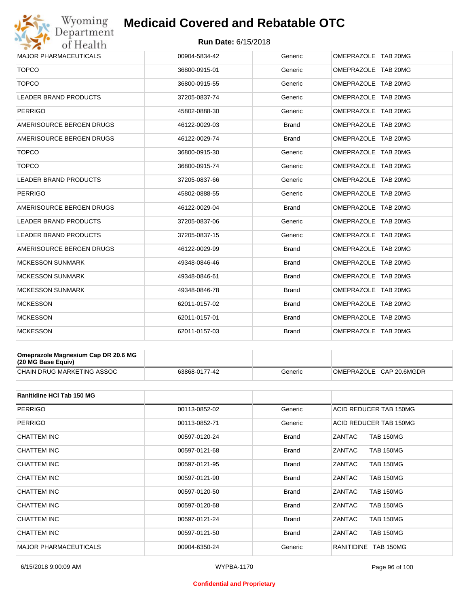## Wyoming<br>Department<br>of Health

## **Medicaid Covered and Rebatable OTC**

#### **Run Date:** 6/15/2018

| <b>MAJOR PHARMACEUTICALS</b> | 00904-5834-42 | Generic      | OMEPRAZOLE TAB 20MG |
|------------------------------|---------------|--------------|---------------------|
| <b>TOPCO</b>                 | 36800-0915-01 | Generic      | OMEPRAZOLE TAB 20MG |
| <b>TOPCO</b>                 | 36800-0915-55 | Generic      | OMEPRAZOLE TAB 20MG |
| LEADER BRAND PRODUCTS        | 37205-0837-74 | Generic      | OMEPRAZOLE TAB 20MG |
| <b>PERRIGO</b>               | 45802-0888-30 | Generic      | OMEPRAZOLE TAB 20MG |
| AMERISOURCE BERGEN DRUGS     | 46122-0029-03 | <b>Brand</b> | OMEPRAZOLE TAB 20MG |
| AMERISOURCE BERGEN DRUGS     | 46122-0029-74 | <b>Brand</b> | OMEPRAZOLE TAB 20MG |
| <b>TOPCO</b>                 | 36800-0915-30 | Generic      | OMEPRAZOLE TAB 20MG |
| <b>TOPCO</b>                 | 36800-0915-74 | Generic      | OMEPRAZOLE TAB 20MG |
| LEADER BRAND PRODUCTS        | 37205-0837-66 | Generic      | OMEPRAZOLE TAB 20MG |
| <b>PERRIGO</b>               | 45802-0888-55 | Generic      | OMEPRAZOLE TAB 20MG |
| AMERISOURCE BERGEN DRUGS     | 46122-0029-04 | <b>Brand</b> | OMEPRAZOLE TAB 20MG |
| <b>LEADER BRAND PRODUCTS</b> | 37205-0837-06 | Generic      | OMEPRAZOLE TAB 20MG |
| LEADER BRAND PRODUCTS        | 37205-0837-15 | Generic      | OMEPRAZOLE TAB 20MG |
| AMERISOURCE BERGEN DRUGS     | 46122-0029-99 | <b>Brand</b> | OMEPRAZOLE TAB 20MG |
| <b>MCKESSON SUNMARK</b>      | 49348-0846-46 | <b>Brand</b> | OMEPRAZOLE TAB 20MG |
| <b>MCKESSON SUNMARK</b>      | 49348-0846-61 | <b>Brand</b> | OMEPRAZOLE TAB 20MG |
| <b>MCKESSON SUNMARK</b>      | 49348-0846-78 | <b>Brand</b> | OMEPRAZOLE TAB 20MG |
| <b>MCKESSON</b>              | 62011-0157-02 | <b>Brand</b> | OMEPRAZOLE TAB 20MG |
| <b>MCKESSON</b>              | 62011-0157-01 | <b>Brand</b> | OMEPRAZOLE TAB 20MG |
| <b>MCKESSON</b>              | 62011-0157-03 | <b>Brand</b> | OMEPRAZOLE TAB 20MG |

| Omeprazole Magnesium Cap DR 20.6 MG<br>$(20 \text{ MG Base}$ Equiv) |               |         |                         |
|---------------------------------------------------------------------|---------------|---------|-------------------------|
| <b>CHAIN DRUG MARKETING ASSOC</b>                                   | 63868-0177-42 | Generic | OMEPRAZOLE CAP 20.6MGDR |

| <b>Ranitidine HCI Tab 150 MG</b> |               |              |                                   |
|----------------------------------|---------------|--------------|-----------------------------------|
| PERRIGO                          | 00113-0852-02 | Generic      | ACID REDUCER TAB 150MG            |
| <b>PERRIGO</b>                   | 00113-0852-71 | Generic      | ACID REDUCER TAB 150MG            |
| CHATTEM INC                      | 00597-0120-24 | Brand        | ZANTAC<br><b>TAB 150MG</b>        |
| <b>CHATTEM INC</b>               | 00597-0121-68 | <b>Brand</b> | ZANTAC<br><b>TAB 150MG</b>        |
| CHATTEM INC                      | 00597-0121-95 | <b>Brand</b> | ZANTAC<br><b>TAB 150MG</b>        |
| CHATTEM INC                      | 00597-0121-90 | <b>Brand</b> | ZANTAC<br><b>TAB 150MG</b>        |
| CHATTEM INC                      | 00597-0120-50 | <b>Brand</b> | ZANTAC<br><b>TAB 150MG</b>        |
| CHATTEM INC                      | 00597-0120-68 | <b>Brand</b> | <b>ZANTAC</b><br><b>TAB 150MG</b> |
| CHATTEM INC                      | 00597-0121-24 | <b>Brand</b> | ZANTAC<br><b>TAB 150MG</b>        |
| CHATTEM INC                      | 00597-0121-50 | <b>Brand</b> | ZANTAC<br><b>TAB 150MG</b>        |
| <b>MAJOR PHARMACEUTICALS</b>     | 00904-6350-24 | Generic      | TAB 150MG<br><b>RANITIDINE</b>    |

#### **Confidential and Proprietary**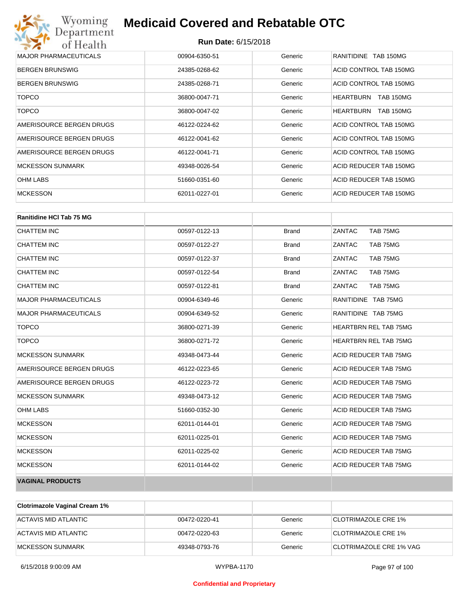| Wyoming<br>Department                   | <b>Medicaid Covered and Rebatable OTC</b> |         |                                      |  |
|-----------------------------------------|-------------------------------------------|---------|--------------------------------------|--|
| <b>Run Date: 6/15/2018</b><br>of Health |                                           |         |                                      |  |
| <b>MAJOR PHARMACEUTICALS</b>            | 00904-6350-51                             | Generic | RANITIDINE TAB 150MG                 |  |
| <b>BERGEN BRUNSWIG</b>                  | 24385-0268-62                             | Generic | ACID CONTROL TAB 150MG               |  |
| <b>BERGEN BRUNSWIG</b>                  | 24385-0268-71                             | Generic | ACID CONTROL TAB 150MG               |  |
| <b>TOPCO</b>                            | 36800-0047-71                             | Generic | <b>HEARTBURN</b><br><b>TAB 150MG</b> |  |
| <b>TOPCO</b>                            | 36800-0047-02                             | Generic | <b>HEARTBURN</b><br><b>TAB 150MG</b> |  |
| AMERISOURCE BERGEN DRUGS                | 46122-0224-62                             | Generic | ACID CONTROL TAB 150MG               |  |
| AMERISOURCE BERGEN DRUGS                | 46122-0041-62                             | Generic | ACID CONTROL TAB 150MG               |  |
| AMERISOURCE BERGEN DRUGS                | 46122-0041-71                             | Generic | ACID CONTROL TAB 150MG               |  |
| <b>MCKESSON SUNMARK</b>                 | 49348-0026-54                             | Generic | ACID REDUCER TAB 150MG               |  |
| <b>OHM LABS</b>                         | 51660-0351-60                             | Generic | ACID REDUCER TAB 150MG               |  |
| <b>MCKESSON</b>                         | 62011-0227-01                             | Generic | ACID REDUCER TAB 150MG               |  |

| <b>Ranitidine HCI Tab 75 MG</b> |               |              |                              |
|---------------------------------|---------------|--------------|------------------------------|
| <b>CHATTEM INC</b>              | 00597-0122-13 | <b>Brand</b> | ZANTAC<br>TAB 75MG           |
| <b>CHATTEM INC</b>              | 00597-0122-27 | <b>Brand</b> | ZANTAC<br>TAB 75MG           |
| <b>CHATTEM INC</b>              | 00597-0122-37 | <b>Brand</b> | ZANTAC<br>TAB 75MG           |
| <b>CHATTEM INC</b>              | 00597-0122-54 | <b>Brand</b> | ZANTAC<br>TAB 75MG           |
| <b>CHATTEM INC</b>              | 00597-0122-81 | <b>Brand</b> | ZANTAC<br>TAB 75MG           |
| <b>MAJOR PHARMACEUTICALS</b>    | 00904-6349-46 | Generic      | RANITIDINE TAB 75MG          |
| <b>MAJOR PHARMACEUTICALS</b>    | 00904-6349-52 | Generic      | RANITIDINE TAB 75MG          |
| <b>TOPCO</b>                    | 36800-0271-39 | Generic      | <b>HEARTBRN REL TAB 75MG</b> |
| <b>TOPCO</b>                    | 36800-0271-72 | Generic      | <b>HEARTBRN REL TAB 75MG</b> |
| <b>MCKESSON SUNMARK</b>         | 49348-0473-44 | Generic      | ACID REDUCER TAB 75MG        |
| AMERISOURCE BERGEN DRUGS        | 46122-0223-65 | Generic      | ACID REDUCER TAB 75MG        |
| AMERISOURCE BERGEN DRUGS        | 46122-0223-72 | Generic      | ACID REDUCER TAB 75MG        |
| <b>MCKESSON SUNMARK</b>         | 49348-0473-12 | Generic      | ACID REDUCER TAB 75MG        |
| <b>OHM LABS</b>                 | 51660-0352-30 | Generic      | ACID REDUCER TAB 75MG        |
| <b>MCKESSON</b>                 | 62011-0144-01 | Generic      | ACID REDUCER TAB 75MG        |
| <b>MCKESSON</b>                 | 62011-0225-01 | Generic      | ACID REDUCER TAB 75MG        |
| <b>MCKESSON</b>                 | 62011-0225-02 | Generic      | ACID REDUCER TAB 75MG        |
| <b>MCKESSON</b>                 | 62011-0144-02 | Generic      | ACID REDUCER TAB 75MG        |
| <b>VAGINAL PRODUCTS</b>         |               |              |                              |

| <b>Clotrimazole Vaginal Cream 1%</b> |               |         |                            |
|--------------------------------------|---------------|---------|----------------------------|
| ACTAVIS MID ATLANTIC                 | 00472-0220-41 | Generic | <b>CLOTRIMAZOLE CRE 1%</b> |
| ACTAVIS MID ATLANTIC                 | 00472-0220-63 | Generic | <b>CLOTRIMAZOLE CRE 1%</b> |
| IMCKESSON SUNMARK                    | 49348-0793-76 | Generic | ⊺CLOTRIMAZOLE CRE 1% VAG   |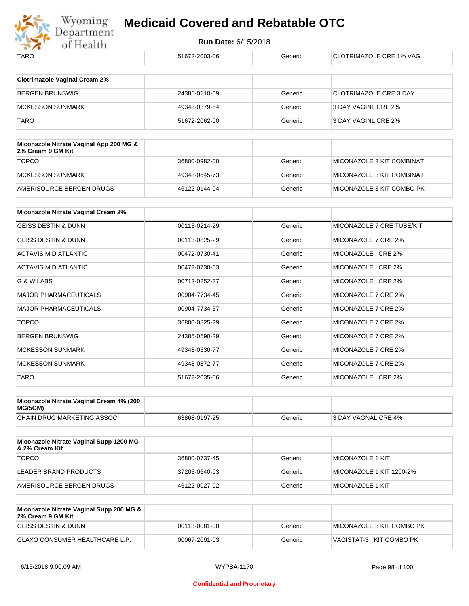

| 51672-2003-06 | Generic | CLOTRIMAZOLE CRE 1% VAG       |
|---------------|---------|-------------------------------|
|               |         |                               |
|               |         |                               |
| 24385-0110-09 | Generic | <b>CLOTRIMAZOLE CRE 3 DAY</b> |
| 49348-0379-54 | Generic | 3 DAY VAGINL CRE 2%           |
| 51672-2062-00 | Generic | 3 DAY VAGINL CRE 2%           |
|               |         |                               |
|               |         |                               |
| 36800-0982-00 | Generic | MICONAZOLE 3 KIT COMBINAT     |
| 49348-0645-73 | Generic | MICONAZOLE 3 KIT COMBINAT     |
| 46122-0144-04 | Generic | MICONAZOLE 3 KIT COMBO PK     |
|               |         |                               |
|               |         |                               |
| 00113-0214-29 | Generic | MICONAZOLE 7 CRE TUBE/KIT     |
| 00113-0825-29 | Generic | MICONAZOLE 7 CRE 2%           |
| 00472-0730-41 | Generic | MICONAZOLE CRE 2%             |
| 00472-0730-63 | Generic | MICONAZOLE CRE 2%             |
| 00713-0252-37 | Generic | MICONAZOLE CRE 2%             |
| 00904-7734-45 | Generic | MICONAZOLE 7 CRE 2%           |
| 00904-7734-57 | Generic | MICONAZOLE 7 CRE 2%           |
| 36800-0825-29 | Generic | MICONAZOLE 7 CRE 2%           |
| 24385-0590-29 | Generic | MICONAZOLE 7 CRE 2%           |
| 49348-0530-77 | Generic | MICONAZOLE 7 CRE 2%           |
| 49348-0872-77 | Generic | MICONAZOLE 7 CRE 2%           |
| 51672-2035-06 | Generic | MICONAZOLE CRE 2%             |
|               |         |                               |

| Miconazole Nitrate Vaginal Cream 4% (200<br>MG/5GM) |               |         |                     |
|-----------------------------------------------------|---------------|---------|---------------------|
| CHAIN DRUG MARKETING ASSOC                          | 63868-0197-25 | Generic | 3 DAY VAGNAL CRE 4% |

| Miconazole Nitrate Vaginal Supp 1200 MG<br>∣& 2% Cream Kit |               |         |                          |
|------------------------------------------------------------|---------------|---------|--------------------------|
| <b>TOPCO</b>                                               | 36800-0737-45 | Generic | MICONAZOLE 1 KIT         |
| LEADER BRAND PRODUCTS                                      | 37205-0640-03 | Generic | MICONAZOLE 1 KIT 1200-2% |
| AMERISOURCE BERGEN DRUGS                                   | 46122-0027-02 | Generic | MICONAZOLE 1 KIT         |

| Miconazole Nitrate Vaginal Supp 200 MG &<br>2% Cream 9 GM Kit |               |         |                            |
|---------------------------------------------------------------|---------------|---------|----------------------------|
| <b>GEISS DESTIN &amp; DUNN</b>                                | 00113-0081-00 | Generic | IMICONAZOLE 3 KIT COMBO PK |
| <b>IGLAXO CONSUMER HEALTHCARE L.P.</b>                        | 00067-2091-03 | Generic | VAGISTAT-3 KIT COMBO PK    |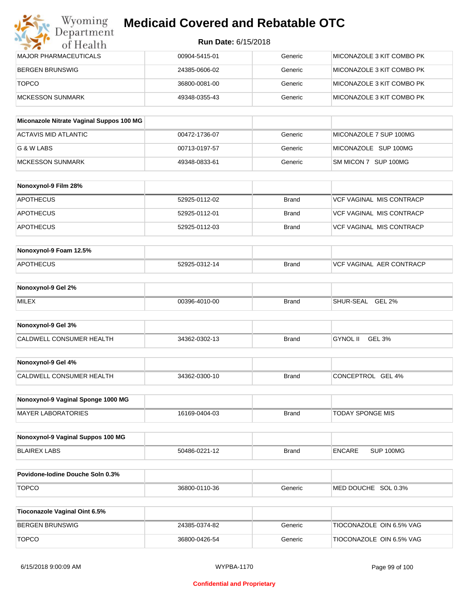| Wyoming<br>Department        | <b>Medicaid Covered and Rebatable OTC</b><br><b>Run Date: 6/15/2018</b> |         |                           |  |
|------------------------------|-------------------------------------------------------------------------|---------|---------------------------|--|
| of Health                    |                                                                         |         |                           |  |
| <b>MAJOR PHARMACEUTICALS</b> | 00904-5415-01                                                           | Generic | MICONAZOLE 3 KIT COMBO PK |  |
| <b>BERGEN BRUNSWIG</b>       | 24385-0606-02                                                           | Generic | MICONAZOLE 3 KIT COMBO PK |  |
| <b>TOPCO</b>                 | 36800-0081-00                                                           | Generic | MICONAZOLE 3 KIT COMBO PK |  |
| <b>MCKESSON SUNMARK</b>      | 49348-0355-43                                                           | Generic | MICONAZOLE 3 KIT COMBO PK |  |

| Miconazole Nitrate Vaginal Suppos 100 MG |               |         |                        |
|------------------------------------------|---------------|---------|------------------------|
| ACTAVIS MID ATLANTIC                     | 00472-1736-07 | Generic | MICONAZOLE 7 SUP 100MG |
| IG & W LABS                              | 00713-0197-57 | Generic | MICONAZOLE SUP 100MG   |
| IMCKESSON SUNMARK                        | 49348-0833-61 | Generic | SM MICON 7 SUP 100MG   |

| Nonoxynol-9 Film 28% |               |       |                          |
|----------------------|---------------|-------|--------------------------|
| <b>APOTHECUS</b>     | 52925-0112-02 | Brand | VCF VAGINAL MIS CONTRACP |
| APOTHECUS            | 52925-0112-01 | Brand | VCF VAGINAL MIS CONTRACP |
| <b>APOTHECUS</b>     | 52925-0112-03 | Brand | VCF VAGINAL MIS CONTRACP |

| Nonoxynol-9 Foam 12.5% |               |              |                          |
|------------------------|---------------|--------------|--------------------------|
| <b>APOTHECUS</b>       | 52925-0312-14 | <b>Brand</b> | VCF VAGINAL AER CONTRACP |

| Nonoxynol-9 Gel 2% |               |       |                            |
|--------------------|---------------|-------|----------------------------|
| <b>MILEX</b>       | 00396-4010-00 | Brand | <b>GEL 2%</b><br>SHUR-SEAL |

| Nonoxynol-9 Gel 3%       |               |              |          |        |
|--------------------------|---------------|--------------|----------|--------|
| CALDWELL CONSUMER HEALTH | 34362-0302-13 | <b>Brand</b> | GYNOL II | GEL 3% |

| Nonoxynol-9 Gel 4%       |               |       |                   |
|--------------------------|---------------|-------|-------------------|
| CALDWELL CONSUMER HEALTH | 34362-0300-10 | Brand | CONCEPTROL GEL 4% |

| Nonoxynol-9 Vaginal Sponge 1000 MG |               |              |                         |
|------------------------------------|---------------|--------------|-------------------------|
| MAYER LABORATORIES                 | 16169-0404-03 | <b>Brand</b> | <b>TODAY SPONGE MIS</b> |

| Nonoxynol-9 Vaginal Suppos 100 MG |               |       |        |           |
|-----------------------------------|---------------|-------|--------|-----------|
| BLAIREX LABS                      | 50486-0221-12 | Brand | ENCARE | SUP 100MG |

| <b>Povidone-lodine Douche Soln 0.3%</b> |               |         |                        |
|-----------------------------------------|---------------|---------|------------------------|
| <b>TOPCO</b>                            | 36800-0110-36 | Generic | SOL 0.3%<br>MED DOUCHE |

| Tioconazole Vaginal Oint 6.5% |               |         |                          |
|-------------------------------|---------------|---------|--------------------------|
| BERGEN BRUNSWIG               | 24385-0374-82 | Generic | TIOCONAZOLE OIN 6.5% VAG |
| <b>TOPCO</b>                  | 36800-0426-54 | Generic | TIOCONAZOLE OIN 6.5% VAG |